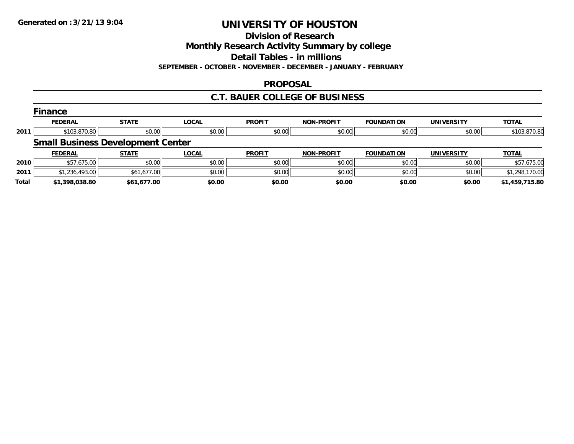**Division of Research**

**Monthly Research Activity Summary by college**

**Detail Tables - in millions**

**SEPTEMBER - OCTOBER - NOVEMBER - DECEMBER - JANUARY - FEBRUARY**

### **PROPOSAL**

## **C.T. BAUER COLLEGE OF BUSINESS**

|              | Finance                                  |              |              |               |                   |                   |                   |                |  |  |  |
|--------------|------------------------------------------|--------------|--------------|---------------|-------------------|-------------------|-------------------|----------------|--|--|--|
|              | <b>FEDERAL</b>                           | <b>STATE</b> | <b>LOCAL</b> | <b>PROFIT</b> | <b>NON-PROFIT</b> | <b>FOUNDATION</b> | <b>UNIVERSITY</b> | <b>TOTAL</b>   |  |  |  |
| 2011         | \$103,870.80                             | \$0.00       | \$0.00       | \$0.00        | \$0.00            | \$0.00            | \$0.00            | \$103,870.80   |  |  |  |
|              | <b>Small Business Development Center</b> |              |              |               |                   |                   |                   |                |  |  |  |
|              | <b>FEDERAL</b>                           | <b>STATE</b> | <b>LOCAL</b> | <b>PROFIT</b> | <b>NON-PROFIT</b> | <b>FOUNDATION</b> | <b>UNIVERSITY</b> | <b>TOTAL</b>   |  |  |  |
| 2010         | \$57,675.00                              | \$0.00       | \$0.00       | \$0.00        | \$0.00            | \$0.00            | \$0.00            | \$57,675.00    |  |  |  |
| 2011         | \$1,236,493.00                           | \$61,677.00  | \$0.00       | \$0.00        | \$0.00            | \$0.00            | \$0.00            | \$1,298,170.00 |  |  |  |
| <b>Total</b> | \$1,398,038.80                           | \$61,677.00  | \$0.00       | \$0.00        | \$0.00            | \$0.00            | \$0.00            | \$1,459,715.80 |  |  |  |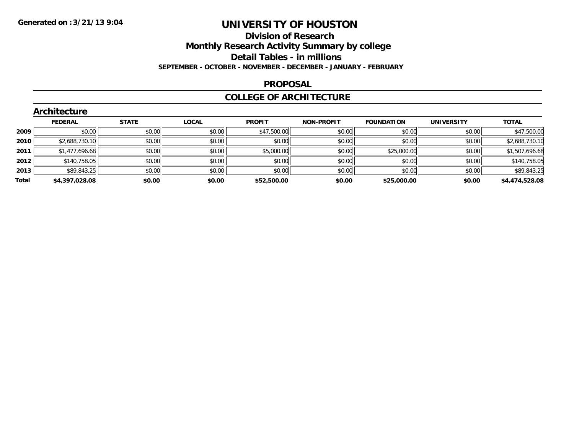#### **Division of Research**

**Monthly Research Activity Summary by college**

**Detail Tables - in millions**

**SEPTEMBER - OCTOBER - NOVEMBER - DECEMBER - JANUARY - FEBRUARY**

### **PROPOSAL**

### **COLLEGE OF ARCHITECTURE**

| <b>TOTAL</b><br><b>FEDERAL</b><br><b>STATE</b><br><b>LOCAL</b><br><b>PROFIT</b><br><b>NON-PROFIT</b><br><b>FOUNDATION</b><br>UNIVERSITY<br>\$0.00<br>\$47,500.00<br>\$0.00<br>\$0.00<br>\$0.00<br>\$0.00<br>\$0.00<br>2009<br>\$2,688,730.10<br>\$0.00<br>\$0.00<br>\$0.00<br>\$0.00<br>\$0.00<br>\$0.00<br>2010<br>\$0.00<br>\$0.00<br>\$0.00<br>\$5,000.00<br>\$25,000.00<br>\$1,477,696.68<br>\$0.00<br>2011<br>\$0.00<br>\$0.00<br>\$140,758.05<br>\$0.00<br>\$0.00<br>2012<br>\$0.00<br>\$0.00<br>\$89,843.25<br>\$0.00<br>\$0.00<br>\$0.00<br>\$0.00<br>\$0.00<br>\$0.00<br>2013<br>Total<br>\$0.00<br>\$4,397,028.08<br>\$0.00<br>\$52,500.00<br>\$0.00<br>\$25,000.00<br>\$0.00 | <b>Architecture</b> |  |  |  |  |  |  |                |  |
|-----------------------------------------------------------------------------------------------------------------------------------------------------------------------------------------------------------------------------------------------------------------------------------------------------------------------------------------------------------------------------------------------------------------------------------------------------------------------------------------------------------------------------------------------------------------------------------------------------------------------------------------------------------------------------------------|---------------------|--|--|--|--|--|--|----------------|--|
|                                                                                                                                                                                                                                                                                                                                                                                                                                                                                                                                                                                                                                                                                         |                     |  |  |  |  |  |  |                |  |
|                                                                                                                                                                                                                                                                                                                                                                                                                                                                                                                                                                                                                                                                                         |                     |  |  |  |  |  |  | \$47,500.00    |  |
|                                                                                                                                                                                                                                                                                                                                                                                                                                                                                                                                                                                                                                                                                         |                     |  |  |  |  |  |  | \$2,688,730.10 |  |
|                                                                                                                                                                                                                                                                                                                                                                                                                                                                                                                                                                                                                                                                                         |                     |  |  |  |  |  |  | \$1,507,696.68 |  |
|                                                                                                                                                                                                                                                                                                                                                                                                                                                                                                                                                                                                                                                                                         |                     |  |  |  |  |  |  | \$140,758.05   |  |
|                                                                                                                                                                                                                                                                                                                                                                                                                                                                                                                                                                                                                                                                                         |                     |  |  |  |  |  |  | \$89,843.25    |  |
|                                                                                                                                                                                                                                                                                                                                                                                                                                                                                                                                                                                                                                                                                         |                     |  |  |  |  |  |  | \$4,474,528.08 |  |

## **Architecture**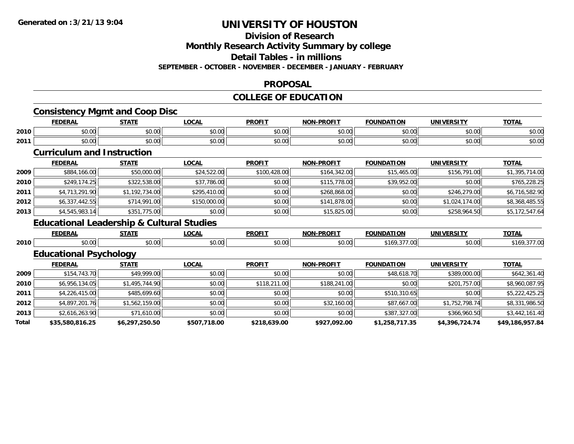#### **Division of Research**

**Monthly Research Activity Summary by college**

**Detail Tables - in millions**

**SEPTEMBER - OCTOBER - NOVEMBER - DECEMBER - JANUARY - FEBRUARY**

### **PROPOSAL**

#### **COLLEGE OF EDUCATION**

|      |                                                      | <b>Consistency Mgmt and Coop Disc</b> |              |               |                   |                   |                   |                |
|------|------------------------------------------------------|---------------------------------------|--------------|---------------|-------------------|-------------------|-------------------|----------------|
|      | <b>FEDERAL</b>                                       | <b>STATE</b>                          | <b>LOCAL</b> | <b>PROFIT</b> | <b>NON-PROFIT</b> | <b>FOUNDATION</b> | <b>UNIVERSITY</b> | <b>TOTAL</b>   |
| 2010 | \$0.00                                               | \$0.00                                | \$0.00       | \$0.00        | \$0.00            | \$0.00            | \$0.00            | \$0.00         |
| 2011 | \$0.00                                               | \$0.00                                | \$0.00       | \$0.00        | \$0.00            | \$0.00            | \$0.00            | \$0.00         |
|      | <b>Curriculum and Instruction</b>                    |                                       |              |               |                   |                   |                   |                |
|      | <b>FEDERAL</b>                                       | <b>STATE</b>                          | <b>LOCAL</b> | <b>PROFIT</b> | <b>NON-PROFIT</b> | <b>FOUNDATION</b> | <b>UNIVERSITY</b> | <b>TOTAL</b>   |
| 2009 | \$884,166.00                                         | \$50,000.00                           | \$24,522.00  | \$100,428.00  | \$164,342.00      | \$15,465.00       | \$156,791.00      | \$1,395,714.00 |
| 2010 | \$249,174.25                                         | \$322,538.00                          | \$37,786.00  | \$0.00        | \$115,778.00      | \$39,952.00       | \$0.00            | \$765,228.25   |
| 2011 | \$4,713,291.90                                       | \$1,192,734.00                        | \$295,410.00 | \$0.00        | \$268,868.00      | \$0.00            | \$246,279.00      | \$6,716,582.90 |
| 2012 | \$6,337,442.55                                       | \$714,991.00                          | \$150,000.00 | \$0.00        | \$141,878.00      | \$0.00            | \$1,024,174.00    | \$8,368,485.55 |
| 2013 | \$4,545,983.14                                       | \$351,775.00                          | \$0.00       | \$0.00        | \$15,825.00       | \$0.00            | \$258,964.50      | \$5,172,547.64 |
|      | <b>Educational Leadership &amp; Cultural Studies</b> |                                       |              |               |                   |                   |                   |                |
|      | <b>FEDERAL</b>                                       | <b>STATE</b>                          | <b>LOCAL</b> | <b>PROFIT</b> | <b>NON-PROFIT</b> | <b>FOUNDATION</b> | <b>UNIVERSITY</b> | <b>TOTAL</b>   |
| 2010 | \$0.00                                               | \$0.00                                | \$0.00       | \$0.00        | \$0.00            | \$169,377.00      | \$0.00            | \$169,377.00   |
|      | <b>Educational Psychology</b>                        |                                       |              |               |                   |                   |                   |                |
|      | <b>FEDERAL</b>                                       | <b>STATE</b>                          | <b>LOCAL</b> | <b>PROFIT</b> | <b>NON-PROFIT</b> | <b>FOUNDATION</b> | <b>UNIVERSITY</b> | <b>TOTAL</b>   |
| 2009 | \$154,743.70                                         | \$49,999.00                           | \$0.00       | \$0.00        | \$0.00            | \$48,618.70       | \$389,000.00      | \$642,361.40   |
| 2010 | \$6,956,134.05                                       | \$1,495,744.90                        | \$0.00       | \$118,211.00  | \$188,241.00      | \$0.00            | \$201,757.00      | \$8,960,087.95 |
| 2011 | \$4,226,415.00                                       | \$485,699.60                          | \$0.00       | \$0.00        | \$0.00            | \$510,310.65      | \$0.00            | \$5,222,425.25 |
| 2012 | \$4,897,201.76                                       | \$1,562,159.00                        | \$0.00       | \$0.00        | \$32,160.00       | \$87,667.00       | \$1,752,798.74    | \$8,331,986.50 |
| 2013 | \$2,616,263.90                                       | \$71,610.00                           | \$0.00       | \$0.00        | \$0.00            | \$387,327.00      | \$366,960.50      | \$3,442,161.40 |
|      |                                                      |                                       |              |               |                   |                   |                   |                |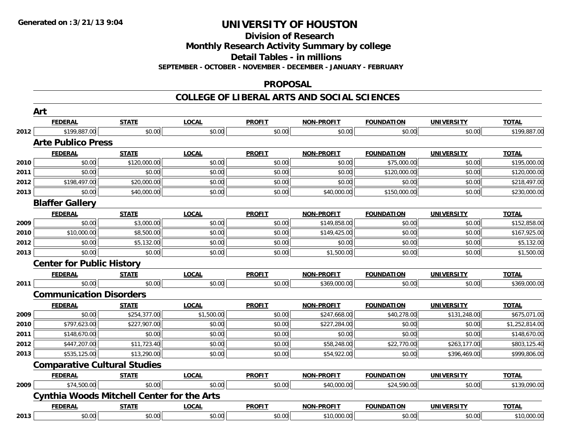**Division of Research**

**Monthly Research Activity Summary by college**

**Detail Tables - in millions**

**SEPTEMBER - OCTOBER - NOVEMBER - DECEMBER - JANUARY - FEBRUARY**

#### **PROPOSAL**

**COLLEGE OF LIBERAL ARTS AND SOCIAL SCIENCES**

|      | Art                                               |              |              |               |                   |                   |                   |                |
|------|---------------------------------------------------|--------------|--------------|---------------|-------------------|-------------------|-------------------|----------------|
|      | <b>FEDERAL</b>                                    | <b>STATE</b> | <b>LOCAL</b> | <b>PROFIT</b> | <b>NON-PROFIT</b> | <b>FOUNDATION</b> | <b>UNIVERSITY</b> | <b>TOTAL</b>   |
| 2012 | \$199,887.00                                      | \$0.00       | \$0.00       | \$0.00        | \$0.00            | \$0.00            | \$0.00            | \$199,887.00   |
|      | <b>Arte Publico Press</b>                         |              |              |               |                   |                   |                   |                |
|      | <b>FEDERAL</b>                                    | <b>STATE</b> | <b>LOCAL</b> | <b>PROFIT</b> | <b>NON-PROFIT</b> | <b>FOUNDATION</b> | <b>UNIVERSITY</b> | <b>TOTAL</b>   |
| 2010 | \$0.00                                            | \$120,000.00 | \$0.00       | \$0.00        | \$0.00            | \$75,000.00       | \$0.00            | \$195,000.00   |
| 2011 | \$0.00                                            | \$0.00       | \$0.00       | \$0.00        | \$0.00            | \$120,000.00      | \$0.00            | \$120,000.00   |
| 2012 | \$198,497.00                                      | \$20,000.00  | \$0.00       | \$0.00        | \$0.00            | \$0.00            | \$0.00            | \$218,497.00   |
| 2013 | \$0.00                                            | \$40,000.00  | \$0.00       | \$0.00        | \$40,000.00       | \$150,000.00      | \$0.00            | \$230,000.00   |
|      | <b>Blaffer Gallery</b>                            |              |              |               |                   |                   |                   |                |
|      | <b>FEDERAL</b>                                    | <b>STATE</b> | <b>LOCAL</b> | <b>PROFIT</b> | NON-PROFIT        | <b>FOUNDATION</b> | <b>UNIVERSITY</b> | <b>TOTAL</b>   |
| 2009 | \$0.00                                            | \$3,000.00   | \$0.00       | \$0.00        | \$149,858.00      | \$0.00            | \$0.00            | \$152,858.00   |
| 2010 | \$10,000.00                                       | \$8,500.00   | \$0.00       | \$0.00        | \$149,425.00      | \$0.00            | \$0.00            | \$167,925.00   |
| 2012 | \$0.00                                            | \$5,132.00   | \$0.00       | \$0.00        | \$0.00            | \$0.00            | \$0.00            | \$5,132.00     |
| 2013 | \$0.00                                            | \$0.00       | \$0.00       | \$0.00        | \$1,500.00        | \$0.00            | \$0.00            | \$1,500.00     |
|      | <b>Center for Public History</b>                  |              |              |               |                   |                   |                   |                |
|      | <b>FEDERAL</b>                                    | <b>STATE</b> | <b>LOCAL</b> | <b>PROFIT</b> | <b>NON-PROFIT</b> | <b>FOUNDATION</b> | <b>UNIVERSITY</b> | <b>TOTAL</b>   |
| 2011 | \$0.00                                            | \$0.00       | \$0.00       | \$0.00        | \$369,000.00      | \$0.00            | \$0.00            | \$369,000.00   |
|      | <b>Communication Disorders</b>                    |              |              |               |                   |                   |                   |                |
|      | <b>FEDERAL</b>                                    | <b>STATE</b> | <b>LOCAL</b> | <b>PROFIT</b> | NON-PROFIT        | <b>FOUNDATION</b> | <b>UNIVERSITY</b> | <b>TOTAL</b>   |
| 2009 | \$0.00                                            | \$254,377.00 | \$1,500.00   | \$0.00        | \$247,668.00      | \$40,278.00       | \$131,248.00      | \$675,071.00   |
| 2010 | \$797,623.00                                      | \$227,907.00 | \$0.00       | \$0.00        | \$227,284.00      | \$0.00            | \$0.00            | \$1,252,814.00 |
| 2011 | \$148,670.00                                      | \$0.00       | \$0.00       | \$0.00        | \$0.00            | \$0.00            | \$0.00            | \$148,670.00   |
| 2012 | \$447,207.00                                      | \$11,723.40  | \$0.00       | \$0.00        | \$58,248.00       | \$22,770.00       | \$263,177.00      | \$803,125.40   |
| 2013 | \$535,125.00                                      | \$13,290.00  | \$0.00       | \$0.00        | \$54,922.00       | \$0.00            | \$396,469.00      | \$999,806.00   |
|      | <b>Comparative Cultural Studies</b>               |              |              |               |                   |                   |                   |                |
|      | <b>FEDERAL</b>                                    | <b>STATE</b> | <b>LOCAL</b> | <b>PROFIT</b> | <b>NON-PROFIT</b> | <b>FOUNDATION</b> | <b>UNIVERSITY</b> | <b>TOTAL</b>   |
| 2009 | \$74,500.00                                       | \$0.00       | \$0.00       | \$0.00        | \$40,000.00       | \$24,590.00       | \$0.00            | \$139,090.00   |
|      | <b>Cynthia Woods Mitchell Center for the Arts</b> |              |              |               |                   |                   |                   |                |
|      | <b>FEDERAL</b>                                    | <b>STATE</b> | <b>LOCAL</b> | <b>PROFIT</b> | <b>NON-PROFIT</b> | <b>FOUNDATION</b> | <b>UNIVERSITY</b> | <b>TOTAL</b>   |
| 2013 | \$0.00                                            | \$0.00       | \$0.00       | \$0.00        | \$10,000.00       | \$0.00            | \$0.00            | \$10,000.00    |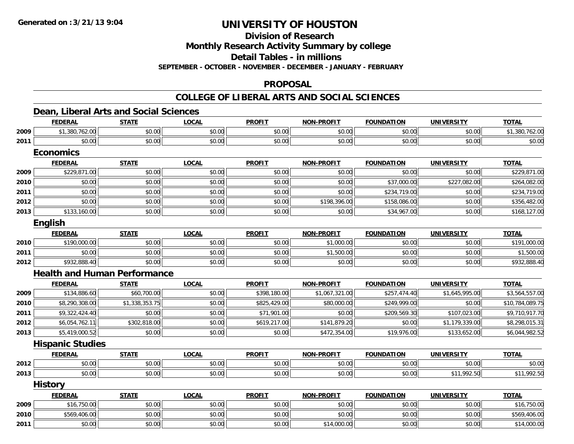**Division of Research**

**Monthly Research Activity Summary by college**

**Detail Tables - in millions**

**SEPTEMBER - OCTOBER - NOVEMBER - DECEMBER - JANUARY - FEBRUARY**

### **PROPOSAL**

### **COLLEGE OF LIBERAL ARTS AND SOCIAL SCIENCES**

## **Dean, Liberal Arts and Social Sciences**

|      | <b>FEDERAL</b>                      | <b>STATE</b>   | <b>LOCAL</b> | <b>PROFIT</b> | <b>NON-PROFIT</b> | <b>FOUNDATION</b> | <b>UNIVERSITY</b> | <b>TOTAL</b>    |  |  |  |
|------|-------------------------------------|----------------|--------------|---------------|-------------------|-------------------|-------------------|-----------------|--|--|--|
| 2009 | \$1,380,762.00                      | \$0.00         | \$0.00       | \$0.00        | \$0.00            | \$0.00            | \$0.00            | \$1,380,762.00  |  |  |  |
| 2011 | \$0.00                              | \$0.00         | \$0.00       | \$0.00        | \$0.00            | \$0.00            | \$0.00            | \$0.00          |  |  |  |
|      | <b>Economics</b>                    |                |              |               |                   |                   |                   |                 |  |  |  |
|      | <b>FEDERAL</b>                      | <b>STATE</b>   | <b>LOCAL</b> | <b>PROFIT</b> | <b>NON-PROFIT</b> | <b>FOUNDATION</b> | <b>UNIVERSITY</b> | <b>TOTAL</b>    |  |  |  |
| 2009 | \$229,871.00                        | \$0.00         | \$0.00       | \$0.00        | \$0.00            | \$0.00            | \$0.00            | \$229,871.00    |  |  |  |
| 2010 | \$0.00                              | \$0.00         | \$0.00       | \$0.00        | \$0.00            | \$37,000.00       | \$227,082.00      | \$264,082.00    |  |  |  |
| 2011 | \$0.00                              | \$0.00         | \$0.00       | \$0.00        | \$0.00            | \$234,719.00      | \$0.00            | \$234,719.00    |  |  |  |
| 2012 | \$0.00                              | \$0.00         | \$0.00       | \$0.00        | \$198,396.00      | \$158,086.00      | \$0.00            | \$356,482.00    |  |  |  |
| 2013 | \$133,160.00                        | \$0.00         | \$0.00       | \$0.00        | \$0.00            | \$34,967.00       | \$0.00            | \$168,127.00    |  |  |  |
|      | <b>English</b>                      |                |              |               |                   |                   |                   |                 |  |  |  |
|      | <b>FEDERAL</b>                      | <b>STATE</b>   | <b>LOCAL</b> | <b>PROFIT</b> | <b>NON-PROFIT</b> | <b>FOUNDATION</b> | <b>UNIVERSITY</b> | <b>TOTAL</b>    |  |  |  |
| 2010 | \$190,000.00                        | \$0.00         | \$0.00       | \$0.00        | \$1,000.00        | \$0.00            | \$0.00            | \$191,000.00    |  |  |  |
| 2011 | \$0.00                              | \$0.00         | \$0.00       | \$0.00        | \$1,500.00        | \$0.00            | \$0.00            | \$1,500.00      |  |  |  |
| 2012 | \$932,888.40                        | \$0.00         | \$0.00       | \$0.00        | \$0.00            | \$0.00            | \$0.00            | \$932,888.40    |  |  |  |
|      | <b>Health and Human Performance</b> |                |              |               |                   |                   |                   |                 |  |  |  |
|      | <b>FEDERAL</b>                      | <b>STATE</b>   | <b>LOCAL</b> | <b>PROFIT</b> | <b>NON-PROFIT</b> | <b>FOUNDATION</b> | <b>UNIVERSITY</b> | <b>TOTAL</b>    |  |  |  |
| 2009 | \$134,886.60                        | \$60,700.00    | \$0.00       | \$398,180.00  | \$1,067,321.00    | \$257,474.40      | \$1,645,995.00    | \$3,564,557.00  |  |  |  |
| 2010 | \$8,290,308.00                      | \$1,338,353.75 | \$0.00       | \$825,429.00  | \$80,000.00       | \$249,999.00      | \$0.00            | \$10,784,089.75 |  |  |  |
| 2011 | \$9,322,424.40                      | \$0.00         | \$0.00       | \$71,901.00   | \$0.00            | \$209,569.30      | \$107,023.00      | \$9,710,917.70  |  |  |  |
| 2012 | \$6,054,762.11                      | \$302,818.00   | \$0.00       | \$619,217.00  | \$141,879.20      | \$0.00            | \$1,179,339.00    | \$8,298,015.31  |  |  |  |
| 2013 | \$5,419,000.52                      | \$0.00         | \$0.00       | \$0.00        | \$472,354.00      | \$19,976.00       | \$133,652.00      | \$6,044,982.52  |  |  |  |
|      | <b>Hispanic Studies</b>             |                |              |               |                   |                   |                   |                 |  |  |  |
|      | <b>FEDERAL</b>                      | <b>STATE</b>   | <b>LOCAL</b> | <b>PROFIT</b> | <b>NON-PROFIT</b> | <b>FOUNDATION</b> | <b>UNIVERSITY</b> | <b>TOTAL</b>    |  |  |  |
| 2012 | \$0.00                              | \$0.00         | \$0.00       | \$0.00        | \$0.00            | \$0.00            | \$0.00            | \$0.00          |  |  |  |
| 2013 | \$0.00                              | \$0.00         | \$0.00       | \$0.00        | \$0.00            | \$0.00            | \$11,992.50       | \$11,992.50     |  |  |  |
|      | <b>History</b>                      |                |              |               |                   |                   |                   |                 |  |  |  |
|      | <b>FEDERAL</b>                      | <b>STATE</b>   | <b>LOCAL</b> | <b>PROFIT</b> | NON-PROFIT        | <b>FOUNDATION</b> | <b>UNIVERSITY</b> | <b>TOTAL</b>    |  |  |  |
| 2009 | \$16,750.00                         | \$0.00         | \$0.00       | \$0.00        | \$0.00            | \$0.00            | \$0.00            | \$16,750.00     |  |  |  |
| 2010 | \$569,406.00                        | \$0.00         | \$0.00       | \$0.00        | \$0.00            | \$0.00            | \$0.00            | \$569,406.00    |  |  |  |
| 2011 | \$0.00                              | \$0.00         | \$0.00       | \$0.00        | \$14,000.00       | \$0.00            | \$0.00            | \$14,000.00     |  |  |  |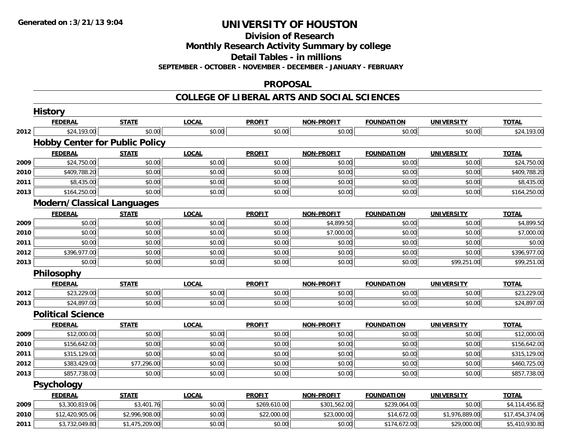**Division of Research**

**Monthly Research Activity Summary by college**

**Detail Tables - in millions**

**SEPTEMBER - OCTOBER - NOVEMBER - DECEMBER - JANUARY - FEBRUARY**

### **PROPOSAL**

### **COLLEGE OF LIBERAL ARTS AND SOCIAL SCIENCES**

|      | <b>History</b>                        |                |              |               |                   |                   |                   |                 |
|------|---------------------------------------|----------------|--------------|---------------|-------------------|-------------------|-------------------|-----------------|
|      | <b>FEDERAL</b>                        | <b>STATE</b>   | <b>LOCAL</b> | <b>PROFIT</b> | <b>NON-PROFIT</b> | <b>FOUNDATION</b> | <b>UNIVERSITY</b> | <b>TOTAL</b>    |
| 2012 | \$24,193.00                           | \$0.00         | \$0.00       | \$0.00        | \$0.00            | \$0.00            | \$0.00            | \$24,193.00     |
|      | <b>Hobby Center for Public Policy</b> |                |              |               |                   |                   |                   |                 |
|      | <b>FEDERAL</b>                        | <b>STATE</b>   | <b>LOCAL</b> | <b>PROFIT</b> | <b>NON-PROFIT</b> | <b>FOUNDATION</b> | <b>UNIVERSITY</b> | <b>TOTAL</b>    |
| 2009 | \$24,750.00                           | \$0.00         | \$0.00       | \$0.00        | \$0.00            | \$0.00            | \$0.00            | \$24,750.00     |
| 2010 | \$409,788.20                          | \$0.00         | \$0.00       | \$0.00        | \$0.00            | \$0.00            | \$0.00            | \$409,788.20    |
| 2011 | \$8,435.00                            | \$0.00         | \$0.00       | \$0.00        | \$0.00            | \$0.00            | \$0.00            | \$8,435.00      |
| 2013 | \$164,250.00                          | \$0.00         | \$0.00       | \$0.00        | \$0.00            | \$0.00            | \$0.00            | \$164,250.00    |
|      | <b>Modern/Classical Languages</b>     |                |              |               |                   |                   |                   |                 |
|      | <b>FEDERAL</b>                        | <b>STATE</b>   | <b>LOCAL</b> | <b>PROFIT</b> | <b>NON-PROFIT</b> | <b>FOUNDATION</b> | <b>UNIVERSITY</b> | <b>TOTAL</b>    |
| 2009 | \$0.00                                | \$0.00         | \$0.00       | \$0.00        | \$4,899.50        | \$0.00            | \$0.00            | \$4,899.50      |
| 2010 | \$0.00                                | \$0.00         | \$0.00       | \$0.00        | \$7,000.00        | \$0.00            | \$0.00            | \$7,000.00      |
| 2011 | \$0.00                                | \$0.00         | \$0.00       | \$0.00        | \$0.00            | \$0.00            | \$0.00            | \$0.00          |
| 2012 | \$396,977.00                          | \$0.00         | \$0.00       | \$0.00        | \$0.00            | \$0.00            | \$0.00            | \$396,977.00    |
| 2013 | \$0.00                                | \$0.00         | \$0.00       | \$0.00        | \$0.00            | \$0.00            | \$99,251.00       | \$99,251.00     |
|      | Philosophy                            |                |              |               |                   |                   |                   |                 |
|      | <b>FEDERAL</b>                        | <b>STATE</b>   | <b>LOCAL</b> | <b>PROFIT</b> | <b>NON-PROFIT</b> | <b>FOUNDATION</b> | <b>UNIVERSITY</b> | <b>TOTAL</b>    |
| 2012 | \$23,229.00                           | \$0.00         | \$0.00       | \$0.00        | \$0.00            | \$0.00            | \$0.00            | \$23,229.00     |
| 2013 | \$24,897.00                           | \$0.00         | \$0.00       | \$0.00        | \$0.00            | \$0.00            | \$0.00            | \$24,897.00     |
|      | <b>Political Science</b>              |                |              |               |                   |                   |                   |                 |
|      | <b>FEDERAL</b>                        | <b>STATE</b>   | <b>LOCAL</b> | <b>PROFIT</b> | <b>NON-PROFIT</b> | <b>FOUNDATION</b> | <b>UNIVERSITY</b> | <b>TOTAL</b>    |
| 2009 | \$12,000.00                           | \$0.00         | \$0.00       | \$0.00        | \$0.00            | \$0.00            | \$0.00            | \$12,000.00     |
| 2010 | \$156,642.00                          | \$0.00         | \$0.00       | \$0.00        | \$0.00            | \$0.00            | \$0.00            | \$156,642.00    |
| 2011 | \$315,129.00                          | \$0.00         | \$0.00       | \$0.00        | \$0.00            | \$0.00            | \$0.00            | \$315,129.00    |
| 2012 | \$383,429.00                          | \$77,296.00    | \$0.00       | \$0.00        | \$0.00            | \$0.00            | \$0.00            | \$460,725.00    |
| 2013 | \$857,738.00                          | \$0.00         | \$0.00       | \$0.00        | \$0.00            | \$0.00            | \$0.00            | \$857,738.00    |
|      | <b>Psychology</b>                     |                |              |               |                   |                   |                   |                 |
|      | <b>FEDERAL</b>                        | <b>STATE</b>   | <b>LOCAL</b> | <b>PROFIT</b> | <b>NON-PROFIT</b> | <b>FOUNDATION</b> | <b>UNIVERSITY</b> | <b>TOTAL</b>    |
| 2009 | \$3,300,819.06                        | \$3,401.76     | \$0.00       | \$269,610.00  | \$301,562.00      | \$239,064.00      | \$0.00            | \$4,114,456.82  |
| 2010 | \$12,420,905.06                       | \$2,996,908.00 | \$0.00       | \$22,000.00   | \$23,000.00       | \$14,672.00       | \$1,976,889.00    | \$17,454,374.06 |
| 2011 | \$3,732,049.80                        | \$1,475,209.00 | \$0.00       | \$0.00        | \$0.00            | \$174,672.00      | \$29,000.00       | \$5,410,930.80  |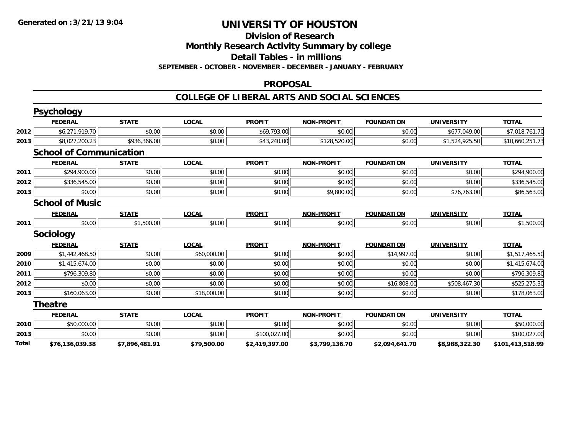## **Division of Research**

**Monthly Research Activity Summary by college**

**Detail Tables - in millions**

**SEPTEMBER - OCTOBER - NOVEMBER - DECEMBER - JANUARY - FEBRUARY**

## **PROPOSAL**

### **COLLEGE OF LIBERAL ARTS AND SOCIAL SCIENCES**

|              | <b>Psychology</b>              |                |              |                |                   |                   |                   |                  |
|--------------|--------------------------------|----------------|--------------|----------------|-------------------|-------------------|-------------------|------------------|
|              | <b>FEDERAL</b>                 | <b>STATE</b>   | <b>LOCAL</b> | <b>PROFIT</b>  | <b>NON-PROFIT</b> | <b>FOUNDATION</b> | <b>UNIVERSITY</b> | <b>TOTAL</b>     |
| 2012         | \$6,271,919.70                 | \$0.00         | \$0.00       | \$69,793.00    | \$0.00            | \$0.00            | \$677,049.00      | \$7,018,761.70   |
| 2013         | \$8,027,200.23                 | \$936,366.00   | \$0.00       | \$43,240.00    | \$128,520.00      | \$0.00            | \$1,524,925.50    | \$10,660,251.73  |
|              | <b>School of Communication</b> |                |              |                |                   |                   |                   |                  |
|              | <b>FEDERAL</b>                 | <b>STATE</b>   | <b>LOCAL</b> | <b>PROFIT</b>  | <b>NON-PROFIT</b> | <b>FOUNDATION</b> | <b>UNIVERSITY</b> | <b>TOTAL</b>     |
| 2011         | \$294,900.00                   | \$0.00         | \$0.00       | \$0.00         | \$0.00            | \$0.00            | \$0.00            | \$294,900.00     |
| 2012         | \$336,545.00                   | \$0.00         | \$0.00       | \$0.00         | \$0.00            | \$0.00            | \$0.00            | \$336,545.00     |
| 2013         | \$0.00                         | \$0.00         | \$0.00       | \$0.00         | \$9,800.00        | \$0.00            | \$76,763.00       | \$86,563.00      |
|              | <b>School of Music</b>         |                |              |                |                   |                   |                   |                  |
|              | <b>FEDERAL</b>                 | <b>STATE</b>   | <b>LOCAL</b> | <b>PROFIT</b>  | <b>NON-PROFIT</b> | <b>FOUNDATION</b> | <b>UNIVERSITY</b> | <b>TOTAL</b>     |
| 2011         | \$0.00                         | \$1,500.00     | \$0.00       | \$0.00         | \$0.00            | \$0.00            | \$0.00            | \$1,500.00       |
|              | <b>Sociology</b>               |                |              |                |                   |                   |                   |                  |
|              | <b>FEDERAL</b>                 | <b>STATE</b>   | <b>LOCAL</b> | <b>PROFIT</b>  | <b>NON-PROFIT</b> | <b>FOUNDATION</b> | <b>UNIVERSITY</b> | <b>TOTAL</b>     |
| 2009         | \$1,442,468.50                 | \$0.00         | \$60,000.00  | \$0.00         | \$0.00            | \$14,997.00       | \$0.00            | \$1,517,465.50   |
| 2010         | \$1,415,674.00                 | \$0.00         | \$0.00       | \$0.00         | \$0.00            | \$0.00            | \$0.00            | \$1,415,674.00   |
| 2011         | \$796,309.80                   | \$0.00         | \$0.00       | \$0.00         | \$0.00            | \$0.00            | \$0.00            | \$796,309.80     |
| 2012         | \$0.00                         | \$0.00         | \$0.00       | \$0.00         | \$0.00            | \$16,808.00       | \$508,467.30      | \$525,275.30     |
| 2013         | \$160,063.00                   | \$0.00         | \$18,000.00  | \$0.00         | \$0.00            | \$0.00            | \$0.00            | \$178,063.00     |
|              | <b>Theatre</b>                 |                |              |                |                   |                   |                   |                  |
|              | <b>FEDERAL</b>                 | <b>STATE</b>   | <b>LOCAL</b> | <b>PROFIT</b>  | <b>NON-PROFIT</b> | <b>FOUNDATION</b> | <b>UNIVERSITY</b> | <b>TOTAL</b>     |
| 2010         | \$50,000.00                    | \$0.00         | \$0.00       | \$0.00         | \$0.00            | \$0.00            | \$0.00            | \$50,000.00      |
| 2013         | \$0.00                         | \$0.00         | \$0.00       | \$100,027.00   | \$0.00            | \$0.00            | \$0.00            | \$100,027.00     |
| <b>Total</b> | \$76,136,039.38                | \$7,896,481.91 | \$79,500.00  | \$2,419,397.00 | \$3,799,136.70    | \$2,094,641.70    | \$8,988,322.30    | \$101,413,518.99 |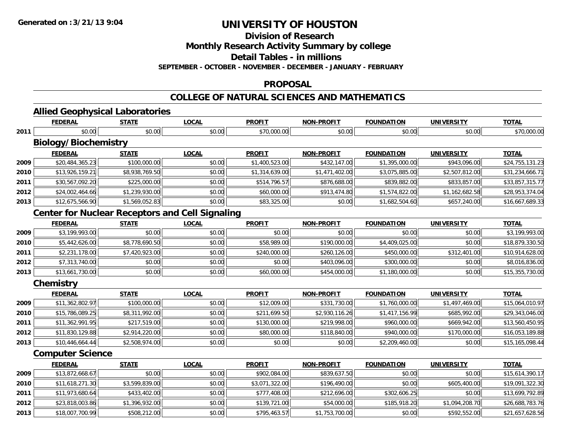**Division of Research**

**Monthly Research Activity Summary by college**

**Detail Tables - in millions**

**SEPTEMBER - OCTOBER - NOVEMBER - DECEMBER - JANUARY - FEBRUARY**

### **PROPOSAL**

## **COLLEGE OF NATURAL SCIENCES AND MATHEMATICS**

#### **Allied Geophysical Laboratories FEDERAL STATE LOCAL PROFIT NON-PROFIT FOUNDATION UNIVERSITY TOTAL**

| 2011 | \$0.00                                                 | \$0.00         | \$0.00       | \$70,000.00    | \$0.00            | \$0.00            | \$0.00            | \$70,000.00     |
|------|--------------------------------------------------------|----------------|--------------|----------------|-------------------|-------------------|-------------------|-----------------|
|      | <b>Biology/Biochemistry</b>                            |                |              |                |                   |                   |                   |                 |
|      | <b>FEDERAL</b>                                         | <b>STATE</b>   | <b>LOCAL</b> | <b>PROFIT</b>  | <b>NON-PROFIT</b> | <b>FOUNDATION</b> | <b>UNIVERSITY</b> | <b>TOTAL</b>    |
| 2009 | \$20,484,365.23                                        | \$100,000.00   | \$0.00       | \$1,400,523.00 | \$432,147.00      | \$1,395,000.00    | \$943,096.00      | \$24,755,131.23 |
| 2010 | \$13,926,159.21                                        | \$8,938,769.50 | \$0.00       | \$1,314,639.00 | \$1,471,402.00    | \$3,075,885.00    | \$2,507,812.00    | \$31,234,666.71 |
| 2011 | \$30,567,092.20                                        | \$225,000.00   | \$0.00       | \$514,796.57   | \$876,688.00      | \$839,882.00      | \$833,857.00      | \$33,857,315.77 |
| 2012 | \$24,002,464.66                                        | \$1,239,930.00 | \$0.00       | \$60,000.00    | \$913,474.80      | \$1,574,822.00    | \$1,162,682.58    | \$28,953,374.04 |
| 2013 | \$12,675,566.90                                        | \$1,569,052.83 | \$0.00       | \$83,325.00    | \$0.00            | \$1,682,504.60    | \$657,240.00      | \$16,667,689.33 |
|      | <b>Center for Nuclear Receptors and Cell Signaling</b> |                |              |                |                   |                   |                   |                 |
|      | <b>FEDERAL</b>                                         | <b>STATE</b>   | <b>LOCAL</b> | <b>PROFIT</b>  | <b>NON-PROFIT</b> | <b>FOUNDATION</b> | <b>UNIVERSITY</b> | <b>TOTAL</b>    |
| 2009 | \$3,199,993.00                                         | \$0.00         | \$0.00       | \$0.00         | \$0.00            | \$0.00            | \$0.00            | \$3,199,993.00  |
| 2010 | \$5,442,626.00                                         | \$8,778,690.50 | \$0.00       | \$58,989.00    | \$190,000.00      | \$4,409,025.00    | \$0.00            | \$18,879,330.50 |
| 2011 | \$2,231,178.00                                         | \$7,420,923.00 | \$0.00       | \$240,000.00   | \$260,126.00      | \$450,000.00      | \$312,401.00      | \$10,914,628.00 |
| 2012 | \$7,313,740.00                                         | \$0.00         | \$0.00       | \$0.00         | \$403,096.00      | \$300,000.00      | \$0.00            | \$8,016,836.00  |
| 2013 | \$13,661,730.00                                        | \$0.00         | \$0.00       | \$60,000.00    | \$454,000.00      | \$1,180,000.00    | \$0.00            | \$15,355,730.00 |
|      | Chemistry                                              |                |              |                |                   |                   |                   |                 |
|      | <b>FEDERAL</b>                                         | <b>STATE</b>   | <b>LOCAL</b> | <b>PROFIT</b>  | <b>NON-PROFIT</b> | <b>FOUNDATION</b> | <b>UNIVERSITY</b> | <b>TOTAL</b>    |
| 2009 | \$11,362,802.97                                        | \$100,000.00   | \$0.00       | \$12,009.00    | \$331,730.00      | \$1,760,000.00    | \$1,497,469.00    | \$15,064,010.97 |
| 2010 | \$15,786,089.25                                        | \$8,311,992.00 | \$0.00       | \$211,699.50   | \$2,930,116.26    | \$1,417,156.99    | \$685,992.00      | \$29,343,046.00 |
| 2011 | \$11,362,991.95                                        | \$217,519.00   | \$0.00       | \$130,000.00   | \$219,998.00      | \$960,000.00      | \$669,942.00      | \$13,560,450.95 |
| 2012 | \$11,830,129.88                                        | \$2,914,220.00 | \$0.00       | \$80,000.00    | \$118,840.00      | \$940,000.00      | \$170,000.00      | \$16,053,189.88 |
| 2013 | \$10,446,664.44                                        | \$2,508,974.00 | \$0.00       | \$0.00         | \$0.00            | \$2,209,460.00    | \$0.00            | \$15,165,098.44 |
|      | <b>Computer Science</b>                                |                |              |                |                   |                   |                   |                 |
|      | <b>FEDERAL</b>                                         | <b>STATE</b>   | <b>LOCAL</b> | <b>PROFIT</b>  | <b>NON-PROFIT</b> | <b>FOUNDATION</b> | <b>UNIVERSITY</b> | <b>TOTAL</b>    |
| 2009 | \$13,872,668.67                                        | \$0.00         | \$0.00       | \$902,084.00   | \$839,637.50      | \$0.00            | \$0.00            | \$15,614,390.17 |
| 2010 | \$11,618,271.30                                        | \$3,599,839.00 | \$0.00       | \$3,071,322.00 | \$196,490.00      | \$0.00            | \$605,400.00      | \$19,091,322.30 |
| 2011 | \$11,973,680.64                                        | \$433,402.00   | \$0.00       | \$777,408.00   | \$212,696.00      | \$302,606.25      | \$0.00            | \$13,699,792.89 |
| 2012 | \$23,818,003.86                                        | \$1,396,932.00 | \$0.00       | \$139,721.00   | \$54,000.00       | \$185,918.20      | \$1,094,208.70    | \$26,688,783.76 |
| 2013 | \$18,007,700.99                                        | \$508,212.00   | \$0.00       | \$795,463.57   | \$1,753,700.00    | \$0.00            | \$592,552.00      | \$21,657,628.56 |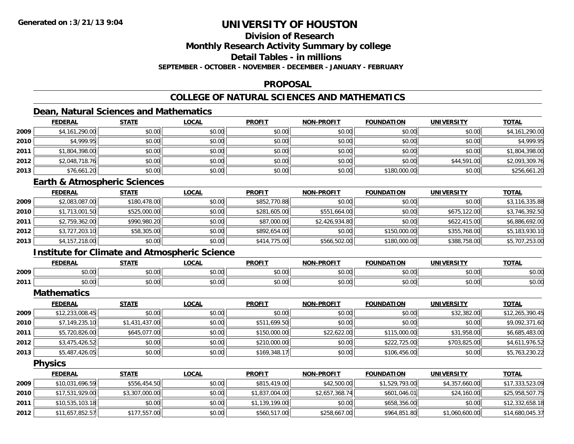## **Division of Research**

**Monthly Research Activity Summary by college**

**Detail Tables - in millions**

**SEPTEMBER - OCTOBER - NOVEMBER - DECEMBER - JANUARY - FEBRUARY**

### **PROPOSAL**

## **COLLEGE OF NATURAL SCIENCES AND MATHEMATICS**

## **Dean, Natural Sciences and Mathematics**

|      | <b>FEDERAL</b> | <b>STATE</b> | <u>LOCAL</u> | <b>PROFIT</b> | <b>NON-PROFIT</b> | <b>FOUNDATION</b> | <b>UNIVERSITY</b> | <b>TOTAL</b>   |
|------|----------------|--------------|--------------|---------------|-------------------|-------------------|-------------------|----------------|
| 2009 | \$4,161,290.00 | \$0.00       | \$0.00       | \$0.00        | \$0.00            | \$0.00            | \$0.00            | \$4,161,290.00 |
| 2010 | \$4,999.95     | \$0.00       | \$0.00       | \$0.00        | \$0.00            | \$0.00            | \$0.00            | \$4,999.95     |
| 2011 | \$1,804,398.00 | \$0.00       | \$0.00       | \$0.00        | \$0.00            | \$0.00            | \$0.00            | \$1,804,398.00 |
| 2012 | \$2,048,718.76 | \$0.00       | \$0.00       | \$0.00        | \$0.00            | \$0.00            | \$44,591.00       | \$2,093,309.76 |
| 2013 | \$76,661.20    | \$0.00       | \$0.00       | \$0.00        | \$0.00            | \$180,000.00      | \$0.00            | \$256,661.20   |

### **Earth & Atmospheric Sciences**

|      | <b>FEDERAL</b> | <b>STATE</b> | <b>LOCAL</b> | <b>PROFIT</b> | <b>NON-PROFIT</b> | <b>FOUNDATION</b> | <b>UNIVERSITY</b> | <u>TOTAL</u>   |
|------|----------------|--------------|--------------|---------------|-------------------|-------------------|-------------------|----------------|
| 2009 | \$2,083,087.00 | \$180,478.00 | \$0.00       | \$852,770.88  | \$0.00            | \$0.00            | \$0.00            | \$3,116,335.88 |
| 2010 | \$1,713,001.50 | \$525,000.00 | \$0.00       | \$281,605.00  | \$551,664.00      | \$0.00            | \$675,122.00      | \$3,746,392.50 |
| 2011 | \$2,759,362.00 | \$990,980.20 | \$0.00       | \$87,000.00   | \$2,426,934.80    | \$0.00            | \$622,415,00      | \$6,886,692.00 |
| 2012 | \$3,727,203.10 | \$58,305.00  | \$0.00       | \$892,654.00  | \$0.00            | \$150,000.00      | \$355,768.00      | \$5,183,930.10 |
| 2013 | \$4,157,218.00 | \$0.00       | \$0.00       | \$414,775.00  | \$566,502.00      | \$180,000.00      | \$388,758.00      | \$5,707,253.00 |

## **Institute for Climate and Atmospheric Science**

|      | <b>FEDERAL</b>                                   | <b>STATI</b>             | $\sim$ $\sim$ $\sim$<br>.UUA | <b>PROFI</b>  | <b>-PROFIT</b><br>NON | <b>FOUNDATION</b> | UNIVERSITY     | <b>TOTAL</b>   |
|------|--------------------------------------------------|--------------------------|------------------------------|---------------|-----------------------|-------------------|----------------|----------------|
| 2009 | $\mathsf{A}\cap\mathsf{A}\cap\mathsf{A}$<br>ט.טי | <b>↑∩</b><br>ט.טע        | 0.00<br>vu.vu                | 0.00<br>JU.UU | 0000<br>vv.vv         | 0000<br>U.UU      | 0.00<br>⊸∪.∪∪l | \$0.00         |
| 2011 | 0000<br>DU.UU                                    | <b>↑∩</b><br>--<br>טט.טע | 0.00<br>JU.UU                | 0.00<br>JU.UU | \$0.00                | 0000<br>JU.UU     | \$0.00         | n v<br>- JU.UU |

**Mathematics**

|      | <u>FEDERAL</u>  | <u>STATE</u>   | <u>LOCAL</u> | <b>PROFIT</b> | <b>NON-PROFIT</b> | <b>FOUNDATION</b> | <b>UNIVERSITY</b> | <b>TOTAL</b>    |
|------|-----------------|----------------|--------------|---------------|-------------------|-------------------|-------------------|-----------------|
| 2009 | \$12,233,008.45 | \$0.00         | \$0.00       | \$0.00        | \$0.00            | \$0.00            | \$32,382.00       | \$12,265,390.45 |
| 2010 | \$7,149,235.10  | \$1,431,437.00 | \$0.00       | \$511,699.50  | \$0.00            | \$0.00            | \$0.00            | \$9,092,371.60  |
| 2011 | \$5,720,826.00  | \$645,077.00   | \$0.00       | \$150,000.00  | \$22,622.00       | \$115,000.00      | \$31,958,00       | \$6,685,483.00  |
| 2012 | \$3,475,426.52  | \$0.00         | \$0.00       | \$210,000.00  | \$0.00            | \$222,725.00      | \$703.825.00      | \$4,611,976.52  |
| 2013 | \$5,487,426.05  | \$0.00         | \$0.00       | \$169,348.17  | \$0.00            | \$106,456.00      | \$0.00            | \$5,763,230.22  |

**Physics**

|      | <b>FEDERAL</b>  | <u>STATE</u>   | <u>LOCAL</u> | <b>PROFIT</b>  | <b>NON-PROFIT</b> | <b>FOUNDATION</b> | <b>UNIVERSITY</b> | <b>TOTAL</b>    |
|------|-----------------|----------------|--------------|----------------|-------------------|-------------------|-------------------|-----------------|
| 2009 | \$10,031,696.59 | \$556,454.50   | \$0.00       | \$815,419.00   | \$42,500.00       | \$1,529,793.00    | \$4,357,660.00    | \$17,333,523.09 |
| 2010 | \$17,531,929.00 | \$3,307,000.00 | \$0.00       | \$1,837,004.00 | \$2,657,368.74    | \$601,046.01      | \$24,160.00       | \$25,958,507.75 |
| 2011 | \$10,535,103.18 | \$0.00         | \$0.00       | \$1,139,199.00 | \$0.00            | \$658,356,00      | \$0.00            | \$12,332,658.18 |
| 2012 | \$11,657,852.57 | \$177,557.00   | \$0.00       | \$560,517.00   | \$258,667.00      | \$964,851.80      | \$1,060,600.00    | \$14,680,045.37 |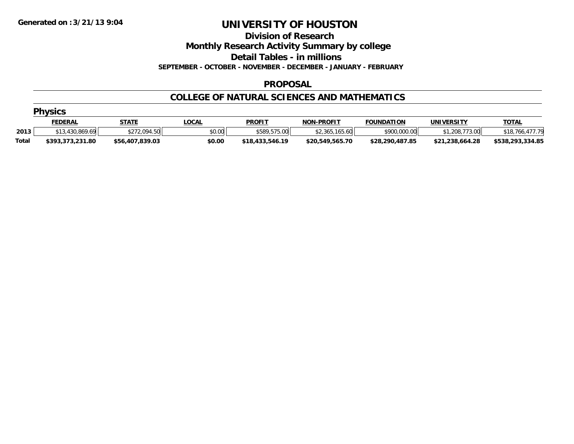**Division of Research**

**Monthly Research Activity Summary by college**

**Detail Tables - in millions**

**SEPTEMBER - OCTOBER - NOVEMBER - DECEMBER - JANUARY - FEBRUARY**

### **PROPOSAL**

### **COLLEGE OF NATURAL SCIENCES AND MATHEMATICS**

|              | <b>Physics</b>   |                 |        |                 |                   |                   |                 |                  |  |  |  |
|--------------|------------------|-----------------|--------|-----------------|-------------------|-------------------|-----------------|------------------|--|--|--|
|              | <b>FEDERAL</b>   | <b>STATE</b>    | _OCAL  | <b>PROFIT</b>   | <b>NON-PROFIT</b> | <b>FOUNDATION</b> | UNIVERSITY      | <b>TOTAL</b>     |  |  |  |
| 2013         | \$13,430,869.69  | \$272,094.50    | \$0.00 | \$589,575.00    | \$2,365,165.60    | \$900,000.00      | \$1,208,773.00  | \$18,766,477.79  |  |  |  |
| <b>Total</b> | \$393.373.231.80 | \$56,407,839.03 | \$0.00 | \$18,433,546.19 | \$20,549,565.70   | \$28,290,487.85   | \$21,238,664.28 | \$538,293,334.85 |  |  |  |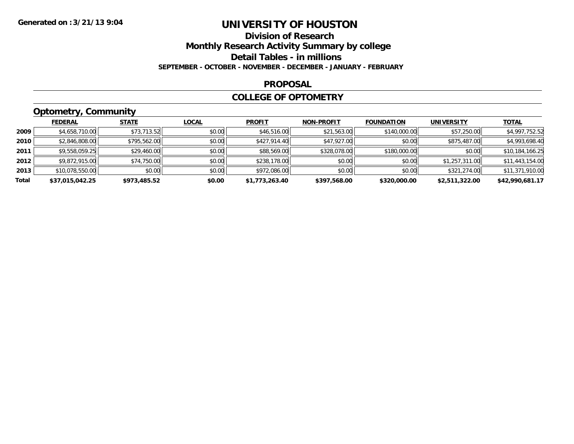## **Division of ResearchMonthly Research Activity Summary by college**

**Detail Tables - in millions**

**SEPTEMBER - OCTOBER - NOVEMBER - DECEMBER - JANUARY - FEBRUARY**

### **PROPOSAL**

### **COLLEGE OF OPTOMETRY**

## **Optometry, Community**

|       | ___             |              |              |                |                   |                   |                   |                 |
|-------|-----------------|--------------|--------------|----------------|-------------------|-------------------|-------------------|-----------------|
|       | <b>FEDERAL</b>  | <b>STATE</b> | <u>LOCAL</u> | <b>PROFIT</b>  | <b>NON-PROFIT</b> | <b>FOUNDATION</b> | <b>UNIVERSITY</b> | <b>TOTAL</b>    |
| 2009  | \$4,658,710.00  | \$73,713.52  | \$0.00       | \$46,516.00    | \$21,563.00       | \$140,000.00      | \$57,250.00       | \$4,997,752.52  |
| 2010  | \$2,846,808.00  | \$795,562.00 | \$0.00       | \$427,914.40   | \$47,927,00       | \$0.00            | \$875,487.00      | \$4,993,698.40  |
| 2011  | \$9,558,059.25  | \$29,460.00  | \$0.00       | \$88,569.00    | \$328,078.00      | \$180,000.00      | \$0.00            | \$10,184,166.25 |
| 2012  | \$9,872,915.00  | \$74,750.00  | \$0.00       | \$238,178.00   | \$0.00            | \$0.00            | \$1,257,311.00    | \$11,443,154.00 |
| 2013  | \$10,078,550.00 | \$0.00       | \$0.00       | \$972,086.00   | \$0.00            | \$0.00            | \$321,274.00      | \$11,371,910.00 |
| Total | \$37,015,042.25 | \$973,485.52 | \$0.00       | \$1,773,263.40 | \$397,568.00      | \$320,000.00      | \$2,511,322.00    | \$42,990,681.17 |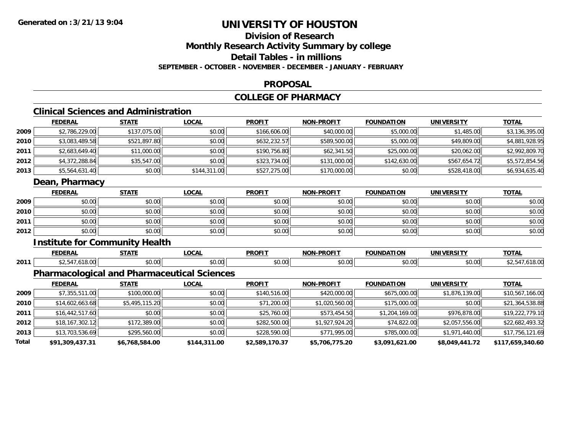**Total**

## **UNIVERSITY OF HOUSTON**

## **Division of ResearchMonthly Research Activity Summary by college Detail Tables - in millions**

**SEPTEMBER - OCTOBER - NOVEMBER - DECEMBER - JANUARY - FEBRUARY**

### **PROPOSAL**

## **COLLEGE OF PHARMACY**

## **Clinical Sciences and Administration**

|      | <b>FEDERAL</b>  | <b>STATE</b>                                       | <b>LOCAL</b> | <b>PROFIT</b> | <b>NON-PROFIT</b> | <b>FOUNDATION</b> | <b>UNIVERSITY</b> | <b>TOTAL</b>    |
|------|-----------------|----------------------------------------------------|--------------|---------------|-------------------|-------------------|-------------------|-----------------|
| 2009 | \$2,786,229.00  | \$137,075.00                                       | \$0.00       | \$166,606.00  | \$40,000.00       | \$5,000.00        | \$1,485.00        | \$3,136,395.00  |
| 2010 | \$3,083,489.58  | \$521,897.80                                       | \$0.00       | \$632,232.57  | \$589,500.00      | \$5,000.00        | \$49,809.00       | \$4,881,928.95  |
| 2011 | \$2,683,649.40  | \$11,000.00                                        | \$0.00       | \$190,756.80  | \$62,341.50       | \$25,000.00       | \$20,062.00       | \$2,992,809.70  |
| 2012 | \$4,372,288.84  | \$35,547.00                                        | \$0.00       | \$323,734.00  | \$131,000.00      | \$142,630.00      | \$567,654.72      | \$5,572,854.56  |
| 2013 | \$5,564,631.40  | \$0.00                                             | \$144,311.00 | \$527,275.00  | \$170,000.00      | \$0.00            | \$528,418.00      | \$6,934,635.40  |
|      | Dean, Pharmacy  |                                                    |              |               |                   |                   |                   |                 |
|      | <b>FEDERAL</b>  | <b>STATE</b>                                       | <b>LOCAL</b> | <b>PROFIT</b> | <b>NON-PROFIT</b> | <b>FOUNDATION</b> | <b>UNIVERSITY</b> | <b>TOTAL</b>    |
| 2009 | \$0.00          | \$0.00                                             | \$0.00       | \$0.00        | \$0.00            | \$0.00            | \$0.00            | \$0.00          |
| 2010 | \$0.00          | \$0.00                                             | \$0.00       | \$0.00        | \$0.00            | \$0.00            | \$0.00            | \$0.00          |
| 2011 | \$0.00          | \$0.00                                             | \$0.00       | \$0.00        | \$0.00            | \$0.00            | \$0.00            | \$0.00          |
| 2012 | \$0.00          | \$0.00                                             | \$0.00       | \$0.00        | \$0.00            | \$0.00            | \$0.00            | \$0.00          |
|      |                 | <b>Institute for Community Health</b>              |              |               |                   |                   |                   |                 |
|      | <b>FEDERAL</b>  | <b>STATE</b>                                       | <b>LOCAL</b> | <b>PROFIT</b> | <b>NON-PROFIT</b> | <b>FOUNDATION</b> | <b>UNIVERSITY</b> | <b>TOTAL</b>    |
| 2011 | \$2,547,618.00  | \$0.00                                             | \$0.00       | \$0.00        | \$0.00            | \$0.00            | \$0.00            | \$2,547,618.00  |
|      |                 | <b>Pharmacological and Pharmaceutical Sciences</b> |              |               |                   |                   |                   |                 |
|      | <b>FEDERAL</b>  | <b>STATE</b>                                       | <b>LOCAL</b> | <b>PROFIT</b> | <b>NON-PROFIT</b> | <b>FOUNDATION</b> | <b>UNIVERSITY</b> | <b>TOTAL</b>    |
| 2009 | \$7,355,511.00  | \$100,000.00                                       | \$0.00       | \$140,516.00  | \$420,000.00      | \$675,000.00      | \$1,876,139.00    | \$10,567,166.00 |
| 2010 | \$14,602,663.68 | \$5,495,115.20                                     | \$0.00       | \$71,200.00   | \$1,020,560.00    | \$175,000.00      | \$0.00            | \$21,364,538.88 |
| 2011 | \$16,442,517.60 | \$0.00                                             | \$0.00       | \$25,760.00   | \$573,454.50      | \$1,204,169.00    | \$976,878.00      | \$19,222,779.10 |
| 2012 | \$18,167,302.12 | \$172,389.00                                       | \$0.00       | \$282,500.00  | \$1,927,924.20    | \$74,822.00       | \$2,057,556.00    | \$22,682,493.32 |
| 2013 | \$13,703,536.69 | \$295,560.00                                       | \$0.00       | \$228,590.00  | \$771,995.00      | \$785,000.00      | \$1,971,440.00    | \$17,756,121.69 |

**\$91,309,437.31 \$6,768,584.00 \$144,311.00 \$2,589,170.37 \$5,706,775.20 \$3,091,621.00 \$8,049,441.72 \$117,659,340.60**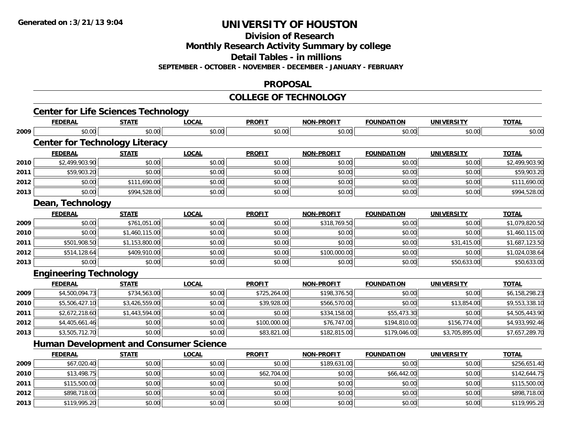**Division of Research**

**Monthly Research Activity Summary by college**

**Detail Tables - in millions**

**SEPTEMBER - OCTOBER - NOVEMBER - DECEMBER - JANUARY - FEBRUARY**

### **PROPOSAL**

### **COLLEGE OF TECHNOLOGY**

|      | <b>FEDERAL</b>                                | <b>STATE</b>   | <b>LOCAL</b> | <b>PROFIT</b> | <b>NON-PROFIT</b> | <b>FOUNDATION</b> | <b>UNIVERSITY</b> | <b>TOTAL</b>   |
|------|-----------------------------------------------|----------------|--------------|---------------|-------------------|-------------------|-------------------|----------------|
| 2009 | \$0.00                                        | \$0.00         | \$0.00       | \$0.00        | \$0.00            | \$0.00            | \$0.00            | \$0.00         |
|      | <b>Center for Technology Literacy</b>         |                |              |               |                   |                   |                   |                |
|      | <b>FEDERAL</b>                                | <b>STATE</b>   | <b>LOCAL</b> | <b>PROFIT</b> | <b>NON-PROFIT</b> | <b>FOUNDATION</b> | <b>UNIVERSITY</b> | <b>TOTAL</b>   |
| 2010 | \$2,499,903.90                                | \$0.00         | \$0.00       | \$0.00        | \$0.00            | \$0.00            | \$0.00            | \$2,499,903.90 |
| 2011 | \$59,903.20                                   | \$0.00         | \$0.00       | \$0.00        | \$0.00            | \$0.00            | \$0.00            | \$59,903.20    |
| 2012 | \$0.00                                        | \$111,690.00   | \$0.00       | \$0.00        | \$0.00            | \$0.00            | \$0.00            | \$111,690.00   |
| 2013 | \$0.00                                        | \$994,528.00   | \$0.00       | \$0.00        | \$0.00            | \$0.00            | \$0.00            | \$994,528.00   |
|      | Dean, Technology                              |                |              |               |                   |                   |                   |                |
|      | <b>FEDERAL</b>                                | <b>STATE</b>   | <b>LOCAL</b> | <b>PROFIT</b> | <b>NON-PROFIT</b> | <b>FOUNDATION</b> | <b>UNIVERSITY</b> | <b>TOTAL</b>   |
| 2009 | \$0.00                                        | \$761,051.00   | \$0.00       | \$0.00        | \$318,769.50      | \$0.00            | \$0.00            | \$1,079,820.50 |
| 2010 | \$0.00                                        | \$1,460,115.00 | \$0.00       | \$0.00        | \$0.00            | \$0.00            | \$0.00            | \$1,460,115.00 |
| 2011 | \$501,908.50                                  | \$1,153,800.00 | \$0.00       | \$0.00        | \$0.00            | \$0.00            | \$31,415.00       | \$1,687,123.50 |
| 2012 | \$514,128.64                                  | \$409,910.00   | \$0.00       | \$0.00        | \$100,000.00      | \$0.00            | \$0.00            | \$1,024,038.64 |
| 2013 | \$0.00                                        | \$0.00         | \$0.00       | \$0.00        | \$0.00            | \$0.00            | \$50,633.00       | \$50,633.00    |
|      | <b>Engineering Technology</b>                 |                |              |               |                   |                   |                   |                |
|      | <b>FEDERAL</b>                                | <b>STATE</b>   | <b>LOCAL</b> | <b>PROFIT</b> | <b>NON-PROFIT</b> | <b>FOUNDATION</b> | <b>UNIVERSITY</b> | <b>TOTAL</b>   |
| 2009 | \$4,500,094.73                                | \$734,563.00   | \$0.00       | \$725,264.00  | \$198,376.50      | \$0.00            | \$0.00            | \$6,158,298.23 |
| 2010 | \$5,506,427.10                                | \$3,426,559.00 | \$0.00       | \$39,928.00   | \$566,570.00      | \$0.00            | \$13,854.00       | \$9,553,338.10 |
| 2011 | \$2,672,218.60                                | \$1,443,594.00 | \$0.00       | \$0.00        | \$334,158.00      | \$55,473.30       | \$0.00            | \$4,505,443.90 |
| 2012 | \$4,405,661.46                                | \$0.00         | \$0.00       | \$100,000.00  | \$76,747.00       | \$194,810.00      | \$156,774.00      | \$4,933,992.46 |
| 2013 | \$3,505,712.70                                | \$0.00         | \$0.00       | \$83,821.00   | \$182,815.00      | \$179,046.00      | \$3,705,895.00    | \$7,657,289.70 |
|      | <b>Human Development and Consumer Science</b> |                |              |               |                   |                   |                   |                |
|      | <b>FEDERAL</b>                                | <b>STATE</b>   | <b>LOCAL</b> | <b>PROFIT</b> | <b>NON-PROFIT</b> | <b>FOUNDATION</b> | <b>UNIVERSITY</b> | <b>TOTAL</b>   |
| 2009 | \$67,020.40                                   | \$0.00         | \$0.00       | \$0.00        | \$189,631.00      | \$0.00            | \$0.00            | \$256,651.40   |
| 2010 | \$13,498.75                                   | \$0.00         | \$0.00       | \$62,704.00   | \$0.00            | \$66,442.00       | \$0.00            | \$142,644.75   |
| 2011 | \$115,500.00                                  | \$0.00         | \$0.00       | \$0.00        | \$0.00            | \$0.00            | \$0.00            | \$115,500.00   |
| 2012 | \$898,718.00                                  | \$0.00         | \$0.00       | \$0.00        | \$0.00            | \$0.00            | \$0.00            | \$898,718.00   |
| 2013 | \$119,995.20                                  | \$0.00         | \$0.00       | \$0.00        | \$0.00            | \$0.00            | \$0.00            | \$119,995.20   |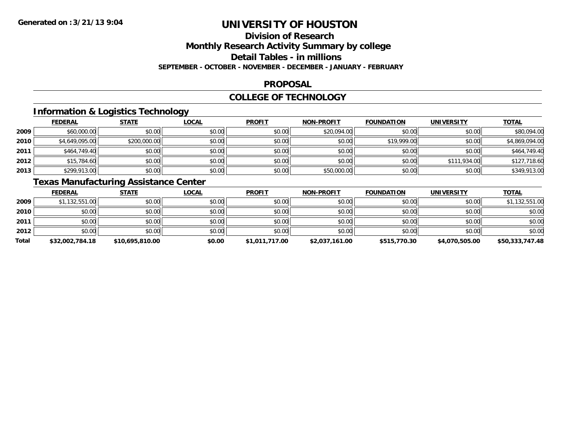## **Division of Research**

**Monthly Research Activity Summary by college**

**Detail Tables - in millions**

**SEPTEMBER - OCTOBER - NOVEMBER - DECEMBER - JANUARY - FEBRUARY**

### **PROPOSAL**

### **COLLEGE OF TECHNOLOGY**

## **Information & Logistics Technology**

|      | <b>FEDERAL</b> | <b>STATE</b> | <u>LOCAL</u> | <b>PROFIT</b> | <b>NON-PROFIT</b> | <b>FOUNDATION</b> | <b>UNIVERSITY</b> | <b>TOTAL</b>   |
|------|----------------|--------------|--------------|---------------|-------------------|-------------------|-------------------|----------------|
| 2009 | \$60,000.00    | \$0.00       | \$0.00       | \$0.00        | \$20,094.00       | \$0.00            | \$0.00            | \$80,094.00    |
| 2010 | \$4,649,095.00 | \$200,000.00 | \$0.00       | \$0.00        | \$0.00            | \$19,999.00       | \$0.00            | \$4,869,094.00 |
| 2011 | \$464,749.40   | \$0.00       | \$0.00       | \$0.00        | \$0.00            | \$0.00            | \$0.00            | \$464,749.40   |
| 2012 | \$15,784.60    | \$0.00       | \$0.00       | \$0.00        | \$0.00            | \$0.00            | \$111,934.00      | \$127,718.60   |
| 2013 | \$299,913.00   | \$0.00       | \$0.00       | \$0.00        | \$50,000.00       | \$0.00            | \$0.00            | \$349,913.00   |

## **Texas Manufacturing Assistance Center**

|       | <b>FEDERAL</b>  | <b>STATE</b>    | <u>LOCAL</u> | <b>PROFIT</b>  | <b>NON-PROFIT</b> | <b>FOUNDATION</b> | UNIVERSITY     | <b>TOTAL</b>    |
|-------|-----------------|-----------------|--------------|----------------|-------------------|-------------------|----------------|-----------------|
| 2009  | \$1,132,551.00  | \$0.00          | \$0.00       | \$0.00         | \$0.00            | \$0.00            | \$0.00         | \$1,132,551.00  |
| 2010  | \$0.00          | \$0.00          | \$0.00       | \$0.00         | \$0.00            | \$0.00            | \$0.00         | \$0.00          |
| 2011  | \$0.00          | \$0.00          | \$0.00       | \$0.00         | \$0.00            | \$0.00            | \$0.00         | \$0.00          |
| 2012  | \$0.00          | \$0.00          | \$0.00       | \$0.00         | \$0.00            | \$0.00            | \$0.00         | \$0.00          |
| Total | \$32,002,784.18 | \$10,695,810.00 | \$0.00       | \$1,011,717.00 | \$2,037,161.00    | \$515,770.30      | \$4,070,505.00 | \$50,333,747.48 |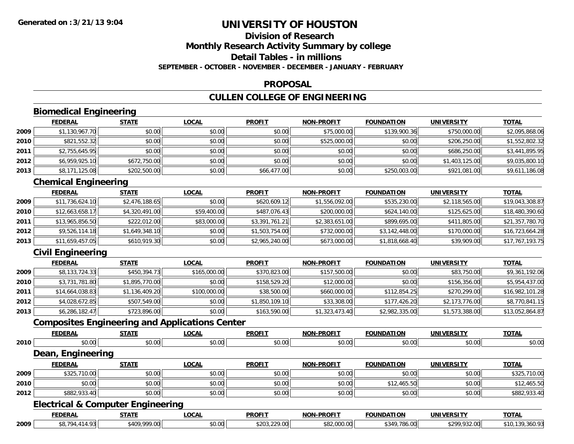### **Division of ResearchMonthly Research Activity Summary by college Detail Tables - in millionsSEPTEMBER - OCTOBER - NOVEMBER - DECEMBER - JANUARY - FEBRUARY**

### **PROPOSAL**

## **CULLEN COLLEGE OF ENGINEERING**

## **Biomedical Engineering**

|      | <b>FEDERAL</b> | <b>STATE</b> | <u>LOCAL</u> | <b>PROFIT</b> | <b>NON-PROFIT</b> | <b>FOUNDATION</b> | <b>UNIVERSITY</b> | <b>TOTAL</b>   |
|------|----------------|--------------|--------------|---------------|-------------------|-------------------|-------------------|----------------|
| 2009 | \$1,130,967.70 | \$0.00       | \$0.00       | \$0.00        | \$75,000.00       | \$139,900.36      | \$750,000.00      | \$2,095,868.06 |
| 2010 | \$821,552.32   | \$0.00       | \$0.00       | \$0.00        | \$525,000.00      | \$0.00            | \$206,250.00      | \$1,552,802.32 |
| 2011 | \$2,755,645.95 | \$0.00       | \$0.00       | \$0.00        | \$0.00            | \$0.00            | \$686,250.00      | \$3,441,895.95 |
| 2012 | \$6,959,925.10 | \$672,750.00 | \$0.00       | \$0.00        | \$0.00            | \$0.00            | \$1,403,125.00    | \$9,035,800.10 |
| 2013 | \$8,171,125.08 | \$202,500.00 | \$0.00       | \$66,477.00   | \$0.00            | \$250,003.00      | \$921,081.00      | \$9,611,186.08 |

## **Chemical Engineering**

|      | <b>FEDERAL</b>  | <b>STATE</b>   | <u>LOCAL</u> | <b>PROFIT</b>  | NON-PROFIT     | <b>FOUNDATION</b> | <b>UNIVERSITY</b> | <u>TOTAL</u>    |
|------|-----------------|----------------|--------------|----------------|----------------|-------------------|-------------------|-----------------|
| 2009 | \$11,736,624.10 | \$2,476,188.65 | \$0.00       | \$620,609.12   | \$1,556,092.00 | \$535,230.00      | \$2,118,565.00    | \$19,043,308.87 |
| 2010 | \$12,663,658.17 | \$4,320,491.00 | \$59,400.00  | \$487,076.43   | \$200,000.00   | \$624,140.00      | \$125,625,00      | \$18,480,390.60 |
| 2011 | \$13,965,856.50 | \$222,012.00   | \$83,000.00  | \$3,391,761.21 | \$2,383,651.00 | \$899,695.00      | \$411,805.00      | \$21,357,780.70 |
| 2012 | \$9,526,114.18  | \$1,649,348.10 | \$0.00       | \$1,503,754.00 | \$732,000.00   | \$3,142,448.00    | \$170,000.00      | \$16,723,664.28 |
| 2013 | \$11,659,457.05 | \$610,919.30   | \$0.00       | \$2,965,240.00 | \$673,000.00   | \$1,818,668.40    | \$39,909.00       | \$17,767,193.75 |

## **Civil Engineering**

|      | <b>FEDERAL</b>  | <b>STATE</b>   | <b>LOCAL</b> | <b>PROFIT</b>  | <b>NON-PROFIT</b> | <b>FOUNDATION</b> | UNIVERSITY     | <b>TOTAL</b>    |
|------|-----------------|----------------|--------------|----------------|-------------------|-------------------|----------------|-----------------|
| 2009 | \$8,133,724.33  | \$450,394.73   | \$165,000.00 | \$370,823.00   | \$157,500.00      | \$0.00            | \$83,750.00    | \$9,361,192.06  |
| 2010 | \$3,731,781.80  | \$1,895,770.00 | \$0.00       | \$158,529.20   | \$12,000.00       | \$0.00            | \$156,356.00   | \$5,954,437.00  |
| 2011 | \$14,664,038.83 | \$1,136,409.20 | \$100,000.00 | \$38,500.00    | \$660,000.00      | \$112,854.25      | \$270,299.00   | \$16,982,101.28 |
| 2012 | \$4,028,672.85  | \$507,549.00   | \$0.00       | \$1,850,109.10 | \$33,308.00       | \$177,426.20      | \$2,173,776.00 | \$8,770,841.15  |
| 2013 | \$6,286,182.47  | \$723,896.00   | \$0.00       | \$163,590.00   | \$1,323,473.40    | \$2,982,335.00    | \$1,573,388.00 | \$13,052,864.87 |

## **Composites Engineering and Applications Center**

|      | <b>FEDERAL</b>                               | <b>STATE</b> | <b>LOCAL</b> | <b>PROFIT</b> | <b>NON-PROFIT</b> | <b>FOUNDATION</b> | <b>UNIVERSITY</b> | <b>TOTAL</b>    |
|------|----------------------------------------------|--------------|--------------|---------------|-------------------|-------------------|-------------------|-----------------|
| 2010 | \$0.00                                       | \$0.00       | \$0.00       | \$0.00        | \$0.00            | \$0.00            | \$0.00            | \$0.00          |
|      | Dean, Engineering                            |              |              |               |                   |                   |                   |                 |
|      | <b>FEDERAL</b>                               | <b>STATE</b> | <b>LOCAL</b> | <b>PROFIT</b> | <b>NON-PROFIT</b> | <b>FOUNDATION</b> | <b>UNIVERSITY</b> | <b>TOTAL</b>    |
| 2009 | \$325,710.00                                 | \$0.00       | \$0.00       | \$0.00        | \$0.00            | \$0.00            | \$0.00            | \$325,710.00    |
| 2010 | \$0.00                                       | \$0.00       | \$0.00       | \$0.00        | \$0.00            | \$12,465.50       | \$0.00            | \$12,465.50     |
| 2012 | \$882,933.40                                 | \$0.00       | \$0.00       | \$0.00        | \$0.00            | \$0.00            | \$0.00            | \$882,933.40    |
|      | <b>Electrical &amp; Computer Engineering</b> |              |              |               |                   |                   |                   |                 |
|      | <b>FEDERAL</b>                               | <b>STATE</b> | <b>LOCAL</b> | <b>PROFIT</b> | <b>NON-PROFIT</b> | <b>FOUNDATION</b> | <b>UNIVERSITY</b> | <b>TOTAL</b>    |
| 2009 | \$8,794,414.93                               | \$409,999.00 | \$0.00       | \$203,229.00  | \$82,000.00       | \$349,786.00      | \$299,932.00      | \$10,139,360.93 |

**2009**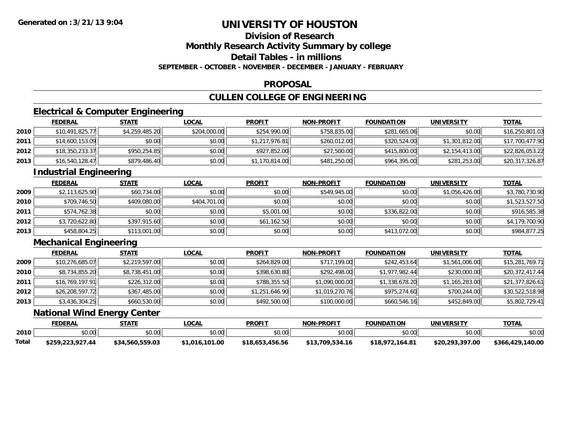## **Division of Research**

**Monthly Research Activity Summary by college**

**Detail Tables - in millions**

**SEPTEMBER - OCTOBER - NOVEMBER - DECEMBER - JANUARY - FEBRUARY**

### **PROPOSAL**

## **CULLEN COLLEGE OF ENGINEERING**

## **Electrical & Computer Engineering**

|      | <b>FEDERAL</b>  | <u>STATE</u>   | <u>LOCAL</u> | <b>PROFIT</b>  | <b>NON-PROFIT</b> | <b>FOUNDATION</b> | UNIVERSITY     | <b>TOTAL</b>    |
|------|-----------------|----------------|--------------|----------------|-------------------|-------------------|----------------|-----------------|
| 2010 | \$10,491,825.77 | \$4,259,485.20 | \$204,000.00 | \$254,990.00   | \$758,835.00      | \$281,665.06      | \$0.00         | \$16,250,801.03 |
| 2011 | \$14,600,153.09 | \$0.00         | \$0.00       | \$1,217,976.81 | \$260,012.00      | \$320,524.00      | \$1,301,812.00 | \$17,700,477.90 |
| 2012 | \$18,350,233.37 | \$950,254.85   | \$0.00       | \$927,852.00   | \$27,500.00       | \$415,800,00      | \$2,154,413.00 | \$22,826,053.22 |
| 2013 | \$16,540,128.47 | \$879,486.40   | \$0.00       | \$1,170,814.00 | \$481,250.00      | \$964,395.00      | \$281,253.00   | \$20,317,326.87 |

## **Industrial Engineering**

|      | <b>FEDERAL</b> | <u>STATE</u> | <u>LOCAL</u> | <b>PROFIT</b> | <b>NON-PROFIT</b> | <b>FOUNDATION</b> | <b>UNIVERSITY</b> | <b>TOTAL</b>   |
|------|----------------|--------------|--------------|---------------|-------------------|-------------------|-------------------|----------------|
| 2009 | \$2,113,625.90 | \$60,734.00  | \$0.00       | \$0.00        | \$549,945.00      | \$0.00            | \$1,056,426.00    | \$3,780,730.90 |
| 2010 | \$709,746.50   | \$409,080.00 | \$404,701.00 | \$0.00        | \$0.00            | \$0.00            | \$0.00            | \$1,523,527.50 |
| 2011 | \$574,762.38   | \$0.00       | \$0.00       | \$5,001.00    | \$0.00            | \$336,822,00      | \$0.00            | \$916,585.38   |
| 2012 | \$3,720,622.80 | \$397,915.60 | \$0.00       | \$61,162.50   | \$0.00            | \$0.00            | \$0.00            | \$4,179,700.90 |
| 2013 | \$458,804.25   | \$113,001.00 | \$0.00       | \$0.00        | \$0.00            | \$413,072.00      | \$0.00            | \$984,877.25   |

## **Mechanical Engineering**

|      | <b>FEDERAL</b>  | <b>STATE</b>   | <b>LOCAL</b> | <b>PROFIT</b>  | <b>NON-PROFIT</b> | <b>FOUNDATION</b> | <b>UNIVERSITY</b> | <b>TOTAL</b>    |
|------|-----------------|----------------|--------------|----------------|-------------------|-------------------|-------------------|-----------------|
| 2009 | \$10,276,685.07 | \$2,219,597.00 | \$0.00       | \$264,829.00   | \$717,199.00      | \$242,453.64      | \$1,561,006.00    | \$15,281,769.71 |
| 2010 | \$8,734,855.20  | \$8,738,451.00 | \$0.00       | \$398,630.80   | \$292,498.00      | \$1,977,982.44    | \$230,000.00      | \$20,372,417.44 |
| 2011 | \$16,769,197.91 | \$226,312.00   | \$0.00       | \$788,355.50   | \$1,090,000.00    | \$1,338,678.20    | \$1,165,283.00    | \$21,377,826.61 |
| 2012 | \$26,208,597.72 | \$367,485.00   | \$0.00       | \$1,251,646.90 | \$1,019,270.76    | \$975,274.60      | \$700,244.00      | \$30,522,518.98 |
| 2013 | \$3,436,304.25  | \$660,530.00   | \$0.00       | \$492,500.00   | \$100,000.00      | \$660,546.16      | \$452,849.00      | \$5,802,729.41  |

### **National Wind Energy Center**

|       | <b>FEDERAL</b>   | STATE           | LOCAL          | <b>PROFIT</b>   | <b>NON-PROFIT</b> | <b>FOUNDATION</b> | <b>UNIVERSITY</b> | <u>TOTAL</u>     |
|-------|------------------|-----------------|----------------|-----------------|-------------------|-------------------|-------------------|------------------|
| 2010  | \$0.00           | \$0.00          | \$0.00         | \$0.00          | \$0.00            | \$0.00            | \$0.00            | \$0.00           |
| Total | \$259,223,927.44 | \$34,560,559.03 | \$1,016,101.00 | \$18,653,456.56 | \$13,709,534.16   | \$18,972,164.81   | \$20,293,397.00   | \$366,429,140.00 |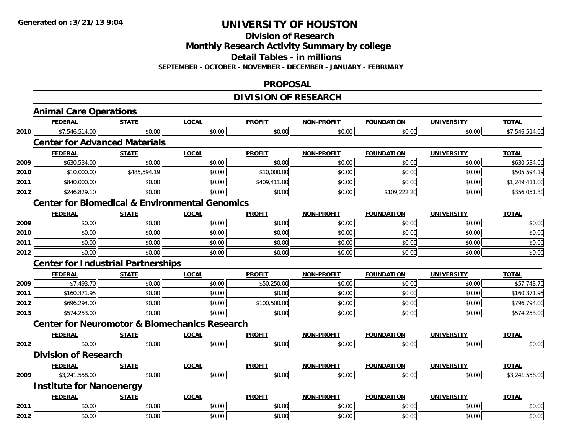**Division of Research**

**Monthly Research Activity Summary by college**

**Detail Tables - in millions**

**SEPTEMBER - OCTOBER - NOVEMBER - DECEMBER - JANUARY - FEBRUARY**

### **PROPOSAL**

## **DIVISION OF RESEARCH**

|      | <b>Animal Care Operations</b>                             |              |              |               |                   |                   |                   |                |
|------|-----------------------------------------------------------|--------------|--------------|---------------|-------------------|-------------------|-------------------|----------------|
|      | <b>FEDERAL</b>                                            | <b>STATE</b> | <b>LOCAL</b> | <b>PROFIT</b> | <b>NON-PROFIT</b> | <b>FOUNDATION</b> | <b>UNIVERSITY</b> | <b>TOTAL</b>   |
| 2010 | \$7,546,514.00                                            | \$0.00       | \$0.00       | \$0.00        | \$0.00            | \$0.00            | \$0.00            | \$7,546,514.00 |
|      | <b>Center for Advanced Materials</b>                      |              |              |               |                   |                   |                   |                |
|      | <b>FEDERAL</b>                                            | <b>STATE</b> | <b>LOCAL</b> | <b>PROFIT</b> | <b>NON-PROFIT</b> | <b>FOUNDATION</b> | <b>UNIVERSITY</b> | <b>TOTAL</b>   |
| 2009 | \$630,534.00                                              | \$0.00       | \$0.00       | \$0.00        | \$0.00            | \$0.00            | \$0.00            | \$630,534.00   |
| 2010 | \$10,000.00                                               | \$485,594.19 | \$0.00       | \$10,000.00   | \$0.00            | \$0.00            | \$0.00            | \$505,594.19   |
| 2011 | \$840,000.00                                              | \$0.00       | \$0.00       | \$409,411.00  | \$0.00            | \$0.00            | \$0.00            | \$1,249,411.00 |
| 2012 | \$246,829.10                                              | \$0.00       | \$0.00       | \$0.00        | \$0.00            | \$109,222.20      | \$0.00            | \$356,051.30   |
|      | <b>Center for Biomedical &amp; Environmental Genomics</b> |              |              |               |                   |                   |                   |                |
|      | <b>FEDERAL</b>                                            | <b>STATE</b> | <b>LOCAL</b> | <b>PROFIT</b> | <b>NON-PROFIT</b> | <b>FOUNDATION</b> | <b>UNIVERSITY</b> | <b>TOTAL</b>   |
| 2009 | \$0.00                                                    | \$0.00       | \$0.00       | \$0.00        | \$0.00            | \$0.00            | \$0.00            | \$0.00         |
| 2010 | \$0.00                                                    | \$0.00       | \$0.00       | \$0.00        | \$0.00            | \$0.00            | \$0.00            | \$0.00         |
| 2011 | \$0.00                                                    | \$0.00       | \$0.00       | \$0.00        | \$0.00            | \$0.00            | \$0.00            | \$0.00         |
| 2012 | \$0.00                                                    | \$0.00       | \$0.00       | \$0.00        | \$0.00            | \$0.00            | \$0.00            | \$0.00         |
|      | <b>Center for Industrial Partnerships</b>                 |              |              |               |                   |                   |                   |                |
|      | <b>FEDERAL</b>                                            | <b>STATE</b> | <b>LOCAL</b> | <b>PROFIT</b> | <b>NON-PROFIT</b> | <b>FOUNDATION</b> | <b>UNIVERSITY</b> | <b>TOTAL</b>   |
| 2009 | \$7,493.70                                                | \$0.00       | \$0.00       | \$50,250.00   | \$0.00            | \$0.00            | \$0.00            | \$57,743.70    |
| 2011 | \$160,371.95                                              | \$0.00       | \$0.00       | \$0.00        | \$0.00            | \$0.00            | \$0.00            | \$160,371.95   |
| 2012 | \$696,294.00                                              | \$0.00       | \$0.00       | \$100,500.00  | \$0.00            | \$0.00            | \$0.00            | \$796,794.00   |
| 2013 | \$574,253.00                                              | \$0.00       | \$0.00       | \$0.00        | \$0.00            | \$0.00            | \$0.00            | \$574,253.00   |
|      | <b>Center for Neuromotor &amp; Biomechanics Research</b>  |              |              |               |                   |                   |                   |                |
|      | <b>FEDERAL</b>                                            | <b>STATE</b> | <b>LOCAL</b> | <b>PROFIT</b> | <b>NON-PROFIT</b> | <b>FOUNDATION</b> | <b>UNIVERSITY</b> | <b>TOTAL</b>   |
| 2012 | \$0.00                                                    | \$0.00       | \$0.00       | \$0.00        | \$0.00            | \$0.00            | \$0.00            | \$0.00         |
|      | <b>Division of Research</b>                               |              |              |               |                   |                   |                   |                |
|      | <b>FEDERAL</b>                                            | <b>STATE</b> | <b>LOCAL</b> | <b>PROFIT</b> | <b>NON-PROFIT</b> | <b>FOUNDATION</b> | <b>UNIVERSITY</b> | <b>TOTAL</b>   |
| 2009 | \$3,241,558.00                                            | \$0.00       | \$0.00       | \$0.00        | \$0.00            | \$0.00            | \$0.00            | \$3,241,558.00 |
|      | <b>Institute for Nanoenergy</b>                           |              |              |               |                   |                   |                   |                |
|      | <b>FEDERAL</b>                                            | <b>STATE</b> | <b>LOCAL</b> | <b>PROFIT</b> | <b>NON-PROFIT</b> | <b>FOUNDATION</b> | <b>UNIVERSITY</b> | <b>TOTAL</b>   |
| 2011 | \$0.00                                                    | \$0.00       | \$0.00       | \$0.00        | \$0.00            | \$0.00            | \$0.00            | \$0.00         |
| 2012 | \$0.00                                                    | \$0.00       | \$0.00       | \$0.00        | \$0.00            | \$0.00            | \$0.00            | \$0.00         |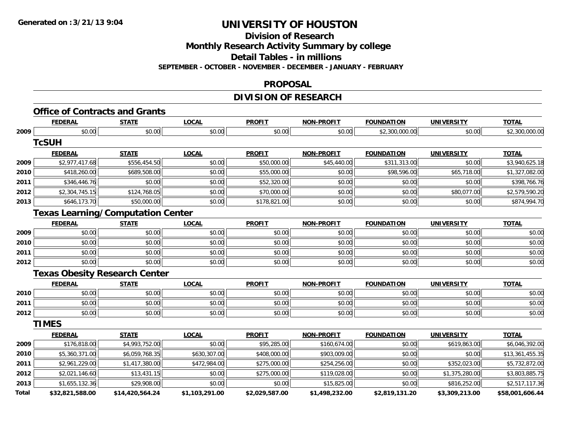**Division of Research**

**Monthly Research Activity Summary by college**

**Detail Tables - in millions**

**SEPTEMBER - OCTOBER - NOVEMBER - DECEMBER - JANUARY - FEBRUARY**

### **PROPOSAL**

## **DIVISION OF RESEARCH**

# **Office of Contracts and Grants**

|       | <b>FEDERAL</b>                           | <b>STATE</b>    | <b>LOCAL</b>   | <b>PROFIT</b>  | <b>NON-PROFIT</b> | <b>FOUNDATION</b> | <b>UNIVERSITY</b> | <u>TOTAL</u>    |
|-------|------------------------------------------|-----------------|----------------|----------------|-------------------|-------------------|-------------------|-----------------|
| 2009  | \$0.00                                   | \$0.00          | \$0.00         | \$0.00         | \$0.00            | \$2,300,000.00    | \$0.00            | \$2,300,000.00  |
|       | <b>TcSUH</b>                             |                 |                |                |                   |                   |                   |                 |
|       | <b>FEDERAL</b>                           | <b>STATE</b>    | <b>LOCAL</b>   | <b>PROFIT</b>  | <b>NON-PROFIT</b> | <b>FOUNDATION</b> | UNIVERSITY        | <b>TOTAL</b>    |
| 2009  | \$2,977,417.68                           | \$556,454.50    | \$0.00         | \$50,000.00    | \$45,440.00       | \$311,313.00      | \$0.00            | \$3,940,625.18  |
| 2010  | \$418,260.00                             | \$689,508.00    | \$0.00         | \$55,000.00    | \$0.00            | \$98,596.00       | \$65,718.00       | \$1,327,082.00  |
| 2011  | \$346,446.76                             | \$0.00          | \$0.00         | \$52,320.00    | \$0.00            | \$0.00            | \$0.00            | \$398,766.76    |
| 2012  | \$2,304,745.15                           | \$124,768.05    | \$0.00         | \$70,000.00    | \$0.00            | \$0.00            | \$80,077.00       | \$2,579,590.20  |
| 2013  | \$646,173.70                             | \$50,000.00     | \$0.00         | \$178,821.00   | \$0.00            | \$0.00            | \$0.00            | \$874,994.70    |
|       | <b>Texas Learning/Computation Center</b> |                 |                |                |                   |                   |                   |                 |
|       | <b>FEDERAL</b>                           | <b>STATE</b>    | <b>LOCAL</b>   | <b>PROFIT</b>  | <b>NON-PROFIT</b> | <b>FOUNDATION</b> | <b>UNIVERSITY</b> | <b>TOTAL</b>    |
| 2009  | \$0.00                                   | \$0.00          | \$0.00         | \$0.00         | \$0.00            | \$0.00            | \$0.00            | \$0.00          |
| 2010  | \$0.00                                   | \$0.00          | \$0.00         | \$0.00         | \$0.00            | \$0.00            | \$0.00            | \$0.00          |
| 2011  | \$0.00                                   | \$0.00          | \$0.00         | \$0.00         | \$0.00            | \$0.00            | \$0.00            | \$0.00          |
| 2012  | \$0.00                                   | \$0.00          | \$0.00         | \$0.00         | \$0.00            | \$0.00            | \$0.00            | \$0.00          |
|       | <b>Texas Obesity Research Center</b>     |                 |                |                |                   |                   |                   |                 |
|       | <b>FEDERAL</b>                           | <b>STATE</b>    | <b>LOCAL</b>   | <b>PROFIT</b>  | <b>NON-PROFIT</b> | <b>FOUNDATION</b> | <b>UNIVERSITY</b> | <b>TOTAL</b>    |
| 2010  | \$0.00                                   | \$0.00          | \$0.00         | \$0.00         | \$0.00            | \$0.00            | \$0.00            | \$0.00          |
| 2011  | \$0.00                                   | \$0.00          | \$0.00         | \$0.00         | \$0.00            | \$0.00            | \$0.00            | \$0.00          |
| 2012  | \$0.00                                   | \$0.00          | \$0.00         | \$0.00         | \$0.00            | \$0.00            | \$0.00            | \$0.00          |
|       | <b>TIMES</b>                             |                 |                |                |                   |                   |                   |                 |
|       | <b>FEDERAL</b>                           | <b>STATE</b>    | <b>LOCAL</b>   | <b>PROFIT</b>  | <b>NON-PROFIT</b> | <b>FOUNDATION</b> | <b>UNIVERSITY</b> | <b>TOTAL</b>    |
| 2009  | \$176,818.00                             | \$4,993,752.00  | \$0.00         | \$95,285.00    | \$160,674.00      | \$0.00            | \$619,863.00      | \$6,046,392.00  |
| 2010  | \$5,360,371.00                           | \$6,059,768.35  | \$630,307.00   | \$408,000.00   | \$903,009.00      | \$0.00            | \$0.00            | \$13,361,455.35 |
| 2011  | \$2,961,229.00                           | \$1,417,380.00  | \$472,984.00   | \$275,000.00   | \$254,256.00      | \$0.00            | \$352,023.00      | \$5,732,872.00  |
| 2012  | \$2,021,146.60                           | \$13,431.15     | \$0.00         | \$275,000.00   | \$119,028.00      | \$0.00            | \$1,375,280.00    | \$3,803,885.75  |
| 2013  | \$1,655,132.36                           | \$29,908.00     | \$0.00         | \$0.00         | \$15,825.00       | \$0.00            | \$816,252.00      | \$2,517,117.36  |
| Total | \$32,821,588.00                          | \$14,420,564.24 | \$1,103,291.00 | \$2,029,587.00 | \$1,498,232.00    | \$2,819,131.20    | \$3,309,213.00    | \$58,001,606.44 |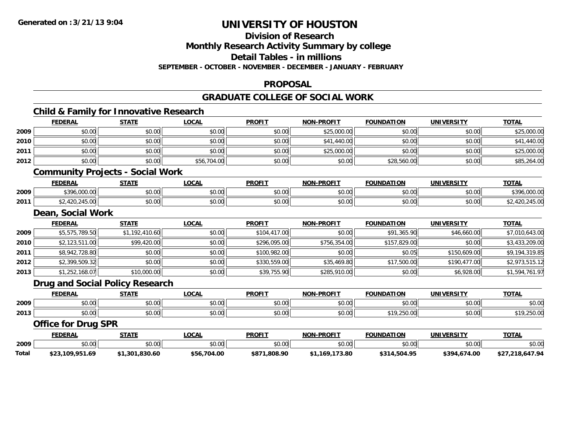**Division of Research**

**Monthly Research Activity Summary by college**

**Detail Tables - in millions**

**SEPTEMBER - OCTOBER - NOVEMBER - DECEMBER - JANUARY - FEBRUARY**

### **PROPOSAL**

### **GRADUATE COLLEGE OF SOCIAL WORK**

|       | <b>Child &amp; Family for Innovative Research</b> |                |              |               |                   |                   |                   |                 |
|-------|---------------------------------------------------|----------------|--------------|---------------|-------------------|-------------------|-------------------|-----------------|
|       | <b>FEDERAL</b>                                    | <b>STATE</b>   | <b>LOCAL</b> | <b>PROFIT</b> | <b>NON-PROFIT</b> | <b>FOUNDATION</b> | <b>UNIVERSITY</b> | <b>TOTAL</b>    |
| 2009  | \$0.00                                            | \$0.00         | \$0.00       | \$0.00        | \$25,000.00       | \$0.00            | \$0.00            | \$25,000.00     |
| 2010  | \$0.00                                            | \$0.00         | \$0.00       | \$0.00        | \$41,440.00       | \$0.00            | \$0.00            | \$41,440.00     |
| 2011  | \$0.00                                            | \$0.00         | \$0.00       | \$0.00        | \$25,000.00       | \$0.00            | \$0.00            | \$25,000.00     |
| 2012  | \$0.00                                            | \$0.00         | \$56,704.00  | \$0.00        | \$0.00            | \$28,560.00       | \$0.00            | \$85,264.00     |
|       | <b>Community Projects - Social Work</b>           |                |              |               |                   |                   |                   |                 |
|       | <b>FEDERAL</b>                                    | <b>STATE</b>   | <b>LOCAL</b> | <b>PROFIT</b> | <b>NON-PROFIT</b> | <b>FOUNDATION</b> | <b>UNIVERSITY</b> | <b>TOTAL</b>    |
| 2009  | \$396,000.00                                      | \$0.00         | \$0.00       | \$0.00        | \$0.00            | \$0.00            | \$0.00            | \$396,000.00    |
| 2011  | \$2,420,245.00                                    | \$0.00         | \$0.00       | \$0.00        | \$0.00            | \$0.00            | \$0.00            | \$2,420,245.00  |
|       | Dean, Social Work                                 |                |              |               |                   |                   |                   |                 |
|       | <b>FEDERAL</b>                                    | <b>STATE</b>   | <b>LOCAL</b> | <b>PROFIT</b> | <b>NON-PROFIT</b> | <b>FOUNDATION</b> | <b>UNIVERSITY</b> | <b>TOTAL</b>    |
| 2009  | \$5,575,789.50                                    | \$1,192,410.60 | \$0.00       | \$104,417.00  | \$0.00            | \$91,365.90       | \$46,660.00       | \$7,010,643.00  |
| 2010  | \$2,123,511.00                                    | \$99,420.00    | \$0.00       | \$296,095.00  | \$756,354.00      | \$157,829.00      | \$0.00            | \$3,433,209.00  |
| 2011  | \$8,942,728.80                                    | \$0.00         | \$0.00       | \$100,982.00  | \$0.00            | \$0.05            | \$150,609.00      | \$9,194,319.85  |
| 2012  | \$2,399,509.32                                    | \$0.00         | \$0.00       | \$330,559.00  | \$35,469.80       | \$17,500.00       | \$190,477.00      | \$2,973,515.12  |
| 2013  | \$1,252,168.07                                    | \$10,000.00    | \$0.00       | \$39,755.90   | \$285,910.00      | \$0.00            | \$6,928.00        | \$1,594,761.97  |
|       | Drug and Social Policy Research                   |                |              |               |                   |                   |                   |                 |
|       | <b>FEDERAL</b>                                    | <b>STATE</b>   | <b>LOCAL</b> | <b>PROFIT</b> | <b>NON-PROFIT</b> | <b>FOUNDATION</b> | <b>UNIVERSITY</b> | <b>TOTAL</b>    |
| 2009  | \$0.00                                            | \$0.00         | \$0.00       | \$0.00        | \$0.00            | \$0.00            | \$0.00            | \$0.00          |
| 2013  | \$0.00                                            | \$0.00         | \$0.00       | \$0.00        | \$0.00            | \$19,250.00       | \$0.00            | \$19,250.00     |
|       | <b>Office for Drug SPR</b>                        |                |              |               |                   |                   |                   |                 |
|       | <b>FEDERAL</b>                                    | <b>STATE</b>   | <b>LOCAL</b> | <b>PROFIT</b> | <b>NON-PROFIT</b> | <b>FOUNDATION</b> | <b>UNIVERSITY</b> | <b>TOTAL</b>    |
| 2009  | \$0.00                                            | \$0.00         | \$0.00       | \$0.00        | \$0.00            | \$0.00            | \$0.00            | \$0.00          |
| Total | \$23,109,951.69                                   | \$1,301,830.60 | \$56,704.00  | \$871,808.90  | \$1,169,173.80    | \$314,504.95      | \$394,674.00      | \$27,218,647.94 |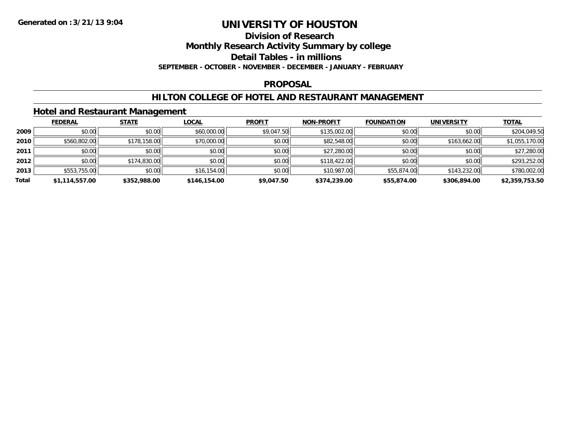#### **Division of Research**

**Monthly Research Activity Summary by college**

**Detail Tables - in millions**

**SEPTEMBER - OCTOBER - NOVEMBER - DECEMBER - JANUARY - FEBRUARY**

### **PROPOSAL**

### **HILTON COLLEGE OF HOTEL AND RESTAURANT MANAGEMENT**

### **Hotel and Restaurant Management**

|       | <b>FEDERAL</b> | <b>STATE</b> | <b>LOCAL</b> | <b>PROFIT</b> | <b>NON-PROFIT</b> | <b>FOUNDATION</b> | <b>UNIVERSITY</b> | <b>TOTAL</b>   |
|-------|----------------|--------------|--------------|---------------|-------------------|-------------------|-------------------|----------------|
| 2009  | \$0.00         | \$0.00       | \$60,000.00  | \$9,047.50    | \$135,002.00      | \$0.00            | \$0.00            | \$204,049.50   |
| 2010  | \$560,802.00   | \$178,158.00 | \$70,000.00  | \$0.00        | \$82,548.00       | \$0.00            | \$163,662.00      | \$1,055,170.00 |
| 2011  | \$0.00         | \$0.00       | \$0.00       | \$0.00        | \$27,280.00       | \$0.00            | \$0.00            | \$27,280.00    |
| 2012  | \$0.00         | \$174,830.00 | \$0.00       | \$0.00        | \$118,422.00      | \$0.00            | \$0.00            | \$293,252.00   |
| 2013  | \$553,755.00   | \$0.00       | \$16,154.00  | \$0.00        | \$10,987.00       | \$55,874.00       | \$143,232.00      | \$780,002.00   |
| Total | \$1,114,557.00 | \$352,988.00 | \$146,154.00 | \$9,047.50    | \$374,239.00      | \$55,874.00       | \$306,894.00      | \$2,359,753.50 |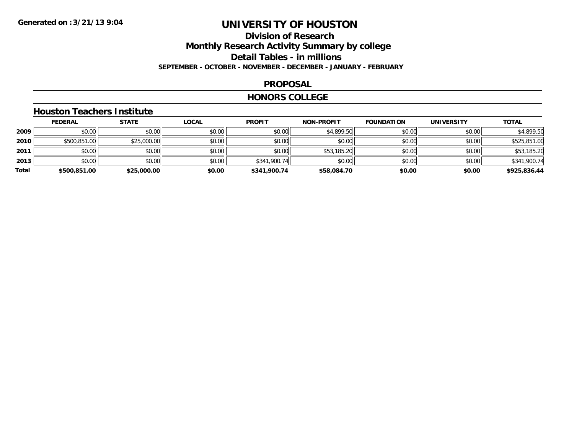## **Division of ResearchMonthly Research Activity Summary by college Detail Tables - in millions SEPTEMBER - OCTOBER - NOVEMBER - DECEMBER - JANUARY - FEBRUARY**

### **PROPOSAL**

#### **HONORS COLLEGE**

## **Houston Teachers Institute**

|       | <b>FEDERAL</b> | <u>STATE</u> | <b>LOCAL</b> | <b>PROFIT</b> | <b>NON-PROFIT</b> | <b>FOUNDATION</b> | <b>UNIVERSITY</b> | <b>TOTAL</b> |
|-------|----------------|--------------|--------------|---------------|-------------------|-------------------|-------------------|--------------|
| 2009  | \$0.00         | \$0.00       | \$0.00       | \$0.00        | \$4,899.50        | \$0.00            | \$0.00            | \$4,899.50   |
| 2010  | \$500,851.00   | \$25,000.00  | \$0.00       | \$0.00        | \$0.00            | \$0.00            | \$0.00            | \$525,851.00 |
| 2011  | \$0.00         | \$0.00       | \$0.00       | \$0.00        | \$53,185.20       | \$0.00            | \$0.00            | \$53,185.20  |
| 2013  | \$0.00         | \$0.00       | \$0.00       | \$341,900.74  | \$0.00            | \$0.00            | \$0.00            | \$341,900.74 |
| Total | \$500,851.00   | \$25,000.00  | \$0.00       | \$341,900.74  | \$58,084.70       | \$0.00            | \$0.00            | \$925,836.44 |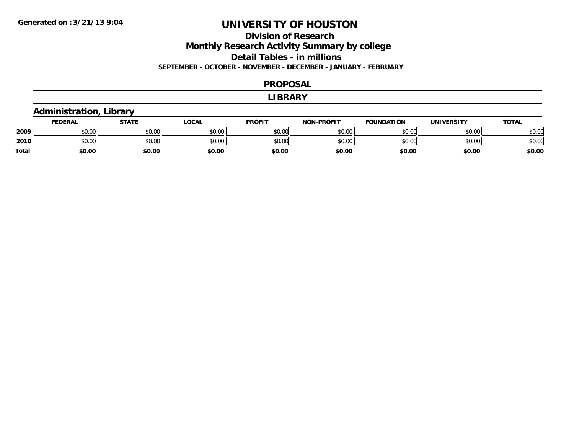## **Division of Research**

**Monthly Research Activity Summary by college**

**Detail Tables - in millions**

**SEPTEMBER - OCTOBER - NOVEMBER - DECEMBER - JANUARY - FEBRUARY**

#### **PROPOSAL**

#### **LIBRARY**

## **Administration, Library**

|              | <b>FEDERAL</b> | STATE  | <b>LOCAL</b> | <b>PROFIT</b> | <b>NON-PROFIT</b> | <b>FOUNDATION</b> | UNIVERSITY | <u> ΤΟΤΑL</u> |
|--------------|----------------|--------|--------------|---------------|-------------------|-------------------|------------|---------------|
| 2009         | \$0.00         | \$0.00 | \$0.00       | \$0.00        | \$0.00            | \$0.00            | \$0.00     | \$0.00        |
| 2010         | \$0.00         | \$0.00 | \$0.00       | \$0.00        | \$0.00            | \$0.00            | \$0.00     | \$0.00        |
| <b>Total</b> | \$0.00         | \$0.00 | \$0.00       | \$0.00        | \$0.00            | \$0.00            | \$0.00     | \$0.00        |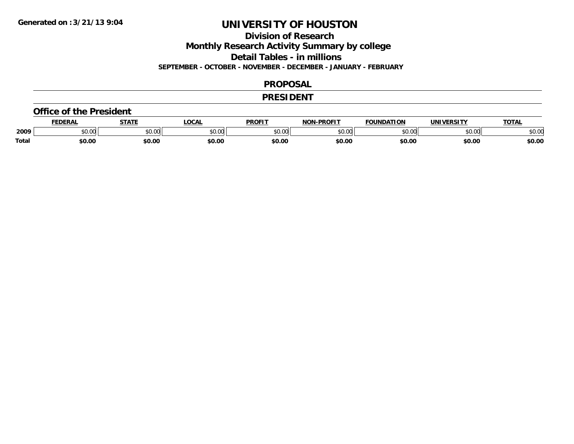**Division of Research**

**Monthly Research Activity Summary by college**

**Detail Tables - in millions**

**SEPTEMBER - OCTOBER - NOVEMBER - DECEMBER - JANUARY - FEBRUARY**

### **PROPOSAL**

### **PRESIDENT**

#### **Office of the President**

|       | DERAI  | <b>STATE</b>             | <b>LOCAL</b>                                          | PROFIT        | -PROFIT<br>חרות         | <b>FOUNDATION</b> | UNIVERSITY | TOTA.  |
|-------|--------|--------------------------|-------------------------------------------------------|---------------|-------------------------|-------------------|------------|--------|
| 2009  | \$0.00 | $\sim$ 0.0 $\sim$<br>JU. | $\mathsf{A} \cap \mathsf{A} \cap \mathsf{A}$<br>50.Ul | 0000<br>JU.UU | 0 <sup>0</sup><br>,u.uu | $n \cap \Omega$   | \$0.00     | \$0.00 |
| Total | \$0.00 | \$0.00                   | \$0.00                                                | \$0.00        | \$0.00                  | \$0.00            | \$0.00     | \$0.00 |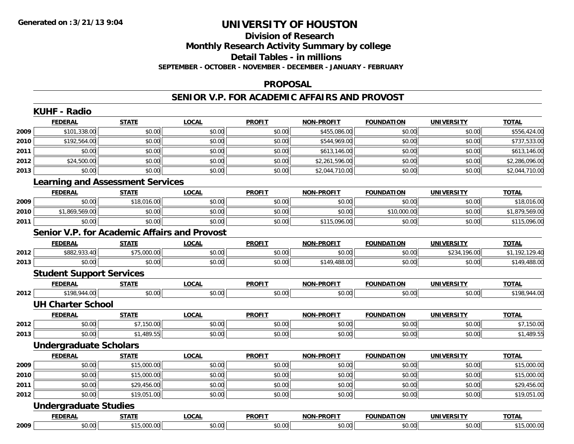## **Division of ResearchMonthly Research Activity Summary by college Detail Tables - in millions**

**SEPTEMBER - OCTOBER - NOVEMBER - DECEMBER - JANUARY - FEBRUARY**

### **PROPOSAL**

### **SENIOR V.P. FOR ACADEMIC AFFAIRS AND PROVOST**

|      | <b>FEDERAL</b>                  | <b>STATE</b>                                        | <b>LOCAL</b> | <b>PROFIT</b> | <b>NON-PROFIT</b> | <b>FOUNDATION</b> | <b>UNIVERSITY</b> | <b>TOTAL</b>   |
|------|---------------------------------|-----------------------------------------------------|--------------|---------------|-------------------|-------------------|-------------------|----------------|
| 2009 | \$101,338.00                    | \$0.00                                              | \$0.00       | \$0.00        | \$455,086.00      | \$0.00            | \$0.00            | \$556,424.00   |
| 2010 | \$192,564.00                    | \$0.00                                              | \$0.00       | \$0.00        | \$544,969.00      | \$0.00            | \$0.00            | \$737,533.00   |
| 2011 | \$0.00                          | \$0.00                                              | \$0.00       | \$0.00        | \$613,146.00      | \$0.00            | \$0.00            | \$613,146.00   |
| 2012 | \$24,500.00                     | \$0.00                                              | \$0.00       | \$0.00        | \$2,261,596.00    | \$0.00            | \$0.00            | \$2,286,096.00 |
| 2013 | \$0.00                          | \$0.00                                              | \$0.00       | \$0.00        | \$2,044,710.00    | \$0.00            | \$0.00            | \$2,044,710.00 |
|      |                                 | <b>Learning and Assessment Services</b>             |              |               |                   |                   |                   |                |
|      | <b>FEDERAL</b>                  | <b>STATE</b>                                        | <b>LOCAL</b> | <b>PROFIT</b> | <b>NON-PROFIT</b> | <b>FOUNDATION</b> | <b>UNIVERSITY</b> | <b>TOTAL</b>   |
| 2009 | \$0.00                          | \$18,016.00                                         | \$0.00       | \$0.00        | \$0.00            | \$0.00            | \$0.00            | \$18,016.00    |
| 2010 | \$1,869,569.00                  | \$0.00                                              | \$0.00       | \$0.00        | \$0.00            | \$10,000.00       | \$0.00            | \$1,879,569.00 |
| 2011 | \$0.00                          | \$0.00                                              | \$0.00       | \$0.00        | \$115,096.00      | \$0.00            | \$0.00            | \$115,096.00   |
|      |                                 | <b>Senior V.P. for Academic Affairs and Provost</b> |              |               |                   |                   |                   |                |
|      | <b>FEDERAL</b>                  | <b>STATE</b>                                        | <b>LOCAL</b> | <b>PROFIT</b> | <b>NON-PROFIT</b> | <b>FOUNDATION</b> | <b>UNIVERSITY</b> | <b>TOTAL</b>   |
| 2012 | \$882,933.40                    | \$75,000.00                                         | \$0.00       | \$0.00        | \$0.00            | \$0.00            | \$234,196.00      | \$1,192,129.40 |
| 2013 | \$0.00                          | \$0.00                                              | \$0.00       | \$0.00        | \$149,488.00      | \$0.00            | \$0.00            | \$149,488.00   |
|      | <b>Student Support Services</b> |                                                     |              |               |                   |                   |                   |                |
|      | <b>FEDERAL</b>                  | <b>STATE</b>                                        | <b>LOCAL</b> | <b>PROFIT</b> | <b>NON-PROFIT</b> | <b>FOUNDATION</b> | <b>UNIVERSITY</b> | <b>TOTAL</b>   |
| 2012 | \$198,944.00                    | \$0.00                                              | \$0.00       | \$0.00        | \$0.00            | \$0.00            | \$0.00            | \$198,944.00   |
|      | <b>UH Charter School</b>        |                                                     |              |               |                   |                   |                   |                |
|      | <b>FEDERAL</b>                  | <b>STATE</b>                                        | <b>LOCAL</b> | <b>PROFIT</b> | <b>NON-PROFIT</b> | <b>FOUNDATION</b> | <b>UNIVERSITY</b> | <b>TOTAL</b>   |
| 2012 | \$0.00                          | \$7,150.00                                          | \$0.00       | \$0.00        | \$0.00            | \$0.00            | \$0.00            | \$7,150.00     |
| 2013 | \$0.00                          | \$1,489.55                                          | \$0.00       | \$0.00        | \$0.00            | \$0.00            | \$0.00            | \$1,489.55     |
|      | <b>Undergraduate Scholars</b>   |                                                     |              |               |                   |                   |                   |                |
|      | <b>FEDERAL</b>                  | <b>STATE</b>                                        | <b>LOCAL</b> | <b>PROFIT</b> | <b>NON-PROFIT</b> | <b>FOUNDATION</b> | <b>UNIVERSITY</b> | <b>TOTAL</b>   |
| 2009 | \$0.00                          | \$15,000.00                                         | \$0.00       | \$0.00        | \$0.00            | \$0.00            | \$0.00            | \$15,000.00    |
| 2010 | \$0.00                          | \$15,000.00                                         | \$0.00       | \$0.00        | \$0.00            | \$0.00            | \$0.00            | \$15,000.00    |
| 2011 | \$0.00                          | \$29,456.00                                         | \$0.00       | \$0.00        | \$0.00            | \$0.00            | \$0.00            | \$29,456.00    |
| 2012 | \$0.00                          | \$19,051.00                                         | \$0.00       | \$0.00        | \$0.00            | \$0.00            | \$0.00            | \$19,051.00    |
|      | <b>Undergraduate Studies</b>    |                                                     |              |               |                   |                   |                   |                |
|      | <b>FEDERAL</b>                  | <b>STATE</b>                                        | <b>LOCAL</b> | <b>PROFIT</b> | <b>NON-PROFIT</b> | <b>FOUNDATION</b> | <b>UNIVERSITY</b> | <b>TOTAL</b>   |
| 2009 | \$0.00                          | \$15,000.00                                         | \$0.00       | \$0.00        | \$0.00            | \$0.00            | \$0.00            | \$15,000.00    |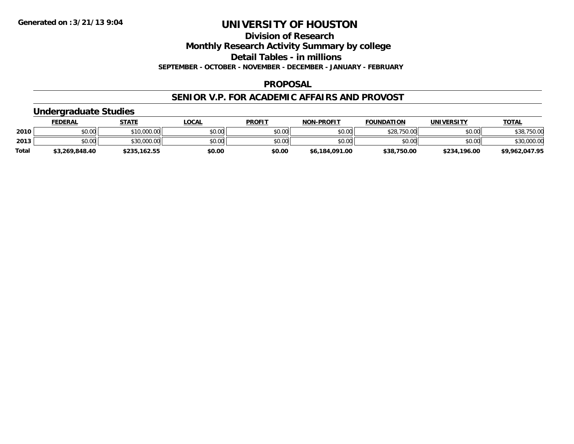**Division of Research**

**Monthly Research Activity Summary by college**

**Detail Tables - in millions**

**SEPTEMBER - OCTOBER - NOVEMBER - DECEMBER - JANUARY - FEBRUARY**

### **PROPOSAL**

### **SENIOR V.P. FOR ACADEMIC AFFAIRS AND PROVOST**

## **Undergraduate Studies**

|              | <u>FEDERAL</u> | <b>STATE</b> | <u>_OCAL</u> | <b>PROFIT</b> | <b>NON-PROFIT</b> | <b>FOUNDATION</b> | UNIVERSITY   | <u>TOTAL</u>   |
|--------------|----------------|--------------|--------------|---------------|-------------------|-------------------|--------------|----------------|
| 2010         | \$0.00         | \$10,000.00  | \$0.00       | \$0.00        | \$0.00            | \$28,750.00       | \$0.00       | \$38,750.00    |
| 2013         | \$0.00         | \$30,000.00  | \$0.00       | \$0.00        | \$0.00            | \$0.00            | \$0.00       | \$30,000.00    |
| <b>Total</b> | \$3,269,848.40 | \$235,162.55 | \$0.00       | \$0.00        | \$6,184,091.00    | \$38,750.00       | \$234,196.00 | \$9,962,047.95 |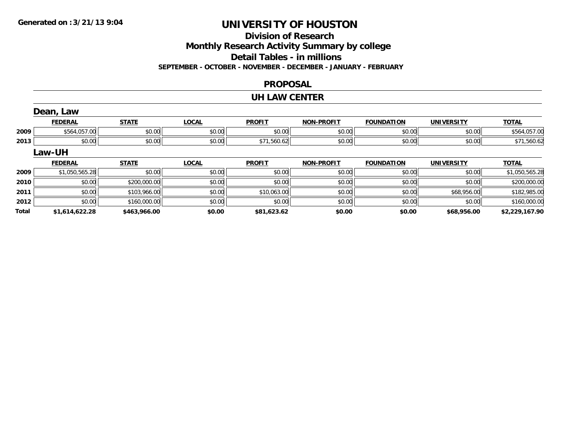## **Division of Research**

**Monthly Research Activity Summary by college**

**Detail Tables - in millions**

**SEPTEMBER - OCTOBER - NOVEMBER - DECEMBER - JANUARY - FEBRUARY**

### **PROPOSAL**

### **UH LAW CENTER**

|       | Dean, Law      |              |              |               |                   |                   |                   |                |
|-------|----------------|--------------|--------------|---------------|-------------------|-------------------|-------------------|----------------|
|       | <b>FEDERAL</b> | <b>STATE</b> | <b>LOCAL</b> | <b>PROFIT</b> | <b>NON-PROFIT</b> | <b>FOUNDATION</b> | <b>UNIVERSITY</b> | <b>TOTAL</b>   |
| 2009  | \$564,057.00   | \$0.00       | \$0.00       | \$0.00        | \$0.00            | \$0.00            | \$0.00            | \$564,057.00   |
| 2013  | \$0.00         | \$0.00       | \$0.00       | \$71,560.62   | \$0.00            | \$0.00            | \$0.00            | \$71,560.62    |
|       | <b>Law-UH</b>  |              |              |               |                   |                   |                   |                |
|       | <b>FEDERAL</b> | <b>STATE</b> | <b>LOCAL</b> | <b>PROFIT</b> | <b>NON-PROFIT</b> | <b>FOUNDATION</b> | <b>UNIVERSITY</b> | <b>TOTAL</b>   |
| 2009  | \$1,050,565.28 | \$0.00       | \$0.00       | \$0.00        | \$0.00            | \$0.00            | \$0.00            | \$1,050,565.28 |
| 2010  | \$0.00         | \$200,000.00 | \$0.00       | \$0.00        | \$0.00            | \$0.00            | \$0.00            | \$200,000.00   |
| 2011  | \$0.00         | \$103,966.00 | \$0.00       | \$10,063.00   | \$0.00            | \$0.00            | \$68,956.00       | \$182,985.00   |
| 2012  | \$0.00         | \$160,000.00 | \$0.00       | \$0.00        | \$0.00            | \$0.00            | \$0.00            | \$160,000.00   |
| Total | \$1,614,622.28 | \$463,966.00 | \$0.00       | \$81,623.62   | \$0.00            | \$0.00            | \$68,956.00       | \$2,229,167.90 |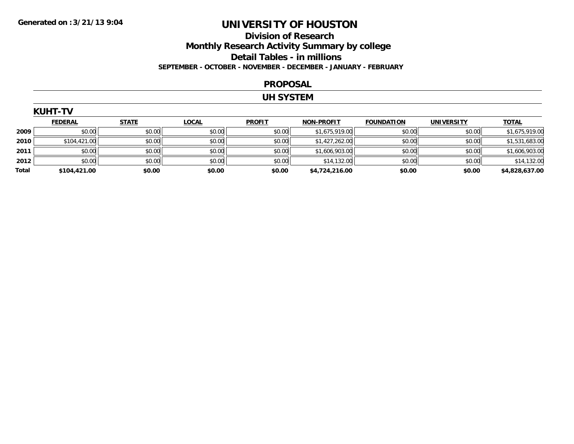## **Division of Research Monthly Research Activity Summary by college Detail Tables - in millions SEPTEMBER - OCTOBER - NOVEMBER - DECEMBER - JANUARY - FEBRUARY**

#### **PROPOSAL**

#### **UH SYSTEM**

|       | <b>KUHT-TV</b> |              |              |               |                   |                   |                   |                |
|-------|----------------|--------------|--------------|---------------|-------------------|-------------------|-------------------|----------------|
|       | <b>FEDERAL</b> | <b>STATE</b> | <b>LOCAL</b> | <b>PROFIT</b> | <b>NON-PROFIT</b> | <b>FOUNDATION</b> | <b>UNIVERSITY</b> | <b>TOTAL</b>   |
| 2009  | \$0.00         | \$0.00       | \$0.00       | \$0.00        | \$1,675,919.00    | \$0.00            | \$0.00            | \$1,675,919.00 |
| 2010  | \$104,421.00   | \$0.00       | \$0.00       | \$0.00        | \$1,427,262.00    | \$0.00            | \$0.00            | \$1,531,683.00 |
| 2011  | \$0.00         | \$0.00       | \$0.00       | \$0.00        | \$1,606,903.00    | \$0.00            | \$0.00            | \$1,606,903.00 |
| 2012  | \$0.00         | \$0.00       | \$0.00       | \$0.00        | \$14,132.00       | \$0.00            | \$0.00            | \$14,132.00    |
| Total | \$104,421.00   | \$0.00       | \$0.00       | \$0.00        | \$4,724,216.00    | \$0.00            | \$0.00            | \$4,828,637.00 |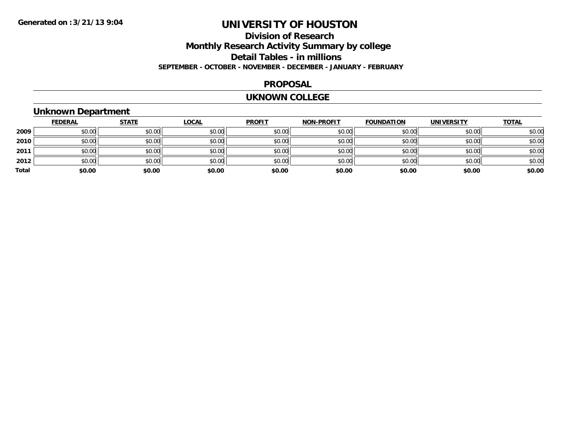## **Division of Research Monthly Research Activity Summary by college Detail Tables - in millions SEPTEMBER - OCTOBER - NOVEMBER - DECEMBER - JANUARY - FEBRUARY**

#### **PROPOSAL**

#### **UKNOWN COLLEGE**

## **Unknown Department**

|       | <b>FEDERAL</b> | <b>STATE</b> | <b>LOCAL</b> | <b>PROFIT</b> | <b>NON-PROFIT</b> | <b>FOUNDATION</b> | <b>UNIVERSITY</b> | <b>TOTAL</b> |
|-------|----------------|--------------|--------------|---------------|-------------------|-------------------|-------------------|--------------|
| 2009  | \$0.00         | \$0.00       | \$0.00       | \$0.00        | \$0.00            | \$0.00            | \$0.00            | \$0.00       |
| 2010  | \$0.00         | \$0.00       | \$0.00       | \$0.00        | \$0.00            | \$0.00            | \$0.00            | \$0.00       |
| 2011  | \$0.00         | \$0.00       | \$0.00       | \$0.00        | \$0.00            | \$0.00            | \$0.00            | \$0.00       |
| 2012  | \$0.00         | \$0.00       | \$0.00       | \$0.00        | \$0.00            | \$0.00            | \$0.00            | \$0.00       |
| Total | \$0.00         | \$0.00       | \$0.00       | \$0.00        | \$0.00            | \$0.00            | \$0.00            | \$0.00       |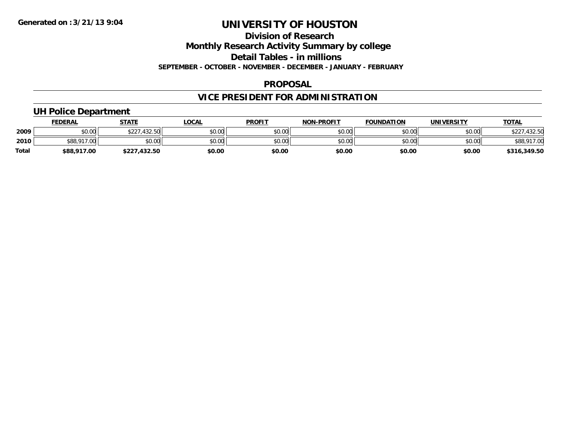#### **Division of Research**

**Monthly Research Activity Summary by college**

**Detail Tables - in millions**

**SEPTEMBER - OCTOBER - NOVEMBER - DECEMBER - JANUARY - FEBRUARY**

### **PROPOSAL**

## **VICE PRESIDENT FOR ADMINISTRATION**

## **UH Police Department**

|              | <u>FEDERAL</u> | <b>STATE</b>      | <b>LOCAL</b> | <b>PROFIT</b> | <b>NON-PROFIT</b> | <b>FOUNDATION</b> | UNIVERSITY | <b>TOTAL</b> |
|--------------|----------------|-------------------|--------------|---------------|-------------------|-------------------|------------|--------------|
| 2009         | \$0.00         | .432.50<br>\$227. | \$0.00       | \$0.00        | \$0.00            | \$0.00            | \$0.00     | 432.50       |
| 2010         | \$88,917.00    | \$0.00            | \$0.00       | \$0.00        | \$0.00            | \$0.00            | \$0.00     | \$88,917.00  |
| <b>Total</b> | \$88,917.00    | \$227,432.50      | \$0.00       | \$0.00        | \$0.00            | \$0.00            | \$0.00     | \$316,349.50 |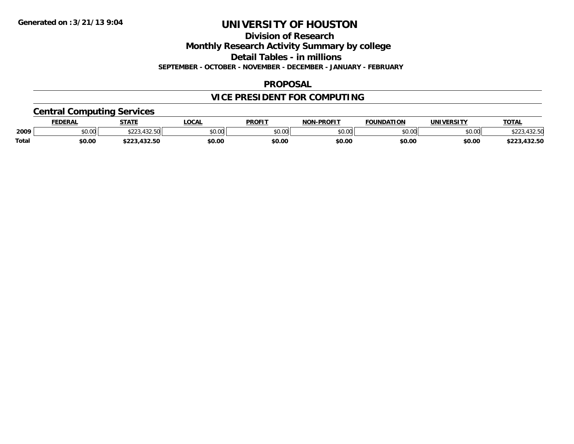**Division of Research**

**Monthly Research Activity Summary by college**

**Detail Tables - in millions**

**SEPTEMBER - OCTOBER - NOVEMBER - DECEMBER - JANUARY - FEBRUARY**

### **PROPOSAL**

## **VICE PRESIDENT FOR COMPUTING**

## **Central Computing Services**

|       | <b>FEDERAL</b> | <b>STATE</b>                        | <b>LOCAL</b> | <b>PROFIT</b> | <b>I-PROFIT</b><br><b>NON</b> | <b>FOUNDATION</b> | UNIVERSITY | <b>TOTAL</b>             |
|-------|----------------|-------------------------------------|--------------|---------------|-------------------------------|-------------------|------------|--------------------------|
| 2009  | \$0.00         | 122 E<br>$\wedge$ $\wedge$ $\wedge$ | \$0.00       | 0000<br>JU.UU | \$0.00                        | \$0.00            | \$0.00     | 122 F<br>, JZ.JM         |
| Total | \$0.00         | $\sim$<br>$\cdots$<br>.432.30       | \$0.00       | \$0.00        | \$0.00                        | \$0.00            | \$0.00     | $\sim$<br>ホワワク<br>132.JL |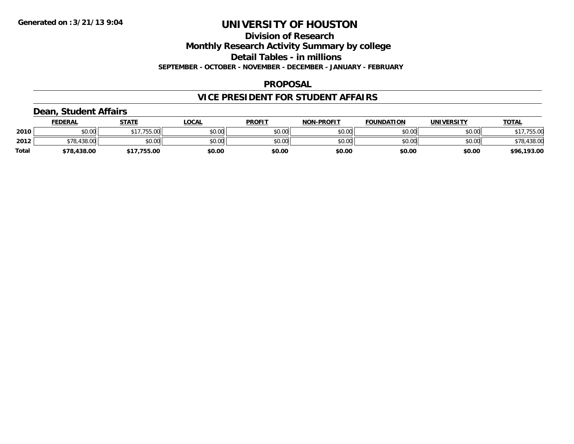**Division of Research**

**Monthly Research Activity Summary by college**

**Detail Tables - in millions**

**SEPTEMBER - OCTOBER - NOVEMBER - DECEMBER - JANUARY - FEBRUARY**

### **PROPOSAL**

## **VICE PRESIDENT FOR STUDENT AFFAIRS**

## **Dean, Student Affairs**

|       | <u>FEDERAL</u>    | <b>STATE</b> | _OCAL  | <b>PROFIT</b> | <b>NON-PROFIT</b> | <b>FOUNDATION</b> | UNIVERSITY | <b>TOTAL</b> |
|-------|-------------------|--------------|--------|---------------|-------------------|-------------------|------------|--------------|
| 2010  | \$0.00            | \$17,755.00  | \$0.00 | \$0.00        | \$0.00            | \$0.00            | \$0.00     | \$17,755.00  |
| 2012  | .438.00<br>\$78.4 | \$0.00       | \$0.00 | \$0.00        | \$0.00            | \$0.00            | \$0.00     | \$78,438.00  |
| Total | \$78,438.00       | .755.00      | \$0.00 | \$0.00        | \$0.00            | \$0.00            | \$0.00     | \$96,193.00  |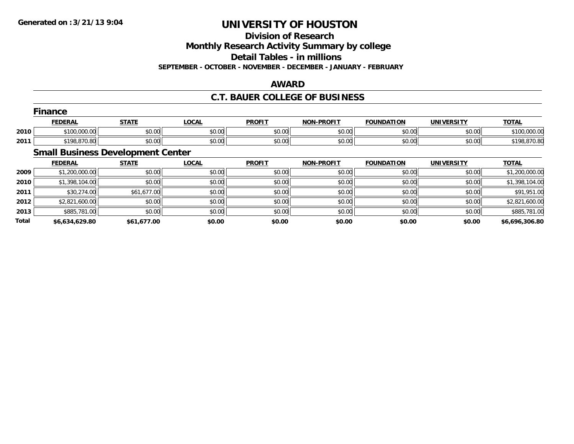**Division of Research**

**Monthly Research Activity Summary by college**

**Detail Tables - in millions**

**SEPTEMBER - OCTOBER - NOVEMBER - DECEMBER - JANUARY - FEBRUARY**

### **AWARD**

## **C.T. BAUER COLLEGE OF BUSINESS**

|      | Finance        |              |             |               |                   |                   |                   |              |  |  |  |
|------|----------------|--------------|-------------|---------------|-------------------|-------------------|-------------------|--------------|--|--|--|
|      | <b>FEDERAL</b> | <b>STATE</b> | <b>OCAL</b> | <b>PROFIT</b> | <b>NON-PROFIT</b> | <b>FOUNDATION</b> | <b>UNIVERSITY</b> | <b>TOTAL</b> |  |  |  |
| 2010 | \$100,000.00   | \$0.00       | \$0.00      | \$0.00        | \$0.00            | \$0.00            | \$0.00            | \$100,000.00 |  |  |  |
| 2011 | \$198,870.80   | \$0.00       | \$0.00      | \$0.00        | \$0.00            | \$0.00            | \$0.00            | \$198,870.80 |  |  |  |

## **Small Business Development Center**

|              | <b>FEDERAL</b> | <b>STATE</b> | <u>LOCAL</u> | <b>PROFIT</b> | <b>NON-PROFIT</b> | <b>FOUNDATION</b> | <b>UNIVERSITY</b> | <b>TOTAL</b>   |
|--------------|----------------|--------------|--------------|---------------|-------------------|-------------------|-------------------|----------------|
| 2009         | \$1,200,000.00 | \$0.00       | \$0.00       | \$0.00        | \$0.00            | \$0.00            | \$0.00            | \$1,200,000.00 |
| 2010         | \$1,398,104.00 | \$0.00       | \$0.00       | \$0.00        | \$0.00            | \$0.00            | \$0.00            | \$1,398,104.00 |
| 2011         | \$30,274.00    | \$61,677.00  | \$0.00       | \$0.00        | \$0.00            | \$0.00            | \$0.00            | \$91,951.00    |
| 2012         | \$2,821,600.00 | \$0.00       | \$0.00       | \$0.00        | \$0.00            | \$0.00            | \$0.00            | \$2,821,600.00 |
| 2013         | \$885,781.00   | \$0.00       | \$0.00       | \$0.00        | \$0.00            | \$0.00            | \$0.00            | \$885,781.00   |
| <b>Total</b> | \$6,634,629.80 | \$61,677.00  | \$0.00       | \$0.00        | \$0.00            | \$0.00            | \$0.00            | \$6,696,306.80 |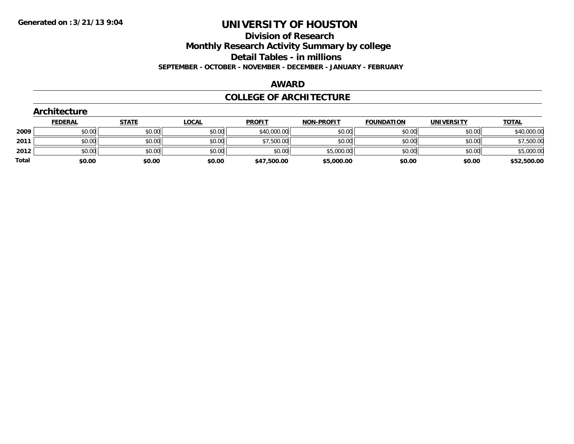**Division of Research**

**Monthly Research Activity Summary by college**

**Detail Tables - in millions**

**SEPTEMBER - OCTOBER - NOVEMBER - DECEMBER - JANUARY - FEBRUARY**

#### **AWARD**

### **COLLEGE OF ARCHITECTURE**

| <b>Architecture</b> |              |                                      |                                      |                   |                                          |                   |              |
|---------------------|--------------|--------------------------------------|--------------------------------------|-------------------|------------------------------------------|-------------------|--------------|
| <b>FEDERAL</b>      | <b>STATE</b> | <u>LOCAL</u>                         | <b>PROFIT</b>                        | <b>NON-PROFIT</b> | <b>FOUNDATION</b>                        | <b>UNIVERSITY</b> | <b>TOTAL</b> |
|                     |              |                                      |                                      | \$0.00            | \$0.00                                   | \$0.00            | \$40,000.00  |
|                     |              | \$0.00                               |                                      | \$0.00            | \$0.00                                   | \$0.00            | \$7,500.00   |
|                     |              | \$0.00                               | \$0.00                               |                   | \$0.00                                   | \$0.00            | \$5,000.00   |
|                     |              | \$0.00                               |                                      | \$5,000.00        | \$0.00                                   | \$0.00            | \$52,500.00  |
|                     |              | \$0.00<br>\$0.00<br>\$0.00<br>\$0.00 | \$0.00<br>\$0.00<br>\$0.00<br>\$0.00 | \$0.00            | \$40,000.00<br>\$7,500.00<br>\$47,500.00 | \$5,000.00        |              |

## **Architecture**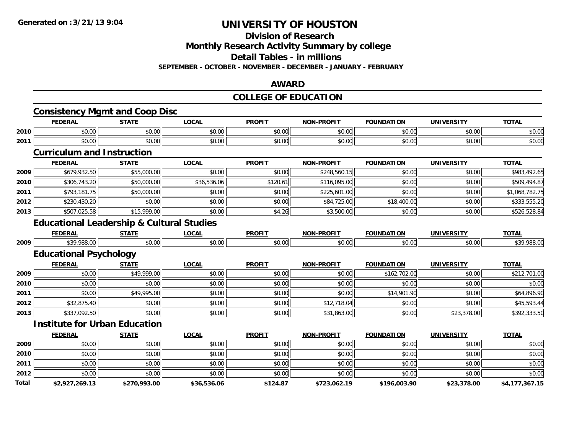#### **Division of Research**

**Monthly Research Activity Summary by college**

**Detail Tables - in millions**

**SEPTEMBER - OCTOBER - NOVEMBER - DECEMBER - JANUARY - FEBRUARY**

#### **AWARD**

## **COLLEGE OF EDUCATION**

|       | <b>Consistency Mgmt and Coop Disc</b>                |              |              |               |                   |                   |                   |                |
|-------|------------------------------------------------------|--------------|--------------|---------------|-------------------|-------------------|-------------------|----------------|
|       | <b>FEDERAL</b>                                       | <b>STATE</b> | <b>LOCAL</b> | <b>PROFIT</b> | <b>NON-PROFIT</b> | <b>FOUNDATION</b> | <b>UNIVERSITY</b> | <b>TOTAL</b>   |
| 2010  | \$0.00                                               | \$0.00       | \$0.00       | \$0.00        | \$0.00            | \$0.00            | \$0.00            | \$0.00         |
| 2011  | \$0.00                                               | \$0.00       | \$0.00       | \$0.00        | \$0.00            | \$0.00            | \$0.00            | \$0.00         |
|       | <b>Curriculum and Instruction</b>                    |              |              |               |                   |                   |                   |                |
|       | <b>FEDERAL</b>                                       | <b>STATE</b> | <b>LOCAL</b> | <b>PROFIT</b> | <b>NON-PROFIT</b> | <b>FOUNDATION</b> | <b>UNIVERSITY</b> | <b>TOTAL</b>   |
| 2009  | \$679,932.50                                         | \$55,000.00  | \$0.00       | \$0.00        | \$248,560.15      | \$0.00            | \$0.00            | \$983,492.65   |
| 2010  | \$306,743.20                                         | \$50,000.00  | \$36,536.06  | \$120.61      | \$116,095.00      | \$0.00            | \$0.00            | \$509,494.87   |
| 2011  | \$793,181.75                                         | \$50,000.00  | \$0.00       | \$0.00        | \$225,601.00      | \$0.00            | \$0.00            | \$1,068,782.75 |
| 2012  | \$230,430.20                                         | \$0.00       | \$0.00       | \$0.00        | \$84,725.00       | \$18,400.00       | \$0.00            | \$333,555.20   |
| 2013  | \$507,025.58                                         | \$15,999.00  | \$0.00       | \$4.26        | \$3,500.00        | \$0.00            | \$0.00            | \$526,528.84   |
|       | <b>Educational Leadership &amp; Cultural Studies</b> |              |              |               |                   |                   |                   |                |
|       | <b>FEDERAL</b>                                       | <b>STATE</b> | <b>LOCAL</b> | <b>PROFIT</b> | <b>NON-PROFIT</b> | <b>FOUNDATION</b> | <b>UNIVERSITY</b> | <b>TOTAL</b>   |
| 2009  | \$39,988.00                                          | \$0.00       | \$0.00       | \$0.00        | \$0.00            | \$0.00            | \$0.00            | \$39,988.00    |
|       | <b>Educational Psychology</b>                        |              |              |               |                   |                   |                   |                |
|       | <b>FEDERAL</b>                                       | <b>STATE</b> | <b>LOCAL</b> | <b>PROFIT</b> | <b>NON-PROFIT</b> | <b>FOUNDATION</b> | <b>UNIVERSITY</b> | <b>TOTAL</b>   |
| 2009  | \$0.00                                               | \$49,999.00  | \$0.00       | \$0.00        | \$0.00            | \$162,702.00      | \$0.00            | \$212,701.00   |
| 2010  | \$0.00                                               | \$0.00       | \$0.00       | \$0.00        | \$0.00            | \$0.00            | \$0.00            | \$0.00         |
| 2011  | \$0.00                                               | \$49,995.00  | \$0.00       | \$0.00        | \$0.00            | \$14,901.90       | \$0.00            | \$64,896.90    |
| 2012  | \$32,875.40                                          | \$0.00       | \$0.00       | \$0.00        | \$12,718.04       | \$0.00            | \$0.00            | \$45,593.44    |
| 2013  | \$337,092.50                                         | \$0.00       | \$0.00       | \$0.00        | \$31,863.00       | \$0.00            | \$23,378.00       | \$392,333.50   |
|       | <b>Institute for Urban Education</b>                 |              |              |               |                   |                   |                   |                |
|       | <b>FEDERAL</b>                                       | <b>STATE</b> | <b>LOCAL</b> | <b>PROFIT</b> | <b>NON-PROFIT</b> | <b>FOUNDATION</b> | <b>UNIVERSITY</b> | <b>TOTAL</b>   |
| 2009  | \$0.00                                               | \$0.00       | \$0.00       | \$0.00        | \$0.00            | \$0.00            | \$0.00            | \$0.00         |
| 2010  | \$0.00                                               | \$0.00       | \$0.00       | \$0.00        | \$0.00            | \$0.00            | \$0.00            | \$0.00         |
| 2011  | \$0.00                                               | \$0.00       | \$0.00       | \$0.00        | \$0.00            | \$0.00            | \$0.00            | \$0.00         |
| 2012  | \$0.00                                               | \$0.00       | \$0.00       | \$0.00        | \$0.00            | \$0.00            | \$0.00            | \$0.00         |
| Total | \$2,927,269.13                                       | \$270,993.00 | \$36,536.06  | \$124.87      | \$723,062.19      | \$196,003.90      | \$23,378.00       | \$4,177,367.15 |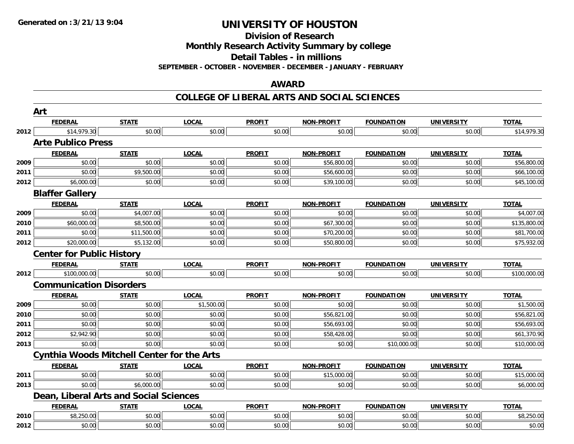**Division of Research**

**Monthly Research Activity Summary by college**

**Detail Tables - in millions**

**SEPTEMBER - OCTOBER - NOVEMBER - DECEMBER - JANUARY - FEBRUARY**

#### **AWARD**

### **COLLEGE OF LIBERAL ARTS AND SOCIAL SCIENCES**

|      | Art                                               |              |              |               |                   |                   |                   |              |
|------|---------------------------------------------------|--------------|--------------|---------------|-------------------|-------------------|-------------------|--------------|
|      | <b>FEDERAL</b>                                    | <b>STATE</b> | <b>LOCAL</b> | <b>PROFIT</b> | <b>NON-PROFIT</b> | <b>FOUNDATION</b> | <b>UNIVERSITY</b> | <b>TOTAL</b> |
| 2012 | \$14,979.30                                       | \$0.00       | \$0.00       | \$0.00        | \$0.00            | \$0.00            | \$0.00            | \$14,979.30  |
|      | <b>Arte Publico Press</b>                         |              |              |               |                   |                   |                   |              |
|      | <b>FEDERAL</b>                                    | <b>STATE</b> | <b>LOCAL</b> | <b>PROFIT</b> | NON-PROFIT        | <b>FOUNDATION</b> | <b>UNIVERSITY</b> | <b>TOTAL</b> |
| 2009 | \$0.00                                            | \$0.00       | \$0.00       | \$0.00        | \$56,800.00       | \$0.00            | \$0.00            | \$56,800.00  |
| 2011 | \$0.00                                            | \$9,500.00   | \$0.00       | \$0.00        | \$56,600.00       | \$0.00            | \$0.00            | \$66,100.00  |
| 2012 | \$6,000.00                                        | \$0.00       | \$0.00       | \$0.00        | \$39,100.00       | \$0.00            | \$0.00            | \$45,100.00  |
|      | <b>Blaffer Gallery</b>                            |              |              |               |                   |                   |                   |              |
|      | <b>FEDERAL</b>                                    | <b>STATE</b> | <b>LOCAL</b> | <b>PROFIT</b> | <b>NON-PROFIT</b> | <b>FOUNDATION</b> | <b>UNIVERSITY</b> | <b>TOTAL</b> |
| 2009 | \$0.00                                            | \$4,007.00   | \$0.00       | \$0.00        | \$0.00            | \$0.00            | \$0.00            | \$4,007.00   |
| 2010 | \$60,000.00                                       | \$8,500.00   | \$0.00       | \$0.00        | \$67,300.00       | \$0.00            | \$0.00            | \$135,800.00 |
| 2011 | \$0.00                                            | \$11,500.00  | \$0.00       | \$0.00        | \$70,200.00       | \$0.00            | \$0.00            | \$81,700.00  |
| 2012 | \$20,000.00                                       | \$5,132.00   | \$0.00       | \$0.00        | \$50,800.00       | \$0.00            | \$0.00            | \$75,932.00  |
|      | <b>Center for Public History</b>                  |              |              |               |                   |                   |                   |              |
|      | <b>FEDERAL</b>                                    | <b>STATE</b> | <b>LOCAL</b> | <b>PROFIT</b> | <b>NON-PROFIT</b> | <b>FOUNDATION</b> | <b>UNIVERSITY</b> | <b>TOTAL</b> |
| 2012 | \$100,000.00                                      | \$0.00       | \$0.00       | \$0.00        | \$0.00            | \$0.00            | \$0.00            | \$100,000.00 |
|      | <b>Communication Disorders</b>                    |              |              |               |                   |                   |                   |              |
|      | <b>FEDERAL</b>                                    | <b>STATE</b> | <b>LOCAL</b> | <b>PROFIT</b> | <b>NON-PROFIT</b> | <b>FOUNDATION</b> | <b>UNIVERSITY</b> | <b>TOTAL</b> |
| 2009 | \$0.00                                            | \$0.00       | \$1,500.00   | \$0.00        | \$0.00            | \$0.00            | \$0.00            | \$1,500.00   |
| 2010 | \$0.00                                            | \$0.00       | \$0.00       | \$0.00        | \$56,821.00       | \$0.00            | \$0.00            | \$56,821.00  |
| 2011 | \$0.00                                            | \$0.00       | \$0.00       | \$0.00        | \$56,693.00       | \$0.00            | \$0.00            | \$56,693.00  |
| 2012 | \$2,942.90                                        | \$0.00       | \$0.00       | \$0.00        | \$58,428.00       | \$0.00            | \$0.00            | \$61,370.90  |
| 2013 | \$0.00                                            | \$0.00       | \$0.00       | \$0.00        | \$0.00            | \$10,000.00       | \$0.00            | \$10,000.00  |
|      | <b>Cynthia Woods Mitchell Center for the Arts</b> |              |              |               |                   |                   |                   |              |
|      | <b>FEDERAL</b>                                    | <b>STATE</b> | <b>LOCAL</b> | <b>PROFIT</b> | <b>NON-PROFIT</b> | <b>FOUNDATION</b> | <b>UNIVERSITY</b> | <b>TOTAL</b> |
| 2011 | \$0.00                                            | \$0.00       | \$0.00       | \$0.00        | \$15,000.00       | \$0.00            | \$0.00            | \$15,000.00  |
| 2013 | \$0.00                                            | \$6,000.00   | \$0.00       | \$0.00        | \$0.00            | \$0.00            | \$0.00            | \$6,000.00   |
|      | Dean, Liberal Arts and Social Sciences            |              |              |               |                   |                   |                   |              |
|      | <b>FEDERAL</b>                                    | <b>STATE</b> | <b>LOCAL</b> | <b>PROFIT</b> | NON-PROFIT        | <b>FOUNDATION</b> | <b>UNIVERSITY</b> | <b>TOTAL</b> |
| 2010 | \$8,250.00                                        | \$0.00       | \$0.00       | \$0.00        | \$0.00            | \$0.00            | \$0.00            | \$8,250.00   |
| 2012 | \$0.00                                            | \$0.00       | \$0.00       | \$0.00        | \$0.00            | \$0.00            | \$0.00            | \$0.00       |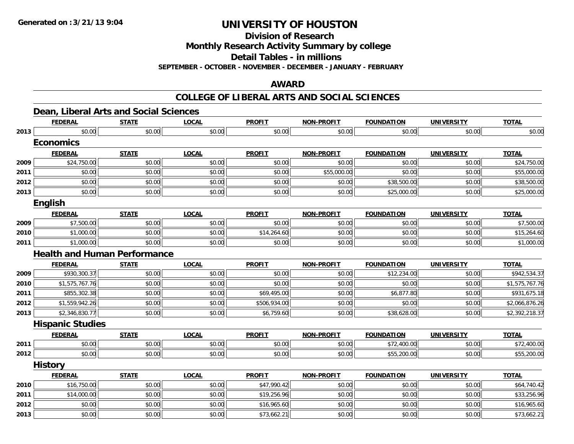**Division of Research**

**Monthly Research Activity Summary by college**

**Detail Tables - in millions**

**SEPTEMBER - OCTOBER - NOVEMBER - DECEMBER - JANUARY - FEBRUARY**

## **AWARD**

### **COLLEGE OF LIBERAL ARTS AND SOCIAL SCIENCES**

|  |  |  |  |  |  |  | Dean, Liberal Arts and Social Sciences |
|--|--|--|--|--|--|--|----------------------------------------|
|--|--|--|--|--|--|--|----------------------------------------|

|      | <b>FEDERAL</b>                      | <b>STATE</b> | <b>LOCAL</b> | <b>PROFIT</b> | <b>NON-PROFIT</b> | <b>FOUNDATION</b> | <b>UNIVERSITY</b> | <b>TOTAL</b>   |
|------|-------------------------------------|--------------|--------------|---------------|-------------------|-------------------|-------------------|----------------|
| 2013 | \$0.00                              | \$0.00       | \$0.00       | \$0.00        | \$0.00            | \$0.00            | \$0.00            | \$0.00         |
|      | <b>Economics</b>                    |              |              |               |                   |                   |                   |                |
|      | <b>FEDERAL</b>                      | <b>STATE</b> | <b>LOCAL</b> | <b>PROFIT</b> | <b>NON-PROFIT</b> | <b>FOUNDATION</b> | <b>UNIVERSITY</b> | <b>TOTAL</b>   |
| 2009 | \$24,750.00                         | \$0.00       | \$0.00       | \$0.00        | \$0.00            | \$0.00            | \$0.00            | \$24,750.00    |
| 2011 | \$0.00                              | \$0.00       | \$0.00       | \$0.00        | \$55,000.00       | \$0.00            | \$0.00            | \$55,000.00    |
| 2012 | \$0.00                              | \$0.00       | \$0.00       | \$0.00        | \$0.00            | \$38,500.00       | \$0.00            | \$38,500.00    |
| 2013 | \$0.00                              | \$0.00       | \$0.00       | \$0.00        | \$0.00            | \$25,000.00       | \$0.00            | \$25,000.00    |
|      | English                             |              |              |               |                   |                   |                   |                |
|      | <b>FEDERAL</b>                      | <b>STATE</b> | <b>LOCAL</b> | <b>PROFIT</b> | <b>NON-PROFIT</b> | <b>FOUNDATION</b> | <b>UNIVERSITY</b> | <b>TOTAL</b>   |
| 2009 | \$7,500.00                          | \$0.00       | \$0.00       | \$0.00        | \$0.00            | \$0.00            | \$0.00            | \$7,500.00     |
| 2010 | \$1,000.00                          | \$0.00       | \$0.00       | \$14,264.60   | \$0.00            | \$0.00            | \$0.00            | \$15,264.60    |
| 2011 | \$1,000.00                          | \$0.00       | \$0.00       | \$0.00        | \$0.00            | \$0.00            | \$0.00            | \$1,000.00     |
|      | <b>Health and Human Performance</b> |              |              |               |                   |                   |                   |                |
|      | <b>FEDERAL</b>                      | <b>STATE</b> | <b>LOCAL</b> | <b>PROFIT</b> | <b>NON-PROFIT</b> | <b>FOUNDATION</b> | <b>UNIVERSITY</b> | <b>TOTAL</b>   |
| 2009 | \$930,300.37                        | \$0.00       | \$0.00       | \$0.00        | \$0.00            | \$12,234.00       | \$0.00            | \$942,534.37   |
| 2010 | \$1,575,767.76                      | \$0.00       | \$0.00       | \$0.00        | \$0.00            | \$0.00            | \$0.00            | \$1,575,767.76 |
| 2011 | \$855,302.38                        | \$0.00       | \$0.00       | \$69,495.00   | \$0.00            | \$6,877.80        | \$0.00            | \$931,675.18   |
| 2012 | \$1,559,942.26                      | \$0.00       | \$0.00       | \$506,934.00  | \$0.00            | \$0.00            | \$0.00            | \$2,066,876.26 |
| 2013 | \$2,346,830.77                      | \$0.00       | \$0.00       | \$6,759.60    | \$0.00            | \$38,628.00       | \$0.00            | \$2,392,218.37 |
|      | <b>Hispanic Studies</b>             |              |              |               |                   |                   |                   |                |
|      | <b>FEDERAL</b>                      | <b>STATE</b> | <b>LOCAL</b> | <b>PROFIT</b> | <b>NON-PROFIT</b> | <b>FOUNDATION</b> | <b>UNIVERSITY</b> | <b>TOTAL</b>   |
| 2011 | \$0.00                              | \$0.00       | \$0.00       | \$0.00        | \$0.00            | \$72,400.00       | \$0.00            | \$72,400.00    |
| 2012 | \$0.00                              | \$0.00       | \$0.00       | \$0.00        | \$0.00            | \$55,200.00       | \$0.00            | \$55,200.00    |
|      | <b>History</b>                      |              |              |               |                   |                   |                   |                |
|      | <b>FEDERAL</b>                      | <b>STATE</b> | <b>LOCAL</b> | <b>PROFIT</b> | <b>NON-PROFIT</b> | <b>FOUNDATION</b> | <b>UNIVERSITY</b> | <b>TOTAL</b>   |
| 2010 | \$16,750.00                         | \$0.00       | \$0.00       | \$47,990.42   | \$0.00            | \$0.00            | \$0.00            | \$64,740.42    |
| 2011 | \$14,000.00                         | \$0.00       | \$0.00       | \$19,256.96   | \$0.00            | \$0.00            | \$0.00            | \$33,256.96    |
| 2012 | \$0.00                              | \$0.00       | \$0.00       | \$16,965.60   | \$0.00            | \$0.00            | \$0.00            | \$16,965.60    |
| 2013 | \$0.00                              | \$0.00       | \$0.00       | \$73,662.21   | \$0.00            | \$0.00            | \$0.00            | \$73,662.21    |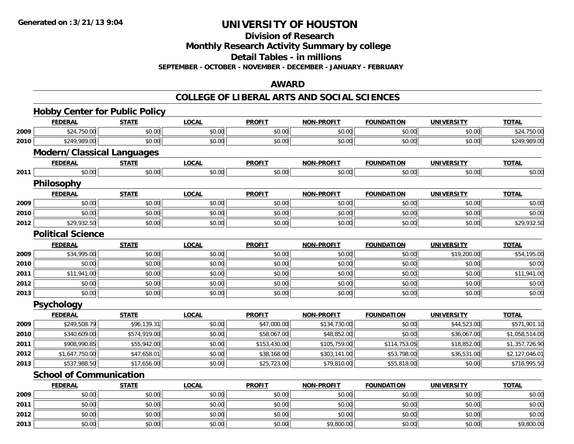**Division of Research**

**Monthly Research Activity Summary by college**

**Detail Tables - in millions**

**SEPTEMBER - OCTOBER - NOVEMBER - DECEMBER - JANUARY - FEBRUARY**

### **AWARD**

#### **COLLEGE OF LIBERAL ARTS AND SOCIAL SCIENCES**

|      | <b>Hobby Center for Public Policy</b> |              |              |               |                   |                   |                   |                |
|------|---------------------------------------|--------------|--------------|---------------|-------------------|-------------------|-------------------|----------------|
|      | <b>FEDERAL</b>                        | <b>STATE</b> | <b>LOCAL</b> | <b>PROFIT</b> | <b>NON-PROFIT</b> | <b>FOUNDATION</b> | <b>UNIVERSITY</b> | <b>TOTAL</b>   |
| 2009 | \$24,750.00                           | \$0.00       | \$0.00       | \$0.00        | \$0.00            | \$0.00            | \$0.00            | \$24,750.00    |
| 2010 | \$249,989.00                          | \$0.00       | \$0.00       | \$0.00        | \$0.00            | \$0.00            | \$0.00            | \$249,989.00   |
|      | <b>Modern/Classical Languages</b>     |              |              |               |                   |                   |                   |                |
|      | <b>FEDERAL</b>                        | <b>STATE</b> | <b>LOCAL</b> | <b>PROFIT</b> | <b>NON-PROFIT</b> | <b>FOUNDATION</b> | <b>UNIVERSITY</b> | <b>TOTAL</b>   |
| 2011 | \$0.00                                | \$0.00       | \$0.00       | \$0.00        | \$0.00            | \$0.00            | \$0.00            | \$0.00         |
|      | Philosophy                            |              |              |               |                   |                   |                   |                |
|      | <b>FEDERAL</b>                        | <b>STATE</b> | <b>LOCAL</b> | <b>PROFIT</b> | <b>NON-PROFIT</b> | <b>FOUNDATION</b> | <b>UNIVERSITY</b> | <b>TOTAL</b>   |
| 2009 | \$0.00                                | \$0.00       | \$0.00       | \$0.00        | \$0.00            | \$0.00            | \$0.00            | \$0.00         |
| 2010 | \$0.00                                | \$0.00       | \$0.00       | \$0.00        | \$0.00            | \$0.00            | \$0.00            | \$0.00         |
| 2012 | \$29,932.50                           | \$0.00       | \$0.00       | \$0.00        | \$0.00            | \$0.00            | \$0.00            | \$29,932.50    |
|      | <b>Political Science</b>              |              |              |               |                   |                   |                   |                |
|      | <b>FEDERAL</b>                        | <b>STATE</b> | <b>LOCAL</b> | <b>PROFIT</b> | <b>NON-PROFIT</b> | <b>FOUNDATION</b> | <b>UNIVERSITY</b> | <b>TOTAL</b>   |
| 2009 | \$34,995.00                           | \$0.00       | \$0.00       | \$0.00        | \$0.00            | \$0.00            | \$19,200.00       | \$54,195.00    |
| 2010 | \$0.00                                | \$0.00       | \$0.00       | \$0.00        | \$0.00            | \$0.00            | \$0.00            | \$0.00         |
| 2011 | \$11,941.00                           | \$0.00       | \$0.00       | \$0.00        | \$0.00            | \$0.00            | \$0.00            | \$11,941.00    |
| 2012 | \$0.00                                | \$0.00       | \$0.00       | \$0.00        | \$0.00            | \$0.00            | \$0.00            | \$0.00         |
| 2013 | \$0.00                                | \$0.00       | \$0.00       | \$0.00        | \$0.00            | \$0.00            | \$0.00            | \$0.00         |
|      | <b>Psychology</b>                     |              |              |               |                   |                   |                   |                |
|      | <b>FEDERAL</b>                        | <b>STATE</b> | <b>LOCAL</b> | <b>PROFIT</b> | <b>NON-PROFIT</b> | <b>FOUNDATION</b> | <b>UNIVERSITY</b> | <b>TOTAL</b>   |
| 2009 | \$249,508.79                          | \$96,139.31  | \$0.00       | \$47,000.00   | \$134,730.00      | \$0.00            | \$44,523.00       | \$571,901.10   |
| 2010 | \$340,609.00                          | \$574,919.00 | \$0.00       | \$58,067.00   | \$48,852.00       | \$0.00            | \$36,067.00       | \$1,058,514.00 |
| 2011 | \$908,990.85                          | \$55,942.00  | \$0.00       | \$153,430.00  | \$105,759.00      | \$114,753.05      | \$18,852.00       | \$1,357,726.90 |
| 2012 | \$1,647,750.00                        | \$47,658.01  | \$0.00       | \$38,168.00   | \$303,141.00      | \$53,798.00       | \$36,531.00       | \$2,127,046.01 |
| 2013 | \$537,988.50                          | \$17,656.00  | \$0.00       | \$25,723.00   | \$79,810.00       | \$55,818.00       | \$0.00            | \$716,995.50   |
|      | <b>School of Communication</b>        |              |              |               |                   |                   |                   |                |
|      | <b>FEDERAL</b>                        | <b>STATE</b> | <b>LOCAL</b> | <b>PROFIT</b> | <b>NON-PROFIT</b> | <b>FOUNDATION</b> | <b>UNIVERSITY</b> | <b>TOTAL</b>   |
| 2009 | \$0.00                                | \$0.00       | \$0.00       | \$0.00        | \$0.00            | \$0.00            | \$0.00            | \$0.00         |
| 2011 | \$0.00                                | \$0.00       | \$0.00       | \$0.00        | \$0.00            | \$0.00            | \$0.00            | \$0.00         |
| 2012 | \$0.00                                | \$0.00       | \$0.00       | \$0.00        | \$0.00            | \$0.00            | \$0.00            | \$0.00         |
| 2013 | \$0.00                                | \$0.00       | \$0.00       | \$0.00        | \$9,800.00        | \$0.00            | \$0.00            | \$9,800.00     |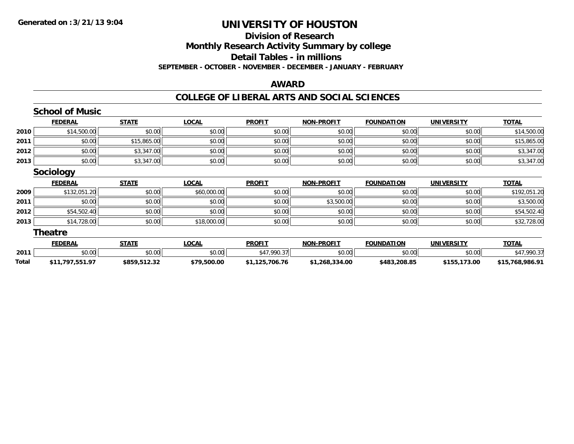### **Division of Research Monthly Research Activity Summary by college Detail Tables - in millions SEPTEMBER - OCTOBER - NOVEMBER - DECEMBER - JANUARY - FEBRUARY**

#### **AWARD**

#### **COLLEGE OF LIBERAL ARTS AND SOCIAL SCIENCES**

|       | <b>School of Music</b> |              |              |                |                   |                   |                   |                 |
|-------|------------------------|--------------|--------------|----------------|-------------------|-------------------|-------------------|-----------------|
|       | <b>FEDERAL</b>         | <b>STATE</b> | <b>LOCAL</b> | <b>PROFIT</b>  | <b>NON-PROFIT</b> | <b>FOUNDATION</b> | <b>UNIVERSITY</b> | <b>TOTAL</b>    |
| 2010  | \$14,500.00            | \$0.00       | \$0.00       | \$0.00         | \$0.00            | \$0.00            | \$0.00            | \$14,500.00     |
| 2011  | \$0.00                 | \$15,865.00  | \$0.00       | \$0.00         | \$0.00            | \$0.00            | \$0.00            | \$15,865.00     |
| 2012  | \$0.00                 | \$3,347.00   | \$0.00       | \$0.00         | \$0.00            | \$0.00            | \$0.00            | \$3,347.00      |
| 2013  | \$0.00                 | \$3,347.00   | \$0.00       | \$0.00         | \$0.00            | \$0.00            | \$0.00            | \$3,347.00      |
|       | <b>Sociology</b>       |              |              |                |                   |                   |                   |                 |
|       | <b>FEDERAL</b>         | <b>STATE</b> | <b>LOCAL</b> | <b>PROFIT</b>  | <b>NON-PROFIT</b> | <b>FOUNDATION</b> | <b>UNIVERSITY</b> | <b>TOTAL</b>    |
| 2009  | \$132,051.20           | \$0.00       | \$60,000.00  | \$0.00         | \$0.00            | \$0.00            | \$0.00            | \$192,051.20    |
| 2011  | \$0.00                 | \$0.00       | \$0.00       | \$0.00         | \$3,500.00        | \$0.00            | \$0.00            | \$3,500.00      |
| 2012  | \$54,502.40            | \$0.00       | \$0.00       | \$0.00         | \$0.00            | \$0.00            | \$0.00            | \$54,502.40     |
| 2013  | \$14,728.00            | \$0.00       | \$18,000.00  | \$0.00         | \$0.00            | \$0.00            | \$0.00            | \$32,728.00     |
|       | <b>Theatre</b>         |              |              |                |                   |                   |                   |                 |
|       | <b>FEDERAL</b>         | <b>STATE</b> | <b>LOCAL</b> | <b>PROFIT</b>  | <b>NON-PROFIT</b> | <b>FOUNDATION</b> | <b>UNIVERSITY</b> | <b>TOTAL</b>    |
| 2011  | \$0.00                 | \$0.00       | \$0.00       | \$47,990.37    | \$0.00            | \$0.00            | \$0.00            | \$47,990.37     |
| Total | \$11,797,551.97        | \$859,512.32 | \$79,500.00  | \$1,125,706.76 | \$1,268,334.00    | \$483,208.85      | \$155,173.00      | \$15,768,986.91 |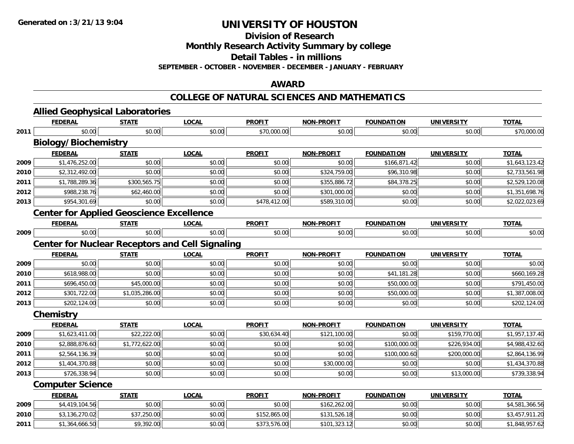**Division of Research**

**Monthly Research Activity Summary by college**

**Detail Tables - in millions**

**SEPTEMBER - OCTOBER - NOVEMBER - DECEMBER - JANUARY - FEBRUARY**

### **AWARD**

#### **COLLEGE OF NATURAL SCIENCES AND MATHEMATICS**

|      | <b>Allied Geophysical Laboratories</b>                 |                |              |               |                   |                   |                   |                |
|------|--------------------------------------------------------|----------------|--------------|---------------|-------------------|-------------------|-------------------|----------------|
|      | <b>FEDERAL</b>                                         | <b>STATE</b>   | <b>LOCAL</b> | <b>PROFIT</b> | <b>NON-PROFIT</b> | <b>FOUNDATION</b> | <b>UNIVERSITY</b> | <b>TOTAL</b>   |
| 2011 | \$0.00                                                 | \$0.00         | \$0.00       | \$70,000.00   | \$0.00            | \$0.00            | \$0.00            | \$70,000.00    |
|      | <b>Biology/Biochemistry</b>                            |                |              |               |                   |                   |                   |                |
|      | <b>FEDERAL</b>                                         | <b>STATE</b>   | <b>LOCAL</b> | <b>PROFIT</b> | <b>NON-PROFIT</b> | <b>FOUNDATION</b> | <b>UNIVERSITY</b> | <b>TOTAL</b>   |
| 2009 | \$1,476,252.00                                         | \$0.00         | \$0.00       | \$0.00        | \$0.00            | \$166,871.42      | \$0.00            | \$1,643,123.42 |
| 2010 | \$2,312,492.00                                         | \$0.00         | \$0.00       | \$0.00        | \$324,759.00      | \$96,310.98       | \$0.00            | \$2,733,561.98 |
| 2011 | \$1,788,289.36                                         | \$300,565.75   | \$0.00       | \$0.00        | \$355,886.72      | \$84,378.25       | \$0.00            | \$2,529,120.08 |
| 2012 | \$988,238.76                                           | \$62,460.00    | \$0.00       | \$0.00        | \$301,000.00      | \$0.00            | \$0.00            | \$1,351,698.76 |
| 2013 | \$954,301.69                                           | \$0.00         | \$0.00       | \$478,412.00  | \$589,310.00      | \$0.00            | \$0.00            | \$2,022,023.69 |
|      | <b>Center for Applied Geoscience Excellence</b>        |                |              |               |                   |                   |                   |                |
|      | <b>FEDERAL</b>                                         | <b>STATE</b>   | <b>LOCAL</b> | <b>PROFIT</b> | <b>NON-PROFIT</b> | <b>FOUNDATION</b> | <b>UNIVERSITY</b> | <b>TOTAL</b>   |
| 2009 | \$0.00                                                 | \$0.00         | \$0.00       | \$0.00        | \$0.00            | \$0.00            | \$0.00            | \$0.00         |
|      | <b>Center for Nuclear Receptors and Cell Signaling</b> |                |              |               |                   |                   |                   |                |
|      | <b>FEDERAL</b>                                         | <b>STATE</b>   | <b>LOCAL</b> | <b>PROFIT</b> | <b>NON-PROFIT</b> | <b>FOUNDATION</b> | <b>UNIVERSITY</b> | <b>TOTAL</b>   |
| 2009 | \$0.00                                                 | \$0.00         | \$0.00       | \$0.00        | \$0.00            | \$0.00            | \$0.00            | \$0.00         |
| 2010 | \$618,988.00                                           | \$0.00         | \$0.00       | \$0.00        | \$0.00            | \$41,181.28       | \$0.00            | \$660,169.28   |
| 2011 | \$696,450.00                                           | \$45,000.00    | \$0.00       | \$0.00        | \$0.00            | \$50,000.00       | \$0.00            | \$791,450.00   |
| 2012 | \$301,722.00                                           | \$1,035,286.00 | \$0.00       | \$0.00        | \$0.00            | \$50,000.00       | \$0.00            | \$1,387,008.00 |
| 2013 | \$202,124.00                                           | \$0.00         | \$0.00       | \$0.00        | \$0.00            | \$0.00            | \$0.00            | \$202,124.00   |
|      | Chemistry                                              |                |              |               |                   |                   |                   |                |
|      | <b>FEDERAL</b>                                         | <b>STATE</b>   | <b>LOCAL</b> | <b>PROFIT</b> | <b>NON-PROFIT</b> | <b>FOUNDATION</b> | <b>UNIVERSITY</b> | <b>TOTAL</b>   |
| 2009 | \$1,623,411.00                                         | \$22,222.00    | \$0.00       | \$30,634.40   | \$121,100.00      | \$0.00            | \$159,770.00      | \$1,957,137.40 |
| 2010 | \$2,888,876.60                                         | \$1,772,622.00 | \$0.00       | \$0.00        | \$0.00            | \$100,000.00      | \$226,934.00      | \$4,988,432.60 |
| 2011 | \$2,564,136.39                                         | \$0.00         | \$0.00       | \$0.00        | \$0.00            | \$100,000.60      | \$200,000.00      | \$2,864,136.99 |
| 2012 | \$1,404,370.88                                         | \$0.00         | \$0.00       | \$0.00        | \$30,000.00       | \$0.00            | \$0.00            | \$1,434,370.88 |
| 2013 | \$726,338.94                                           | \$0.00         | \$0.00       | \$0.00        | \$0.00            | \$0.00            | \$13,000.00       | \$739,338.94   |
|      | <b>Computer Science</b>                                |                |              |               |                   |                   |                   |                |
|      | <b>FEDERAL</b>                                         | <b>STATE</b>   | <b>LOCAL</b> | <b>PROFIT</b> | <b>NON-PROFIT</b> | <b>FOUNDATION</b> | <b>UNIVERSITY</b> | <b>TOTAL</b>   |
| 2009 | \$4,419,104.56                                         | \$0.00         | \$0.00       | \$0.00        | \$162,262.00      | \$0.00            | \$0.00            | \$4,581,366.56 |
| 2010 | \$3,136,270.02                                         | \$37,250.00    | \$0.00       | \$152,865.00  | \$131,526.18      | \$0.00            | \$0.00            | \$3,457,911.20 |
| 2011 | \$1,364,666.50                                         | \$9,392.00     | \$0.00       | \$373,576.00  | \$101,323.12      | \$0.00            | \$0.00            | \$1,848,957.62 |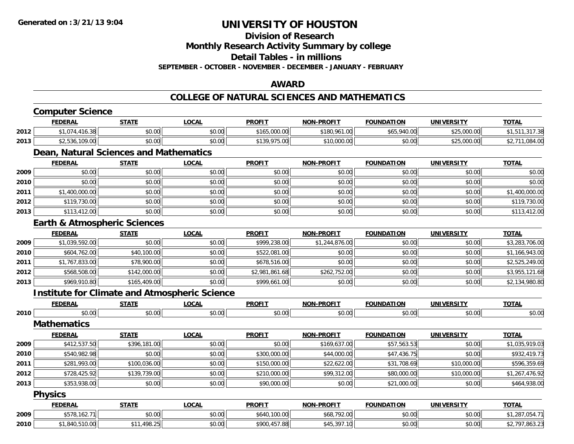**Division of Research**

**Monthly Research Activity Summary by college**

**Detail Tables - in millions**

**SEPTEMBER - OCTOBER - NOVEMBER - DECEMBER - JANUARY - FEBRUARY**

### **AWARD**

#### **COLLEGE OF NATURAL SCIENCES AND MATHEMATICS**

|      | <b>Computer Science</b>                              |              |              |                |                   |                   |                   |                |
|------|------------------------------------------------------|--------------|--------------|----------------|-------------------|-------------------|-------------------|----------------|
|      | <b>FEDERAL</b>                                       | <b>STATE</b> | <b>LOCAL</b> | <b>PROFIT</b>  | <b>NON-PROFIT</b> | <b>FOUNDATION</b> | <b>UNIVERSITY</b> | <b>TOTAL</b>   |
| 2012 | \$1,074,416.38                                       | \$0.00       | \$0.00       | \$165,000.00   | \$180,961.00      | \$65,940.00       | \$25,000.00       | \$1,511,317.38 |
| 2013 | \$2,536,109.00                                       | \$0.00       | \$0.00       | \$139,975.00   | \$10,000.00       | \$0.00            | \$25,000.00       | \$2,711,084.00 |
|      | Dean, Natural Sciences and Mathematics               |              |              |                |                   |                   |                   |                |
|      | <b>FEDERAL</b>                                       | <b>STATE</b> | <b>LOCAL</b> | <b>PROFIT</b>  | <b>NON-PROFIT</b> | <b>FOUNDATION</b> | <b>UNIVERSITY</b> | <b>TOTAL</b>   |
| 2009 | \$0.00                                               | \$0.00       | \$0.00       | \$0.00         | \$0.00            | \$0.00            | \$0.00            | \$0.00         |
| 2010 | \$0.00                                               | \$0.00       | \$0.00       | \$0.00         | \$0.00            | \$0.00            | \$0.00            | \$0.00         |
| 2011 | \$1,400,000.00                                       | \$0.00       | \$0.00       | \$0.00         | \$0.00            | \$0.00            | \$0.00            | \$1,400,000.00 |
| 2012 | \$119,730.00                                         | \$0.00       | \$0.00       | \$0.00         | \$0.00            | \$0.00            | \$0.00            | \$119,730.00   |
| 2013 | \$113,412.00                                         | \$0.00       | \$0.00       | \$0.00         | \$0.00            | \$0.00            | \$0.00            | \$113,412.00   |
|      | <b>Earth &amp; Atmospheric Sciences</b>              |              |              |                |                   |                   |                   |                |
|      | <b>FEDERAL</b>                                       | <b>STATE</b> | <b>LOCAL</b> | <b>PROFIT</b>  | <b>NON-PROFIT</b> | <b>FOUNDATION</b> | <b>UNIVERSITY</b> | <b>TOTAL</b>   |
| 2009 | \$1,039,592.00                                       | \$0.00       | \$0.00       | \$999,238.00   | \$1,244,876.00    | \$0.00            | \$0.00            | \$3,283,706.00 |
| 2010 | \$604,762.00                                         | \$40,100.00  | \$0.00       | \$522,081.00   | \$0.00            | \$0.00            | \$0.00            | \$1,166,943.00 |
| 2011 | \$1,767,833.00                                       | \$78,900.00  | \$0.00       | \$678,516.00   | \$0.00            | \$0.00            | \$0.00            | \$2,525,249.00 |
| 2012 | \$568,508.00                                         | \$142,000.00 | \$0.00       | \$2,981,861.68 | \$262,752.00      | \$0.00            | \$0.00            | \$3,955,121.68 |
| 2013 | \$969,910.80                                         | \$165,409.00 | \$0.00       | \$999,661.00   | \$0.00            | \$0.00            | \$0.00            | \$2,134,980.80 |
|      | <b>Institute for Climate and Atmospheric Science</b> |              |              |                |                   |                   |                   |                |
|      | <b>FEDERAL</b>                                       | <b>STATE</b> | <b>LOCAL</b> | <b>PROFIT</b>  | <b>NON-PROFIT</b> | <b>FOUNDATION</b> | <b>UNIVERSITY</b> | <b>TOTAL</b>   |
| 2010 | \$0.00                                               | \$0.00       | \$0.00       | \$0.00         | \$0.00            | \$0.00            | \$0.00            | \$0.00         |
|      | <b>Mathematics</b>                                   |              |              |                |                   |                   |                   |                |
|      | <b>FEDERAL</b>                                       | <b>STATE</b> | <b>LOCAL</b> | <b>PROFIT</b>  | <b>NON-PROFIT</b> | <b>FOUNDATION</b> | <b>UNIVERSITY</b> | <b>TOTAL</b>   |
| 2009 | \$412,537.50                                         | \$396,181.00 | \$0.00       | \$0.00         | \$169,637.00      | \$57,563.53       | \$0.00            | \$1,035,919.03 |
| 2010 | \$540,982.98                                         | \$0.00       | \$0.00       | \$300,000.00   | \$44,000.00       | \$47,436.75       | \$0.00            | \$932,419.73   |
| 2011 | \$281,993.00                                         | \$100,036.00 | \$0.00       | \$150,000.00   | \$22,622.00       | \$31,708.69       | \$10,000.00       | \$596,359.69   |
| 2012 | \$728,425.92                                         | \$139,739.00 | \$0.00       | \$210,000.00   | \$99,312.00       | \$80,000.00       | \$10,000.00       | \$1,267,476.92 |
| 2013 | \$353,938.00                                         | \$0.00       | \$0.00       | \$90,000.00    | \$0.00            | \$21,000.00       | \$0.00            | \$464,938.00   |
|      | <b>Physics</b>                                       |              |              |                |                   |                   |                   |                |
|      | <b>FEDERAL</b>                                       | <b>STATE</b> | <b>LOCAL</b> | <b>PROFIT</b>  | <b>NON-PROFIT</b> | <b>FOUNDATION</b> | <b>UNIVERSITY</b> | <b>TOTAL</b>   |
| 2009 | \$578,162.71                                         | \$0.00       | \$0.00       | \$640,100.00   | \$68,792.00       | \$0.00            | \$0.00            | \$1,287,054.71 |
| 2010 | \$1,840,510.00                                       | \$11,498.25  | \$0.00       | \$900,457.88   | \$45,397.10       | \$0.00            | \$0.00            | \$2,797,863.23 |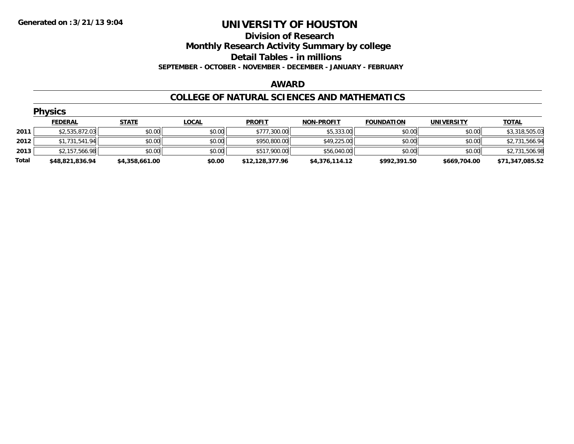#### **Division of Research Monthly Research Activity Summary by college Detail Tables - in millions SEPTEMBER - OCTOBER - NOVEMBER - DECEMBER - JANUARY - FEBRUARY**

#### **AWARD**

#### **COLLEGE OF NATURAL SCIENCES AND MATHEMATICS**

|       | <b>Physics</b>  |                |              |                 |                   |                   |                   |                 |  |  |  |  |
|-------|-----------------|----------------|--------------|-----------------|-------------------|-------------------|-------------------|-----------------|--|--|--|--|
|       | <b>FEDERAL</b>  | <b>STATE</b>   | <u>LOCAL</u> | <b>PROFIT</b>   | <b>NON-PROFIT</b> | <b>FOUNDATION</b> | <b>UNIVERSITY</b> | <b>TOTAL</b>    |  |  |  |  |
| 2011  | \$2,535,872.03  | \$0.00         | \$0.00       | \$777,300.00    | \$5,333.00        | \$0.00            | \$0.00            | \$3,318,505.03  |  |  |  |  |
| 2012  | \$1,731,541.94  | \$0.00         | \$0.00       | \$950,800.00    | \$49,225.00       | \$0.00            | \$0.00            | \$2,731,566.94  |  |  |  |  |
| 2013  | \$2,157,566.98  | \$0.00         | \$0.00       | \$517,900.00    | \$56,040.00       | \$0.00            | \$0.00            | \$2,731,506.98  |  |  |  |  |
| Total | \$48,821,836.94 | \$4,358,661.00 | \$0.00       | \$12,128,377.96 | \$4,376,114.12    | \$992,391.50      | \$669,704.00      | \$71,347,085.52 |  |  |  |  |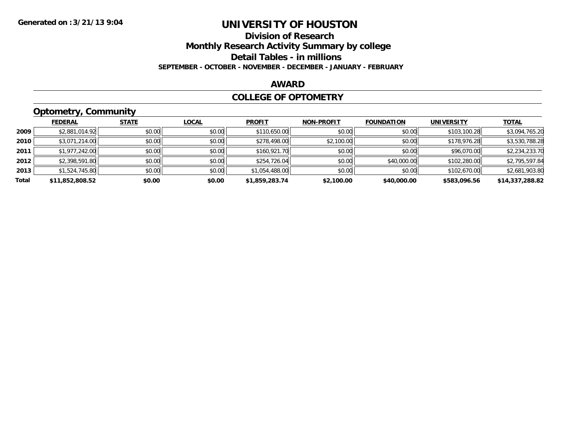# **Division of Research**

**Monthly Research Activity Summary by college**

**Detail Tables - in millions**

**SEPTEMBER - OCTOBER - NOVEMBER - DECEMBER - JANUARY - FEBRUARY**

#### **AWARD**

#### **COLLEGE OF OPTOMETRY**

### **Optometry, Community**

|       | .               |              |              |                |                   |                   |                   |                 |
|-------|-----------------|--------------|--------------|----------------|-------------------|-------------------|-------------------|-----------------|
|       | <b>FEDERAL</b>  | <b>STATE</b> | <b>LOCAL</b> | <b>PROFIT</b>  | <b>NON-PROFIT</b> | <b>FOUNDATION</b> | <b>UNIVERSITY</b> | <b>TOTAL</b>    |
| 2009  | \$2,881,014.92  | \$0.00       | \$0.00       | \$110,650.00   | \$0.00            | \$0.00            | \$103,100.28      | \$3,094,765.20  |
| 2010  | \$3,071,214.00  | \$0.00       | \$0.00       | \$278,498.00   | \$2,100.00        | \$0.00            | \$178,976.28      | \$3,530,788.28  |
| 2011  | \$1,977,242.00  | \$0.00       | \$0.00       | \$160,921.70   | \$0.00            | \$0.00            | \$96,070.00       | \$2,234,233.70  |
| 2012  | \$2,398,591.80  | \$0.00       | \$0.00       | \$254,726.04   | \$0.00            | \$40,000.00       | \$102,280.00      | \$2,795,597.84  |
| 2013  | \$1,524,745.80  | \$0.00       | \$0.00       | \$1,054,488.00 | \$0.00            | \$0.00            | \$102,670.00      | \$2,681,903.80  |
| Total | \$11,852,808.52 | \$0.00       | \$0.00       | \$1,859,283.74 | \$2,100.00        | \$40,000.00       | \$583,096.56      | \$14,337,288.82 |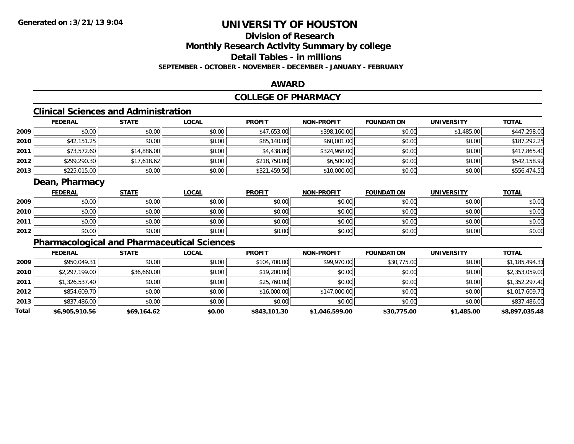# **Division of Research**

**Monthly Research Activity Summary by college**

**Detail Tables - in millions**

**SEPTEMBER - OCTOBER - NOVEMBER - DECEMBER - JANUARY - FEBRUARY**

### **AWARD**

### **COLLEGE OF PHARMACY**

### **Clinical Sciences and Administration**

|      | <b>FEDERAL</b> | <u>STATE</u> | <b>LOCAL</b> | <b>PROFIT</b> | <b>NON-PROFIT</b> | <b>FOUNDATION</b> | <b>UNIVERSITY</b> | <b>TOTAL</b> |
|------|----------------|--------------|--------------|---------------|-------------------|-------------------|-------------------|--------------|
| 2009 | \$0.00         | \$0.00       | \$0.00       | \$47,653.00   | \$398,160.00      | \$0.00            | \$1,485.00        | \$447,298.00 |
| 2010 | \$42,151.25    | \$0.00       | \$0.00       | \$85,140.00   | \$60,001.00       | \$0.00            | \$0.00            | \$187,292.25 |
| 2011 | \$73,572.60    | \$14,886.00  | \$0.00       | \$4,438.80    | \$324,968.00      | \$0.00            | \$0.00            | \$417,865.40 |
| 2012 | \$299,290.30   | \$17,618.62  | \$0.00       | \$218,750.00  | \$6,500.00        | \$0.00            | \$0.00            | \$542,158.92 |
| 2013 | \$225,015.00   | \$0.00       | \$0.00       | \$321,459.50  | \$10,000.00       | \$0.00            | \$0.00            | \$556,474.50 |

### **Dean, Pharmacy**

|      | <b>FEDERAL</b> | <b>STATE</b> | <u>LOCAL</u> | <b>PROFIT</b> | <b>NON-PROFIT</b> | <b>FOUNDATION</b> | UNIVERSITY | <b>TOTAL</b> |
|------|----------------|--------------|--------------|---------------|-------------------|-------------------|------------|--------------|
| 2009 | \$0.00         | \$0.00       | \$0.00       | \$0.00        | \$0.00            | \$0.00            | \$0.00     | \$0.00       |
| 2010 | \$0.00         | \$0.00       | \$0.00       | \$0.00        | \$0.00            | \$0.00            | \$0.00     | \$0.00       |
| 2011 | \$0.00         | \$0.00       | \$0.00       | \$0.00        | \$0.00            | \$0.00            | \$0.00     | \$0.00       |
| 2012 | \$0.00         | \$0.00       | \$0.00       | \$0.00        | \$0.00            | \$0.00            | \$0.00     | \$0.00       |

### **Pharmacological and Pharmaceutical Sciences**

|       | <b>FEDERAL</b> | <b>STATE</b> | <b>LOCAL</b> | <b>PROFIT</b> | <b>NON-PROFIT</b> | <b>FOUNDATION</b> | <b>UNIVERSITY</b> | <u>TOTAL</u>   |
|-------|----------------|--------------|--------------|---------------|-------------------|-------------------|-------------------|----------------|
| 2009  | \$950,049.31   | \$0.00       | \$0.00       | \$104,700.00  | \$99,970.00       | \$30,775.00       | \$0.00            | \$1,185,494.31 |
| 2010  | \$2,297,199.00 | \$36,660.00  | \$0.00       | \$19,200.00   | \$0.00            | \$0.00            | \$0.00            | \$2,353,059.00 |
| 2011  | \$1,326,537.40 | \$0.00       | \$0.00       | \$25,760.00   | \$0.00            | \$0.00            | \$0.00            | \$1,352,297.40 |
| 2012  | \$854,609.70   | \$0.00       | \$0.00       | \$16,000.00   | \$147,000.00      | \$0.00            | \$0.00            | \$1,017,609.70 |
| 2013  | \$837,486.00   | \$0.00       | \$0.00       | \$0.00        | \$0.00            | \$0.00            | \$0.00            | \$837,486.00   |
| Total | \$6,905,910.56 | \$69,164.62  | \$0.00       | \$843,101.30  | \$1,046,599.00    | \$30,775.00       | \$1,485.00        | \$8,897,035.48 |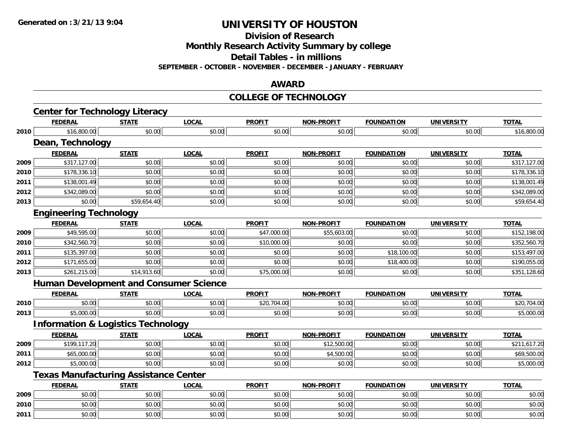**Division of Research**

**Monthly Research Activity Summary by college**

**Detail Tables - in millions**

**SEPTEMBER - OCTOBER - NOVEMBER - DECEMBER - JANUARY - FEBRUARY**

### **AWARD**

#### **COLLEGE OF TECHNOLOGY**

|      | <b>Center for Technology Literacy</b>         |              |              |               |                   |                   |                   |              |
|------|-----------------------------------------------|--------------|--------------|---------------|-------------------|-------------------|-------------------|--------------|
|      | <b>FEDERAL</b>                                | <b>STATE</b> | <b>LOCAL</b> | <b>PROFIT</b> | <b>NON-PROFIT</b> | <b>FOUNDATION</b> | <b>UNIVERSITY</b> | <b>TOTAL</b> |
| 2010 | \$16,800.00                                   | \$0.00       | \$0.00       | \$0.00        | \$0.00            | \$0.00            | \$0.00            | \$16,800.00  |
|      | Dean, Technology                              |              |              |               |                   |                   |                   |              |
|      | <b>FEDERAL</b>                                | <b>STATE</b> | <b>LOCAL</b> | <b>PROFIT</b> | <b>NON-PROFIT</b> | <b>FOUNDATION</b> | <b>UNIVERSITY</b> | <b>TOTAL</b> |
| 2009 | \$317,127.00                                  | \$0.00       | \$0.00       | \$0.00        | \$0.00            | \$0.00            | \$0.00            | \$317,127.00 |
| 2010 | \$178,336.10                                  | \$0.00       | \$0.00       | \$0.00        | \$0.00            | \$0.00            | \$0.00            | \$178,336.10 |
| 2011 | \$138,001.49                                  | \$0.00       | \$0.00       | \$0.00        | \$0.00            | \$0.00            | \$0.00            | \$138,001.49 |
| 2012 | \$342,089.00                                  | \$0.00       | \$0.00       | \$0.00        | \$0.00            | \$0.00            | \$0.00            | \$342,089.00 |
| 2013 | \$0.00                                        | \$59,654.40  | \$0.00       | \$0.00        | \$0.00            | \$0.00            | \$0.00            | \$59,654.40  |
|      | <b>Engineering Technology</b>                 |              |              |               |                   |                   |                   |              |
|      | <b>FEDERAL</b>                                | <b>STATE</b> | <b>LOCAL</b> | <b>PROFIT</b> | <b>NON-PROFIT</b> | <b>FOUNDATION</b> | <b>UNIVERSITY</b> | <b>TOTAL</b> |
| 2009 | \$49,595.00                                   | \$0.00       | \$0.00       | \$47,000.00   | \$55,603.00       | \$0.00            | \$0.00            | \$152,198.00 |
| 2010 | \$342,560.70                                  | \$0.00       | \$0.00       | \$10,000.00   | \$0.00            | \$0.00            | \$0.00            | \$352,560.70 |
| 2011 | \$135,397.00                                  | \$0.00       | \$0.00       | \$0.00        | \$0.00            | \$18,100.00       | \$0.00            | \$153,497.00 |
| 2012 | \$171,655.00                                  | \$0.00       | \$0.00       | \$0.00        | \$0.00            | \$18,400.00       | \$0.00            | \$190,055.00 |
| 2013 | \$261,215.00                                  | \$14,913.60  | \$0.00       | \$75,000.00   | \$0.00            | \$0.00            | \$0.00            | \$351,128.60 |
|      | <b>Human Development and Consumer Science</b> |              |              |               |                   |                   |                   |              |
|      | <b>FEDERAL</b>                                | <b>STATE</b> | <b>LOCAL</b> | <b>PROFIT</b> | <b>NON-PROFIT</b> | <b>FOUNDATION</b> | <b>UNIVERSITY</b> | <b>TOTAL</b> |
| 2010 | \$0.00                                        | \$0.00       | \$0.00       | \$20,704.00   | \$0.00            | \$0.00            | \$0.00            | \$20,704.00  |
| 2013 | \$5,000.00                                    | \$0.00       | \$0.00       | \$0.00        | \$0.00            | \$0.00            | \$0.00            | \$5,000.00   |
|      | <b>Information &amp; Logistics Technology</b> |              |              |               |                   |                   |                   |              |
|      | <b>FEDERAL</b>                                | <b>STATE</b> | <b>LOCAL</b> | <b>PROFIT</b> | <b>NON-PROFIT</b> | <b>FOUNDATION</b> | <b>UNIVERSITY</b> | <b>TOTAL</b> |
| 2009 | \$199,117.20                                  | \$0.00       | \$0.00       | \$0.00        | \$12,500.00       | \$0.00            | \$0.00            | \$211,617.20 |
| 2011 | \$65,000.00                                   | \$0.00       | \$0.00       | \$0.00        | \$4,500.00        | \$0.00            | \$0.00            | \$69,500.00  |
| 2012 | \$5,000.00                                    | \$0.00       | \$0.00       | \$0.00        | \$0.00            | \$0.00            | \$0.00            | \$5,000.00   |
|      | <b>Texas Manufacturing Assistance Center</b>  |              |              |               |                   |                   |                   |              |
|      | <b>FEDERAL</b>                                | <b>STATE</b> | <b>LOCAL</b> | <b>PROFIT</b> | <b>NON-PROFIT</b> | <b>FOUNDATION</b> | <b>UNIVERSITY</b> | <b>TOTAL</b> |
| 2009 | \$0.00                                        | \$0.00       | \$0.00       | \$0.00        | \$0.00            | \$0.00            | \$0.00            | \$0.00       |
| 2010 | \$0.00                                        | \$0.00       | \$0.00       | \$0.00        | \$0.00            | \$0.00            | \$0.00            | \$0.00       |
| 2011 | \$0.00                                        | \$0.00       | \$0.00       | \$0.00        | \$0.00            | \$0.00            | \$0.00            | \$0.00       |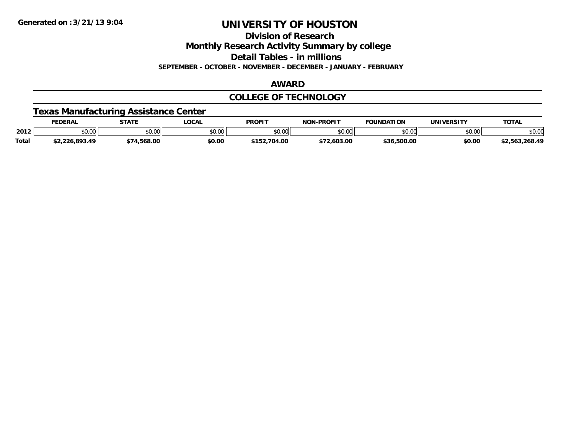**Division of Research**

**Monthly Research Activity Summary by college**

**Detail Tables - in millions**

**SEPTEMBER - OCTOBER - NOVEMBER - DECEMBER - JANUARY - FEBRUARY**

#### **AWARD**

### **COLLEGE OF TECHNOLOGY**

### **Texas Manufacturing Assistance Center**

|              | <b>FEDERAL</b> | <b>STATE</b> | LOCAL                | <b>PROFIT</b>  | <b>LPROFIT</b><br>NON | <b>FOUNDATION</b> | UNIVERSITY | <b>TOTAL</b>   |
|--------------|----------------|--------------|----------------------|----------------|-----------------------|-------------------|------------|----------------|
| 2012         | JU.UU          | \$0.00       | 0000<br><b>SU.UU</b> | ልስ ሰሰ<br>JU.UU | \$0.00                | \$0.00            | \$0.00     | \$0.00         |
| <b>Total</b> | \$2,226,893.49 | .568.00      | \$0.00               | \$152,704.00   | \$72,603.00           | ,500.00<br>\$36.  | \$0.00     | \$2.563.268.49 |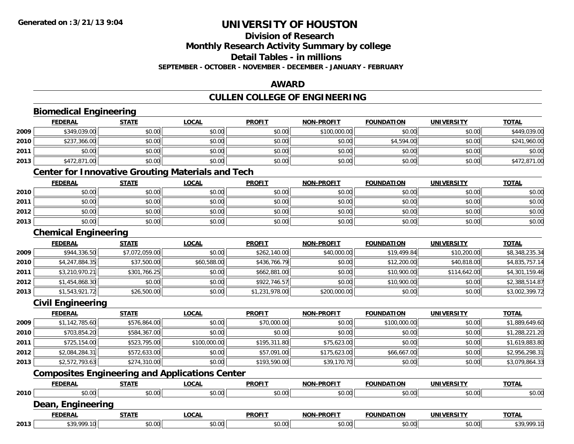# **Division of Research**

**Monthly Research Activity Summary by college**

**Detail Tables - in millions**

**SEPTEMBER - OCTOBER - NOVEMBER - DECEMBER - JANUARY - FEBRUARY**

### **AWARD**

### **CULLEN COLLEGE OF ENGINEERING**

|      | <b>Biomedical Engineering</b>                            |                |              |                |                   |                   |                   |                |
|------|----------------------------------------------------------|----------------|--------------|----------------|-------------------|-------------------|-------------------|----------------|
|      | <b>FEDERAL</b>                                           | <b>STATE</b>   | <b>LOCAL</b> | <b>PROFIT</b>  | <b>NON-PROFIT</b> | <b>FOUNDATION</b> | <b>UNIVERSITY</b> | <b>TOTAL</b>   |
| 2009 | \$349,039.00                                             | \$0.00         | \$0.00       | \$0.00         | \$100,000.00      | \$0.00            | \$0.00            | \$449,039.00   |
| 2010 | \$237,366.00                                             | \$0.00         | \$0.00       | \$0.00         | \$0.00            | \$4,594.00        | \$0.00            | \$241,960.00   |
| 2011 | \$0.00                                                   | \$0.00         | \$0.00       | \$0.00         | \$0.00            | \$0.00            | \$0.00            | \$0.00         |
| 2013 | \$472,871.00                                             | \$0.00         | \$0.00       | \$0.00         | \$0.00            | \$0.00            | \$0.00            | \$472,871.00   |
|      | <b>Center for Innovative Grouting Materials and Tech</b> |                |              |                |                   |                   |                   |                |
|      | <b>FEDERAL</b>                                           | <b>STATE</b>   | <b>LOCAL</b> | <b>PROFIT</b>  | <b>NON-PROFIT</b> | <b>FOUNDATION</b> | <b>UNIVERSITY</b> | <b>TOTAL</b>   |
| 2010 | \$0.00                                                   | \$0.00         | \$0.00       | \$0.00         | \$0.00            | \$0.00            | \$0.00            | \$0.00         |
| 2011 | \$0.00                                                   | \$0.00         | \$0.00       | \$0.00         | \$0.00            | \$0.00            | \$0.00            | \$0.00         |
| 2012 | \$0.00                                                   | \$0.00         | \$0.00       | \$0.00         | \$0.00            | \$0.00            | \$0.00            | \$0.00         |
| 2013 | \$0.00                                                   | \$0.00         | \$0.00       | \$0.00         | \$0.00            | \$0.00            | \$0.00            | \$0.00         |
|      | <b>Chemical Engineering</b>                              |                |              |                |                   |                   |                   |                |
|      | <b>FEDERAL</b>                                           | <b>STATE</b>   | <b>LOCAL</b> | <b>PROFIT</b>  | <b>NON-PROFIT</b> | <b>FOUNDATION</b> | <b>UNIVERSITY</b> | <b>TOTAL</b>   |
| 2009 | \$944,336.50                                             | \$7,072,059.00 | \$0.00       | \$262,140.00   | \$40,000.00       | \$19,499.84       | \$10,200.00       | \$8,348,235.34 |
| 2010 | \$4,247,884.35                                           | \$37,500.00    | \$60,588.00  | \$436,766.79   | \$0.00            | \$12,200.00       | \$40,818.00       | \$4,835,757.14 |
| 2011 | \$3,210,970.21                                           | \$301,766.25   | \$0.00       | \$662,881.00   | \$0.00            | \$10,900.00       | \$114,642.00      | \$4,301,159.46 |
| 2012 | \$1,454,868.30                                           | \$0.00         | \$0.00       | \$922,746.57   | \$0.00            | \$10,900.00       | \$0.00            | \$2,388,514.87 |
| 2013 | \$1,543,921.72                                           | \$26,500.00    | \$0.00       | \$1,231,978.00 | \$200,000.00      | \$0.00            | \$0.00            | \$3,002,399.72 |
|      | <b>Civil Engineering</b>                                 |                |              |                |                   |                   |                   |                |
|      | <b>FEDERAL</b>                                           | <b>STATE</b>   | <b>LOCAL</b> | <b>PROFIT</b>  | <b>NON-PROFIT</b> | <b>FOUNDATION</b> | <b>UNIVERSITY</b> | <b>TOTAL</b>   |
| 2009 | \$1,142,785.60                                           | \$576,864.00   | \$0.00       | \$70,000.00    | \$0.00            | \$100,000.00      | \$0.00            | \$1,889,649.60 |
| 2010 | \$703,854.20                                             | \$584,367.00   | \$0.00       | \$0.00         | \$0.00            | \$0.00            | \$0.00            | \$1,288,221.20 |
| 2011 | \$725,154.00                                             | \$523,795.00   | \$100,000.00 | \$195,311.80   | \$75,623.00       | \$0.00            | \$0.00            | \$1,619,883.80 |
| 2012 | \$2,084,284.31                                           | \$572,633.00   | \$0.00       | \$57,091.00    | \$175,623.00      | \$66,667.00       | \$0.00            | \$2,956,298.31 |
| 2013 | \$2,572,793.63                                           | \$274,310.00   | \$0.00       | \$193,590.00   | \$39,170.70       | \$0.00            | \$0.00            | \$3,079,864.33 |
|      | <b>Composites Engineering and Applications Center</b>    |                |              |                |                   |                   |                   |                |
|      | <b>FEDERAL</b>                                           | <b>STATE</b>   | <b>LOCAL</b> | <b>PROFIT</b>  | <b>NON-PROFIT</b> | <b>FOUNDATION</b> | <b>UNIVERSITY</b> | <b>TOTAL</b>   |
| 2010 | \$0.00                                                   | \$0.00         | \$0.00       | \$0.00         | \$0.00            | \$0.00            | \$0.00            | \$0.00         |
|      | Dean, Engineering                                        |                |              |                |                   |                   |                   |                |
|      | <b>FEDERAL</b>                                           | <b>STATE</b>   | <b>LOCAL</b> | <b>PROFIT</b>  | <b>NON-PROFIT</b> | <b>FOUNDATION</b> | <b>UNIVERSITY</b> | <b>TOTAL</b>   |
| 2013 | \$39,999.10                                              | \$0.00         | \$0.00       | \$0.00         | \$0.00            | \$0.00            | \$0.00            | \$39,999.10    |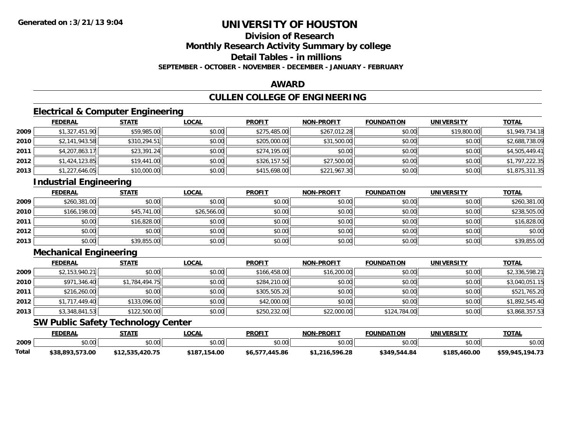# **Division of Research**

**Monthly Research Activity Summary by college**

**Detail Tables - in millions**

**SEPTEMBER - OCTOBER - NOVEMBER - DECEMBER - JANUARY - FEBRUARY**

### **AWARD**

### **CULLEN COLLEGE OF ENGINEERING**

### **Electrical & Computer Engineering**

|      | <b>FEDERAL</b> | <b>STATE</b> | <u>LOCAL</u> | <b>PROFIT</b> | <b>NON-PROFIT</b> | <b>FOUNDATION</b> | <b>UNIVERSITY</b> | <b>TOTAL</b>   |
|------|----------------|--------------|--------------|---------------|-------------------|-------------------|-------------------|----------------|
| 2009 | \$1,327,451.90 | \$59,985.00  | \$0.00       | \$275,485.00  | \$267,012.28      | \$0.00            | \$19,800.00       | \$1,949,734.18 |
| 2010 | \$2,141,943.58 | \$310,294.51 | \$0.00       | \$205,000.00  | \$31,500.00       | \$0.00            | \$0.00            | \$2,688,738.09 |
| 2011 | \$4,207,863.17 | \$23,391.24  | \$0.00       | \$274,195.00  | \$0.00            | \$0.00            | \$0.00            | \$4,505,449.41 |
| 2012 | \$1,424,123.85 | \$19,441.00  | \$0.00       | \$326,157.50  | \$27,500.00       | \$0.00            | \$0.00            | \$1,797,222.35 |
| 2013 | \$1,227,646.05 | \$10,000.00  | \$0.00       | \$415,698.00  | \$221,967.30      | \$0.00            | \$0.00            | \$1,875,311.35 |

### **Industrial Engineering**

|      | <b>FEDERAL</b> | <b>STATE</b> | <u>LOCAL</u> | <b>PROFIT</b> | <b>NON-PROFIT</b> | <b>FOUNDATION</b> | <b>UNIVERSITY</b> | <b>TOTAL</b> |
|------|----------------|--------------|--------------|---------------|-------------------|-------------------|-------------------|--------------|
| 2009 | \$260,381.00   | \$0.00       | \$0.00       | \$0.00        | \$0.00            | \$0.00            | \$0.00            | \$260,381.00 |
| 2010 | \$166,198,00   | \$45,741.00  | \$26,566.00  | \$0.00        | \$0.00            | \$0.00            | \$0.00            | \$238,505.00 |
| 2011 | \$0.00         | \$16,828.00  | \$0.00       | \$0.00        | \$0.00            | \$0.00            | \$0.00            | \$16,828.00  |
| 2012 | \$0.00         | \$0.00       | \$0.00       | \$0.00        | \$0.00            | \$0.00            | \$0.00            | \$0.00       |
| 2013 | \$0.00         | \$39,855.00  | \$0.00       | \$0.00        | \$0.00            | \$0.00            | \$0.00            | \$39,855.00  |

### **Mechanical Engineering**

|      | <b>FEDERAL</b> | <b>STATE</b>   | <u>LOCAL</u> | <b>PROFIT</b> | <b>NON-PROFIT</b> | <b>FOUNDATION</b> | <b>UNIVERSITY</b> | <b>TOTAL</b>   |
|------|----------------|----------------|--------------|---------------|-------------------|-------------------|-------------------|----------------|
| 2009 | \$2,153,940.21 | \$0.00         | \$0.00       | \$166,458.00  | \$16,200.00       | \$0.00            | \$0.00            | \$2,336,598.21 |
| 2010 | \$971,346.40   | \$1,784,494.75 | \$0.00       | \$284,210.00  | \$0.00            | \$0.00            | \$0.00            | \$3,040,051.15 |
| 2011 | \$216,260.00   | \$0.00         | \$0.00       | \$305,505.20  | \$0.00            | \$0.00            | \$0.00            | \$521,765.20   |
| 2012 | \$1,717,449.40 | \$133,096.00   | \$0.00       | \$42,000.00   | \$0.00            | \$0.00            | \$0.00            | \$1,892,545.40 |
| 2013 | \$3,348,841.53 | \$122,500.00   | \$0.00       | \$250,232.00  | \$22,000.00       | \$124,784.00      | \$0.00            | \$3,868,357.53 |

### **SW Public Safety Technology Center**

|       | <b>FEDERAL</b>  | STATE           | <b>OCAL</b>  | <b>PROFIT</b>  | <b>NON-PROFIT</b> | <b>FOUNDATION</b> | UNIVERSITY   | <b>TOTAL</b>    |
|-------|-----------------|-----------------|--------------|----------------|-------------------|-------------------|--------------|-----------------|
| 2009  | ልስ ሰሰ<br>90.UU  | \$0.00          | \$0.00       | \$0.00         | \$0.00            | \$0.00            | \$0.00       | \$0.00          |
| Total | \$38,893,573.00 | .420.75<br>- 25 | \$187,154.00 | \$6,577,445.86 | \$1,216,596.28    | \$349,544.84      | \$185,460.00 | \$59,945,194.73 |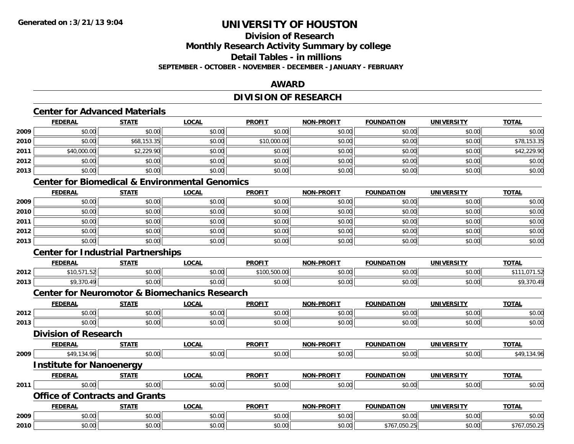### **Division of Research**

**Monthly Research Activity Summary by college**

**Detail Tables - in millions**

**SEPTEMBER - OCTOBER - NOVEMBER - DECEMBER - JANUARY - FEBRUARY**

### **AWARD**

### **DIVISION OF RESEARCH**

#### **Center for Advanced Materials**

|      | <b>FEDERAL</b> | <b>STATE</b> | <b>LOCAL</b> | <b>PROFIT</b> | <b>NON-PROFIT</b> | <b>FOUNDATION</b> | <b>UNIVERSITY</b> | <b>TOTAL</b> |
|------|----------------|--------------|--------------|---------------|-------------------|-------------------|-------------------|--------------|
| 2009 | \$0.00         | \$0.00       | \$0.00       | \$0.00        | \$0.00            | \$0.00            | \$0.00            | \$0.00       |
| 2010 | \$0.00         | \$68,153.35  | \$0.00       | \$10,000.00   | \$0.00            | \$0.00            | \$0.00            | \$78,153.35  |
| 2011 | \$40,000.00    | \$2,229.90   | \$0.00       | \$0.00        | \$0.00            | \$0.00            | \$0.00            | \$42,229.90  |
| 2012 | \$0.00         | \$0.00       | \$0.00       | \$0.00        | \$0.00            | \$0.00            | \$0.00            | \$0.00       |
| 2013 | \$0.00         | \$0.00       | \$0.00       | \$0.00        | \$0.00            | \$0.00            | \$0.00            | \$0.00       |

#### **Center for Biomedical & Environmental Genomics**

|      | <b>FEDERAL</b> | <b>STATE</b> | <u>LOCAL</u> | <b>PROFIT</b> | <b>NON-PROFIT</b> | <b>FOUNDATION</b> | <b>UNIVERSITY</b> | <b>TOTAL</b> |
|------|----------------|--------------|--------------|---------------|-------------------|-------------------|-------------------|--------------|
| 2009 | \$0.00         | \$0.00       | \$0.00       | \$0.00        | \$0.00            | \$0.00            | \$0.00            | \$0.00       |
| 2010 | \$0.00         | \$0.00       | \$0.00       | \$0.00        | \$0.00            | \$0.00            | \$0.00            | \$0.00       |
| 2011 | \$0.00         | \$0.00       | \$0.00       | \$0.00        | \$0.00            | \$0.00            | \$0.00            | \$0.00       |
| 2012 | \$0.00         | \$0.00       | \$0.00       | \$0.00        | \$0.00            | \$0.00            | \$0.00            | \$0.00       |
| 2013 | \$0.00         | \$0.00       | \$0.00       | \$0.00        | \$0.00            | \$0.00            | \$0.00            | \$0.00       |

### **Center for Industrial Partnerships**

|      | <b>FEDERAL</b>       | <b>CTATL</b>       | $\bigcap_{n=1}^{\infty}$<br>.UCAI | <b>PROFIT</b>            | <b>N-PROFIT</b><br><b>BIABL</b> | <b>FOUNDATION</b><br>10N | UNIVERSITY         | <b>TOTA</b>                         |
|------|----------------------|--------------------|-----------------------------------|--------------------------|---------------------------------|--------------------------|--------------------|-------------------------------------|
| 2012 | . .<br>.             | 0000<br>JU.UU      | $\sim$ 00<br>vv.vv                | $\sim$<br>.<br>7.300.00L | \$0.00                          | 0000<br>JU.UU            | nn no<br>pu.uu     | $\sim$<br>.                         |
| 2013 | $\sim$ $\sim$ $\sim$ | <b>↑∩</b><br>JU.UU | 0000<br>vv.vv                     | \$0.00                   | \$0.00                          | 0000<br>JU.UU            | $\sim$ 00<br>vv.vv | <b>↑∩</b><br>$\Lambda$ C<br>47,310. |

#### **Center for Neuromotor & Biomechanics Research**

|      | <b>FEDERAL</b>                  | <b>STATE</b>                          | <b>LOCAL</b> | <b>PROFIT</b> | <b>NON-PROFIT</b> | <b>FOUNDATION</b> | <b>UNIVERSITY</b> | <b>TOTAL</b> |
|------|---------------------------------|---------------------------------------|--------------|---------------|-------------------|-------------------|-------------------|--------------|
| 2012 | \$0.00                          | \$0.00                                | \$0.00       | \$0.00        | \$0.00            | \$0.00            | \$0.00            | \$0.00       |
| 2013 | \$0.00                          | \$0.00                                | \$0.00       | \$0.00        | \$0.00            | \$0.00            | \$0.00            | \$0.00       |
|      | <b>Division of Research</b>     |                                       |              |               |                   |                   |                   |              |
|      | <b>FEDERAL</b>                  | <b>STATE</b>                          | <b>LOCAL</b> | <b>PROFIT</b> | <b>NON-PROFIT</b> | <b>FOUNDATION</b> | <b>UNIVERSITY</b> | <b>TOTAL</b> |
| 2009 | \$49,134.96                     | \$0.00                                | \$0.00       | \$0.00        | \$0.00            | \$0.00            | \$0.00            | \$49,134.96  |
|      | <b>Institute for Nanoenergy</b> |                                       |              |               |                   |                   |                   |              |
|      | <b>FEDERAL</b>                  | <b>STATE</b>                          | <b>LOCAL</b> | <b>PROFIT</b> | <b>NON-PROFIT</b> | <b>FOUNDATION</b> | <b>UNIVERSITY</b> | <b>TOTAL</b> |
| 2011 | \$0.00                          | \$0.00                                | \$0.00       | \$0.00        | \$0.00            | \$0.00            | \$0.00            | \$0.00       |
|      |                                 | <b>Office of Contracts and Grants</b> |              |               |                   |                   |                   |              |
|      | <b>FEDERAL</b>                  | <b>STATE</b>                          | <b>LOCAL</b> | <b>PROFIT</b> | <b>NON-PROFIT</b> | <b>FOUNDATION</b> | <b>UNIVERSITY</b> | <b>TOTAL</b> |
| 2009 | \$0.00                          | \$0.00                                | \$0.00       | \$0.00        | \$0.00            | \$0.00            | \$0.00            | \$0.00       |
| 2010 | \$0.00                          | \$0.00                                | \$0.00       | \$0.00        | \$0.00            | \$767,050.25      | \$0.00            | \$767,050.25 |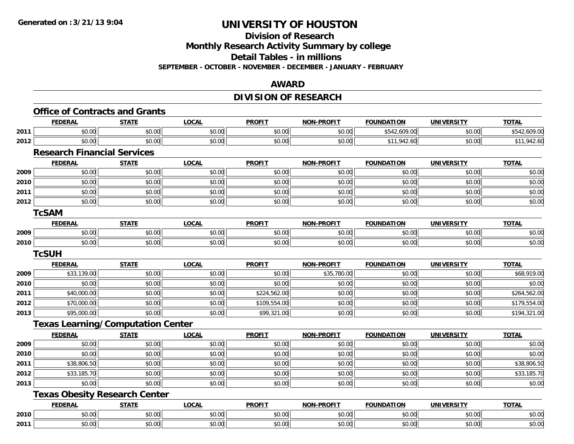**Division of Research**

**Monthly Research Activity Summary by college**

**Detail Tables - in millions**

**SEPTEMBER - OCTOBER - NOVEMBER - DECEMBER - JANUARY - FEBRUARY**

### **AWARD**

### **DIVISION OF RESEARCH**

|      | <b>Office of Contracts and Grants</b>    |              |              |               |                   |                   |                   |              |
|------|------------------------------------------|--------------|--------------|---------------|-------------------|-------------------|-------------------|--------------|
|      | <b>FEDERAL</b>                           | <b>STATE</b> | <b>LOCAL</b> | <b>PROFIT</b> | <b>NON-PROFIT</b> | <b>FOUNDATION</b> | <b>UNIVERSITY</b> | <b>TOTAL</b> |
| 2011 | \$0.00                                   | \$0.00       | \$0.00       | \$0.00        | \$0.00            | \$542,609.00      | \$0.00            | \$542,609.00 |
| 2012 | \$0.00                                   | \$0.00       | \$0.00       | \$0.00        | \$0.00            | \$11,942.60       | \$0.00            | \$11,942.60  |
|      | <b>Research Financial Services</b>       |              |              |               |                   |                   |                   |              |
|      | <b>FEDERAL</b>                           | <b>STATE</b> | <b>LOCAL</b> | <b>PROFIT</b> | <b>NON-PROFIT</b> | <b>FOUNDATION</b> | <b>UNIVERSITY</b> | <b>TOTAL</b> |
| 2009 | \$0.00                                   | \$0.00       | \$0.00       | \$0.00        | \$0.00            | \$0.00            | \$0.00            | \$0.00       |
| 2010 | \$0.00                                   | \$0.00       | \$0.00       | \$0.00        | \$0.00            | \$0.00            | \$0.00            | \$0.00       |
| 2011 | \$0.00                                   | \$0.00       | \$0.00       | \$0.00        | \$0.00            | \$0.00            | \$0.00            | \$0.00       |
| 2012 | \$0.00                                   | \$0.00       | \$0.00       | \$0.00        | \$0.00            | \$0.00            | \$0.00            | \$0.00       |
|      | <b>TcSAM</b>                             |              |              |               |                   |                   |                   |              |
|      | <b>FEDERAL</b>                           | <b>STATE</b> | <b>LOCAL</b> | <b>PROFIT</b> | <b>NON-PROFIT</b> | <b>FOUNDATION</b> | <b>UNIVERSITY</b> | <b>TOTAL</b> |
| 2009 | \$0.00                                   | \$0.00       | \$0.00       | \$0.00        | \$0.00            | \$0.00            | \$0.00            | \$0.00       |
| 2010 | \$0.00                                   | \$0.00       | \$0.00       | \$0.00        | \$0.00            | \$0.00            | \$0.00            | \$0.00       |
|      | <b>TcSUH</b>                             |              |              |               |                   |                   |                   |              |
|      | <b>FEDERAL</b>                           | <b>STATE</b> | <b>LOCAL</b> | <b>PROFIT</b> | <b>NON-PROFIT</b> | <b>FOUNDATION</b> | <b>UNIVERSITY</b> | <b>TOTAL</b> |
| 2009 | \$33,139.00                              | \$0.00       | \$0.00       | \$0.00        | \$35,780.00       | \$0.00            | \$0.00            | \$68,919.00  |
| 2010 | \$0.00                                   | \$0.00       | \$0.00       | \$0.00        | \$0.00            | \$0.00            | \$0.00            | \$0.00       |
| 2011 | \$40,000.00                              | \$0.00       | \$0.00       | \$224,562.00  | \$0.00            | \$0.00            | \$0.00            | \$264,562.00 |
| 2012 | \$70,000.00                              | \$0.00       | \$0.00       | \$109,554.00  | \$0.00            | \$0.00            | \$0.00            | \$179,554.00 |
| 2013 | \$95,000.00                              | \$0.00       | \$0.00       | \$99,321.00   | \$0.00            | \$0.00            | \$0.00            | \$194,321.00 |
|      | <b>Texas Learning/Computation Center</b> |              |              |               |                   |                   |                   |              |
|      | <b>FEDERAL</b>                           | <b>STATE</b> | <b>LOCAL</b> | <b>PROFIT</b> | <b>NON-PROFIT</b> | <b>FOUNDATION</b> | <b>UNIVERSITY</b> | <b>TOTAL</b> |
| 2009 | \$0.00                                   | \$0.00       | \$0.00       | \$0.00        | \$0.00            | \$0.00            | \$0.00            | \$0.00       |
| 2010 | \$0.00                                   | \$0.00       | \$0.00       | \$0.00        | \$0.00            | \$0.00            | \$0.00            | \$0.00       |
| 2011 | \$38,806.50                              | \$0.00       | \$0.00       | \$0.00        | \$0.00            | \$0.00            | \$0.00            | \$38,806.50  |
| 2012 | \$33,185.70                              | \$0.00       | \$0.00       | \$0.00        | \$0.00            | \$0.00            | \$0.00            | \$33,185.70  |
| 2013 | \$0.00                                   | \$0.00       | \$0.00       | \$0.00        | \$0.00            | \$0.00            | \$0.00            | \$0.00       |
|      | <b>Texas Obesity Research Center</b>     |              |              |               |                   |                   |                   |              |
|      | <b>FEDERAL</b>                           | <b>STATE</b> | <b>LOCAL</b> | <b>PROFIT</b> | <b>NON-PROFIT</b> | <b>FOUNDATION</b> | <b>UNIVERSITY</b> | <b>TOTAL</b> |
| 2010 | \$0.00                                   | \$0.00       | \$0.00       | \$0.00        | \$0.00            | \$0.00            | \$0.00            | \$0.00       |
| 2011 | \$0.00                                   | \$0.00       | \$0.00       | \$0.00        | \$0.00            | \$0.00            | \$0.00            | \$0.00       |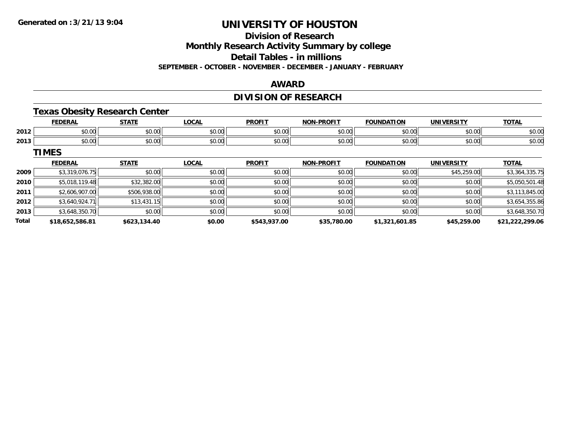**Division of Research**

**Monthly Research Activity Summary by college**

**Detail Tables - in millions**

**SEPTEMBER - OCTOBER - NOVEMBER - DECEMBER - JANUARY - FEBRUARY**

### **AWARD**

### **DIVISION OF RESEARCH**

### **Texas Obesity Research Center**

|      |                     | <b>CTATE</b>       | <b>OCAL</b>                   | <b>PROFIT</b>  | <b>BBAFIT</b><br><b>NICH</b> | ACIL<br>1 U J F   | <b>INIT</b>    | $-0$                   |
|------|---------------------|--------------------|-------------------------------|----------------|------------------------------|-------------------|----------------|------------------------|
| 2012 | $\sim$ 00<br>ູ∾∪.∿⊹ | ტი იი<br>JU.UU     | $n \cap \neg$<br><b>PU.UU</b> | \$0.00         | 0 <sup>0</sup><br>vu.uu      | $\cdots$<br>vv.,  | ሰሰ ሰሰ<br>JU.UU | $\sim$ $\sim$<br>DU.UG |
| 2013 | vv.vv               | $\sim$ 00<br>JU.UU | \$0.00                        | ≮∩ ∩∩<br>JU.UU | $\sim$ 00<br>vu.vu           | $\cdots$<br>JU.UU | ሰሰ ሰሰ<br>vu.vu | $\sim$<br>ง∪.∪บ        |

**TIMES**

|              | <b>FEDERAL</b>  | <b>STATE</b> | <b>LOCAL</b> | <b>PROFIT</b> | <b>NON-PROFIT</b> | <b>FOUNDATION</b> | <b>UNIVERSITY</b> | <b>TOTAL</b>    |
|--------------|-----------------|--------------|--------------|---------------|-------------------|-------------------|-------------------|-----------------|
| 2009         | \$3,319,076.75  | \$0.00       | \$0.00       | \$0.00        | \$0.00            | \$0.00            | \$45,259.00       | \$3,364,335.75  |
| 2010         | \$5,018,119.48  | \$32,382.00  | \$0.00       | \$0.00        | \$0.00            | \$0.00            | \$0.00            | \$5,050,501.48  |
| 2011         | \$2,606,907.00  | \$506,938.00 | \$0.00       | \$0.00        | \$0.00            | \$0.00            | \$0.00            | \$3,113,845.00  |
| 2012         | \$3,640,924.71  | \$13,431.15  | \$0.00       | \$0.00        | \$0.00            | \$0.00            | \$0.00            | \$3,654,355.86  |
| 2013         | \$3,648,350.70  | \$0.00       | \$0.00       | \$0.00        | \$0.00            | \$0.00            | \$0.00            | \$3,648,350.70  |
| <b>Total</b> | \$18,652,586.81 | \$623,134.40 | \$0.00       | \$543,937.00  | \$35,780.00       | \$1,321,601.85    | \$45,259.00       | \$21,222,299.06 |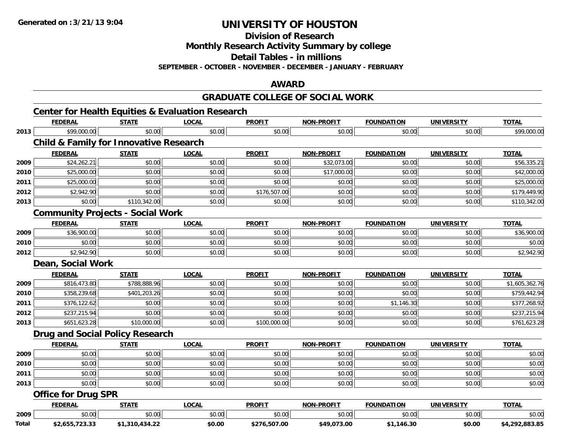**Division of Research**

**Monthly Research Activity Summary by college**

**Detail Tables - in millions**

**SEPTEMBER - OCTOBER - NOVEMBER - DECEMBER - JANUARY - FEBRUARY**

### **AWARD**

#### **GRADUATE COLLEGE OF SOCIAL WORK**

|              | <b>Center for Health Equities &amp; Evaluation Research</b> |              |              |               |                   |                   |                   |                |
|--------------|-------------------------------------------------------------|--------------|--------------|---------------|-------------------|-------------------|-------------------|----------------|
|              | <b>FEDERAL</b>                                              | <b>STATE</b> | <b>LOCAL</b> | <b>PROFIT</b> | <b>NON-PROFIT</b> | <b>FOUNDATION</b> | <b>UNIVERSITY</b> | <b>TOTAL</b>   |
| 2013         | \$99,000.00                                                 | \$0.00       | \$0.00       | \$0.00        | \$0.00            | \$0.00            | \$0.00            | \$99,000.00    |
|              | <b>Child &amp; Family for Innovative Research</b>           |              |              |               |                   |                   |                   |                |
|              | <b>FEDERAL</b>                                              | <b>STATE</b> | <b>LOCAL</b> | <b>PROFIT</b> | <b>NON-PROFIT</b> | <b>FOUNDATION</b> | <b>UNIVERSITY</b> | <b>TOTAL</b>   |
| 2009         | \$24,262.21                                                 | \$0.00       | \$0.00       | \$0.00        | \$32,073.00       | \$0.00            | \$0.00            | \$56,335.21    |
| 2010         | \$25,000.00                                                 | \$0.00       | \$0.00       | \$0.00        | \$17,000.00       | \$0.00            | \$0.00            | \$42,000.00    |
| 2011         | \$25,000.00                                                 | \$0.00       | \$0.00       | \$0.00        | \$0.00            | \$0.00            | \$0.00            | \$25,000.00    |
| 2012         | \$2,942.90                                                  | \$0.00       | \$0.00       | \$176,507.00  | \$0.00            | \$0.00            | \$0.00            | \$179,449.90   |
| 2013         | \$0.00                                                      | \$110,342.00 | \$0.00       | \$0.00        | \$0.00            | \$0.00            | \$0.00            | \$110,342.00   |
|              | <b>Community Projects - Social Work</b>                     |              |              |               |                   |                   |                   |                |
|              | <b>FEDERAL</b>                                              | <b>STATE</b> | <b>LOCAL</b> | <b>PROFIT</b> | <b>NON-PROFIT</b> | <b>FOUNDATION</b> | <b>UNIVERSITY</b> | <b>TOTAL</b>   |
| 2009         | \$36,900.00                                                 | \$0.00       | \$0.00       | \$0.00        | \$0.00            | \$0.00            | \$0.00            | \$36,900.00    |
| 2010         | \$0.00                                                      | \$0.00       | \$0.00       | \$0.00        | \$0.00            | \$0.00            | \$0.00            | \$0.00         |
| 2012         | \$2,942.90                                                  | \$0.00       | \$0.00       | \$0.00        | \$0.00            | \$0.00            | \$0.00            | \$2,942.90     |
|              | Dean, Social Work                                           |              |              |               |                   |                   |                   |                |
|              | <b>FEDERAL</b>                                              | <b>STATE</b> | <b>LOCAL</b> | <b>PROFIT</b> | NON-PROFIT        | <b>FOUNDATION</b> | <b>UNIVERSITY</b> | <b>TOTAL</b>   |
| 2009         | \$816,473.80                                                | \$788,888.96 | \$0.00       | \$0.00        | \$0.00            | \$0.00            | \$0.00            | \$1,605,362.76 |
| 2010         | \$358,239.68                                                | \$401,203.26 | \$0.00       | \$0.00        | \$0.00            | \$0.00            | \$0.00            | \$759,442.94   |
| 2011         | \$376,122.62                                                | \$0.00       | \$0.00       | \$0.00        | \$0.00            | \$1,146.30        | \$0.00            | \$377,268.92   |
| 2012         | \$237,215.94                                                | \$0.00       | \$0.00       | \$0.00        | \$0.00            | \$0.00            | \$0.00            | \$237,215.94   |
| 2013         | \$651,623.28                                                | \$10,000.00  | \$0.00       | \$100,000.00  | \$0.00            | \$0.00            | \$0.00            | \$761,623.28   |
|              | <b>Drug and Social Policy Research</b>                      |              |              |               |                   |                   |                   |                |
|              | <b>FEDERAL</b>                                              | <b>STATE</b> | <b>LOCAL</b> | <b>PROFIT</b> | <b>NON-PROFIT</b> | <b>FOUNDATION</b> | <b>UNIVERSITY</b> | <b>TOTAL</b>   |
| 2009         | \$0.00                                                      | \$0.00       | \$0.00       | \$0.00        | \$0.00            | \$0.00            | \$0.00            | \$0.00         |
| 2010         | \$0.00                                                      | \$0.00       | \$0.00       | \$0.00        | \$0.00            | \$0.00            | \$0.00            | \$0.00         |
| 2011         | \$0.00                                                      | \$0.00       | \$0.00       | \$0.00        | \$0.00            | \$0.00            | \$0.00            | \$0.00         |
|              | \$0.00                                                      | \$0.00       | \$0.00       | \$0.00        | \$0.00            | \$0.00            | \$0.00            | \$0.00         |
|              |                                                             |              |              |               |                   |                   |                   |                |
|              | <b>Office for Drug SPR</b>                                  |              |              |               |                   |                   |                   |                |
|              | <b>FEDERAL</b>                                              | <b>STATE</b> | <b>LOCAL</b> | <b>PROFIT</b> | <b>NON-PROFIT</b> | <b>FOUNDATION</b> | <b>UNIVERSITY</b> | <b>TOTAL</b>   |
| 2013<br>2009 | \$0.00                                                      | \$0.00       | \$0.00       | \$0.00        | \$0.00            | \$0.00            | \$0.00            | \$0.00         |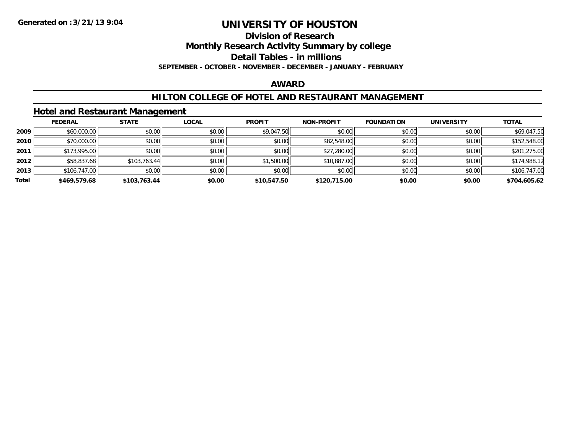**Division of Research**

**Monthly Research Activity Summary by college**

**Detail Tables - in millions**

**SEPTEMBER - OCTOBER - NOVEMBER - DECEMBER - JANUARY - FEBRUARY**

#### **AWARD**

### **HILTON COLLEGE OF HOTEL AND RESTAURANT MANAGEMENT**

#### **Hotel and Restaurant Management**

|       | <b>FEDERAL</b> | <b>STATE</b> | <u>LOCAL</u> | <b>PROFIT</b> | <b>NON-PROFIT</b> | <b>FOUNDATION</b> | <b>UNIVERSITY</b> | <b>TOTAL</b> |
|-------|----------------|--------------|--------------|---------------|-------------------|-------------------|-------------------|--------------|
| 2009  | \$60,000.00    | \$0.00       | \$0.00       | \$9,047.50    | \$0.00            | \$0.00            | \$0.00            | \$69,047.50  |
| 2010  | \$70,000.00    | \$0.00       | \$0.00       | \$0.00        | \$82,548.00       | \$0.00            | \$0.00            | \$152,548.00 |
| 2011  | \$173,995.00   | \$0.00       | \$0.00       | \$0.00        | \$27,280.00       | \$0.00            | \$0.00            | \$201,275.00 |
| 2012  | \$58,837.68    | \$103,763.44 | \$0.00       | \$1,500.00    | \$10,887.00       | \$0.00            | \$0.00            | \$174,988.12 |
| 2013  | \$106,747.00   | \$0.00       | \$0.00       | \$0.00        | \$0.00            | \$0.00            | \$0.00            | \$106,747.00 |
| Total | \$469,579.68   | \$103,763.44 | \$0.00       | \$10,547.50   | \$120,715.00      | \$0.00            | \$0.00            | \$704,605.62 |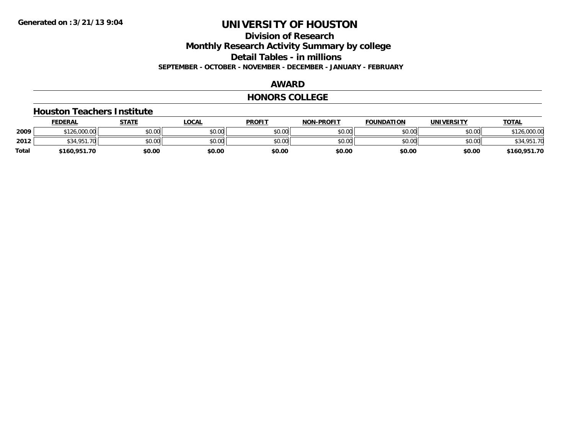**Division of Research**

**Monthly Research Activity Summary by college**

**Detail Tables - in millions**

**SEPTEMBER - OCTOBER - NOVEMBER - DECEMBER - JANUARY - FEBRUARY**

### **AWARD**

#### **HONORS COLLEGE**

#### **Houston Teachers Institute**

|       | <b>FEDERAL</b>   | STATE  | <b>LOCAL</b> | <b>PROFIT</b> | <b>NON-PROFIT</b> | <b>FOUNDATION</b> | <b>UNIVERSITY</b> | <b>TOTAL</b>        |
|-------|------------------|--------|--------------|---------------|-------------------|-------------------|-------------------|---------------------|
| 2009  | \$126,000.00     | \$0.00 | \$0.00       | \$0.00        | \$0.00            | \$0.00            | \$0.00            | 126,000.00<br>0.101 |
| 2012  | \$34.951.<br>.70 | \$0.00 | \$0.00       | \$0.00        | \$0.00            | \$0.00            | \$0.00            | \$34,951.70         |
| Total | \$160,951.70     | \$0.00 | \$0.00       | \$0.00        | \$0.00            | \$0.00            | \$0.00            | \$160,951.70        |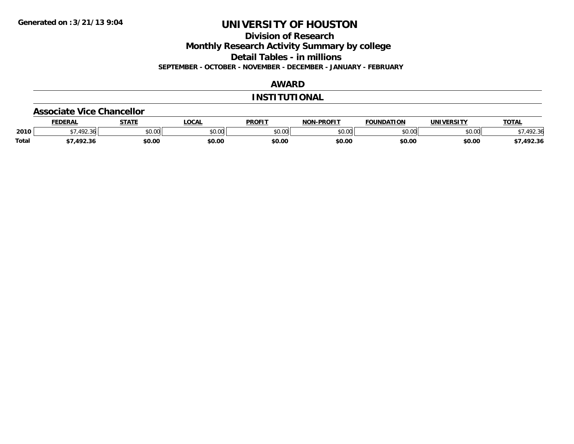**Division of Research**

**Monthly Research Activity Summary by college**

**Detail Tables - in millions**

**SEPTEMBER - OCTOBER - NOVEMBER - DECEMBER - JANUARY - FEBRUARY**

### **AWARD**

#### **INSTITUTIONAL**

#### **Associate Vice Chancellor**

|              | <b>FEDERAL</b>             | <b>STATE</b> | <b>OCAL</b> | <b>PROFIT</b>   | <b>-PROFIT</b><br>NON | <b>FOUNDATION</b> | UNIVERSITY | <b>TOTAL</b> |
|--------------|----------------------------|--------------|-------------|-----------------|-----------------------|-------------------|------------|--------------|
| 2010         | $\sqrt{2}$<br>361<br>22.90 | \$0.00       | JU.UU       | \$0.00<br>JU.UU | ልስ ሀህ<br>וטטוע        | \$0.00            | \$0.00     | - -          |
| <b>Total</b> | 10 22                      | \$0.00       | \$0.00      | \$0.00          | \$0.00                | \$0.00            | \$0.00     | 7,492.36     |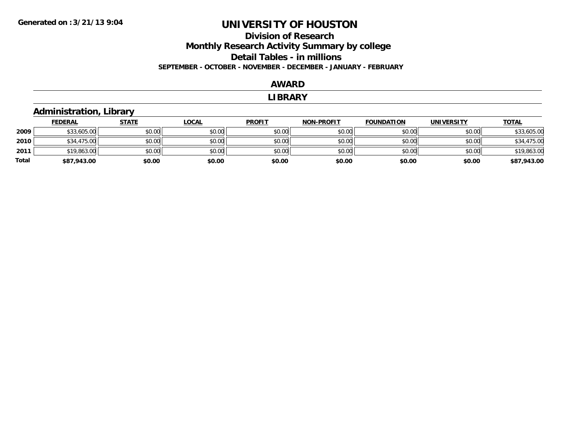### **Division of Research Monthly Research Activity Summary by college Detail Tables - in millions SEPTEMBER - OCTOBER - NOVEMBER - DECEMBER - JANUARY - FEBRUARY**

#### **AWARD**

#### **LIBRARY**

### **Administration, Library**

|       | <b>FEDERAL</b> | <u>STATE</u> | <b>LOCAL</b> | <b>PROFIT</b> | <b>NON-PROFIT</b> | <b>FOUNDATION</b> | <b>UNIVERSITY</b> | <b>TOTAL</b> |
|-------|----------------|--------------|--------------|---------------|-------------------|-------------------|-------------------|--------------|
| 2009  | \$33,605.00    | \$0.00       | \$0.00       | \$0.00        | \$0.00            | \$0.00            | \$0.00            | \$33,605.00  |
| 2010  | \$34,475.00    | \$0.00       | \$0.00       | \$0.00        | \$0.00            | \$0.00            | \$0.00            | \$34,475.00  |
| 2011  | \$19,863.00    | \$0.00       | \$0.00       | \$0.00        | \$0.00            | \$0.00            | \$0.00            | \$19,863.00  |
| Total | \$87,943.00    | \$0.00       | \$0.00       | \$0.00        | \$0.00            | \$0.00            | \$0.00            | \$87,943.00  |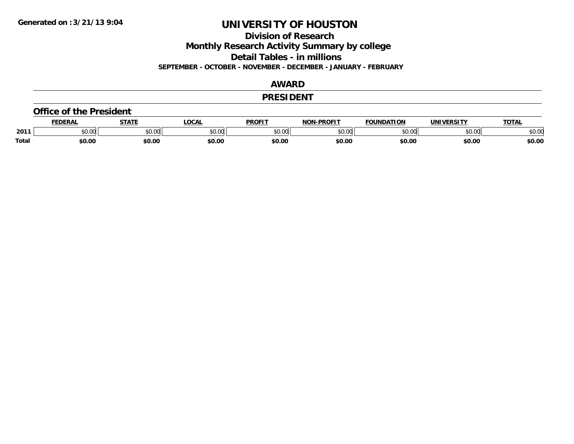**Division of Research**

**Monthly Research Activity Summary by college**

**Detail Tables - in millions**

**SEPTEMBER - OCTOBER - NOVEMBER - DECEMBER - JANUARY - FEBRUARY**

### **AWARD**

#### **PRESIDENT**

#### **Office of the President**

|              | <b>DERAI</b>  | <b>STATE</b> | LOCAI              | PROFIT          | <b>DDOEIT</b><br>NAN | <b>FOUNDATION</b> | UNIVERSITY | <b>TOTAL</b>   |
|--------------|---------------|--------------|--------------------|-----------------|----------------------|-------------------|------------|----------------|
| 2011         | n vu<br>,u.uu | JU.UU        | $\sim$ 00<br>DU.UL | $\sim$<br>JU.UU | 20M<br>,u.uu         |                   | \$0.00     | ቀስ ስር<br>⊋∪.∪⊌ |
| <b>Total</b> | \$0.00        | \$0.00       | \$0.00             | en nr<br>JU.UL  | \$0.00               | \$0.00            | \$0.00     | \$0.00         |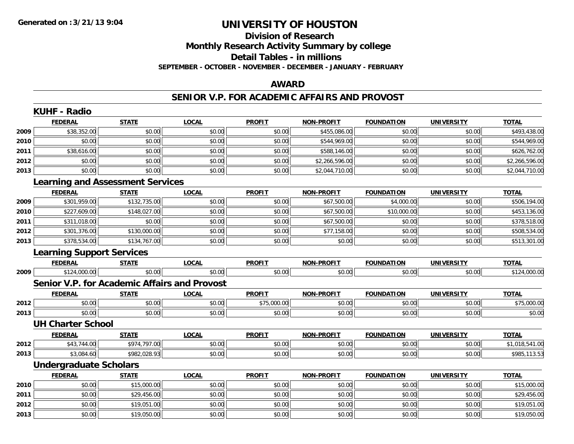### **Division of ResearchMonthly Research Activity Summary by college Detail Tables - in millions SEPTEMBER - OCTOBER - NOVEMBER - DECEMBER - JANUARY - FEBRUARY**

### **AWARD**

#### **SENIOR V.P. FOR ACADEMIC AFFAIRS AND PROVOST**

|      | <b>KUHF - Radio</b>                     |              |                                                     |               |                   |                   |                   |                |
|------|-----------------------------------------|--------------|-----------------------------------------------------|---------------|-------------------|-------------------|-------------------|----------------|
|      | <b>FEDERAL</b>                          | <b>STATE</b> | <b>LOCAL</b>                                        | <b>PROFIT</b> | <b>NON-PROFIT</b> | <b>FOUNDATION</b> | <b>UNIVERSITY</b> | <b>TOTAL</b>   |
| 2009 | \$38,352.00                             | \$0.00       | \$0.00                                              | \$0.00        | \$455,086.00      | \$0.00            | \$0.00            | \$493,438.00   |
| 2010 | \$0.00                                  | \$0.00       | \$0.00                                              | \$0.00        | \$544,969.00      | \$0.00            | \$0.00            | \$544,969.00   |
| 2011 | \$38,616.00                             | \$0.00       | \$0.00                                              | \$0.00        | \$588,146.00      | \$0.00            | \$0.00            | \$626,762.00   |
| 2012 | \$0.00                                  | \$0.00       | \$0.00                                              | \$0.00        | \$2,266,596.00    | \$0.00            | \$0.00            | \$2,266,596.00 |
| 2013 | \$0.00                                  | \$0.00       | \$0.00                                              | \$0.00        | \$2,044,710.00    | \$0.00            | \$0.00            | \$2,044,710.00 |
|      | <b>Learning and Assessment Services</b> |              |                                                     |               |                   |                   |                   |                |
|      | <b>FEDERAL</b>                          | <b>STATE</b> | <b>LOCAL</b>                                        | <b>PROFIT</b> | <b>NON-PROFIT</b> | <b>FOUNDATION</b> | <b>UNIVERSITY</b> | <b>TOTAL</b>   |
| 2009 | \$301,959.00                            | \$132,735.00 | \$0.00                                              | \$0.00        | \$67,500.00       | \$4,000.00        | \$0.00            | \$506,194.00   |
| 2010 | \$227,609.00                            | \$148,027.00 | \$0.00                                              | \$0.00        | \$67,500.00       | \$10,000.00       | \$0.00            | \$453,136.00   |
| 2011 | \$311,018.00                            | \$0.00       | \$0.00                                              | \$0.00        | \$67,500.00       | \$0.00            | \$0.00            | \$378,518.00   |
| 2012 | \$301,376.00                            | \$130,000.00 | \$0.00                                              | \$0.00        | \$77,158.00       | \$0.00            | \$0.00            | \$508,534.00   |
| 2013 | \$378,534.00                            | \$134,767.00 | \$0.00                                              | \$0.00        | \$0.00            | \$0.00            | \$0.00            | \$513,301.00   |
|      | <b>Learning Support Services</b>        |              |                                                     |               |                   |                   |                   |                |
|      | <b>FEDERAL</b>                          | <b>STATE</b> | <b>LOCAL</b>                                        | <b>PROFIT</b> | <b>NON-PROFIT</b> | <b>FOUNDATION</b> | <b>UNIVERSITY</b> | <b>TOTAL</b>   |
| 2009 | \$124,000.00                            | \$0.00       | \$0.00                                              | \$0.00        | \$0.00            | \$0.00            | \$0.00            | \$124,000.00   |
|      |                                         |              | <b>Senior V.P. for Academic Affairs and Provost</b> |               |                   |                   |                   |                |
|      | <b>FEDERAL</b>                          | <b>STATE</b> | <b>LOCAL</b>                                        | <b>PROFIT</b> | <b>NON-PROFIT</b> | <b>FOUNDATION</b> | <b>UNIVERSITY</b> | <b>TOTAL</b>   |
| 2012 | \$0.00                                  | \$0.00       | \$0.00                                              | \$75,000.00   | \$0.00            | \$0.00            | \$0.00            | \$75,000.00    |
| 2013 | \$0.00                                  | \$0.00       | \$0.00                                              | \$0.00        | \$0.00            | \$0.00            | \$0.00            | \$0.00         |
|      | <b>UH Charter School</b>                |              |                                                     |               |                   |                   |                   |                |
|      | <b>FEDERAL</b>                          | <b>STATE</b> | <b>LOCAL</b>                                        | <b>PROFIT</b> | <b>NON-PROFIT</b> | <b>FOUNDATION</b> | <b>UNIVERSITY</b> | <b>TOTAL</b>   |
| 2012 | \$43,744.00                             | \$974,797.00 | \$0.00                                              | \$0.00        | \$0.00            | \$0.00            | \$0.00            | \$1,018,541.00 |
| 2013 | \$3,084.60                              | \$982,028.93 | \$0.00                                              | \$0.00        | \$0.00            | \$0.00            | \$0.00            | \$985,113.53   |
|      | <b>Undergraduate Scholars</b>           |              |                                                     |               |                   |                   |                   |                |
|      | <b>FEDERAL</b>                          | <b>STATE</b> | <b>LOCAL</b>                                        | <b>PROFIT</b> | <b>NON-PROFIT</b> | <b>FOUNDATION</b> | <b>UNIVERSITY</b> | <b>TOTAL</b>   |
| 2010 | \$0.00                                  | \$15,000.00  | \$0.00                                              | \$0.00        | \$0.00            | \$0.00            | \$0.00            | \$15,000.00    |
| 2011 | \$0.00                                  | \$29,456.00  | \$0.00                                              | \$0.00        | \$0.00            | \$0.00            | \$0.00            | \$29,456.00    |
| 2012 | \$0.00                                  | \$19,051.00  | \$0.00                                              | \$0.00        | \$0.00            | \$0.00            | \$0.00            | \$19,051.00    |
| 2013 | \$0.00                                  | \$19,050.00  | \$0.00                                              | \$0.00        | \$0.00            | \$0.00            | \$0.00            | \$19,050.00    |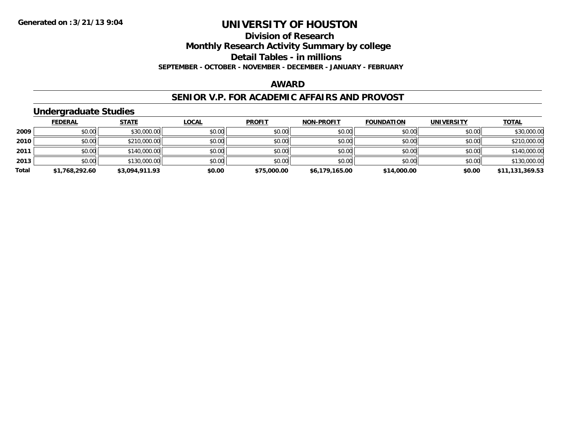**Division of Research**

**Monthly Research Activity Summary by college**

**Detail Tables - in millions**

**SEPTEMBER - OCTOBER - NOVEMBER - DECEMBER - JANUARY - FEBRUARY**

#### **AWARD**

#### **SENIOR V.P. FOR ACADEMIC AFFAIRS AND PROVOST**

### **Undergraduate Studies**

|       | <b>FEDERAL</b> | <u>STATE</u>   | <u>LOCAL</u> | <b>PROFIT</b> | <b>NON-PROFIT</b> | <b>FOUNDATION</b> | <b>UNIVERSITY</b> | <b>TOTAL</b>    |
|-------|----------------|----------------|--------------|---------------|-------------------|-------------------|-------------------|-----------------|
| 2009  | \$0.00         | \$30,000.00    | \$0.00       | \$0.00        | \$0.00            | \$0.00            | \$0.00            | \$30,000.00     |
| 2010  | \$0.00         | \$210,000.00   | \$0.00       | \$0.00        | \$0.00            | \$0.00            | \$0.00            | \$210,000.00    |
| 2011  | \$0.00         | \$140,000.00   | \$0.00       | \$0.00        | \$0.00            | \$0.00            | \$0.00            | \$140,000.00    |
| 2013  | \$0.00         | \$130,000.00   | \$0.00       | \$0.00        | \$0.00            | \$0.00            | \$0.00            | \$130,000.00    |
| Total | \$1,768,292.60 | \$3,094,911.93 | \$0.00       | \$75,000.00   | \$6,179,165.00    | \$14,000.00       | \$0.00            | \$11,131,369.53 |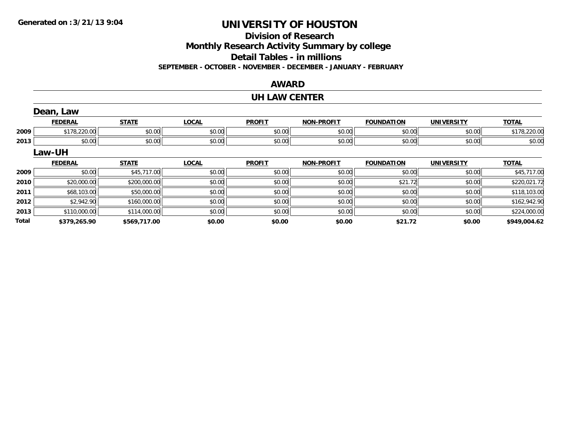**Total**

# **UNIVERSITY OF HOUSTON**

#### **Division of Research**

**Monthly Research Activity Summary by college**

**Detail Tables - in millions**

**SEPTEMBER - OCTOBER - NOVEMBER - DECEMBER - JANUARY - FEBRUARY**

#### **AWARD**

#### **UH LAW CENTER**

|      | Dean, Law      |              |              |               |                   |                   |                   |              |
|------|----------------|--------------|--------------|---------------|-------------------|-------------------|-------------------|--------------|
|      | <b>FEDERAL</b> | <b>STATE</b> | <b>LOCAL</b> | <b>PROFIT</b> | <b>NON-PROFIT</b> | <b>FOUNDATION</b> | <b>UNIVERSITY</b> | <b>TOTAL</b> |
| 2009 | \$178,220.00   | \$0.00       | \$0.00       | \$0.00        | \$0.00            | \$0.00            | \$0.00            | \$178,220.00 |
| 2013 | \$0.00         | \$0.00       | \$0.00       | \$0.00        | \$0.00            | \$0.00            | \$0.00            | \$0.00       |
|      | Law-UH         |              |              |               |                   |                   |                   |              |
|      | <b>FEDERAL</b> | <b>STATE</b> | <b>LOCAL</b> | <b>PROFIT</b> | <b>NON-PROFIT</b> | <b>FOUNDATION</b> | <b>UNIVERSITY</b> | <b>TOTAL</b> |
| 2009 | \$0.00         | \$45,717.00  | \$0.00       | \$0.00        | \$0.00            | \$0.00            | \$0.00            | \$45,717.00  |
| 2010 | \$20,000.00    | \$200,000.00 | \$0.00       | \$0.00        | \$0.00            | \$21.72           | \$0.00            | \$220,021.72 |
| 2011 | \$68,103.00    | \$50,000.00  | \$0.00       | \$0.00        | \$0.00            | \$0.00            | \$0.00            | \$118,103.00 |
| 2012 | \$2,942.90     | \$160,000.00 | \$0.00       | \$0.00        | \$0.00            | \$0.00            | \$0.00            | \$162,942.90 |
| 2013 | \$110,000.00   | \$114,000.00 | \$0.00       | \$0.00        | \$0.00            | \$0.00            | \$0.00            | \$224,000.00 |

**\$379,265.90 \$569,717.00 \$0.00 \$0.00 \$0.00 \$21.72 \$0.00 \$949,004.62**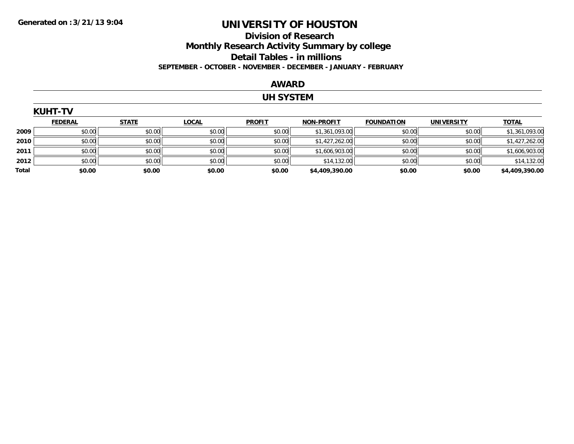### **Division of Research Monthly Research Activity Summary by college Detail Tables - in millions SEPTEMBER - OCTOBER - NOVEMBER - DECEMBER - JANUARY - FEBRUARY**

#### **AWARD**

### **UH SYSTEM**

|       | <b>KUHT-TV</b> |              |              |               |                   |                   |                   |                |  |  |  |
|-------|----------------|--------------|--------------|---------------|-------------------|-------------------|-------------------|----------------|--|--|--|
|       | <b>FEDERAL</b> | <b>STATE</b> | <b>LOCAL</b> | <b>PROFIT</b> | <b>NON-PROFIT</b> | <b>FOUNDATION</b> | <b>UNIVERSITY</b> | <b>TOTAL</b>   |  |  |  |
| 2009  | \$0.00         | \$0.00       | \$0.00       | \$0.00        | \$1,361,093.00    | \$0.00            | \$0.00            | \$1,361,093.00 |  |  |  |
| 2010  | \$0.00         | \$0.00       | \$0.00       | \$0.00        | \$1,427,262.00    | \$0.00            | \$0.00            | \$1,427,262.00 |  |  |  |
| 2011  | \$0.00         | \$0.00       | \$0.00       | \$0.00        | \$1,606,903.00    | \$0.00            | \$0.00            | \$1,606,903.00 |  |  |  |
| 2012  | \$0.00         | \$0.00       | \$0.00       | \$0.00        | \$14,132.00       | \$0.00            | \$0.00            | \$14,132.00    |  |  |  |
| Total | \$0.00         | \$0.00       | \$0.00       | \$0.00        | \$4,409,390.00    | \$0.00            | \$0.00            | \$4,409,390.00 |  |  |  |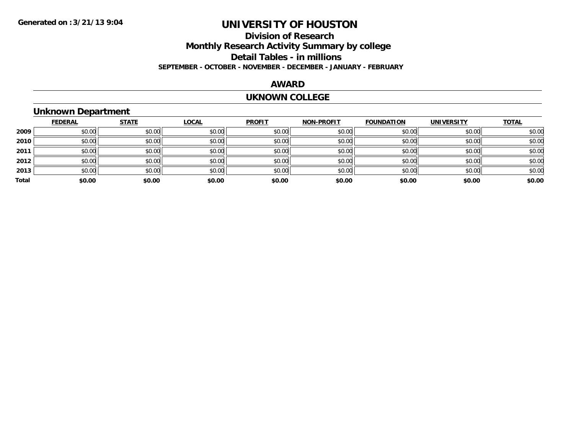### **Division of ResearchMonthly Research Activity Summary by college Detail Tables - in millions SEPTEMBER - OCTOBER - NOVEMBER - DECEMBER - JANUARY - FEBRUARY**

### **AWARD**

#### **UKNOWN COLLEGE**

### **Unknown Department**

|       | <b>FEDERAL</b> | <b>STATE</b> | <b>LOCAL</b> | <b>PROFIT</b> | <b>NON-PROFIT</b> | <b>FOUNDATION</b> | <b>UNIVERSITY</b> | <b>TOTAL</b> |
|-------|----------------|--------------|--------------|---------------|-------------------|-------------------|-------------------|--------------|
| 2009  | \$0.00         | \$0.00       | \$0.00       | \$0.00        | \$0.00            | \$0.00            | \$0.00            | \$0.00       |
| 2010  | \$0.00         | \$0.00       | \$0.00       | \$0.00        | \$0.00            | \$0.00            | \$0.00            | \$0.00       |
| 2011  | \$0.00         | \$0.00       | \$0.00       | \$0.00        | \$0.00            | \$0.00            | \$0.00            | \$0.00       |
| 2012  | \$0.00         | \$0.00       | \$0.00       | \$0.00        | \$0.00            | \$0.00            | \$0.00            | \$0.00       |
| 2013  | \$0.00         | \$0.00       | \$0.00       | \$0.00        | \$0.00            | \$0.00            | \$0.00            | \$0.00       |
| Total | \$0.00         | \$0.00       | \$0.00       | \$0.00        | \$0.00            | \$0.00            | \$0.00            | \$0.00       |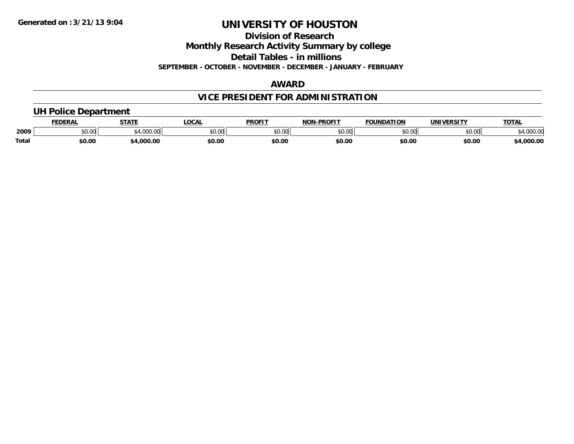**Division of Research**

**Monthly Research Activity Summary by college**

**Detail Tables - in millions**

**SEPTEMBER - OCTOBER - NOVEMBER - DECEMBER - JANUARY - FEBRUARY**

### **AWARD**

### **VICE PRESIDENT FOR ADMINISTRATION**

### **UH Police Department**

|              | <b>FEDERAL</b> | <b>STATE</b>   | LOCAL         | <b>PROFIT</b> | <b>LPROFIT</b><br>NON | <b>FOUNDATION</b> | UNIVERSITY | <b>TOTAL</b>      |
|--------------|----------------|----------------|---------------|---------------|-----------------------|-------------------|------------|-------------------|
| 2009         | vv.vv          | 0.100<br>uuu.u | 0000<br>PO.OO | 0000<br>JU.UU | 0000<br>vu.uu -       | \$0.00            | \$0.00     | 00000<br>4,000.00 |
| <b>Total</b> | \$0.00         | .000.00        | \$0.00        | \$0.00        | \$0.00                | \$0.00            | \$0.00     | 4,000.00          |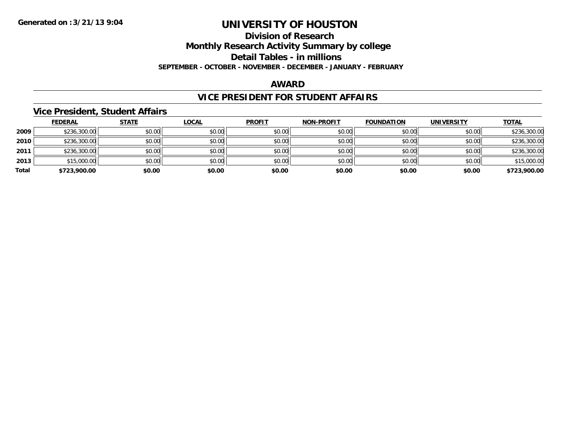#### **Division of Research**

**Monthly Research Activity Summary by college**

**Detail Tables - in millions**

**SEPTEMBER - OCTOBER - NOVEMBER - DECEMBER - JANUARY - FEBRUARY**

#### **AWARD**

#### **VICE PRESIDENT FOR STUDENT AFFAIRS**

#### **Vice President, Student Affairs**

|       | <b>FEDERAL</b> | <u>STATE</u> | <b>LOCAL</b> | <b>PROFIT</b> | <b>NON-PROFIT</b> | <b>FOUNDATION</b> | <b>UNIVERSITY</b> | <b>TOTAL</b> |
|-------|----------------|--------------|--------------|---------------|-------------------|-------------------|-------------------|--------------|
| 2009  | \$236,300.00   | \$0.00       | \$0.00       | \$0.00        | \$0.00            | \$0.00            | \$0.00            | \$236,300.00 |
| 2010  | \$236,300.00   | \$0.00       | \$0.00       | \$0.00        | \$0.00            | \$0.00            | \$0.00            | \$236,300.00 |
| 2011  | \$236,300.00   | \$0.00       | \$0.00       | \$0.00        | \$0.00            | \$0.00            | \$0.00            | \$236,300.00 |
| 2013  | \$15,000.00    | \$0.00       | \$0.00       | \$0.00        | \$0.00            | \$0.00            | \$0.00            | \$15,000.00  |
| Total | \$723,900.00   | \$0.00       | \$0.00       | \$0.00        | \$0.00            | \$0.00            | \$0.00            | \$723,900.00 |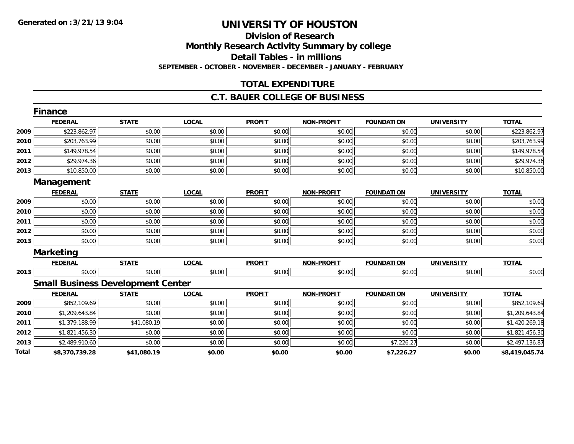### **Division of ResearchMonthly Research Activity Summary by college Detail Tables - in millions SEPTEMBER - OCTOBER - NOVEMBER - DECEMBER - JANUARY - FEBRUARY**

### **TOTAL EXPENDITURE**

#### **C.T. BAUER COLLEGE OF BUSINESS**

|              | <b>Finance</b>   |                                          |              |               |                   |                   |                   |                |
|--------------|------------------|------------------------------------------|--------------|---------------|-------------------|-------------------|-------------------|----------------|
|              | <b>FEDERAL</b>   | <b>STATE</b>                             | <b>LOCAL</b> | <b>PROFIT</b> | <b>NON-PROFIT</b> | <b>FOUNDATION</b> | <b>UNIVERSITY</b> | <b>TOTAL</b>   |
| 2009         | \$223,862.97     | \$0.00                                   | \$0.00       | \$0.00        | \$0.00            | \$0.00            | \$0.00            | \$223,862.97   |
| 2010         | \$203,763.99     | \$0.00                                   | \$0.00       | \$0.00        | \$0.00            | \$0.00            | \$0.00            | \$203,763.99   |
| 2011         | \$149,978.54     | \$0.00                                   | \$0.00       | \$0.00        | \$0.00            | \$0.00            | \$0.00            | \$149,978.54   |
| 2012         | \$29,974.36      | \$0.00                                   | \$0.00       | \$0.00        | \$0.00            | \$0.00            | \$0.00            | \$29,974.36    |
| 2013         | \$10,850.00      | \$0.00                                   | \$0.00       | \$0.00        | \$0.00            | \$0.00            | \$0.00            | \$10,850.00    |
| Management   |                  |                                          |              |               |                   |                   |                   |                |
|              | <b>FEDERAL</b>   | <b>STATE</b>                             | <b>LOCAL</b> | <b>PROFIT</b> | <b>NON-PROFIT</b> | <b>FOUNDATION</b> | <b>UNIVERSITY</b> | <b>TOTAL</b>   |
| 2009         | \$0.00           | \$0.00                                   | \$0.00       | \$0.00        | \$0.00            | \$0.00            | \$0.00            | \$0.00         |
| 2010         | \$0.00           | \$0.00                                   | \$0.00       | \$0.00        | \$0.00            | \$0.00            | \$0.00            | \$0.00         |
| 2011         | \$0.00           | \$0.00                                   | \$0.00       | \$0.00        | \$0.00            | \$0.00            | \$0.00            | \$0.00         |
| 2012         | \$0.00           | \$0.00                                   | \$0.00       | \$0.00        | \$0.00            | \$0.00            | \$0.00            | \$0.00         |
| 2013         | \$0.00           | \$0.00                                   | \$0.00       | \$0.00        | \$0.00            | \$0.00            | \$0.00            | \$0.00         |
|              | <b>Marketing</b> |                                          |              |               |                   |                   |                   |                |
|              | <b>FEDERAL</b>   | <b>STATE</b>                             | <b>LOCAL</b> | <b>PROFIT</b> | <b>NON-PROFIT</b> | <b>FOUNDATION</b> | <b>UNIVERSITY</b> | <b>TOTAL</b>   |
| 2013         | \$0.00           | \$0.00                                   | \$0.00       | \$0.00        | \$0.00            | \$0.00            | \$0.00            | \$0.00         |
|              |                  | <b>Small Business Development Center</b> |              |               |                   |                   |                   |                |
|              | <b>FEDERAL</b>   | <b>STATE</b>                             | <b>LOCAL</b> | <b>PROFIT</b> | <b>NON-PROFIT</b> | <b>FOUNDATION</b> | <b>UNIVERSITY</b> | <b>TOTAL</b>   |
| 2009         | \$852,109.69     | \$0.00                                   | \$0.00       | \$0.00        | \$0.00            | \$0.00            | \$0.00            | \$852,109.69   |
| 2010         | \$1,209,643.84   | \$0.00                                   | \$0.00       | \$0.00        | \$0.00            | \$0.00            | \$0.00            | \$1,209,643.84 |
| 2011         | \$1,379,188.99   | \$41,080.19                              | \$0.00       | \$0.00        | \$0.00            | \$0.00            | \$0.00            | \$1,420,269.18 |
| 2012         | \$1,821,456.30   | \$0.00                                   | \$0.00       | \$0.00        | \$0.00            | \$0.00            | \$0.00            | \$1,821,456.30 |
| 2013         | \$2,489,910.60   | \$0.00                                   | \$0.00       | \$0.00        | \$0.00            | \$7,226.27        | \$0.00            | \$2,497,136.87 |
| <b>Total</b> | \$8,370,739.28   | \$41,080.19                              | \$0.00       | \$0.00        | \$0.00            | \$7,226.27        | \$0.00            | \$8,419,045.74 |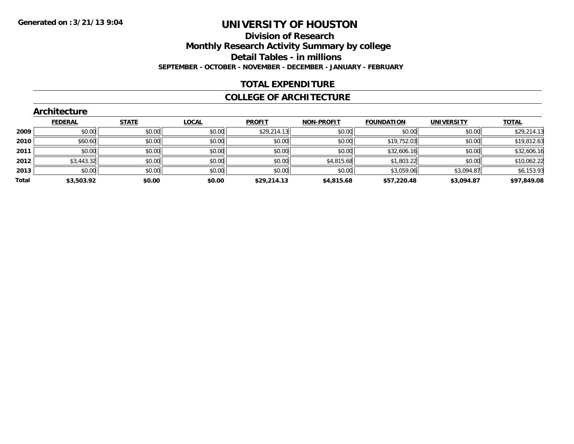### **Division of Research Monthly Research Activity Summary by college Detail Tables - in millions SEPTEMBER - OCTOBER - NOVEMBER - DECEMBER - JANUARY - FEBRUARY**

### **TOTAL EXPENDITURE**

#### **COLLEGE OF ARCHITECTURE**

|       | Architecture   |              |              |               |                   |                   |                   |              |
|-------|----------------|--------------|--------------|---------------|-------------------|-------------------|-------------------|--------------|
|       | <b>FEDERAL</b> | <b>STATE</b> | <b>LOCAL</b> | <b>PROFIT</b> | <b>NON-PROFIT</b> | <b>FOUNDATION</b> | <b>UNIVERSITY</b> | <b>TOTAL</b> |
| 2009  | \$0.00         | \$0.00       | \$0.00       | \$29,214.13   | \$0.00            | \$0.00            | \$0.00            | \$29,214.13  |
| 2010  | \$60.60        | \$0.00       | \$0.00       | \$0.00        | \$0.00            | \$19,752.03       | \$0.00            | \$19,812.63  |
| 2011  | \$0.00         | \$0.00       | \$0.00       | \$0.00        | \$0.00            | \$32,606.16       | \$0.00            | \$32,606.16  |
| 2012  | \$3,443.32     | \$0.00       | \$0.00       | \$0.00        | \$4,815.68        | \$1,803.22        | \$0.00            | \$10,062.22  |
| 2013  | \$0.00         | \$0.00       | \$0.00       | \$0.00        | \$0.00            | \$3,059.06        | \$3,094.87        | \$6,153.93   |
| Total | \$3,503.92     | \$0.00       | \$0.00       | \$29,214.13   | \$4,815.68        | \$57,220.48       | \$3,094.87        | \$97,849.08  |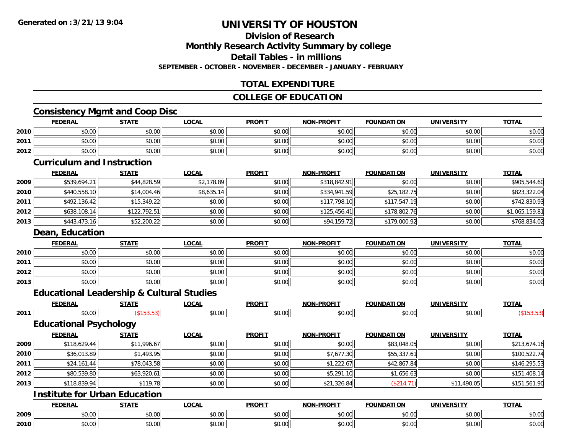### **Division of ResearchMonthly Research Activity Summary by college**

**Detail Tables - in millions**

**SEPTEMBER - OCTOBER - NOVEMBER - DECEMBER - JANUARY - FEBRUARY**

### **TOTAL EXPENDITURE**

### **COLLEGE OF EDUCATION**

### **Consistency Mgmt and Coop Disc**

|      | <b>FEDERAL</b>                                       | <b>STATE</b> | <b>LOCAL</b> | <b>PROFIT</b> | NON-PROFIT        | <b>FOUNDATION</b> | <b>UNIVERSITY</b> | <b>TOTAL</b>   |
|------|------------------------------------------------------|--------------|--------------|---------------|-------------------|-------------------|-------------------|----------------|
| 2010 | \$0.00                                               | \$0.00       | \$0.00       | \$0.00        | \$0.00            | \$0.00            | \$0.00            | \$0.00         |
| 2011 | \$0.00                                               | \$0.00       | \$0.00       | \$0.00        | \$0.00            | \$0.00            | \$0.00            | \$0.00         |
| 2012 | \$0.00                                               | \$0.00       | \$0.00       | \$0.00        | \$0.00            | \$0.00            | \$0.00            | \$0.00         |
|      | <b>Curriculum and Instruction</b>                    |              |              |               |                   |                   |                   |                |
|      | <b>FEDERAL</b>                                       | <b>STATE</b> | <b>LOCAL</b> | <b>PROFIT</b> | <b>NON-PROFIT</b> | <b>FOUNDATION</b> | <b>UNIVERSITY</b> | <b>TOTAL</b>   |
| 2009 | \$539,694.21                                         | \$44,828.59  | \$2,178.89   | \$0.00        | \$318,842.91      | \$0.00            | \$0.00            | \$905,544.60   |
| 2010 | \$440,558.10                                         | \$14,004.46  | \$8,635.14   | \$0.00        | \$334,941.59      | \$25,182.75       | \$0.00            | \$823,322.04   |
| 2011 | \$492,136.42                                         | \$15,349.22  | \$0.00       | \$0.00        | \$117,798.10      | \$117,547.19      | \$0.00            | \$742,830.93   |
| 2012 | \$638,108.14                                         | \$122,792.51 | \$0.00       | \$0.00        | \$125,456.41      | \$178,802.76      | \$0.00            | \$1,065,159.81 |
| 2013 | \$443,473.16                                         | \$52,200.22  | \$0.00       | \$0.00        | \$94,159.72       | \$179,000.92      | \$0.00            | \$768,834.02   |
|      | Dean, Education                                      |              |              |               |                   |                   |                   |                |
|      | <b>FEDERAL</b>                                       | <b>STATE</b> | <b>LOCAL</b> | <b>PROFIT</b> | <b>NON-PROFIT</b> | <b>FOUNDATION</b> | <b>UNIVERSITY</b> | <b>TOTAL</b>   |
| 2010 | \$0.00                                               | \$0.00       | \$0.00       | \$0.00        | \$0.00            | \$0.00            | \$0.00            | \$0.00         |
| 2011 | \$0.00                                               | \$0.00       | \$0.00       | \$0.00        | \$0.00            | \$0.00            | \$0.00            | \$0.00         |
| 2012 | \$0.00                                               | \$0.00       | \$0.00       | \$0.00        | \$0.00            | \$0.00            | \$0.00            | \$0.00         |
| 2013 | \$0.00                                               | \$0.00       | \$0.00       | \$0.00        | \$0.00            | \$0.00            | \$0.00            | \$0.00         |
|      | <b>Educational Leadership &amp; Cultural Studies</b> |              |              |               |                   |                   |                   |                |
|      | <b>FEDERAL</b>                                       | <b>STATE</b> | <b>LOCAL</b> | <b>PROFIT</b> | <b>NON-PROFIT</b> | <b>FOUNDATION</b> | <b>UNIVERSITY</b> | <b>TOTAL</b>   |
| 2011 | \$0.00                                               | (\$153.53)   | \$0.00       | \$0.00        | \$0.00            | \$0.00            | \$0.00            | (\$153.53)     |
|      | <b>Educational Psychology</b>                        |              |              |               |                   |                   |                   |                |
|      | <b>FEDERAL</b>                                       | <b>STATE</b> | <b>LOCAL</b> | <b>PROFIT</b> | <b>NON-PROFIT</b> | <b>FOUNDATION</b> | <b>UNIVERSITY</b> | <b>TOTAL</b>   |
| 2009 | \$118,629.44                                         | \$11,996.67  | \$0.00       | \$0.00        | \$0.00            | \$83,048.05       | \$0.00            | \$213,674.16   |
| 2010 | \$36,013.89                                          | \$1,493.95   | \$0.00       | \$0.00        | \$7,677.30        | \$55,337.61       | \$0.00            | \$100,522.74   |
| 2011 | \$24,161.44                                          | \$78,043.58  | \$0.00       | \$0.00        | \$1,222.67        | \$42,867.84       | \$0.00            | \$146,295.53   |
| 2012 | \$80,539.80                                          | \$63,920.61  | \$0.00       | \$0.00        | \$5,291.10        | \$1,656.63        | \$0.00            | \$151,408.14   |
| 2013 | \$118,839.94                                         | \$119.78     | \$0.00       | \$0.00        | \$21,326.84       | (\$214.71)        | \$11,490.05       | \$151,561.90   |
|      | <b>Institute for Urban Education</b>                 |              |              |               |                   |                   |                   |                |
|      | <b>FEDERAL</b>                                       | <b>STATE</b> | <b>LOCAL</b> | <b>PROFIT</b> | <b>NON-PROFIT</b> | <b>FOUNDATION</b> | <b>UNIVERSITY</b> | <b>TOTAL</b>   |
| 2009 | \$0.00                                               | \$0.00       | \$0.00       | \$0.00        | \$0.00            | \$0.00            | \$0.00            | \$0.00         |
| 2010 | \$0.00                                               | \$0.00       | \$0.00       | \$0.00        | \$0.00            | \$0.00            | \$0.00            | \$0.00         |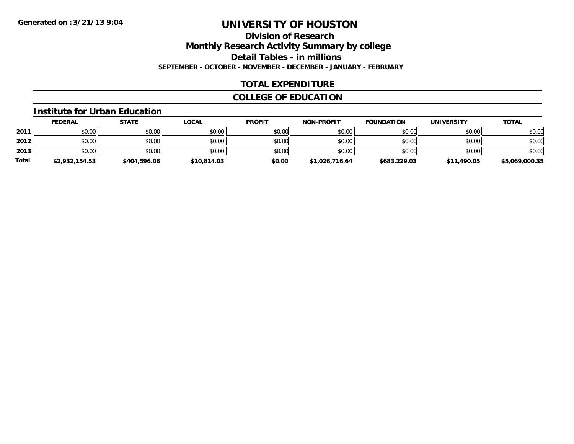**Division of Research**

**Monthly Research Activity Summary by college**

**Detail Tables - in millions**

**SEPTEMBER - OCTOBER - NOVEMBER - DECEMBER - JANUARY - FEBRUARY**

### **TOTAL EXPENDITURE**

### **COLLEGE OF EDUCATION**

#### **Institute for Urban Education**

|       | <b>FEDERAL</b> | <u>STATE</u> | <u>LOCAL</u> | <b>PROFIT</b> | <b>NON-PROFIT</b> | <b>FOUNDATION</b> | <b>UNIVERSITY</b> | <b>TOTAL</b>   |
|-------|----------------|--------------|--------------|---------------|-------------------|-------------------|-------------------|----------------|
| 2011  | \$0.00         | \$0.00       | \$0.00       | \$0.00        | \$0.00            | \$0.00            | \$0.00            | \$0.00         |
| 2012  | \$0.00         | \$0.00       | \$0.00       | \$0.00        | \$0.00            | \$0.00            | \$0.00            | \$0.00         |
| 2013  | \$0.00         | \$0.00       | \$0.00       | \$0.00        | \$0.00            | \$0.00            | \$0.00            | \$0.00         |
| Total | \$2,932,154.53 | \$404,596.06 | \$10,814.03  | \$0.00        | \$1,026,716.64    | \$683,229.03      | \$11,490.05       | \$5,069,000.35 |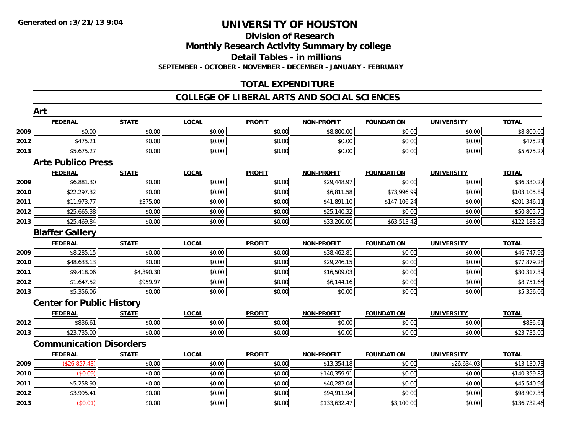# **Division of Research**

**Monthly Research Activity Summary by college**

**Detail Tables - in millions**

**SEPTEMBER - OCTOBER - NOVEMBER - DECEMBER - JANUARY - FEBRUARY**

### **TOTAL EXPENDITURE**

### **COLLEGE OF LIBERAL ARTS AND SOCIAL SCIENCES**

|      | Art                              |              |              |               |                   |                   |                   |              |
|------|----------------------------------|--------------|--------------|---------------|-------------------|-------------------|-------------------|--------------|
|      | <b>FEDERAL</b>                   | <b>STATE</b> | <b>LOCAL</b> | <b>PROFIT</b> | <b>NON-PROFIT</b> | <b>FOUNDATION</b> | <b>UNIVERSITY</b> | <b>TOTAL</b> |
| 2009 | \$0.00                           | \$0.00       | \$0.00       | \$0.00        | \$8,800.00        | \$0.00            | \$0.00            | \$8,800.00   |
| 2012 | \$475.21                         | \$0.00       | \$0.00       | \$0.00        | \$0.00            | \$0.00            | \$0.00            | \$475.21     |
| 2013 | \$5,675.27                       | \$0.00       | \$0.00       | \$0.00        | \$0.00            | \$0.00            | \$0.00            | \$5,675.27   |
|      | <b>Arte Publico Press</b>        |              |              |               |                   |                   |                   |              |
|      | <b>FEDERAL</b>                   | <b>STATE</b> | <b>LOCAL</b> | <b>PROFIT</b> | <b>NON-PROFIT</b> | <b>FOUNDATION</b> | <b>UNIVERSITY</b> | <b>TOTAL</b> |
| 2009 | \$6,881.30                       | \$0.00       | \$0.00       | \$0.00        | \$29,448.97       | \$0.00            | \$0.00            | \$36,330.27  |
| 2010 | \$22,297.32                      | \$0.00       | \$0.00       | \$0.00        | \$6,811.58        | \$73,996.99       | \$0.00            | \$103,105.89 |
| 2011 | \$11,973.77                      | \$375.00     | \$0.00       | \$0.00        | \$41,891.10       | \$147,106.24      | \$0.00            | \$201,346.11 |
| 2012 | \$25,665.38                      | \$0.00       | \$0.00       | \$0.00        | \$25,140.32       | \$0.00            | \$0.00            | \$50,805.70  |
| 2013 | \$25,469.84                      | \$0.00       | \$0.00       | \$0.00        | \$33,200.00       | \$63,513.42       | \$0.00            | \$122,183.26 |
|      | <b>Blaffer Gallery</b>           |              |              |               |                   |                   |                   |              |
|      | <b>FEDERAL</b>                   | <b>STATE</b> | <b>LOCAL</b> | <b>PROFIT</b> | <b>NON-PROFIT</b> | <b>FOUNDATION</b> | <b>UNIVERSITY</b> | <b>TOTAL</b> |
| 2009 | \$8,285.15                       | \$0.00       | \$0.00       | \$0.00        | \$38,462.81       | \$0.00            | \$0.00            | \$46,747.96  |
| 2010 | \$48,633.13                      | \$0.00       | \$0.00       | \$0.00        | \$29,246.15       | \$0.00            | \$0.00            | \$77,879.28  |
| 2011 | \$9,418.06                       | \$4,390.30   | \$0.00       | \$0.00        | \$16,509.03       | \$0.00            | \$0.00            | \$30,317.39  |
| 2012 | \$1,647.52                       | \$959.97     | \$0.00       | \$0.00        | \$6,144.16        | \$0.00            | \$0.00            | \$8,751.65   |
| 2013 | \$5,356.06                       | \$0.00       | \$0.00       | \$0.00        | \$0.00            | \$0.00            | \$0.00            | \$5,356.06   |
|      | <b>Center for Public History</b> |              |              |               |                   |                   |                   |              |
|      | <b>FEDERAL</b>                   | <b>STATE</b> | <b>LOCAL</b> | <b>PROFIT</b> | <b>NON-PROFIT</b> | <b>FOUNDATION</b> | <b>UNIVERSITY</b> | <b>TOTAL</b> |
| 2012 | \$836.61                         | \$0.00       | \$0.00       | \$0.00        | \$0.00            | \$0.00            | \$0.00            | \$836.61     |
| 2013 | \$23,735.00                      | \$0.00       | \$0.00       | \$0.00        | \$0.00            | \$0.00            | \$0.00            | \$23,735.00  |
|      | <b>Communication Disorders</b>   |              |              |               |                   |                   |                   |              |
|      | <b>FEDERAL</b>                   | <b>STATE</b> | <b>LOCAL</b> | <b>PROFIT</b> | <b>NON-PROFIT</b> | <b>FOUNDATION</b> | <b>UNIVERSITY</b> | <b>TOTAL</b> |
| 2009 | (\$26, 857.43)                   | \$0.00       | \$0.00       | \$0.00        | \$13,354.18       | \$0.00            | \$26,634.03       | \$13,130.78  |
| 2010 | (\$0.09)                         | \$0.00       | \$0.00       | \$0.00        | \$140,359.91      | \$0.00            | \$0.00            | \$140,359.82 |
| 2011 | \$5,258.90                       | \$0.00       | \$0.00       | \$0.00        | \$40,282.04       | \$0.00            | \$0.00            | \$45,540.94  |
| 2012 | \$3,995.41                       | \$0.00       | \$0.00       | \$0.00        | \$94,911.94       | \$0.00            | \$0.00            | \$98,907.35  |
| 2013 | (\$0.01)                         | \$0.00       | \$0.00       | \$0.00        | \$133,632.47      | \$3,100.00        | \$0.00            | \$136,732.46 |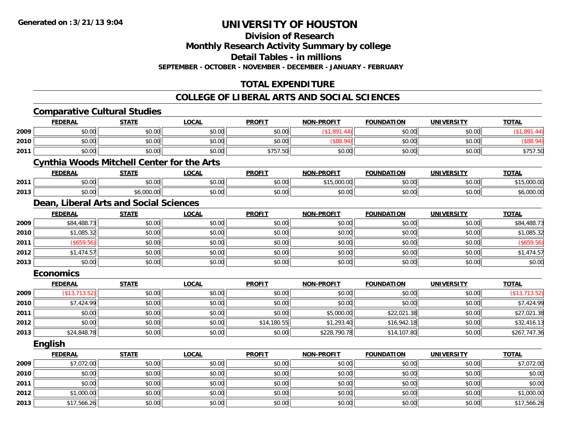**Division of Research**

**Monthly Research Activity Summary by college**

**Detail Tables - in millions**

**SEPTEMBER - OCTOBER - NOVEMBER - DECEMBER - JANUARY - FEBRUARY**

### **TOTAL EXPENDITURE**

#### **COLLEGE OF LIBERAL ARTS AND SOCIAL SCIENCES**

|      | <b>Comparative Cultural Studies</b>               |              |              |               |                   |                   |                   |               |
|------|---------------------------------------------------|--------------|--------------|---------------|-------------------|-------------------|-------------------|---------------|
|      | <b>FEDERAL</b>                                    | <b>STATE</b> | <b>LOCAL</b> | <b>PROFIT</b> | <b>NON-PROFIT</b> | <b>FOUNDATION</b> | <b>UNIVERSITY</b> | <b>TOTAL</b>  |
| 2009 | \$0.00                                            | \$0.00       | \$0.00       | \$0.00        | (\$1,891.44)      | \$0.00            | \$0.00            | (\$1,891.44)  |
| 2010 | \$0.00                                            | \$0.00       | \$0.00       | \$0.00        | (\$88.94)         | \$0.00            | \$0.00            | (\$88.94)     |
| 2011 | \$0.00                                            | \$0.00       | \$0.00       | \$757.50      | \$0.00            | \$0.00            | \$0.00            | \$757.50      |
|      | <b>Cynthia Woods Mitchell Center for the Arts</b> |              |              |               |                   |                   |                   |               |
|      | <b>FEDERAL</b>                                    | <b>STATE</b> | <b>LOCAL</b> | <b>PROFIT</b> | <b>NON-PROFIT</b> | <b>FOUNDATION</b> | <b>UNIVERSITY</b> | <b>TOTAL</b>  |
| 2011 | \$0.00                                            | \$0.00       | \$0.00       | \$0.00        | \$15,000.00       | \$0.00            | \$0.00            | \$15,000.00   |
| 2013 | \$0.00                                            | \$6,000.00   | \$0.00       | \$0.00        | \$0.00            | \$0.00            | \$0.00            | \$6,000.00    |
|      | Dean, Liberal Arts and Social Sciences            |              |              |               |                   |                   |                   |               |
|      | <b>FEDERAL</b>                                    | <b>STATE</b> | <b>LOCAL</b> | <b>PROFIT</b> | <b>NON-PROFIT</b> | <b>FOUNDATION</b> | <b>UNIVERSITY</b> | <b>TOTAL</b>  |
| 2009 | \$84,488.73                                       | \$0.00       | \$0.00       | \$0.00        | \$0.00            | \$0.00            | \$0.00            | \$84,488.73   |
| 2010 | \$1,085.32                                        | \$0.00       | \$0.00       | \$0.00        | \$0.00            | \$0.00            | \$0.00            | \$1,085.32    |
| 2011 | (\$659.56)                                        | \$0.00       | \$0.00       | \$0.00        | \$0.00            | \$0.00            | \$0.00            | (\$659.56)    |
| 2012 | \$1,474.57                                        | \$0.00       | \$0.00       | \$0.00        | \$0.00            | \$0.00            | \$0.00            | \$1,474.57    |
| 2013 | \$0.00                                            | \$0.00       | \$0.00       | \$0.00        | \$0.00            | \$0.00            | \$0.00            | \$0.00        |
|      | <b>Economics</b>                                  |              |              |               |                   |                   |                   |               |
|      | <b>FEDERAL</b>                                    | <b>STATE</b> | <b>LOCAL</b> | <b>PROFIT</b> | <b>NON-PROFIT</b> | <b>FOUNDATION</b> | <b>UNIVERSITY</b> | <b>TOTAL</b>  |
| 2009 | (\$13,713.52)                                     | \$0.00       | \$0.00       | \$0.00        | \$0.00            | \$0.00            | \$0.00            | (\$13,713.52) |
| 2010 | \$7,424.99                                        | \$0.00       | \$0.00       | \$0.00        | \$0.00            | \$0.00            | \$0.00            | \$7,424.99    |
| 2011 | \$0.00                                            | \$0.00       | \$0.00       | \$0.00        | \$5,000.00        | \$22,021.38       | \$0.00            | \$27,021.38   |
| 2012 | \$0.00                                            | \$0.00       | \$0.00       | \$14,180.55   | \$1,293.40        | \$16,942.18       | \$0.00            | \$32,416.13   |
| 2013 | \$24,848.78                                       | \$0.00       | \$0.00       | \$0.00        | \$228,790.78      | \$14,107.80       | \$0.00            | \$267,747.36  |
|      | <b>English</b>                                    |              |              |               |                   |                   |                   |               |
|      | <b>FEDERAL</b>                                    | <b>STATE</b> | <b>LOCAL</b> | <b>PROFIT</b> | <b>NON-PROFIT</b> | <b>FOUNDATION</b> | <b>UNIVERSITY</b> | <b>TOTAL</b>  |
| 2009 | \$7,072.00                                        | \$0.00       | \$0.00       | \$0.00        | \$0.00            | \$0.00            | \$0.00            | \$7,072.00    |
| 2010 | \$0.00                                            | \$0.00       | \$0.00       | \$0.00        | \$0.00            | \$0.00            | \$0.00            | \$0.00        |
| 2011 | \$0.00                                            | \$0.00       | \$0.00       | \$0.00        | \$0.00            | \$0.00            | \$0.00            | \$0.00        |
| 2012 | \$1,000.00                                        | \$0.00       | \$0.00       | \$0.00        | \$0.00            | \$0.00            | \$0.00            | \$1,000.00    |
| 2013 | \$17,566.26                                       | \$0.00       | \$0.00       | \$0.00        | \$0.00            | \$0.00            | \$0.00            | \$17,566.26   |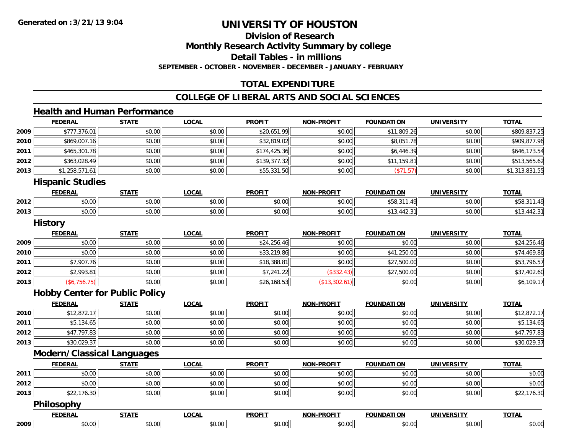**Division of Research**

**Monthly Research Activity Summary by college**

**Detail Tables - in millions**

**SEPTEMBER - OCTOBER - NOVEMBER - DECEMBER - JANUARY - FEBRUARY**

### **TOTAL EXPENDITURE**

### **COLLEGE OF LIBERAL ARTS AND SOCIAL SCIENCES**

### **Health and Human Performance**

|      | <b>FEDERAL</b>                        | <b>STATE</b> | <b>LOCAL</b> | <b>PROFIT</b> | <b>NON-PROFIT</b> | <b>FOUNDATION</b> | <b>UNIVERSITY</b> | <b>TOTAL</b>   |
|------|---------------------------------------|--------------|--------------|---------------|-------------------|-------------------|-------------------|----------------|
| 2009 | \$777,376.01                          | \$0.00       | \$0.00       | \$20,651.99   | \$0.00            | \$11,809.26       | \$0.00            | \$809,837.25   |
| 2010 | \$869,007.16                          | \$0.00       | \$0.00       | \$32,819.02   | \$0.00            | \$8,051.78        | \$0.00            | \$909,877.96   |
| 2011 | \$465,301.78                          | \$0.00       | \$0.00       | \$174,425.36  | \$0.00            | \$6,446.39        | \$0.00            | \$646,173.54   |
| 2012 | \$363,028.49                          | \$0.00       | \$0.00       | \$139,377.32  | \$0.00            | \$11,159.81       | \$0.00            | \$513,565.62   |
| 2013 | \$1,258,571.61                        | \$0.00       | \$0.00       | \$55,331.50   | \$0.00            | (\$71.57)         | \$0.00            | \$1,313,831.55 |
|      | <b>Hispanic Studies</b>               |              |              |               |                   |                   |                   |                |
|      | <b>FEDERAL</b>                        | <b>STATE</b> | <b>LOCAL</b> | <b>PROFIT</b> | <b>NON-PROFIT</b> | <b>FOUNDATION</b> | <b>UNIVERSITY</b> | <b>TOTAL</b>   |
| 2012 | \$0.00                                | \$0.00       | \$0.00       | \$0.00        | \$0.00            | \$58,311.49       | \$0.00            | \$58,311.49    |
| 2013 | \$0.00                                | \$0.00       | \$0.00       | \$0.00        | \$0.00            | \$13,442.31       | \$0.00            | \$13,442.31    |
|      | <b>History</b>                        |              |              |               |                   |                   |                   |                |
|      | <b>FEDERAL</b>                        | <b>STATE</b> | <b>LOCAL</b> | <b>PROFIT</b> | <b>NON-PROFIT</b> | <b>FOUNDATION</b> | <b>UNIVERSITY</b> | <b>TOTAL</b>   |
| 2009 | \$0.00                                | \$0.00       | \$0.00       | \$24,256.46   | \$0.00            | \$0.00            | \$0.00            | \$24,256.46    |
| 2010 | \$0.00                                | \$0.00       | \$0.00       | \$33,219.86   | \$0.00            | \$41,250.00       | \$0.00            | \$74,469.86    |
| 2011 | \$7,907.76                            | \$0.00       | \$0.00       | \$18,388.81   | \$0.00            | \$27,500.00       | \$0.00            | \$53,796.57    |
| 2012 | \$2,993.81                            | \$0.00       | \$0.00       | \$7,241.22    | (\$332.43)        | \$27,500.00       | \$0.00            | \$37,402.60    |
| 2013 | (\$6,756.75)                          | \$0.00       | \$0.00       | \$26,168.53   | (\$13,302.61)     | \$0.00            | \$0.00            | \$6,109.17     |
|      | <b>Hobby Center for Public Policy</b> |              |              |               |                   |                   |                   |                |
|      | <b>FEDERAL</b>                        | <b>STATE</b> | <b>LOCAL</b> | <b>PROFIT</b> | <b>NON-PROFIT</b> | <b>FOUNDATION</b> | <b>UNIVERSITY</b> | <b>TOTAL</b>   |
| 2010 | \$12,872.17                           | \$0.00       | \$0.00       | \$0.00        | \$0.00            | \$0.00            | \$0.00            | \$12,872.17    |
| 2011 | \$5,134.65                            | \$0.00       | \$0.00       | \$0.00        | \$0.00            | \$0.00            | \$0.00            | \$5,134.65     |
| 2012 | \$47,797.83                           | \$0.00       | \$0.00       | \$0.00        | \$0.00            | \$0.00            | \$0.00            | \$47,797.83    |
| 2013 | \$30,029.37                           | \$0.00       | \$0.00       | \$0.00        | \$0.00            | \$0.00            | \$0.00            | \$30,029.37    |
|      | <b>Modern/Classical Languages</b>     |              |              |               |                   |                   |                   |                |
|      | <b>FEDERAL</b>                        | <b>STATE</b> | <b>LOCAL</b> | <b>PROFIT</b> | <b>NON-PROFIT</b> | <b>FOUNDATION</b> | <b>UNIVERSITY</b> | <b>TOTAL</b>   |
| 2011 | \$0.00                                | \$0.00       | \$0.00       | \$0.00        | \$0.00            | \$0.00            | \$0.00            | \$0.00         |
| 2012 | \$0.00                                | \$0.00       | \$0.00       | \$0.00        | \$0.00            | \$0.00            | \$0.00            | \$0.00         |
| 2013 | \$22,176.30                           | \$0.00       | \$0.00       | \$0.00        | \$0.00            | \$0.00            | \$0.00            | \$22,176.30    |
|      | Philosophy                            |              |              |               |                   |                   |                   |                |
|      | <b>FEDERAL</b>                        | <b>STATE</b> | <b>LOCAL</b> | <b>PROFIT</b> | <b>NON-PROFIT</b> | <b>FOUNDATION</b> | <b>UNIVERSITY</b> | <b>TOTAL</b>   |
| 2009 | \$0.00                                | \$0.00       | \$0.00       | \$0.00        | \$0.00            | \$0.00            | \$0.00            | \$0.00         |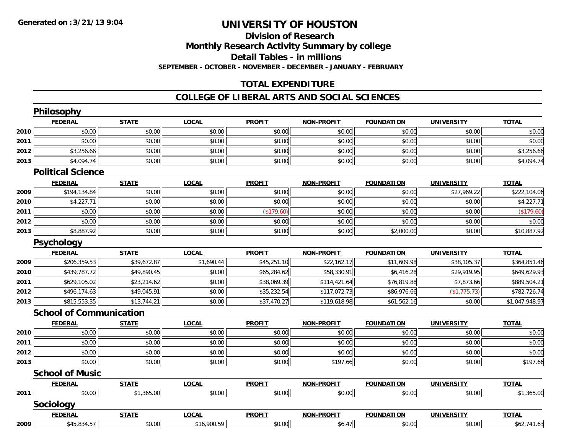### **Division of ResearchMonthly Research Activity Summary by college Detail Tables - in millions SEPTEMBER - OCTOBER - NOVEMBER - DECEMBER - JANUARY - FEBRUARY**

### **TOTAL EXPENDITURE**

### **COLLEGE OF LIBERAL ARTS AND SOCIAL SCIENCES**

|      | Philosophy                     |              |              |               |                   |                   |                   |                |
|------|--------------------------------|--------------|--------------|---------------|-------------------|-------------------|-------------------|----------------|
|      | <b>FEDERAL</b>                 | <b>STATE</b> | <b>LOCAL</b> | <b>PROFIT</b> | <b>NON-PROFIT</b> | <b>FOUNDATION</b> | <b>UNIVERSITY</b> | <b>TOTAL</b>   |
| 2010 | \$0.00                         | \$0.00       | \$0.00       | \$0.00        | \$0.00            | \$0.00            | \$0.00            | \$0.00         |
| 2011 | \$0.00                         | \$0.00       | \$0.00       | \$0.00        | \$0.00            | \$0.00            | \$0.00            | \$0.00         |
| 2012 | \$3,256.66                     | \$0.00       | \$0.00       | \$0.00        | \$0.00            | \$0.00            | \$0.00            | \$3,256.66     |
| 2013 | \$4,094.74                     | \$0.00       | \$0.00       | \$0.00        | \$0.00            | \$0.00            | \$0.00            | \$4,094.74     |
|      | <b>Political Science</b>       |              |              |               |                   |                   |                   |                |
|      | <b>FEDERAL</b>                 | <b>STATE</b> | <b>LOCAL</b> | <b>PROFIT</b> | <b>NON-PROFIT</b> | <b>FOUNDATION</b> | <b>UNIVERSITY</b> | <b>TOTAL</b>   |
| 2009 | \$194,134.84                   | \$0.00       | \$0.00       | \$0.00        | \$0.00            | \$0.00            | \$27,969.22       | \$222,104.06   |
| 2010 | \$4,227.71                     | \$0.00       | \$0.00       | \$0.00        | \$0.00            | \$0.00            | \$0.00            | \$4,227.71     |
| 2011 | \$0.00                         | \$0.00       | \$0.00       | (\$179.60)    | \$0.00            | \$0.00            | \$0.00            | (\$179.60)     |
| 2012 | \$0.00                         | \$0.00       | \$0.00       | \$0.00        | \$0.00            | \$0.00            | \$0.00            | \$0.00         |
| 2013 | \$8,887.92                     | \$0.00       | \$0.00       | \$0.00        | \$0.00            | \$2,000.00        | \$0.00            | \$10,887.92    |
|      | <b>Psychology</b>              |              |              |               |                   |                   |                   |                |
|      | <b>FEDERAL</b>                 | <b>STATE</b> | <b>LOCAL</b> | <b>PROFIT</b> | <b>NON-PROFIT</b> | <b>FOUNDATION</b> | <b>UNIVERSITY</b> | <b>TOTAL</b>   |
| 2009 | \$206,359.53                   | \$39,672.87  | \$1,690.44   | \$45,251.10   | \$22,162.17       | \$11,609.98       | \$38,105.37       | \$364,851.46   |
| 2010 | \$439,787.72                   | \$49,890.45  | \$0.00       | \$65,284.62   | \$58,330.91       | \$6,416.28        | \$29,919.95       | \$649,629.93   |
| 2011 | \$629,105.02                   | \$23,214.62  | \$0.00       | \$38,069.39   | \$114,421.64      | \$76,819.88       | \$7,873.66        | \$889,504.21   |
| 2012 | \$496,174.63                   | \$49,045.91  | \$0.00       | \$35,232.54   | \$117,072.73      | \$86,976.66       | (\$1,775.73)      | \$782,726.74   |
| 2013 | \$815,553.35                   | \$13,744.21  | \$0.00       | \$37,470.27   | \$119,618.98      | \$61,562.16       | \$0.00            | \$1,047,948.97 |
|      | <b>School of Communication</b> |              |              |               |                   |                   |                   |                |
|      | <b>FEDERAL</b>                 | <b>STATE</b> | <b>LOCAL</b> | <b>PROFIT</b> | <b>NON-PROFIT</b> | <b>FOUNDATION</b> | <b>UNIVERSITY</b> | <b>TOTAL</b>   |
| 2010 | \$0.00                         | \$0.00       | \$0.00       | \$0.00        | \$0.00            | \$0.00            | \$0.00            | \$0.00         |
| 2011 | \$0.00                         | \$0.00       | \$0.00       | \$0.00        | \$0.00            | \$0.00            | \$0.00            | \$0.00         |
| 2012 | \$0.00                         | \$0.00       | \$0.00       | \$0.00        | \$0.00            | \$0.00            | \$0.00            | \$0.00         |
| 2013 | \$0.00                         | \$0.00       | \$0.00       | \$0.00        | \$197.66          | \$0.00            | \$0.00            | \$197.66       |
|      | <b>School of Music</b>         |              |              |               |                   |                   |                   |                |
|      | <b>FEDERAL</b>                 | <b>STATE</b> | <b>LOCAL</b> | <b>PROFIT</b> | <b>NON-PROFIT</b> | <b>FOUNDATION</b> | <b>UNIVERSITY</b> | <b>TOTAL</b>   |
| 2011 | \$0.00                         | \$1,365.00   | \$0.00       | \$0.00        | \$0.00            | \$0.00            | \$0.00            | \$1,365.00     |
|      | Sociology                      |              |              |               |                   |                   |                   |                |
|      | <b>FEDERAL</b>                 | <b>STATE</b> | <b>LOCAL</b> | <b>PROFIT</b> | <b>NON-PROFIT</b> | <b>FOUNDATION</b> | <b>UNIVERSITY</b> | <b>TOTAL</b>   |
| 2009 | \$45,834.57                    | \$0.00       | \$16,900.59  | \$0.00        | \$6.47            | \$0.00            | \$0.00            | \$62,741.63    |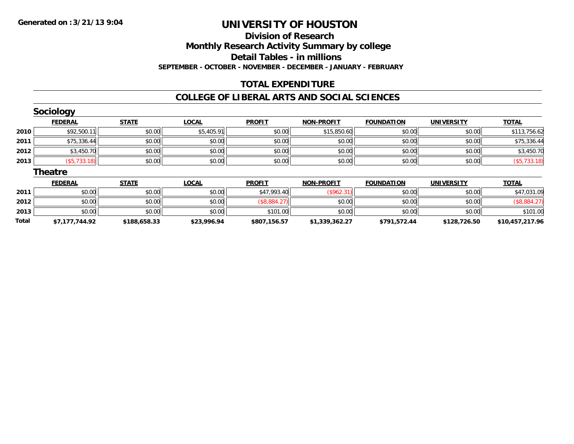### **Division of ResearchMonthly Research Activity Summary by college Detail Tables - in millions SEPTEMBER - OCTOBER - NOVEMBER - DECEMBER - JANUARY - FEBRUARY**

### **TOTAL EXPENDITURE**

#### **COLLEGE OF LIBERAL ARTS AND SOCIAL SCIENCES**

|       | <b>Sociology</b> |              |              |               |                   |                   |                   |                 |
|-------|------------------|--------------|--------------|---------------|-------------------|-------------------|-------------------|-----------------|
|       | <b>FEDERAL</b>   | <b>STATE</b> | <b>LOCAL</b> | <b>PROFIT</b> | <b>NON-PROFIT</b> | <b>FOUNDATION</b> | <b>UNIVERSITY</b> | <b>TOTAL</b>    |
| 2010  | \$92,500.11      | \$0.00       | \$5,405.91   | \$0.00        | \$15,850.60       | \$0.00            | \$0.00            | \$113,756.62    |
| 2011  | \$75,336.44      | \$0.00       | \$0.00       | \$0.00        | \$0.00            | \$0.00            | \$0.00            | \$75,336.44     |
| 2012  | \$3,450.70       | \$0.00       | \$0.00       | \$0.00        | \$0.00            | \$0.00            | \$0.00            | \$3,450.70      |
| 2013  | (\$5,733.18)     | \$0.00       | \$0.00       | \$0.00        | \$0.00            | \$0.00            | \$0.00            | (\$5,733.18)    |
|       | <b>Theatre</b>   |              |              |               |                   |                   |                   |                 |
|       | <b>FEDERAL</b>   | <b>STATE</b> | <b>LOCAL</b> | <b>PROFIT</b> | <b>NON-PROFIT</b> | <b>FOUNDATION</b> | <b>UNIVERSITY</b> | <b>TOTAL</b>    |
| 2011  | \$0.00           | \$0.00       | \$0.00       | \$47,993.40   | (\$962.31)        | \$0.00            | \$0.00            | \$47,031.09     |
| 2012  | \$0.00           | \$0.00       | \$0.00       | (\$8,884.27)  | \$0.00            | \$0.00            | \$0.00            | (\$8,884.27)    |
| 2013  | \$0.00           | \$0.00       | \$0.00       | \$101.00      | \$0.00            | \$0.00            | \$0.00            | \$101.00        |
| Total | \$7,177,744.92   | \$188,658.33 | \$23,996.94  | \$807,156.57  | \$1,339,362.27    | \$791,572.44      | \$128,726.50      | \$10,457,217.96 |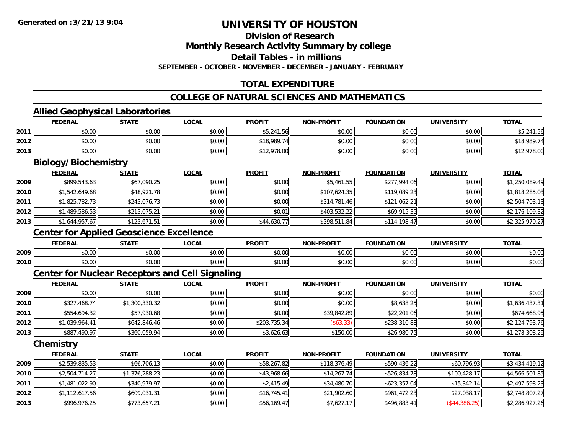**Division of Research**

**Monthly Research Activity Summary by college**

**Detail Tables - in millions**

**SEPTEMBER - OCTOBER - NOVEMBER - DECEMBER - JANUARY - FEBRUARY**

## **TOTAL EXPENDITURE**

### **COLLEGE OF NATURAL SCIENCES AND MATHEMATICS**

### **Allied Geophysical Laboratories**

|      | <b>FEDERAL</b> | <b>STATE</b> | <u>LOCAL</u> | <b>PROFIT</b> | <b>NON-PROFIT</b> | <b>FOUNDATION</b> | UNIVERSITY | <b>TOTAL</b> |
|------|----------------|--------------|--------------|---------------|-------------------|-------------------|------------|--------------|
| 2011 | \$0.00         | \$0.00       | \$0.00       | \$5,241.56    | \$0.00            | \$0.00            | \$0.00     | \$5.241.56   |
| 2012 | \$0.00         | \$0.00       | \$0.00       | \$18,989.74   | \$0.00            | \$0.00            | \$0.00     | \$18,989.74  |
| 2013 | \$0.00         | \$0.00       | \$0.00       | \$12,978.00   | \$0.00            | \$0.00            | \$0.00     | 12,978.00    |

<u> 1989 - Johann Stoff, deutscher Stoffen und der Stoffen und der Stoffen und der Stoffen und der Stoffen und de</u>

### **Biology/Biochemistry**

|      | <b>FEDERAL</b> | <b>STATE</b> | <u>LOCAL</u> | <b>PROFIT</b> | <b>NON-PROFIT</b> | <b>FOUNDATION</b> | <b>UNIVERSITY</b> | <b>TOTAL</b>   |
|------|----------------|--------------|--------------|---------------|-------------------|-------------------|-------------------|----------------|
| 2009 | \$899,543.63   | \$67,090.25  | \$0.00       | \$0.00        | \$5.461.55        | \$277,994.06      | \$0.00            | \$1,250,089.49 |
| 2010 | \$1,542,649.68 | \$48,921.78  | \$0.00       | \$0.00        | \$107,624.35      | \$119,089.23      | \$0.00            | \$1,818,285.03 |
| 2011 | \$1,825,782.73 | \$243,076.73 | \$0.00       | \$0.00        | \$314,781.46      | \$121,062.21      | \$0.00            | \$2,504,703.13 |
| 2012 | \$1,489,586.53 | \$213,075.21 | \$0.00       | \$0.01        | \$403,532.22      | \$69,915.35       | \$0.00            | \$2,176,109.32 |
| 2013 | \$1,644,957.67 | \$123,671.51 | \$0.00       | \$44,630.77   | \$398,511.84      | \$114,198.47      | \$0.00            | \$2,325,970.27 |

### **Center for Applied Geoscience Excellence**

|      | <b>FEDERA</b> | $- - - -$ | .OCAI         | <b>PROFIT</b>                            |                                  | m     |           | $-2 -$    |
|------|---------------|-----------|---------------|------------------------------------------|----------------------------------|-------|-----------|-----------|
| 2009 | 0000          | 0000      | $\sim$ 00     | 0000                                     | $\uparrow$ $\uparrow$ $\uparrow$ | 0000  | $\sim$ 00 | $\sim$ 00 |
|      | טט.טט         | טט.       | טט.טט         | ັນປີ ປີປະ                                | ΨU.                              | JU.UU | vu.uu     | pv.ul     |
|      | 0000          | 0.00      | $\sim$ $\sim$ | $\mathsf{A}\cap\mathsf{A}\cap\mathsf{A}$ | vv.v                             | 0000  | $\sim$ 00 | $\sim$ 00 |
| 2010 | PU.UU         | pv.uu     | ₽U.UU         | vu.u                                     |                                  | JU.UU | vv.vv     | PU.UU     |

### **Center for Nuclear Receptors and Cell Signaling**

|      | <b>FEDERAL</b> | <b>STATE</b>   | <u>LOCAL</u> | <b>PROFIT</b> | <b>NON-PROFIT</b> | <b>FOUNDATION</b> | <b>UNIVERSITY</b> | <b>TOTAL</b>   |
|------|----------------|----------------|--------------|---------------|-------------------|-------------------|-------------------|----------------|
| 2009 | \$0.00         | \$0.00         | \$0.00       | \$0.00        | \$0.00            | \$0.00            | \$0.00            | \$0.00         |
| 2010 | \$327,468.74   | \$1,300,330.32 | \$0.00       | \$0.00        | \$0.00            | \$8,638.25        | \$0.00            | \$1,636,437.31 |
| 2011 | \$554,694.32   | \$57,930.68    | \$0.00       | \$0.00        | \$39,842.89       | \$22,201.06       | \$0.00            | \$674,668.95   |
| 2012 | \$1.039.964.41 | \$642.846.46   | \$0.00       | \$203,735.34  | (\$63.33)         | \$238,310.88      | \$0.00            | \$2,124,793.76 |
| 2013 | \$887,490.97   | \$360,059.94   | \$0.00       | \$3,626.63    | \$150.00          | \$26,980.75       | \$0.00            | \$1,278,308.29 |

**Chemistry**

|      | <b>FEDERAL</b> | <b>STATE</b>   | <u>LOCAL</u> | <b>PROFIT</b> | <b>NON-PROFIT</b> | <b>FOUNDATION</b> | <b>UNIVERSITY</b> | <b>TOTAL</b>   |
|------|----------------|----------------|--------------|---------------|-------------------|-------------------|-------------------|----------------|
| 2009 | \$2,539,835.53 | \$66,706.13    | \$0.00       | \$58,267.82   | \$118,376.49      | \$590,436.22      | \$60,796.93       | \$3,434,419.12 |
| 2010 | \$2,504,714.27 | \$1,376,288.23 | \$0.00       | \$43,968.66   | \$14,267.74       | \$526,834.78      | \$100,428.17      | \$4,566,501.85 |
| 2011 | \$1,481,022.90 | \$340,979.97   | \$0.00       | \$2,415.49    | \$34,480.70       | \$623,357.04      | \$15.342.14       | \$2,497,598.23 |
| 2012 | \$1,112,617.56 | \$609,031.31   | \$0.00       | \$16,745.41   | \$21,902.60       | \$961,472.23      | \$27,038.17       | \$2,748,807.27 |
| 2013 | \$996,976.25   | \$773,657.21   | \$0.00       | \$56,169.47   | \$7,627.17        | \$496,883.41      | (\$44,386.25)     | \$2,286,927.26 |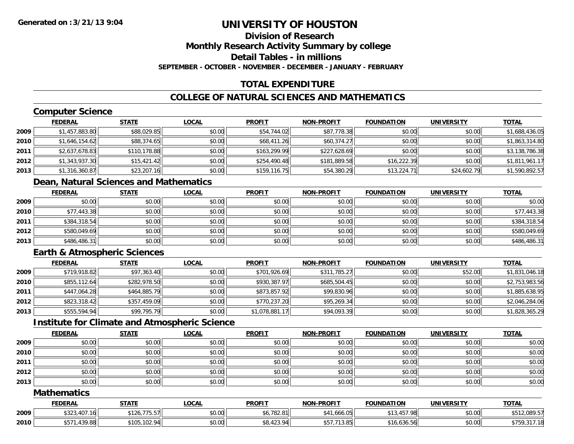### **Division of ResearchMonthly Research Activity Summary by college Detail Tables - in millionsSEPTEMBER - OCTOBER - NOVEMBER - DECEMBER - JANUARY - FEBRUARY**

## **TOTAL EXPENDITURE**

## **COLLEGE OF NATURAL SCIENCES AND MATHEMATICS**

# **Computer Science**

|      | <b>FEDERAL</b> | <b>STATE</b> | <b>LOCAL</b> | <b>PROFIT</b> | <b>NON-PROFIT</b> | <b>FOUNDATION</b> | <b>UNIVERSITY</b> | <b>TOTAL</b>   |
|------|----------------|--------------|--------------|---------------|-------------------|-------------------|-------------------|----------------|
| 2009 | \$1,457,883.80 | \$88,029.85  | \$0.00       | \$54,744.02   | \$87,778.38       | \$0.00            | \$0.00            | \$1,688,436.05 |
| 2010 | \$1,646,154.62 | \$88,374.65  | \$0.00       | \$68,411.26   | \$60,374.27       | \$0.00            | \$0.00            | \$1,863,314.80 |
| 2011 | \$2,637,678.83 | \$110,178.88 | \$0.00       | \$163,299.99  | \$227,628.69      | \$0.00            | \$0.00            | \$3,138,786.38 |
| 2012 | \$1,343,937.30 | \$15,421.42  | \$0.00       | \$254,490.48  | \$181,889.58      | \$16,222.39       | \$0.00            | \$1,811,961.17 |
| 2013 | \$1,316,360.87 | \$23,207.16  | \$0.00       | \$159, 116.75 | \$54,380.29       | \$13,224.71       | \$24,602.79       | \$1,590,892.57 |

## **Dean, Natural Sciences and Mathematics**

|      | <b>FEDERAL</b> | <u>STATE</u> | <u>LOCAL</u> | <b>PROFIT</b> | <b>NON-PROFIT</b> | <b>FOUNDATION</b> | <b>UNIVERSITY</b> | <b>TOTAL</b> |
|------|----------------|--------------|--------------|---------------|-------------------|-------------------|-------------------|--------------|
| 2009 | \$0.00         | \$0.00       | \$0.00       | \$0.00        | \$0.00            | \$0.00            | \$0.00            | \$0.00       |
| 2010 | \$77,443.38    | \$0.00       | \$0.00       | \$0.00        | \$0.00            | \$0.00            | \$0.00            | \$77,443.38  |
| 2011 | \$384,318.54   | \$0.00       | \$0.00       | \$0.00        | \$0.00            | \$0.00            | \$0.00            | \$384,318.54 |
| 2012 | \$580,049.69   | \$0.00       | \$0.00       | \$0.00        | \$0.00            | \$0.00            | \$0.00            | \$580,049.69 |
| 2013 | \$486,486.31   | \$0.00       | \$0.00       | \$0.00        | \$0.00            | \$0.00            | \$0.00            | \$486,486.31 |

## **Earth & Atmospheric Sciences**

|      | <b>FEDERAL</b> | <b>STATE</b> | <u>LOCAL</u> | <b>PROFIT</b>  | <b>NON-PROFIT</b> | <b>FOUNDATION</b> | <b>UNIVERSITY</b> | <b>TOTAL</b>   |
|------|----------------|--------------|--------------|----------------|-------------------|-------------------|-------------------|----------------|
| 2009 | \$719,918.82   | \$97,363.40  | \$0.00       | \$701,926.69   | \$311,785.27      | \$0.00            | \$52.00           | \$1,831,046.18 |
| 2010 | \$855,112.64   | \$282,978.50 | \$0.00       | \$930,387.97   | \$685,504.45      | \$0.00            | \$0.00            | \$2,753,983.56 |
| 2011 | \$447,064.28   | \$464,885.79 | \$0.00       | \$873,857.92   | \$99,830.96       | \$0.00            | \$0.00            | \$1,885,638.95 |
| 2012 | \$823,318.42   | \$357,459.09 | \$0.00       | \$770,237.20   | \$95,269.34       | \$0.00            | \$0.00            | \$2,046,284.06 |
| 2013 | \$555,594.94   | \$99,795.79  | \$0.00       | \$1,078,881.17 | \$94,093.39       | \$0.00            | \$0.00            | \$1,828,365.29 |

## **Institute for Climate and Atmospheric Science**

|      | <u>FEDERAL</u> | <b>STATE</b> | <u>LOCAL</u> | <b>PROFIT</b> | <b>NON-PROFIT</b> | <b>FOUNDATION</b> | <b>UNIVERSITY</b> | <b>TOTAL</b> |
|------|----------------|--------------|--------------|---------------|-------------------|-------------------|-------------------|--------------|
| 2009 | \$0.00         | \$0.00       | \$0.00       | \$0.00        | \$0.00            | \$0.00            | \$0.00            | \$0.00       |
| 2010 | \$0.00         | \$0.00       | \$0.00       | \$0.00        | \$0.00            | \$0.00            | \$0.00            | \$0.00       |
| 2011 | \$0.00         | \$0.00       | \$0.00       | \$0.00        | \$0.00            | \$0.00            | \$0.00            | \$0.00       |
| 2012 | \$0.00         | \$0.00       | \$0.00       | \$0.00        | \$0.00            | \$0.00            | \$0.00            | \$0.00       |
| 2013 | \$0.00         | \$0.00       | \$0.00       | \$0.00        | \$0.00            | \$0.00            | \$0.00            | \$0.00       |

### **Mathematics**

|      | FEDERAL                   | <b>STATE</b>     | .OCAI          | <b>PROFIT</b>         | -PROFIT<br>™ NION                      | <b>FOUNDATION</b>    | <b>UNIUREDCITY</b><br>ER.31 | <b>TOTAL</b>                 |
|------|---------------------------|------------------|----------------|-----------------------|----------------------------------------|----------------------|-----------------------------|------------------------------|
| 2009 | 323,407                   | ------<br>75.57  | nn na<br>DU.UG | $A$ , $T$<br>0.102.01 | . ሰፍ<br>.666.U5                        | 15700<br>، ب+<br>. ט | \$0.00                      | 000E7<br>$A - A$<br>1.699.57 |
| 2010 | 439.88<br>$- - -$<br>n: I | .102.94<br>\$105 | \$0.00         | 1000<br>DO.423.       | $\sim$ $\sim$ $\sim$ $\sim$<br>1.J.O.J | 121 F1<br>16.636.56  | \$0.00                      |                              |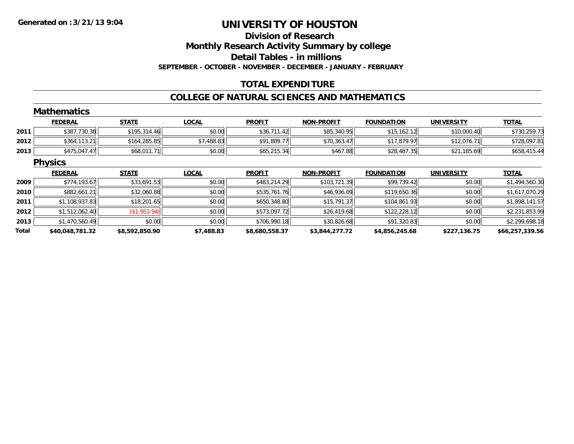## **Division of ResearchMonthly Research Activity Summary by college Detail Tables - in millions SEPTEMBER - OCTOBER - NOVEMBER - DECEMBER - JANUARY - FEBRUARY**

## **TOTAL EXPENDITURE**

### **COLLEGE OF NATURAL SCIENCES AND MATHEMATICS**

|       | <b>Mathematics</b> |                |              |                |                   |                   |                   |                 |
|-------|--------------------|----------------|--------------|----------------|-------------------|-------------------|-------------------|-----------------|
|       | <b>FEDERAL</b>     | <b>STATE</b>   | <b>LOCAL</b> | <b>PROFIT</b>  | <b>NON-PROFIT</b> | <b>FOUNDATION</b> | <b>UNIVERSITY</b> | <b>TOTAL</b>    |
| 2011  | \$387,730.38       | \$195,314.46   | \$0.00       | \$36,711.42    | \$85,340.95       | \$15,162.12       | \$10,000.40       | \$730,259.73    |
| 2012  | \$364,113.21       | \$164,285.85   | \$7,488.83   | \$91,889.77    | \$70,363.47       | \$17,879.97       | \$12,076.71       | \$728,097.81    |
| 2013  | \$475,047.47       | \$68,011.71    | \$0.00       | \$65,215.34    | \$467.88          | \$28,487.35       | \$21,185.69       | \$658,415.44    |
|       | <b>Physics</b>     |                |              |                |                   |                   |                   |                 |
|       | <b>FEDERAL</b>     | <b>STATE</b>   | <b>LOCAL</b> | <b>PROFIT</b>  | <b>NON-PROFIT</b> | <b>FOUNDATION</b> | <b>UNIVERSITY</b> | <b>TOTAL</b>    |
| 2009  | \$774,193.67       | \$33,691.53    | \$0.00       | \$483,214.29   | \$103,721.39      | \$99,739.42       | \$0.00            | \$1,494,560.30  |
| 2010  | \$882,661.21       | \$32,060.88    | \$0.00       | \$535,761.76   | \$46,936.09       | \$119,650.36      | \$0.00            | \$1,617,070.29  |
| 2011  | \$1,108,937.83     | \$18,201.65    | \$0.00       | \$650,348.80   | \$15,791.37       | \$104,861.93      | \$0.00            | \$1,898,141.57  |
| 2012  | \$1,512,062.40     | (\$1,953.94)   | \$0.00       | \$573,097.72   | \$26,419.68       | \$122,228.12      | \$0.00            | \$2,231,853.99  |
| 2013  | \$1,470,560.49     | \$0.00         | \$0.00       | \$706,990.18   | \$30,826.68       | \$91,320.83       | \$0.00            | \$2,299,698.18  |
| Total | \$40,048,781.32    | \$8,592,850.90 | \$7,488.83   | \$8,680,558.37 | \$3,844,277.72    | \$4,856,245.68    | \$227,136.75      | \$66,257,339.56 |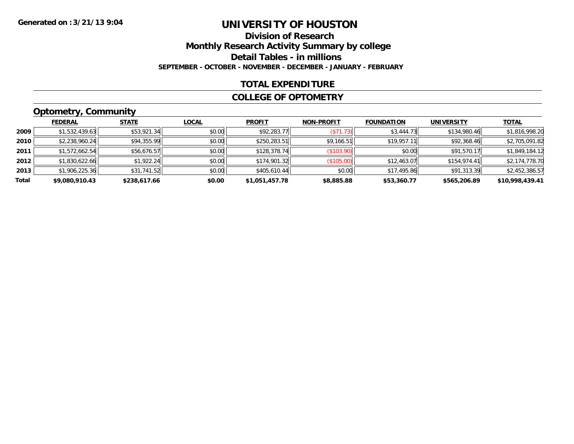## **Division of ResearchMonthly Research Activity Summary by college Detail Tables - in millions SEPTEMBER - OCTOBER - NOVEMBER - DECEMBER - JANUARY - FEBRUARY**

### **TOTAL EXPENDITURE**

### **COLLEGE OF OPTOMETRY**

# **Optometry, Community**

|       | <b>FEDERAL</b> | <b>STATE</b> | <b>LOCAL</b> | <b>PROFIT</b>  | <b>NON-PROFIT</b> | <b>FOUNDATION</b> | <b>UNIVERSITY</b> | <b>TOTAL</b>    |
|-------|----------------|--------------|--------------|----------------|-------------------|-------------------|-------------------|-----------------|
| 2009  | \$1,532,439.63 | \$53,921.34  | \$0.00       | \$92,283.77    | (S71.73)          | \$3,444.73        | \$134,980.46      | \$1,816,998.20  |
| 2010  | \$2,238,960.24 | \$94,355.99  | \$0.00       | \$250,283.51   | \$9,166.51        | \$19,957.11       | \$92,368.46       | \$2,705,091.82  |
| 2011  | \$1,572,662.54 | \$56,676.57  | \$0.00       | \$128,378.74   | (\$103.90)        | \$0.00            | \$91,570.17       | \$1,849,184.12  |
| 2012  | \$1,830,622.66 | \$1,922.24   | \$0.00       | \$174,901.32   | (\$105.00)        | \$12,463.07       | \$154,974.41      | \$2,174,778.70  |
| 2013  | \$1,906,225.36 | \$31,741.52  | \$0.00       | \$405,610.44   | \$0.00            | \$17,495.86       | \$91,313.39       | \$2,452,386.57  |
| Total | \$9,080,910.43 | \$238,617.66 | \$0.00       | \$1,051,457.78 | \$8,885.88        | \$53,360.77       | \$565,206.89      | \$10,998,439.41 |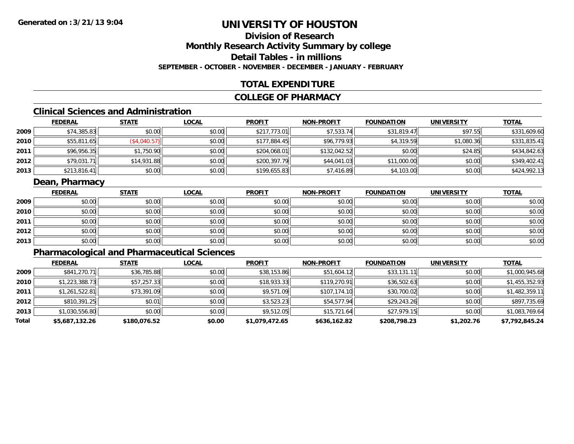## **Division of ResearchMonthly Research Activity Summary by college Detail Tables - in millionsSEPTEMBER - OCTOBER - NOVEMBER - DECEMBER - JANUARY - FEBRUARY**

### **TOTAL EXPENDITURE**

### **COLLEGE OF PHARMACY**

# **Clinical Sciences and Administration**

|      | <b>FEDERAL</b> | <b>STATE</b> | <u>LOCAL</u> | <b>PROFIT</b> | <b>NON-PROFIT</b> | <b>FOUNDATION</b> | <b>UNIVERSITY</b> | <b>TOTAL</b> |
|------|----------------|--------------|--------------|---------------|-------------------|-------------------|-------------------|--------------|
| 2009 | \$74,385.83    | \$0.00       | \$0.00       | \$217.773.01  | \$7,533.74        | \$31,819.47       | \$97.55           | \$331,609.60 |
| 2010 | \$55,811.65    | (\$4,040.57) | \$0.00       | \$177,884.45  | \$96,779.93       | \$4,319.59        | \$1,080.36        | \$331,835.41 |
| 2011 | \$96,956.35    | \$1,750.90   | \$0.00       | \$204,068.01  | \$132,042.52      | \$0.00            | \$24.85           | \$434,842.63 |
| 2012 | \$79,031.71    | \$14,931.88  | \$0.00       | \$200,397.79  | \$44,041.03       | \$11,000.00       | \$0.00            | \$349,402.41 |
| 2013 | \$213,816.41   | \$0.00       | \$0.00       | \$199,655.83  | \$7,416.89        | \$4,103.00        | \$0.00            | \$424,992.13 |

### **Dean, Pharmacy**

|      | <u>FEDERAL</u> | <b>STATE</b> | <u>LOCAL</u> | <b>PROFIT</b> | <b>NON-PROFIT</b> | <b>FOUNDATION</b> | <b>UNIVERSITY</b> | <b>TOTAL</b> |
|------|----------------|--------------|--------------|---------------|-------------------|-------------------|-------------------|--------------|
| 2009 | \$0.00         | \$0.00       | \$0.00       | \$0.00        | \$0.00            | \$0.00            | \$0.00            | \$0.00       |
| 2010 | \$0.00         | \$0.00       | \$0.00       | \$0.00        | \$0.00            | \$0.00            | \$0.00            | \$0.00       |
| 2011 | \$0.00         | \$0.00       | \$0.00       | \$0.00        | \$0.00            | \$0.00            | \$0.00            | \$0.00       |
| 2012 | \$0.00         | \$0.00       | \$0.00       | \$0.00        | \$0.00            | \$0.00            | \$0.00            | \$0.00       |
| 2013 | \$0.00         | \$0.00       | \$0.00       | \$0.00        | \$0.00            | \$0.00            | \$0.00            | \$0.00       |

# **Pharmacological and Pharmaceutical Sciences**

|       | <b>FEDERAL</b> | <b>STATE</b> | <b>LOCAL</b> | <b>PROFIT</b>  | <b>NON-PROFIT</b> | <b>FOUNDATION</b> | <b>UNIVERSITY</b> | <u>TOTAL</u>   |
|-------|----------------|--------------|--------------|----------------|-------------------|-------------------|-------------------|----------------|
| 2009  | \$841,270.71   | \$36,785.88  | \$0.00       | \$38,153.86    | \$51,604.12       | \$33,131.11       | \$0.00            | \$1,000,945.68 |
| 2010  | \$1,223,388.73 | \$57,257.33  | \$0.00       | \$18,933.33    | \$119,270.91      | \$36,502.63       | \$0.00            | \$1,455,352.93 |
| 2011  | \$1,261,522.81 | \$73,391.09  | \$0.00       | \$9,571.09     | \$107,174.10      | \$30,700.02       | \$0.00            | \$1,482,359.11 |
| 2012  | \$810,391.25   | \$0.01       | \$0.00       | \$3,523.23     | \$54,577.94       | \$29,243.26       | \$0.00            | \$897,735.69   |
| 2013  | \$1,030,556.80 | \$0.00       | \$0.00       | \$9,512.05     | \$15,721.64       | \$27,979.15       | \$0.00            | \$1,083,769.64 |
| Total | \$5,687,132.26 | \$180,076.52 | \$0.00       | \$1,079,472.65 | \$636,162.82      | \$208,798.23      | \$1,202.76        | \$7,792,845.24 |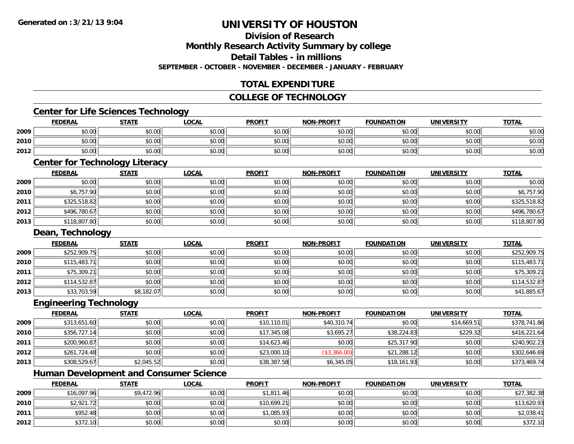## **Division of Research**

**Monthly Research Activity Summary by college**

**Detail Tables - in millions**

**SEPTEMBER - OCTOBER - NOVEMBER - DECEMBER - JANUARY - FEBRUARY**

## **TOTAL EXPENDITURE**

### **COLLEGE OF TECHNOLOGY**

## **Center for Life Sciences Technology**

|      | <b>FEDERAL</b> | <b>STATE</b> | <u>LOCAI</u> | <b>PROFIT</b> | <b>NON-PROFIT</b> | <b>FOUNDATION</b> | <b>UNIVERSITY</b> | <b>TOTAL</b> |
|------|----------------|--------------|--------------|---------------|-------------------|-------------------|-------------------|--------------|
| 2009 | \$0.00         | \$0.00       | \$0.00       | \$0.00        | \$0.00            | \$0.00            | \$0.00            | \$0.00       |
| 2010 | \$0.00         | \$0.00       | \$0.00       | \$0.00        | \$0.00            | \$0.00            | \$0.00            | \$0.00       |
| 2012 | \$0.00         | \$0.00       | \$0.00       | \$0.00        | \$0.00            | \$0.00            | \$0.00            | \$0.00       |

## **Center for Technology Literacy**

|      | <b>FEDERAL</b> | <b>STATE</b> | <u>LOCAL</u> | <b>PROFIT</b> | <b>NON-PROFIT</b> | <b>FOUNDATION</b> | <b>UNIVERSITY</b> | <b>TOTAL</b> |
|------|----------------|--------------|--------------|---------------|-------------------|-------------------|-------------------|--------------|
| 2009 | \$0.00         | \$0.00       | \$0.00       | \$0.00        | \$0.00            | \$0.00            | \$0.00            | \$0.00       |
| 2010 | \$6,757.90     | \$0.00       | \$0.00       | \$0.00        | \$0.00            | \$0.00            | \$0.00            | \$6,757.90   |
| 2011 | \$325,518.82   | \$0.00       | \$0.00       | \$0.00        | \$0.00            | \$0.00            | \$0.00            | \$325,518.82 |
| 2012 | \$496,780.67   | \$0.00       | \$0.00       | \$0.00        | \$0.00            | \$0.00            | \$0.00            | \$496,780.67 |
| 2013 | \$118,807.80   | \$0.00       | \$0.00       | \$0.00        | \$0.00            | \$0.00            | \$0.00            | \$118,807.80 |

### **Dean, Technology**

|      | <b>FEDERAL</b> | <b>STATE</b> | <b>LOCAL</b> | <b>PROFIT</b> | <b>NON-PROFIT</b> | <b>FOUNDATION</b> | <b>UNIVERSITY</b> | <b>TOTAL</b> |
|------|----------------|--------------|--------------|---------------|-------------------|-------------------|-------------------|--------------|
| 2009 | \$252,909.75   | \$0.00       | \$0.00       | \$0.00        | \$0.00            | \$0.00            | \$0.00            | \$252,909.75 |
| 2010 | \$115,483.71   | \$0.00       | \$0.00       | \$0.00        | \$0.00            | \$0.00            | \$0.00            | \$115,483.71 |
| 2011 | \$75,309.21    | \$0.00       | \$0.00       | \$0.00        | \$0.00            | \$0.00            | \$0.00            | \$75,309.21  |
| 2012 | \$114,532.87   | \$0.00       | \$0.00       | \$0.00        | \$0.00            | \$0.00            | \$0.00            | \$114,532.87 |
| 2013 | \$33,703.59    | \$8,182.07   | \$0.00       | \$0.00        | \$0.00            | \$0.00            | \$0.00            | \$41,885.67  |

### **Engineering Technology**

|      | <b>Engineering Technology</b> |              |              |               |                   |                   |                   |              |
|------|-------------------------------|--------------|--------------|---------------|-------------------|-------------------|-------------------|--------------|
|      | <b>FEDERAL</b>                | <b>STATE</b> | <b>LOCAL</b> | <b>PROFIT</b> | <b>NON-PROFIT</b> | <b>FOUNDATION</b> | <b>UNIVERSITY</b> | <b>TOTAL</b> |
| 2009 | \$313,651.60                  | \$0.00       | \$0.00       | \$10,110.01   | \$40,310.74       | \$0.00            | \$14,669.51       | \$378,741.86 |
| 2010 | \$356,727.14                  | \$0.00       | \$0.00       | \$17,345.08   | \$3,695.27        | \$38,224.83       | \$229.32          | \$416,221.64 |
| 2011 | \$200,960.87                  | \$0.00       | \$0.00       | \$14,623.46   | \$0.00            | \$25,317.90       | \$0.00            | \$240,902.23 |
| 2012 | \$261,724.48                  | \$0.00       | \$0.00       | \$23,000.10   | (\$3,366.00)      | \$21,288.12       | \$0.00            | \$302,646.69 |
| 2013 | \$308,529.67                  | \$2,045.52   | \$0.00       | \$38,387.58   | \$6,345.05        | \$18,161.93       | \$0.00            | \$373,469.74 |

## **Human Development and Consumer Science**

|      | <u>FEDERAL</u> | <b>STATE</b> | <b>LOCAL</b> | <b>PROFIT</b> | <b>NON-PROFIT</b> | <b>FOUNDATION</b> | <b>UNIVERSITY</b> | <b>TOTAL</b> |
|------|----------------|--------------|--------------|---------------|-------------------|-------------------|-------------------|--------------|
| 2009 | \$16,097.96    | \$9,472.96   | \$0.00       | \$1,811.46    | \$0.00            | \$0.00            | \$0.00            | \$27,382.38  |
| 2010 | \$2,921.72     | \$0.00       | \$0.00       | \$10,699.21   | \$0.00            | \$0.00            | \$0.00            | \$13,620.93  |
| 2011 | \$952.48       | \$0.00       | \$0.00       | \$1,085.93    | \$0.00            | \$0.00            | \$0.00            | \$2,038.41   |
| 2012 | \$372.10       | \$0.00       | \$0.00       | \$0.00        | \$0.00            | \$0.00            | \$0.00            | \$372.10     |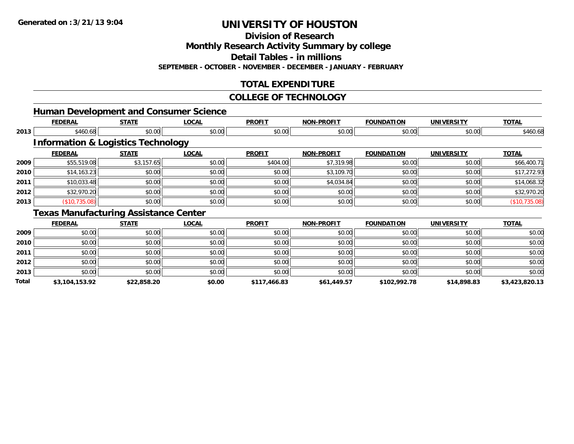**Division of Research**

**Monthly Research Activity Summary by college**

**Detail Tables - in millions**

**SEPTEMBER - OCTOBER - NOVEMBER - DECEMBER - JANUARY - FEBRUARY**

## **TOTAL EXPENDITURE**

### **COLLEGE OF TECHNOLOGY**

| <b>Human Development and Consumer Science</b> |
|-----------------------------------------------|
|                                               |

|       | <b>FEDERAL</b>                                | <b>STATE</b>            | <b>LOCAL</b> | <b>PROFIT</b>           | <b>NON-PROFIT</b> | <b>FOUNDATION</b> | <b>UNIVERSITY</b> | <b>TOTAL</b>            |
|-------|-----------------------------------------------|-------------------------|--------------|-------------------------|-------------------|-------------------|-------------------|-------------------------|
| 2013  | \$460.68                                      | \$0.00                  | \$0.00       | \$0.00                  | \$0.00            | \$0.00            | \$0.00            | \$460.68                |
|       | <b>Information &amp; Logistics Technology</b> |                         |              |                         |                   |                   |                   |                         |
|       | <b>FEDERAL</b>                                | <b>STATE</b>            | <b>LOCAL</b> | <b>PROFIT</b>           | <b>NON-PROFIT</b> | <b>FOUNDATION</b> | <b>UNIVERSITY</b> | <b>TOTAL</b>            |
| 2009  | \$55,519.08                                   | \$3,157.65              | \$0.00       | \$404.00                | \$7,319.98        | \$0.00            | \$0.00            | \$66,400.71             |
| 2010  | \$14,163.23                                   | \$0.00                  | \$0.00       | \$0.00                  | \$3,109.70        | \$0.00            | \$0.00            | \$17,272.93             |
| 2011  | \$10,033.48                                   | \$0.00                  | \$0.00       | \$0.00                  | \$4,034.84        | \$0.00            | \$0.00            | \$14,068.32             |
| 2012  | \$32,970.20                                   | \$0.00                  | \$0.00       | \$0.00                  | \$0.00            | \$0.00            | \$0.00            | \$32,970.20             |
| 2013  | (\$10,735.08)                                 | \$0.00                  | \$0.00       | \$0.00                  | \$0.00            | \$0.00            | \$0.00            | (\$10,735.08)           |
|       | <b>Texas Manufacturing Assistance Center</b>  |                         |              |                         |                   |                   |                   |                         |
|       | <b>FEDERAL</b>                                | <b>STATE</b>            | <b>LOCAL</b> | <b>PROFIT</b>           | <b>NON-PROFIT</b> | <b>FOUNDATION</b> | <b>UNIVERSITY</b> | <b>TOTAL</b>            |
| 2000. | $\mathfrak{g} \cap \mathfrak{g}$              | $\circ$ $\circ$ $\circ$ | 0000         | $\mathfrak{g}$ $\alpha$ | $n \cap \neg$     | 0000              | 0000              | $\circ$ $\circ$ $\circ$ |

| Total | \$3,104,153.92 | \$22,858.20 | \$0.00 | \$117,466.83 | \$61,449.57 | \$102,992.78 | \$14,898.83 | \$3,423,820.13 |
|-------|----------------|-------------|--------|--------------|-------------|--------------|-------------|----------------|
| 2013  | \$0.00         | \$0.00      | \$0.00 | \$0.00       | \$0.00      | \$0.00       | \$0.00      | \$0.00         |
| 2012  | \$0.00         | \$0.00      | \$0.00 | \$0.00       | \$0.00      | \$0.00       | \$0.00      | \$0.00         |
| 2011  | \$0.00         | \$0.00      | \$0.00 | \$0.00       | \$0.00      | \$0.00       | \$0.00      | \$0.00         |
| 2010  | \$0.00         | \$0.00      | \$0.00 | \$0.00       | \$0.00      | \$0.00       | \$0.00      | \$0.00         |
| 2009  | \$0.00         | \$0.00      | \$0.00 | \$0.00       | \$0.00      | \$0.00       | \$0.00      | \$0.00         |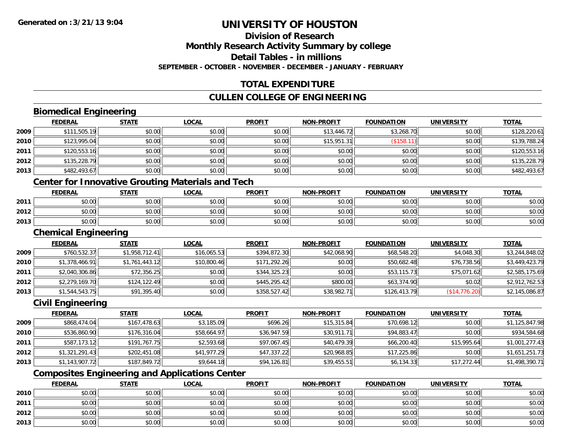# **Division of ResearchMonthly Research Activity Summary by college Detail Tables - in millions**

**SEPTEMBER - OCTOBER - NOVEMBER - DECEMBER - JANUARY - FEBRUARY**

# **TOTAL EXPENDITURE**

## **CULLEN COLLEGE OF ENGINEERING**

## **Biomedical Engineering**

|      | <b>FEDERAL</b> | <b>STATE</b> | <b>LOCAL</b> | <b>PROFIT</b> | <b>NON-PROFIT</b> | <b>FOUNDATION</b> | <b>UNIVERSITY</b> | <b>TOTAL</b> |
|------|----------------|--------------|--------------|---------------|-------------------|-------------------|-------------------|--------------|
| 2009 | \$111,505.19   | \$0.00       | \$0.00       | \$0.00        | \$13,446.72       | \$3,268.70        | \$0.00            | \$128,220.61 |
| 2010 | \$123,995.04   | \$0.00       | \$0.00       | \$0.00        | \$15,951.31       | $($ \$158.11)     | \$0.00            | \$139,788.24 |
| 2011 | \$120,553.16   | \$0.00       | \$0.00       | \$0.00        | \$0.00            | \$0.00            | \$0.00            | \$120,553.16 |
| 2012 | \$135,228.79   | \$0.00       | \$0.00       | \$0.00        | \$0.00            | \$0.00            | \$0.00            | \$135,228.79 |
| 2013 | \$482,493.67   | \$0.00       | \$0.00       | \$0.00        | \$0.00            | \$0.00            | \$0.00            | \$482,493.67 |
|      |                |              | .            | ____          |                   |                   |                   |              |

### **Center for Innovative Grouting Materials and Tech**

|      | <b>FEDERAL</b> | <b>STATE</b> | <u>LOCAL</u> | <b>PROFIT</b> | <b>NON-PROFIT</b> | <b>FOUNDATION</b> | <b>UNIVERSITY</b> | <b>TOTAL</b> |
|------|----------------|--------------|--------------|---------------|-------------------|-------------------|-------------------|--------------|
| 2011 | \$0.00         | \$0.00       | \$0.00       | \$0.00        | \$0.00            | \$0.00            | \$0.00            | \$0.00       |
| 2012 | \$0.00         | \$0.00       | \$0.00       | \$0.00        | \$0.00            | \$0.00            | \$0.00            | \$0.00       |
| 2013 | \$0.00         | \$0.00       | \$0.00       | \$0.00        | \$0.00            | \$0.00            | \$0.00            | \$0.00       |

### **Chemical Engineering**

|        | <b>Chemical Engineering</b> |                |              |               |                   |                   |                   |                |  |  |  |
|--------|-----------------------------|----------------|--------------|---------------|-------------------|-------------------|-------------------|----------------|--|--|--|
|        | <b>FEDERAL</b>              | <b>STATE</b>   | <b>LOCAL</b> | <b>PROFIT</b> | <b>NON-PROFIT</b> | <b>FOUNDATION</b> | <b>UNIVERSITY</b> | <b>TOTAL</b>   |  |  |  |
| 2009   | \$760,532.37                | \$1,958,712.41 | \$16,065.53  | \$394,872.30  | \$42,068.90       | \$68,548.20       | \$4,048.30        | \$3,244,848.02 |  |  |  |
| ا 2010 | \$1,378,466.91              | \$1,761,443.12 | \$10,800.46  | \$171,292.26  | \$0.00            | \$50,682.48       | \$76,738.56       | \$3,449,423.79 |  |  |  |
| 2011   | \$2,040,306.86              | \$72,356.25    | \$0.00       | \$344,325.23  | \$0.00            | \$53,115.73       | \$75,071.62       | \$2,585,175.69 |  |  |  |
| 2012   | \$2,279,169.70              | \$124, 122.49  | \$0.00       | \$445,295.42  | \$800.00          | \$63,374.90       | \$0.02            | \$2,912,762.53 |  |  |  |
| 2013   | \$1,544,543.75              | \$91,395.40    | \$0.00       | \$358,527.42  | \$38,982.71       | \$126,413.79      | (\$14,776.20)     | \$2,145,086.87 |  |  |  |

## **Civil Engineering**

|      | <b>FEDERAL</b> | <u>STATE</u> | <b>LOCAL</b> | <b>PROFIT</b> | <b>NON-PROFIT</b> | <b>FOUNDATION</b> | <b>UNIVERSITY</b> | <b>TOTAL</b>   |
|------|----------------|--------------|--------------|---------------|-------------------|-------------------|-------------------|----------------|
| 2009 | \$868,474.04   | \$167,478.63 | \$3,185.09   | \$696.26      | \$15,315.84       | \$70,698.12       | \$0.00            | \$1,125,847.98 |
| 2010 | \$536,860.90   | \$176,316.04 | \$58,664.97  | \$36,947.59   | \$30,911.71       | \$94,883.47       | \$0.00            | \$934,584.68   |
| 2011 | \$587,173.12   | \$191,767.75 | \$2,593.68   | \$97,067.45   | \$40,479.39       | \$66,200.40       | \$15,995.64       | \$1,001,277.43 |
| 2012 | \$1,321,291.43 | \$202,451.08 | \$41,977.29  | \$47,337.22   | \$20,968.85       | \$17,225.86       | \$0.00            | \$1,651,251.73 |
| 2013 | \$1,143,907.72 | \$187,849.72 | \$9,644.18   | \$94,126.81   | \$39,455.51       | \$6,134.33        | \$17,272.44       | \$1,498,390.71 |

## **Composites Engineering and Applications Center**

|      | <b>FEDERAL</b> | <b>STATE</b> | <u>LOCAL</u> | <b>PROFIT</b> | <b>NON-PROFIT</b> | <b>FOUNDATION</b> | <b>UNIVERSITY</b> | <b>TOTAL</b> |
|------|----------------|--------------|--------------|---------------|-------------------|-------------------|-------------------|--------------|
| 2010 | \$0.00         | \$0.00       | \$0.00       | \$0.00        | \$0.00            | \$0.00            | \$0.00            | \$0.00       |
| 2011 | \$0.00         | \$0.00       | \$0.00       | \$0.00        | \$0.00            | \$0.00            | \$0.00            | \$0.00       |
| 2012 | \$0.00         | \$0.00       | \$0.00       | \$0.00        | \$0.00            | \$0.00            | \$0.00            | \$0.00       |
| 2013 | \$0.00         | \$0.00       | \$0.00       | \$0.00        | \$0.00            | \$0.00            | \$0.00            | \$0.00       |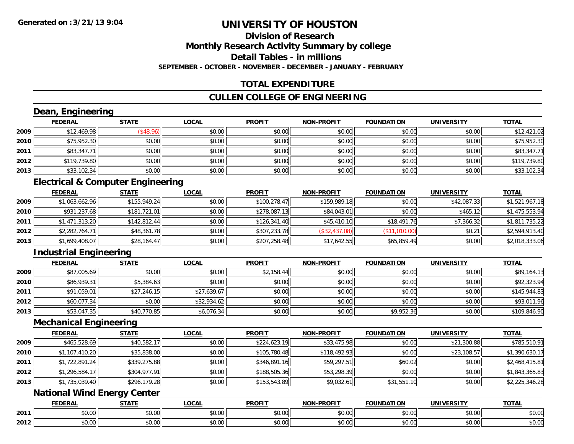### **Division of ResearchMonthly Research Activity Summary by college Detail Tables - in millionsSEPTEMBER - OCTOBER - NOVEMBER - DECEMBER - JANUARY - FEBRUARY**

## **TOTAL EXPENDITURE**

## **CULLEN COLLEGE OF ENGINEERING**

## **Dean, Engineering**

|      | <b>FEDERAL</b> | <b>STATE</b> | <b>LOCAL</b> | <b>PROFIT</b> | <b>NON-PROFIT</b> | <b>FOUNDATION</b> | <b>UNIVERSITY</b> | <u>TOTAL</u> |
|------|----------------|--------------|--------------|---------------|-------------------|-------------------|-------------------|--------------|
| 2009 | \$12,469.98    | \$48.96      | \$0.00       | \$0.00        | \$0.00            | \$0.00            | \$0.00            | \$12,421.02  |
| 2010 | \$75,952.30    | \$0.00       | \$0.00       | \$0.00        | \$0.00            | \$0.00            | \$0.00            | \$75,952.30  |
| 2011 | \$83,347.71    | \$0.00       | \$0.00       | \$0.00        | \$0.00            | \$0.00            | \$0.00            | \$83,347.71  |
| 2012 | \$119,739.80   | \$0.00       | \$0.00       | \$0.00        | \$0.00            | \$0.00            | \$0.00            | \$119,739.80 |
| 2013 | \$33,102.34    | \$0.00       | \$0.00       | \$0.00        | \$0.00            | \$0.00            | \$0.00            | \$33,102.34  |

## **Electrical & Computer Engineering**

|      | <b>FEDERAL</b> | <b>STATE</b> | <b>LOCAL</b> | <b>PROFIT</b> | <b>NON-PROFIT</b> | <b>FOUNDATION</b> | <b>UNIVERSITY</b> | <b>TOTAL</b>   |
|------|----------------|--------------|--------------|---------------|-------------------|-------------------|-------------------|----------------|
| 2009 | \$1,063,662.96 | \$155,949.24 | \$0.00       | \$100,278.47  | \$159,989.18      | \$0.00            | \$42,087.33       | \$1,521,967.18 |
| 2010 | \$931,237.68   | \$181,721.01 | \$0.00       | \$278,087.13  | \$84,043.01       | \$0.00            | \$465.12          | \$1,475,553.94 |
| 2011 | \$1,471,313.20 | \$142,812.44 | \$0.00       | \$126.341.40  | \$45,410.10       | \$18,491.76       | \$7.366.32        | \$1,811,735.22 |
| 2012 | \$2,282,764.71 | \$48,361.78  | \$0.00       | \$307,233.78  | (\$32,437.08)     | (\$11,010.00)     | \$0.21            | \$2,594,913.40 |
| 2013 | \$1,699,408.07 | \$28,164.47  | \$0.00       | \$207,258.48  | \$17,642.55       | \$65,859.49       | \$0.00            | \$2,018,333.06 |

## **Industrial Engineering**

|      | <b>FEDERAL</b> | <b>STATE</b> | <u>LOCAL</u> | <b>PROFIT</b> | <b>NON-PROFIT</b> | FOUNDATION | <b>UNIVERSITY</b> | <b>TOTAL</b> |
|------|----------------|--------------|--------------|---------------|-------------------|------------|-------------------|--------------|
| 2009 | \$87,005.69    | \$0.00       | \$0.00       | \$2,158.44    | \$0.00            | \$0.00     | \$0.00            | \$89,164.13  |
| 2010 | \$86,939.31    | \$5,384.63   | \$0.00       | \$0.00        | \$0.00            | \$0.00     | \$0.00            | \$92,323.94  |
| 2011 | \$91,059.01    | \$27,246.15  | \$27,639.67  | \$0.00        | \$0.00            | \$0.00     | \$0.00            | \$145,944.83 |
| 2012 | \$60,077.34    | \$0.00       | \$32,934.62  | \$0.00        | \$0.00            | \$0.00     | \$0.00            | \$93,011.96  |
| 2013 | \$53,047.35    | \$40,770.85  | \$6,076.34   | \$0.00        | \$0.00            | \$9,952.36 | \$0.00            | \$109,846.90 |

### **Mechanical Engineering**

|      | <b>FEDERAL</b> | <b>STATE</b> | <b>LOCAL</b> | <b>PROFIT</b> | <b>NON-PROFIT</b> | <b>FOUNDATION</b> | <b>UNIVERSITY</b> | <b>TOTAL</b>   |
|------|----------------|--------------|--------------|---------------|-------------------|-------------------|-------------------|----------------|
| 2009 | \$465,528.69   | \$40,582.17  | \$0.00       | \$224,623.19  | \$33,475.98       | \$0.00            | \$21,300.88       | \$785,510.91   |
| 2010 | \$1,107,410.20 | \$35,838.00  | \$0.00       | \$105,780.48  | \$118,492.93      | \$0.00            | \$23,108.57       | \$1,390,630.17 |
| 2011 | \$1,722,891.24 | \$339,275.88 | \$0.00       | \$346,891.16  | \$59,297.51       | \$60.02           | \$0.00            | \$2,468,415.81 |
| 2012 | \$1,296,584.17 | \$304,977.91 | \$0.00       | \$188,505.36  | \$53,298.39       | \$0.00            | \$0.00            | \$1,843,365.83 |
| 2013 | \$1,735,039.40 | \$296,179.28 | \$0.00       | \$153,543.89  | \$9,032.61        | \$31,551.10       | \$0.00            | \$2,225,346.28 |

## **National Wind Energy Center**

|      | <b>FEDERAL</b> | <b>CTATE</b>    | LOCAI              | <b>PROFIT</b> | <b>DDAELT</b><br><b>NIONI</b><br>ж. | <b>FOUNDATION</b> | UNIVERSITY           | <b>TOTAL</b>             |
|------|----------------|-----------------|--------------------|---------------|-------------------------------------|-------------------|----------------------|--------------------------|
| 2011 | ልስ ባህ<br>שט.טע | ሖጣ<br>JU.UU     | $\sim$ 00<br>DU.UU | 0000<br>JU.UU | $\sim$<br>$\sim$<br>PO.OO           | 0.00<br>JU.UU     | 0000<br><b>DU.UG</b> | $\sim$<br><b>JU.UU</b>   |
| 2012 | nn na<br>JU.UU | $\sim$<br>JU.UU | $\sim$ 00<br>PU.UU | 0000<br>JU.UU | 0.00<br>vv.vv                       | 0.00<br>JU.UU     | 0000<br><b>DU.UG</b> | $\cdots$<br><b>JU.UU</b> |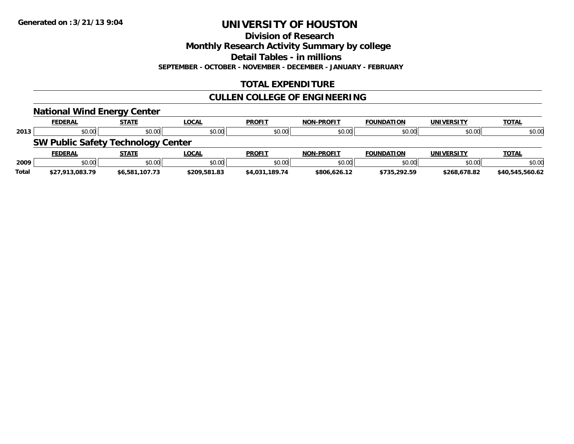**Division of Research**

**Monthly Research Activity Summary by college**

**Detail Tables - in millions**

**SEPTEMBER - OCTOBER - NOVEMBER - DECEMBER - JANUARY - FEBRUARY**

## **TOTAL EXPENDITURE**

## **CULLEN COLLEGE OF ENGINEERING**

|       | <b>National Wind Energy Center</b>        |                |              |                |                   |                   |                   |                 |
|-------|-------------------------------------------|----------------|--------------|----------------|-------------------|-------------------|-------------------|-----------------|
|       | <b>FEDERAL</b>                            | <b>STATE</b>   | <b>LOCAL</b> | <b>PROFIT</b>  | <b>NON-PROFIT</b> | <b>FOUNDATION</b> | <b>UNIVERSITY</b> | <b>TOTAL</b>    |
| 2013  | \$0.00                                    | \$0.00         | \$0.00       | \$0.00         | \$0.00            | \$0.00            | \$0.00            | \$0.00          |
|       | <b>SW Public Safety Technology Center</b> |                |              |                |                   |                   |                   |                 |
|       | <b>FEDERAL</b>                            | <b>STATE</b>   | <b>LOCAL</b> | <b>PROFIT</b>  | <b>NON-PROFIT</b> | <b>FOUNDATION</b> | <b>UNIVERSITY</b> | <b>TOTAL</b>    |
| 2009  | \$0.00                                    | \$0.00         | \$0.00       | \$0.00         | \$0.00            | \$0.00            | \$0.00            | \$0.00          |
| Total | \$27,913,083.79                           | \$6,581,107.73 | \$209,581.83 | \$4,031,189.74 | \$806,626.12      | \$735,292.59      | \$268,678.82      | \$40.545.560.62 |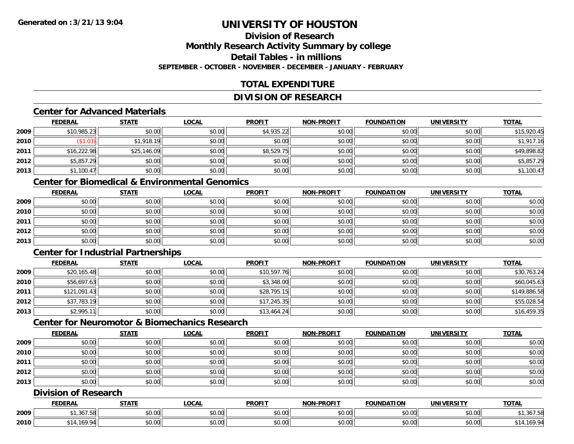### **Division of ResearchMonthly Research Activity Summary by college Detail Tables - in millionsSEPTEMBER - OCTOBER - NOVEMBER - DECEMBER - JANUARY - FEBRUARY**

## **TOTAL EXPENDITURE**

## **DIVISION OF RESEARCH**

### **Center for Advanced Materials**

|      | <b>FEDERAL</b> | <b>STATE</b> | <b>LOCAL</b> | <b>PROFIT</b> | NON-PROFIT | <b>FOUNDATION</b> | <b>UNIVERSITY</b> | <b>TOTAL</b> |
|------|----------------|--------------|--------------|---------------|------------|-------------------|-------------------|--------------|
| 2009 | \$10,985.23    | \$0.00       | \$0.00       | \$4,935.22    | \$0.00     | \$0.00            | \$0.00            | \$15,920.45  |
| 2010 | \$1.03         | \$1,918.19   | \$0.00       | \$0.00        | \$0.00     | \$0.00            | \$0.00            | \$1,917.16   |
| 2011 | \$16,222.98    | \$25,146.09  | \$0.00       | \$8,529.75    | \$0.00     | \$0.00            | \$0.00            | \$49,898.82  |
| 2012 | \$5,857.29     | \$0.00       | \$0.00       | \$0.00        | \$0.00     | \$0.00            | \$0.00            | \$5,857.29   |
| 2013 | \$1,100.47     | \$0.00       | \$0.00       | \$0.00        | \$0.00     | \$0.00            | \$0.00            | \$1,100.47   |

## **Center for Biomedical & Environmental Genomics**

|      | <u>FEDERAL</u> | <u>STATE</u> | <u>LOCAL</u> | <b>PROFIT</b> | <b>NON-PROFIT</b> | <b>FOUNDATION</b> | <b>UNIVERSITY</b> | <b>TOTAL</b> |
|------|----------------|--------------|--------------|---------------|-------------------|-------------------|-------------------|--------------|
| 2009 | \$0.00         | \$0.00       | \$0.00       | \$0.00        | \$0.00            | \$0.00            | \$0.00            | \$0.00       |
| 2010 | \$0.00         | \$0.00       | \$0.00       | \$0.00        | \$0.00            | \$0.00            | \$0.00            | \$0.00       |
| 2011 | \$0.00         | \$0.00       | \$0.00       | \$0.00        | \$0.00            | \$0.00            | \$0.00            | \$0.00       |
| 2012 | \$0.00         | \$0.00       | \$0.00       | \$0.00        | \$0.00            | \$0.00            | \$0.00            | \$0.00       |
| 2013 | \$0.00         | \$0.00       | \$0.00       | \$0.00        | \$0.00            | \$0.00            | \$0.00            | \$0.00       |

## **Center for Industrial Partnerships**

|      | <b>FEDERAL</b> | <b>STATE</b> | <b>LOCAL</b> | <b>PROFIT</b> | <b>NON-PROFIT</b> | <b>FOUNDATION</b> | <b>UNIVERSITY</b> | <b>TOTAL</b> |
|------|----------------|--------------|--------------|---------------|-------------------|-------------------|-------------------|--------------|
| 2009 | \$20,165.48    | \$0.00       | \$0.00       | \$10,597.76   | \$0.00            | \$0.00            | \$0.00            | \$30,763.24  |
| 2010 | \$56,697.63    | \$0.00       | \$0.00       | \$3,348.00    | \$0.00            | \$0.00            | \$0.00            | \$60,045.63  |
| 2011 | \$121,091.43   | \$0.00       | \$0.00       | \$28,795.15   | \$0.00            | \$0.00            | \$0.00            | \$149,886.58 |
| 2012 | \$37,783.19    | \$0.00       | \$0.00       | \$17,245.35   | \$0.00            | \$0.00            | \$0.00            | \$55,028.54  |
| 2013 | \$2,995.11     | \$0.00       | \$0.00       | \$13,464.24   | \$0.00            | \$0.00            | \$0.00            | \$16,459.35  |

## **Center for Neuromotor & Biomechanics Research**

|      | <b>FEDERAL</b> | <b>STATE</b> | <u>LOCAL</u> | <b>PROFIT</b> | <b>NON-PROFIT</b> | <b>FOUNDATION</b> | <b>UNIVERSITY</b> | <b>TOTAL</b> |
|------|----------------|--------------|--------------|---------------|-------------------|-------------------|-------------------|--------------|
| 2009 | \$0.00         | \$0.00       | \$0.00       | \$0.00        | \$0.00            | \$0.00            | \$0.00            | \$0.00       |
| 2010 | \$0.00         | \$0.00       | \$0.00       | \$0.00        | \$0.00            | \$0.00            | \$0.00            | \$0.00       |
| 2011 | \$0.00         | \$0.00       | \$0.00       | \$0.00        | \$0.00            | \$0.00            | \$0.00            | \$0.00       |
| 2012 | \$0.00         | \$0.00       | \$0.00       | \$0.00        | \$0.00            | \$0.00            | \$0.00            | \$0.00       |
| 2013 | \$0.00         | \$0.00       | \$0.00       | \$0.00        | \$0.00            | \$0.00            | \$0.00            | \$0.00       |

## **Division of Research**

|      | <b>FEDERAL</b>    | <b>CTATI</b>                                          | .OCAL              | <b>PROFIT</b>    | <b>LPROFIT</b><br><b>NION</b> | <b>OUNDA</b><br>. | <b>HNIVE</b><br>DC IT     | <b>TOTAL</b> |
|------|-------------------|-------------------------------------------------------|--------------------|------------------|-------------------------------|-------------------|---------------------------|--------------|
| 2009 | 367<br>,,,,,,,,,, | $\mathsf{A} \cap \mathsf{A} \cap \mathsf{A}$<br>vv.vv | $\sim$ 00<br>vu.vu | 0.00<br>- ມບ.ບບຸ | \$0.00                        | vu.vu             | $\sim$ $\sim$<br>vu.vu    | .,307.58     |
| 2010 |                   | $\sim$ 00<br>JU.UU                                    | $\sim$ 00<br>vu.uu | 0000<br>JU.UU    | \$0.00                        | JU.UU             | $\sim$ 00<br><b>DU.UU</b> | 169.         |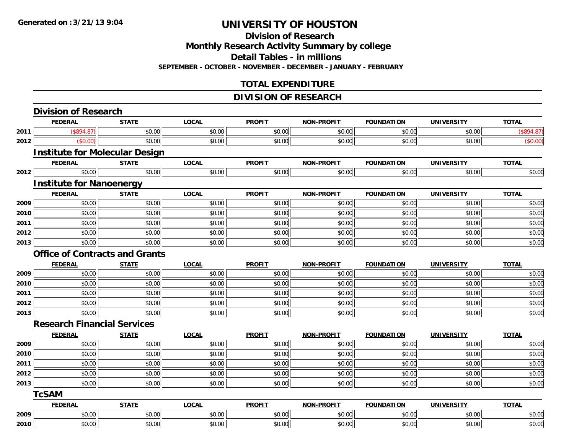## **Division of Research Monthly Research Activity Summary by college Detail Tables - in millions**

**SEPTEMBER - OCTOBER - NOVEMBER - DECEMBER - JANUARY - FEBRUARY**

## **TOTAL EXPENDITURE**

## **DIVISION OF RESEARCH**

|      | <b>FEDERAL</b>                        | <b>STATE</b> | <b>LOCAL</b> | <b>PROFIT</b> | <b>NON-PROFIT</b> | <b>FOUNDATION</b> | <b>UNIVERSITY</b> | <b>TOTAL</b> |
|------|---------------------------------------|--------------|--------------|---------------|-------------------|-------------------|-------------------|--------------|
| 2011 | (\$894.87)                            | \$0.00       | \$0.00       | \$0.00        | \$0.00            | \$0.00            | \$0.00            | (\$894.87)   |
| 2012 | (\$0.00)                              | \$0.00       | \$0.00       | \$0.00        | \$0.00            | \$0.00            | \$0.00            | (\$0.00)     |
|      | <b>Institute for Molecular Design</b> |              |              |               |                   |                   |                   |              |
|      | <b>FEDERAL</b>                        | <b>STATE</b> | <b>LOCAL</b> | <b>PROFIT</b> | <b>NON-PROFIT</b> | <b>FOUNDATION</b> | <b>UNIVERSITY</b> | <b>TOTAL</b> |
| 2012 | \$0.00                                | \$0.00       | \$0.00       | \$0.00        | \$0.00            | \$0.00            | \$0.00            | \$0.00       |
|      | <b>Institute for Nanoenergy</b>       |              |              |               |                   |                   |                   |              |
|      | <b>FEDERAL</b>                        | <b>STATE</b> | <b>LOCAL</b> | <b>PROFIT</b> | <b>NON-PROFIT</b> | <b>FOUNDATION</b> | <b>UNIVERSITY</b> | <b>TOTAL</b> |
| 2009 | \$0.00                                | \$0.00       | \$0.00       | \$0.00        | \$0.00            | \$0.00            | \$0.00            | \$0.00       |
| 2010 | \$0.00                                | \$0.00       | \$0.00       | \$0.00        | \$0.00            | \$0.00            | \$0.00            | \$0.00       |
| 2011 | \$0.00                                | \$0.00       | \$0.00       | \$0.00        | \$0.00            | \$0.00            | \$0.00            | \$0.00       |
| 2012 | \$0.00                                | \$0.00       | \$0.00       | \$0.00        | \$0.00            | \$0.00            | \$0.00            | \$0.00       |
| 2013 | \$0.00                                | \$0.00       | \$0.00       | \$0.00        | \$0.00            | \$0.00            | \$0.00            | \$0.00       |
|      | <b>Office of Contracts and Grants</b> |              |              |               |                   |                   |                   |              |
|      | <b>FEDERAL</b>                        | <b>STATE</b> | <b>LOCAL</b> | <b>PROFIT</b> | <b>NON-PROFIT</b> | <b>FOUNDATION</b> | <b>UNIVERSITY</b> | <b>TOTAL</b> |
| 2009 | \$0.00                                | \$0.00       | \$0.00       | \$0.00        | \$0.00            | \$0.00            | \$0.00            | \$0.00       |
| 2010 | \$0.00                                | \$0.00       | \$0.00       | \$0.00        | \$0.00            | \$0.00            | \$0.00            | \$0.00       |
| 2011 | \$0.00                                | \$0.00       | \$0.00       | \$0.00        | \$0.00            | \$0.00            | \$0.00            | \$0.00       |
| 2012 | \$0.00                                | \$0.00       | \$0.00       | \$0.00        | \$0.00            | \$0.00            | \$0.00            | \$0.00       |
| 2013 | \$0.00                                | \$0.00       | \$0.00       | \$0.00        | \$0.00            | \$0.00            | \$0.00            | \$0.00       |
|      | <b>Research Financial Services</b>    |              |              |               |                   |                   |                   |              |
|      | <b>FEDERAL</b>                        | <b>STATE</b> | <b>LOCAL</b> | <b>PROFIT</b> | <b>NON-PROFIT</b> | <b>FOUNDATION</b> | <b>UNIVERSITY</b> | <b>TOTAL</b> |
| 2009 | \$0.00                                | \$0.00       | \$0.00       | \$0.00        | \$0.00            | \$0.00            | \$0.00            | \$0.00       |
| 2010 | \$0.00                                | \$0.00       | \$0.00       | \$0.00        | \$0.00            | \$0.00            | \$0.00            | \$0.00       |
| 2011 | \$0.00                                | \$0.00       | \$0.00       | \$0.00        | \$0.00            | \$0.00            | \$0.00            | \$0.00       |
| 2012 | \$0.00                                | \$0.00       | \$0.00       | \$0.00        | \$0.00            | \$0.00            | \$0.00            | \$0.00       |
| 2013 | \$0.00                                | \$0.00       | \$0.00       | \$0.00        | \$0.00            | \$0.00            | \$0.00            | \$0.00       |
|      | <b>TcSAM</b>                          |              |              |               |                   |                   |                   |              |
|      | <b>FEDERAL</b>                        | <b>STATE</b> | <b>LOCAL</b> | <b>PROFIT</b> | <b>NON-PROFIT</b> | <b>FOUNDATION</b> | <b>UNIVERSITY</b> | <b>TOTAL</b> |
| 2009 | \$0.00                                | \$0.00       | \$0.00       | \$0.00        | \$0.00            | \$0.00            | \$0.00            | \$0.00       |
| 2010 | \$0.00                                | \$0.00       | \$0.00       | \$0.00        | \$0.00            | \$0.00            | \$0.00            | \$0.00       |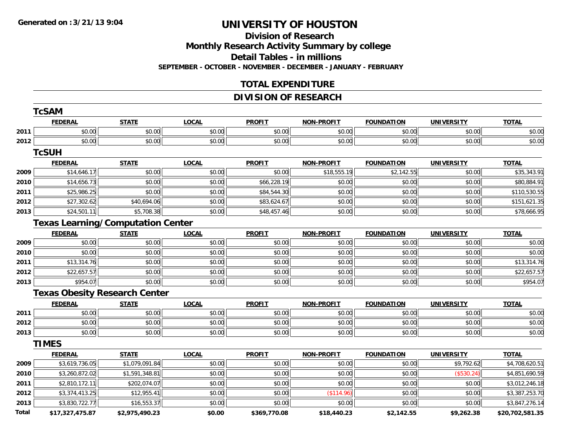#### **Division of Research**

**Monthly Research Activity Summary by college**

**Detail Tables - in millions**

**SEPTEMBER - OCTOBER - NOVEMBER - DECEMBER - JANUARY - FEBRUARY**

## **TOTAL EXPENDITURE**

## **DIVISION OF RESEARCH**

|       | <b>TcSAM</b>                             |                |              |               |                   |                   |                   |                 |
|-------|------------------------------------------|----------------|--------------|---------------|-------------------|-------------------|-------------------|-----------------|
|       | <b>FEDERAL</b>                           | <b>STATE</b>   | <b>LOCAL</b> | <b>PROFIT</b> | <b>NON-PROFIT</b> | <b>FOUNDATION</b> | <b>UNIVERSITY</b> | <b>TOTAL</b>    |
| 2011  | \$0.00                                   | \$0.00         | \$0.00       | \$0.00        | \$0.00            | \$0.00            | \$0.00            | \$0.00          |
| 2012  | \$0.00                                   | \$0.00         | \$0.00       | \$0.00        | \$0.00            | \$0.00            | \$0.00            | \$0.00          |
|       | <b>TcSUH</b>                             |                |              |               |                   |                   |                   |                 |
|       | <b>FEDERAL</b>                           | <b>STATE</b>   | <b>LOCAL</b> | <b>PROFIT</b> | <b>NON-PROFIT</b> | <b>FOUNDATION</b> | <b>UNIVERSITY</b> | <b>TOTAL</b>    |
| 2009  | \$14,646.17                              | \$0.00         | \$0.00       | \$0.00        | \$18,555.19       | \$2,142.55        | \$0.00            | \$35,343.91     |
| 2010  | \$14,656.73                              | \$0.00         | \$0.00       | \$66,228.19   | \$0.00            | \$0.00            | \$0.00            | \$80,884.91     |
| 2011  | \$25,986.25                              | \$0.00         | \$0.00       | \$84,544.30   | \$0.00            | \$0.00            | \$0.00            | \$110,530.55    |
| 2012  | \$27,302.62                              | \$40,694.06    | \$0.00       | \$83,624.67   | \$0.00            | \$0.00            | \$0.00            | \$151,621.35    |
| 2013  | \$24,501.11                              | \$5,708.38     | \$0.00       | \$48,457.46   | \$0.00            | \$0.00            | \$0.00            | \$78,666.95     |
|       | <b>Texas Learning/Computation Center</b> |                |              |               |                   |                   |                   |                 |
|       | <b>FEDERAL</b>                           | <b>STATE</b>   | <b>LOCAL</b> | <b>PROFIT</b> | <b>NON-PROFIT</b> | <b>FOUNDATION</b> | <b>UNIVERSITY</b> | <b>TOTAL</b>    |
| 2009  | \$0.00                                   | \$0.00         | \$0.00       | \$0.00        | \$0.00            | \$0.00            | \$0.00            | \$0.00          |
| 2010  | \$0.00                                   | \$0.00         | \$0.00       | \$0.00        | \$0.00            | \$0.00            | \$0.00            | \$0.00          |
| 2011  | \$13,314.76                              | \$0.00         | \$0.00       | \$0.00        | \$0.00            | \$0.00            | \$0.00            | \$13,314.76     |
| 2012  | \$22,657.57                              | \$0.00         | \$0.00       | \$0.00        | \$0.00            | \$0.00            | \$0.00            | \$22,657.57     |
| 2013  | \$954.07                                 | \$0.00         | \$0.00       | \$0.00        | \$0.00            | \$0.00            | \$0.00            | \$954.07        |
|       | <b>Texas Obesity Research Center</b>     |                |              |               |                   |                   |                   |                 |
|       | <b>FEDERAL</b>                           | <b>STATE</b>   | <b>LOCAL</b> | <b>PROFIT</b> | <b>NON-PROFIT</b> | <b>FOUNDATION</b> | <b>UNIVERSITY</b> | <b>TOTAL</b>    |
| 2011  | \$0.00                                   | \$0.00         | \$0.00       | \$0.00        | \$0.00            | \$0.00            | \$0.00            | \$0.00          |
| 2012  | \$0.00                                   | \$0.00         | \$0.00       | \$0.00        | \$0.00            | \$0.00            | \$0.00            | \$0.00          |
| 2013  | \$0.00                                   | \$0.00         | \$0.00       | \$0.00        | \$0.00            | \$0.00            | \$0.00            | \$0.00          |
|       | <b>TIMES</b>                             |                |              |               |                   |                   |                   |                 |
|       | <b>FEDERAL</b>                           | <b>STATE</b>   | <b>LOCAL</b> | <b>PROFIT</b> | <b>NON-PROFIT</b> | <b>FOUNDATION</b> | <b>UNIVERSITY</b> | <b>TOTAL</b>    |
| 2009  | \$3,619,736.05                           | \$1,079,091.84 | \$0.00       | \$0.00        | \$0.00            | \$0.00            | \$9,792.62        | \$4,708,620.51  |
| 2010  | \$3,260,872.02                           | \$1,591,348.81 | \$0.00       | \$0.00        | \$0.00            | \$0.00            | (\$530.24)        | \$4,851,690.59  |
| 2011  | \$2,810,172.11                           | \$202,074.07   | \$0.00       | \$0.00        | \$0.00            | \$0.00            | \$0.00            | \$3,012,246.18  |
| 2012  | \$3,374,413.25                           | \$12,955.41    | \$0.00       | \$0.00        | (\$114.96)        | \$0.00            | \$0.00            | \$3,387,253.70  |
| 2013  | \$3,830,722.77                           | \$16,553.37    | \$0.00       | \$0.00        | \$0.00            | \$0.00            | \$0.00            | \$3,847,276.14  |
| Total | \$17,327,475.87                          | \$2,975,490.23 | \$0.00       | \$369,770.08  | \$18,440.23       | \$2,142.55        | \$9,262.38        | \$20,702,581.35 |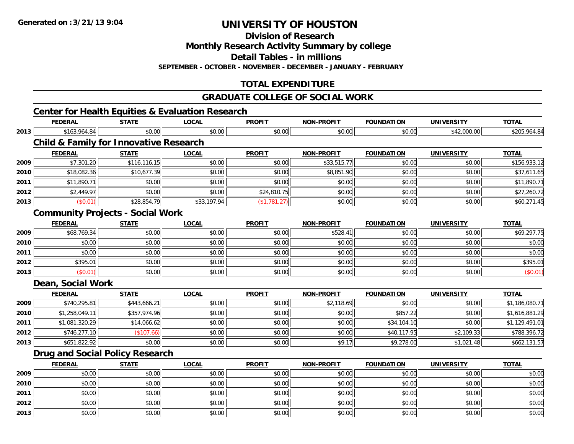**Division of Research**

**Monthly Research Activity Summary by college**

**Detail Tables - in millions**

**SEPTEMBER - OCTOBER - NOVEMBER - DECEMBER - JANUARY - FEBRUARY**

## **TOTAL EXPENDITURE**

### **GRADUATE COLLEGE OF SOCIAL WORK**

# **Center for Health Equities & Evaluation Research**

|      | <b>FEDERAL</b>                                    | <b>STATE</b> | <b>LOCAL</b> | <b>PROFIT</b> | NON-PROFIT        | <b>FOUNDATION</b> | <b>UNIVERSITY</b> | <b>TOTAL</b>   |
|------|---------------------------------------------------|--------------|--------------|---------------|-------------------|-------------------|-------------------|----------------|
| 2013 | \$163,964.84                                      | \$0.00       | \$0.00       | \$0.00        | \$0.00            | \$0.00            | \$42,000.00       | \$205,964.84   |
|      | <b>Child &amp; Family for Innovative Research</b> |              |              |               |                   |                   |                   |                |
|      | <b>FEDERAL</b>                                    | <b>STATE</b> | <b>LOCAL</b> | <b>PROFIT</b> | <b>NON-PROFIT</b> | <b>FOUNDATION</b> | <b>UNIVERSITY</b> | <b>TOTAL</b>   |
| 2009 | \$7,301.20                                        | \$116,116.15 | \$0.00       | \$0.00        | \$33,515.77       | \$0.00            | \$0.00            | \$156,933.12   |
| 2010 | \$18,082.36                                       | \$10,677.39  | \$0.00       | \$0.00        | \$8,851.90        | \$0.00            | \$0.00            | \$37,611.65    |
| 2011 | \$11,890.71                                       | \$0.00       | \$0.00       | \$0.00        | \$0.00            | \$0.00            | \$0.00            | \$11,890.71    |
| 2012 | \$2,449.97                                        | \$0.00       | \$0.00       | \$24,810.75   | \$0.00            | \$0.00            | \$0.00            | \$27,260.72    |
| 2013 | (\$0.01)                                          | \$28,854.79  | \$33,197.94  | (\$1,781.27)  | \$0.00            | \$0.00            | \$0.00            | \$60,271.45    |
|      | <b>Community Projects - Social Work</b>           |              |              |               |                   |                   |                   |                |
|      | <b>FEDERAL</b>                                    | <b>STATE</b> | <b>LOCAL</b> | <b>PROFIT</b> | <b>NON-PROFIT</b> | <b>FOUNDATION</b> | <b>UNIVERSITY</b> | <b>TOTAL</b>   |
| 2009 | \$68,769.34                                       | \$0.00       | \$0.00       | \$0.00        | \$528.41          | \$0.00            | \$0.00            | \$69,297.75    |
| 2010 | \$0.00                                            | \$0.00       | \$0.00       | \$0.00        | \$0.00            | \$0.00            | \$0.00            | \$0.00         |
| 2011 | \$0.00                                            | \$0.00       | \$0.00       | \$0.00        | \$0.00            | \$0.00            | \$0.00            | \$0.00         |
| 2012 | \$395.01                                          | \$0.00       | \$0.00       | \$0.00        | \$0.00            | \$0.00            | \$0.00            | \$395.01       |
| 2013 | (\$0.01)                                          | \$0.00       | \$0.00       | \$0.00        | \$0.00            | \$0.00            | \$0.00            | (\$0.01)       |
|      | Dean, Social Work                                 |              |              |               |                   |                   |                   |                |
|      | <b>FEDERAL</b>                                    | <b>STATE</b> | <b>LOCAL</b> | <b>PROFIT</b> | <b>NON-PROFIT</b> | <b>FOUNDATION</b> | <b>UNIVERSITY</b> | <b>TOTAL</b>   |
| 2009 | \$740,295.81                                      | \$443,666.21 | \$0.00       | \$0.00        | \$2,118.69        | \$0.00            | \$0.00            | \$1,186,080.71 |
| 2010 | \$1,258,049.11                                    | \$357,974.96 | \$0.00       | \$0.00        | \$0.00            | \$857.22          | \$0.00            | \$1,616,881.29 |
| 2011 | \$1,081,320.29                                    | \$14,066.62  | \$0.00       | \$0.00        | \$0.00            | \$34,104.10       | \$0.00            | \$1,129,491.01 |
| 2012 | \$746,277.10                                      | (\$107.66)   | \$0.00       | \$0.00        | \$0.00            | \$40,117.95       | \$2,109.33        | \$788,396.72   |
| 2013 | \$651,822.92                                      | \$0.00       | \$0.00       | \$0.00        | \$9.17            | \$9,278.00        | \$1,021.48        | \$662,131.57   |
|      | <b>Drug and Social Policy Research</b>            |              |              |               |                   |                   |                   |                |
|      | <b>FEDERAL</b>                                    | <b>STATE</b> | <b>LOCAL</b> | <b>PROFIT</b> | NON-PROFIT        | <b>FOUNDATION</b> | <b>UNIVERSITY</b> | <b>TOTAL</b>   |
| 2009 | \$0.00                                            | \$0.00       | \$0.00       | \$0.00        | \$0.00            | \$0.00            | \$0.00            | \$0.00         |
| 2010 | \$0.00                                            | \$0.00       | \$0.00       | \$0.00        | \$0.00            | \$0.00            | \$0.00            | \$0.00         |
| 2011 | \$0.00                                            | \$0.00       | \$0.00       | \$0.00        | \$0.00            | \$0.00            | \$0.00            | \$0.00         |
| 2012 | \$0.00                                            | \$0.00       | \$0.00       | \$0.00        | \$0.00            | \$0.00            | \$0.00            | \$0.00         |
| 2013 | \$0.00                                            | \$0.00       | \$0.00       | \$0.00        | \$0.00            | \$0.00            | \$0.00            | \$0.00         |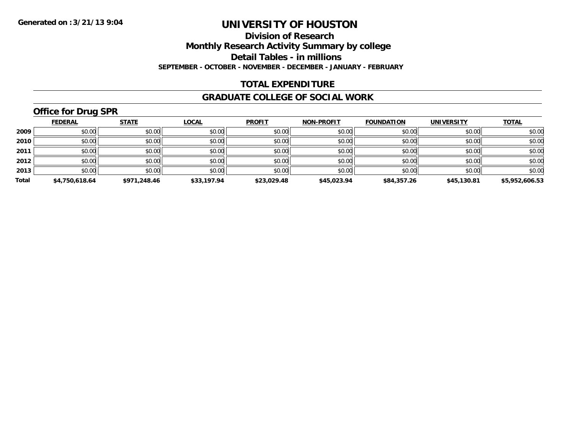**Division of Research**

**Monthly Research Activity Summary by college**

**Detail Tables - in millions**

**SEPTEMBER - OCTOBER - NOVEMBER - DECEMBER - JANUARY - FEBRUARY**

## **TOTAL EXPENDITURE**

### **GRADUATE COLLEGE OF SOCIAL WORK**

# **Office for Drug SPR**

|       | <b>FEDERAL</b> | <b>STATE</b> | <b>LOCAL</b> | <b>PROFIT</b> | <b>NON-PROFIT</b> | <b>FOUNDATION</b> | <b>UNIVERSITY</b> | <b>TOTAL</b>   |
|-------|----------------|--------------|--------------|---------------|-------------------|-------------------|-------------------|----------------|
| 2009  | \$0.00         | \$0.00       | \$0.00       | \$0.00        | \$0.00            | \$0.00            | \$0.00            | \$0.00         |
| 2010  | \$0.00         | \$0.00       | \$0.00       | \$0.00        | \$0.00            | \$0.00            | \$0.00            | \$0.00         |
| 2011  | \$0.00         | \$0.00       | \$0.00       | \$0.00        | \$0.00            | \$0.00            | \$0.00            | \$0.00         |
| 2012  | \$0.00         | \$0.00       | \$0.00       | \$0.00        | \$0.00            | \$0.00            | \$0.00            | \$0.00         |
| 2013  | \$0.00         | \$0.00       | \$0.00       | \$0.00        | \$0.00            | \$0.00            | \$0.00            | \$0.00         |
| Total | \$4,750,618.64 | \$971,248.46 | \$33,197.94  | \$23,029.48   | \$45,023.94       | \$84,357.26       | \$45,130.81       | \$5,952,606.53 |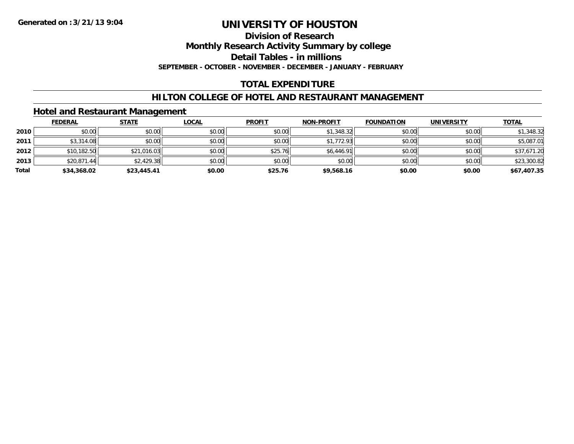## **Division of Research**

**Monthly Research Activity Summary by college**

**Detail Tables - in millions**

**SEPTEMBER - OCTOBER - NOVEMBER - DECEMBER - JANUARY - FEBRUARY**

### **TOTAL EXPENDITURE**

### **HILTON COLLEGE OF HOTEL AND RESTAURANT MANAGEMENT**

### **Hotel and Restaurant Management**

|       | <b>FEDERAL</b> | <b>STATE</b> | <u>LOCAL</u> | <b>PROFIT</b> | <b>NON-PROFIT</b> | <b>FOUNDATION</b> | UNIVERSITY | <b>TOTAL</b> |
|-------|----------------|--------------|--------------|---------------|-------------------|-------------------|------------|--------------|
| 2010  | \$0.00         | \$0.00       | \$0.00       | \$0.00        | \$1,348.32        | \$0.00            | \$0.00     | \$1,348.32   |
| 2011  | \$3,314.08     | \$0.00       | \$0.00       | \$0.00        | \$1,772.93        | \$0.00            | \$0.00     | \$5,087.01   |
| 2012  | \$10,182.50    | \$21,016.03  | \$0.00       | \$25.76       | \$6,446.91        | \$0.00            | \$0.00     | \$37,671.20  |
| 2013  | \$20,871.44    | \$2,429.38   | \$0.00       | \$0.00        | \$0.00            | \$0.00            | \$0.00     | \$23,300.82  |
| Total | \$34,368.02    | \$23,445.41  | \$0.00       | \$25.76       | \$9,568.16        | \$0.00            | \$0.00     | \$67,407.35  |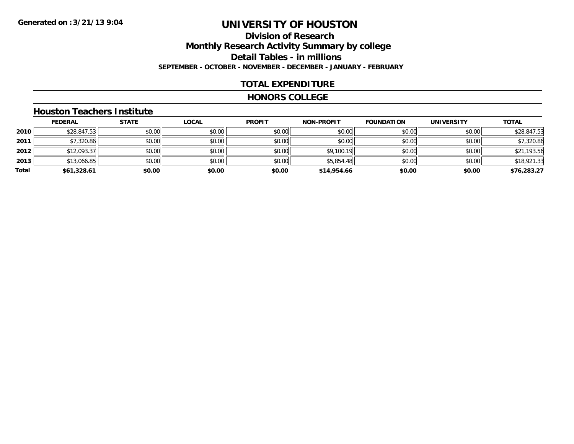## **Division of ResearchMonthly Research Activity Summary by college Detail Tables - in millions SEPTEMBER - OCTOBER - NOVEMBER - DECEMBER - JANUARY - FEBRUARY**

### **TOTAL EXPENDITURE**

#### **HONORS COLLEGE**

#### **Houston Teachers Institute**

|       | <u>FEDERAL</u> | <b>STATE</b> | <u>LOCAL</u> | <b>PROFIT</b> | <b>NON-PROFIT</b> | <b>FOUNDATION</b> | UNIVERSITY | <b>TOTAL</b> |
|-------|----------------|--------------|--------------|---------------|-------------------|-------------------|------------|--------------|
| 2010  | \$28,847.53    | \$0.00       | \$0.00       | \$0.00        | \$0.00            | \$0.00            | \$0.00     | \$28,847.53  |
| 2011  | \$7,320.86     | \$0.00       | \$0.00       | \$0.00        | \$0.00            | \$0.00            | \$0.00     | \$7,320.86   |
| 2012  | \$12,093.37    | \$0.00       | \$0.00       | \$0.00        | \$9,100.19        | \$0.00            | \$0.00     | \$21,193.56  |
| 2013  | \$13,066.85    | \$0.00       | \$0.00       | \$0.00        | \$5,854.48        | \$0.00            | \$0.00     | \$18,921.33  |
| Total | \$61,328.61    | \$0.00       | \$0.00       | \$0.00        | \$14,954.66       | \$0.00            | \$0.00     | \$76,283.27  |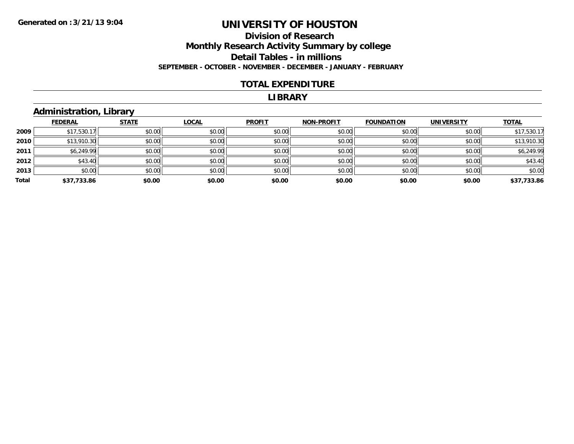### **Division of Research Monthly Research Activity Summary by college Detail Tables - in millions SEPTEMBER - OCTOBER - NOVEMBER - DECEMBER - JANUARY - FEBRUARY**

### **TOTAL EXPENDITURE**

#### **LIBRARY**

## **Administration, Library**

|       | <b>FEDERAL</b> | <b>STATE</b> | <b>LOCAL</b> | <b>PROFIT</b> | <b>NON-PROFIT</b> | <b>FOUNDATION</b> | <b>UNIVERSITY</b> | <b>TOTAL</b> |
|-------|----------------|--------------|--------------|---------------|-------------------|-------------------|-------------------|--------------|
| 2009  | \$17,530.17    | \$0.00       | \$0.00       | \$0.00        | \$0.00            | \$0.00            | \$0.00            | \$17,530.17  |
| 2010  | \$13,910.30    | \$0.00       | \$0.00       | \$0.00        | \$0.00            | \$0.00            | \$0.00            | \$13,910.30  |
| 2011  | \$6,249.99     | \$0.00       | \$0.00       | \$0.00        | \$0.00            | \$0.00            | \$0.00            | \$6,249.99   |
| 2012  | \$43.40        | \$0.00       | \$0.00       | \$0.00        | \$0.00            | \$0.00            | \$0.00            | \$43.40      |
| 2013  | \$0.00         | \$0.00       | \$0.00       | \$0.00        | \$0.00            | \$0.00            | \$0.00            | \$0.00       |
| Total | \$37,733.86    | \$0.00       | \$0.00       | \$0.00        | \$0.00            | \$0.00            | \$0.00            | \$37,733.86  |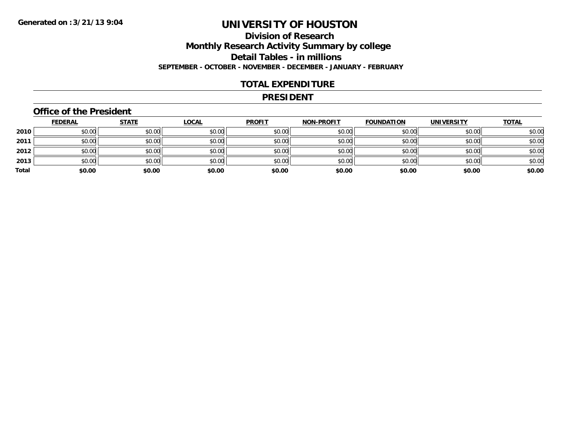## **Division of ResearchMonthly Research Activity Summary by college Detail Tables - in millions SEPTEMBER - OCTOBER - NOVEMBER - DECEMBER - JANUARY - FEBRUARY**

### **TOTAL EXPENDITURE**

### **PRESIDENT**

### **Office of the President**

|       | <b>FEDERAL</b> | <b>STATE</b> | <b>LOCAL</b> | <b>PROFIT</b> | <b>NON-PROFIT</b> | <b>FOUNDATION</b> | <b>UNIVERSITY</b> | <b>TOTAL</b> |
|-------|----------------|--------------|--------------|---------------|-------------------|-------------------|-------------------|--------------|
| 2010  | \$0.00         | \$0.00       | \$0.00       | \$0.00        | \$0.00            | \$0.00            | \$0.00            | \$0.00       |
| 2011  | \$0.00         | \$0.00       | \$0.00       | \$0.00        | \$0.00            | \$0.00            | \$0.00            | \$0.00       |
| 2012  | \$0.00         | \$0.00       | \$0.00       | \$0.00        | \$0.00            | \$0.00            | \$0.00            | \$0.00       |
| 2013  | \$0.00         | \$0.00       | \$0.00       | \$0.00        | \$0.00            | \$0.00            | \$0.00            | \$0.00       |
| Total | \$0.00         | \$0.00       | \$0.00       | \$0.00        | \$0.00            | \$0.00            | \$0.00            | \$0.00       |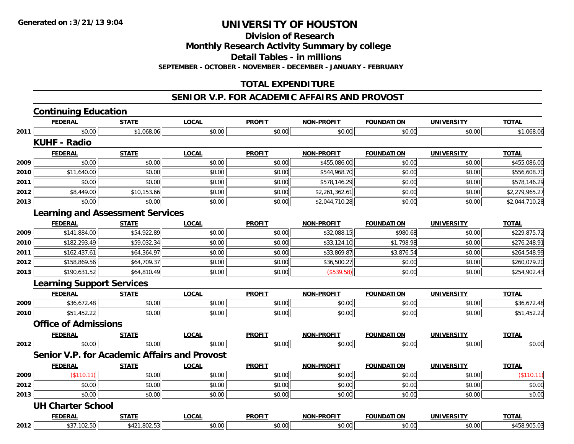**Division of Research**

**Monthly Research Activity Summary by college**

**Detail Tables - in millions**

**SEPTEMBER - OCTOBER - NOVEMBER - DECEMBER - JANUARY - FEBRUARY**

## **TOTAL EXPENDITURE**

### **SENIOR V.P. FOR ACADEMIC AFFAIRS AND PROVOST**

|      | <b>Continuing Education</b>                         |              |              |               |                   |                   |                   |                |
|------|-----------------------------------------------------|--------------|--------------|---------------|-------------------|-------------------|-------------------|----------------|
|      | <b>FEDERAL</b>                                      | <b>STATE</b> | <b>LOCAL</b> | <b>PROFIT</b> | <b>NON-PROFIT</b> | <b>FOUNDATION</b> | <b>UNIVERSITY</b> | <b>TOTAL</b>   |
| 2011 | \$0.00                                              | \$1,068.06   | \$0.00       | \$0.00        | \$0.00            | \$0.00            | \$0.00            | \$1,068.06     |
|      | <b>KUHF - Radio</b>                                 |              |              |               |                   |                   |                   |                |
|      | <b>FEDERAL</b>                                      | <b>STATE</b> | <b>LOCAL</b> | <b>PROFIT</b> | <b>NON-PROFIT</b> | <b>FOUNDATION</b> | <b>UNIVERSITY</b> | <b>TOTAL</b>   |
| 2009 | \$0.00                                              | \$0.00       | \$0.00       | \$0.00        | \$455,086.00      | \$0.00            | \$0.00            | \$455,086.00   |
| 2010 | \$11,640.00                                         | \$0.00       | \$0.00       | \$0.00        | \$544,968.70      | \$0.00            | \$0.00            | \$556,608.70   |
| 2011 | \$0.00                                              | \$0.00       | \$0.00       | \$0.00        | \$578,146.29      | \$0.00            | \$0.00            | \$578,146.29   |
| 2012 | \$8,449.00                                          | \$10,153.66  | \$0.00       | \$0.00        | \$2,261,362.61    | \$0.00            | \$0.00            | \$2,279,965.27 |
| 2013 | \$0.00                                              | \$0.00       | \$0.00       | \$0.00        | \$2,044,710.28    | \$0.00            | \$0.00            | \$2,044,710.28 |
|      | <b>Learning and Assessment Services</b>             |              |              |               |                   |                   |                   |                |
|      | <b>FEDERAL</b>                                      | <b>STATE</b> | <b>LOCAL</b> | <b>PROFIT</b> | <b>NON-PROFIT</b> | <b>FOUNDATION</b> | <b>UNIVERSITY</b> | <b>TOTAL</b>   |
| 2009 | \$141,884.00                                        | \$54,922.89  | \$0.00       | \$0.00        | \$32,088.15       | \$980.68          | \$0.00            | \$229,875.72   |
| 2010 | \$182,293.49                                        | \$59,032.34  | \$0.00       | \$0.00        | \$33,124.10       | \$1,798.98        | \$0.00            | \$276,248.91   |
| 2011 | \$162,437.61                                        | \$64,364.97  | \$0.00       | \$0.00        | \$33,869.87       | \$3,876.54        | \$0.00            | \$264,548.99   |
| 2012 | \$158,869.56                                        | \$64,709.37  | \$0.00       | \$0.00        | \$36,500.27       | \$0.00            | \$0.00            | \$260,079.20   |
| 2013 | \$190,631.52                                        | \$64,810.49  | \$0.00       | \$0.00        | (\$539.58)        | \$0.00            | \$0.00            | \$254,902.43   |
|      | <b>Learning Support Services</b>                    |              |              |               |                   |                   |                   |                |
|      | <b>FEDERAL</b>                                      | <b>STATE</b> | <b>LOCAL</b> | <b>PROFIT</b> | <b>NON-PROFIT</b> | <b>FOUNDATION</b> | <b>UNIVERSITY</b> | <b>TOTAL</b>   |
| 2009 | \$36,672.48                                         | \$0.00       | \$0.00       | \$0.00        | \$0.00            | \$0.00            | \$0.00            | \$36,672.48    |
| 2010 | \$51,452.22                                         | \$0.00       | \$0.00       | \$0.00        | \$0.00            | \$0.00            | \$0.00            | \$51,452.22    |
|      | <b>Office of Admissions</b>                         |              |              |               |                   |                   |                   |                |
|      | <b>FEDERAL</b>                                      | <b>STATE</b> | <b>LOCAL</b> | <b>PROFIT</b> | <b>NON-PROFIT</b> | <b>FOUNDATION</b> | <b>UNIVERSITY</b> | <b>TOTAL</b>   |
| 2012 | \$0.00                                              | \$0.00       | \$0.00       | \$0.00        | \$0.00            | \$0.00            | \$0.00            | \$0.00         |
|      | <b>Senior V.P. for Academic Affairs and Provost</b> |              |              |               |                   |                   |                   |                |
|      | <b>FEDERAL</b>                                      | <b>STATE</b> | <b>LOCAL</b> | <b>PROFIT</b> | <b>NON-PROFIT</b> | <b>FOUNDATION</b> | <b>UNIVERSITY</b> | <b>TOTAL</b>   |
| 2009 | (\$110.11)                                          | \$0.00       | \$0.00       | \$0.00        | \$0.00            | \$0.00            | \$0.00            | (\$110.11)     |
| 2012 | \$0.00                                              | \$0.00       | \$0.00       | \$0.00        | \$0.00            | \$0.00            | \$0.00            | \$0.00         |
| 2013 | \$0.00                                              | \$0.00       | \$0.00       | \$0.00        | \$0.00            | \$0.00            | \$0.00            | \$0.00         |
|      | <b>UH Charter School</b>                            |              |              |               |                   |                   |                   |                |
|      | <b>FEDERAL</b>                                      | <b>STATE</b> | <b>LOCAL</b> | <b>PROFIT</b> | <b>NON-PROFIT</b> | <b>FOUNDATION</b> | <b>UNIVERSITY</b> | <b>TOTAL</b>   |
| 2012 | \$37,102.50                                         | \$421,802.53 | \$0.00       | \$0.00        | \$0.00            | \$0.00            | \$0.00            | \$458,905.03   |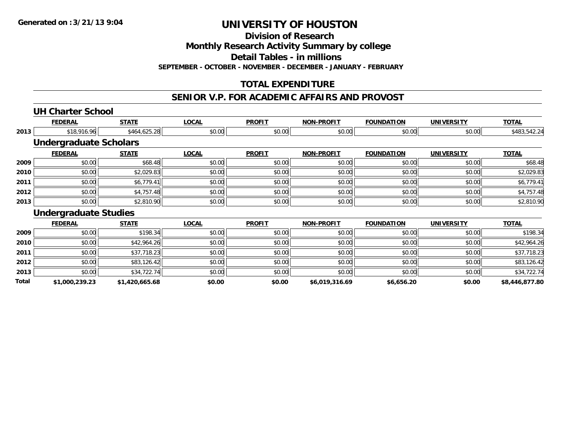**Division of Research**

**Monthly Research Activity Summary by college**

**Detail Tables - in millions**

**SEPTEMBER - OCTOBER - NOVEMBER - DECEMBER - JANUARY - FEBRUARY**

## **TOTAL EXPENDITURE**

### **SENIOR V.P. FOR ACADEMIC AFFAIRS AND PROVOST**

# **UH Charter School**

**2012**

**2013**

**Total**

|      | <b>FEDERAL</b>                | <b>STATE</b> | <b>LOCAL</b> | <b>PROFIT</b> | <b>NON-PROFIT</b> | <b>FOUNDATION</b> | <b>UNIVERSITY</b> | <b>TOTAL</b> |
|------|-------------------------------|--------------|--------------|---------------|-------------------|-------------------|-------------------|--------------|
| 2013 | \$18,916.96                   | \$464,625.28 | \$0.00       | \$0.00        | \$0.00            | \$0.00            | \$0.00            | \$483,542.24 |
|      | <b>Undergraduate Scholars</b> |              |              |               |                   |                   |                   |              |
|      | <b>FEDERAL</b>                | <b>STATE</b> | <b>LOCAL</b> | <b>PROFIT</b> | <b>NON-PROFIT</b> | <b>FOUNDATION</b> | <b>UNIVERSITY</b> | <b>TOTAL</b> |
| 2009 | \$0.00                        | \$68.48      | \$0.00       | \$0.00        | \$0.00            | \$0.00            | \$0.00            | \$68.48      |
| 2010 | \$0.00                        | \$2,029.83   | \$0.00       | \$0.00        | \$0.00            | \$0.00            | \$0.00            | \$2,029.83   |
| 2011 | \$0.00                        | \$6,779.41   | \$0.00       | \$0.00        | \$0.00            | \$0.00            | \$0.00            | \$6,779.41   |
| 2012 | \$0.00                        | \$4,757.48   | \$0.00       | \$0.00        | \$0.00            | \$0.00            | \$0.00            | \$4,757.48   |
| 2013 | \$0.00                        | \$2,810.90   | \$0.00       | \$0.00        | \$0.00            | \$0.00            | \$0.00            | \$2,810.90   |
|      | <b>Undergraduate Studies</b>  |              |              |               |                   |                   |                   |              |
|      | <b>FEDERAL</b>                | <b>STATE</b> | <b>LOCAL</b> | <b>PROFIT</b> | <b>NON-PROFIT</b> | <b>FOUNDATION</b> | <b>UNIVERSITY</b> | <b>TOTAL</b> |
| 2009 | \$0.00                        | \$198.34     | \$0.00       | \$0.00        | \$0.00            | \$0.00            | \$0.00            | \$198.34     |
| 2010 | \$0.00                        | \$42,964.26  | \$0.00       | \$0.00        | \$0.00            | \$0.00            | \$0.00            | \$42,964.26  |
| 2011 | \$0.00                        | \$37,718.23  | \$0.00       | \$0.00        | \$0.00            | \$0.00            | \$0.00            | \$37,718.23  |

 $\bm{2} \parallel \text{ 9.00} \parallel \text{ 10.00} \parallel \text{ 10.42} \parallel \text{ 10.42} \parallel \text{ 10.00} \parallel \text{ 10.00} \parallel \text{ 10.00} \parallel \text{ 10.00} \parallel \text{ 10.00} \parallel \text{ 10.00} \parallel \text{ 10.00} \parallel \text{ 10.00} \parallel \text{ 10.00} \parallel \text{ 10.00} \parallel \text{ 10.00} \parallel \text{ 10.00} \parallel \text{ 10.00} \parallel \text{ 10.00}$ 

\$0.00 \$34,722.74 \$0.00 \$0.00 \$0.00 \$0.00 \$0.00 \$34,722.74

**\$1,000,239.23 \$1,420,665.68 \$0.00 \$0.00 \$6,019,316.69 \$6,656.20 \$0.00 \$8,446,877.80**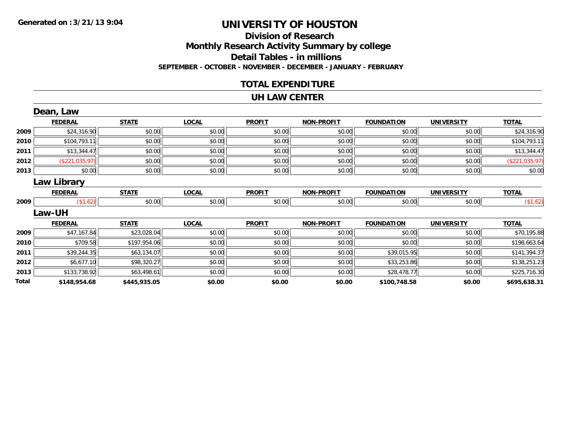## **Division of ResearchMonthly Research Activity Summary by college Detail Tables - in millions SEPTEMBER - OCTOBER - NOVEMBER - DECEMBER - JANUARY - FEBRUARY**

### **TOTAL EXPENDITURE**

### **UH LAW CENTER**

|       | Dean, Law          |              |              |               |                   |                   |                   |                |
|-------|--------------------|--------------|--------------|---------------|-------------------|-------------------|-------------------|----------------|
|       | <b>FEDERAL</b>     | <b>STATE</b> | <b>LOCAL</b> | <b>PROFIT</b> | <b>NON-PROFIT</b> | <b>FOUNDATION</b> | <b>UNIVERSITY</b> | <b>TOTAL</b>   |
| 2009  | \$24,316.90        | \$0.00       | \$0.00       | \$0.00        | \$0.00            | \$0.00            | \$0.00            | \$24,316.90    |
| 2010  | \$104,793.11       | \$0.00       | \$0.00       | \$0.00        | \$0.00            | \$0.00            | \$0.00            | \$104,793.11   |
| 2011  | \$13,344.47        | \$0.00       | \$0.00       | \$0.00        | \$0.00            | \$0.00            | \$0.00            | \$13,344.47    |
| 2012  | (\$221,035.97)     | \$0.00       | \$0.00       | \$0.00        | \$0.00            | \$0.00            | \$0.00            | (\$221,035.97) |
| 2013  | \$0.00             | \$0.00       | \$0.00       | \$0.00        | \$0.00            | \$0.00            | \$0.00            | \$0.00         |
|       | <b>Law Library</b> |              |              |               |                   |                   |                   |                |
|       | <b>FEDERAL</b>     | <b>STATE</b> | <b>LOCAL</b> | <b>PROFIT</b> | <b>NON-PROFIT</b> | <b>FOUNDATION</b> | <b>UNIVERSITY</b> | <b>TOTAL</b>   |
| 2009  | (\$1.62)           | \$0.00       | \$0.00       | \$0.00        | \$0.00            | \$0.00            | \$0.00            | (\$1.62)       |
|       | <b>Law-UH</b>      |              |              |               |                   |                   |                   |                |
|       | <b>FEDERAL</b>     | <b>STATE</b> | <b>LOCAL</b> | <b>PROFIT</b> | <b>NON-PROFIT</b> | <b>FOUNDATION</b> | <b>UNIVERSITY</b> | <b>TOTAL</b>   |
| 2009  | \$47,167.84        | \$23,028.04  | \$0.00       | \$0.00        | \$0.00            | \$0.00            | \$0.00            | \$70,195.88    |
| 2010  | \$709.58           | \$197,954.06 | \$0.00       | \$0.00        | \$0.00            | \$0.00            | \$0.00            | \$198,663.64   |
| 2011  | \$39,244.35        | \$63,134.07  | \$0.00       | \$0.00        | \$0.00            | \$39,015.95       | \$0.00            | \$141,394.37   |
| 2012  | \$6,677.10         | \$98,320.27  | \$0.00       | \$0.00        | \$0.00            | \$33,253.86       | \$0.00            | \$138,251.23   |
| 2013  | \$133,738.92       | \$63,498.61  | \$0.00       | \$0.00        | \$0.00            | \$28,478.77       | \$0.00            | \$225,716.30   |
| Total | \$148,954.68       | \$445,935.05 | \$0.00       | \$0.00        | \$0.00            | \$100,748.58      | \$0.00            | \$695,638.31   |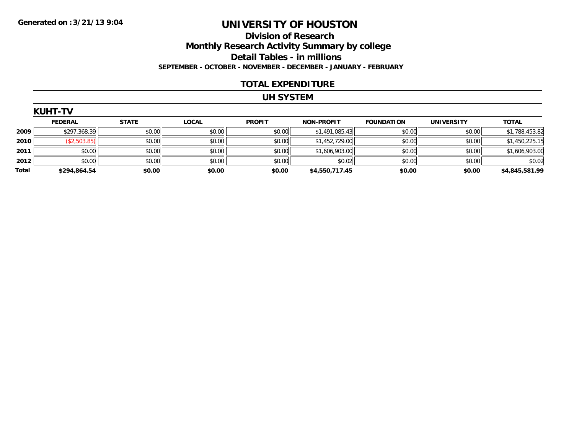### **Division of Research Monthly Research Activity Summary by college Detail Tables - in millions SEPTEMBER - OCTOBER - NOVEMBER - DECEMBER - JANUARY - FEBRUARY**

### **TOTAL EXPENDITURE**

#### **UH SYSTEM**

|       | <b>KUHT-TV</b> |              |              |               |                   |                   |                   |                |  |  |  |
|-------|----------------|--------------|--------------|---------------|-------------------|-------------------|-------------------|----------------|--|--|--|
|       | <b>FEDERAL</b> | <b>STATE</b> | <b>LOCAL</b> | <b>PROFIT</b> | <b>NON-PROFIT</b> | <b>FOUNDATION</b> | <b>UNIVERSITY</b> | <b>TOTAL</b>   |  |  |  |
| 2009  | \$297,368.39   | \$0.00       | \$0.00       | \$0.00        | \$1,491,085.43    | \$0.00            | \$0.00            | \$1,788,453.82 |  |  |  |
| 2010  | (\$2,503.85)   | \$0.00       | \$0.00       | \$0.00        | \$1,452,729.00    | \$0.00            | \$0.00            | \$1,450,225.15 |  |  |  |
| 2011  | \$0.00         | \$0.00       | \$0.00       | \$0.00        | \$1,606,903.00    | \$0.00            | \$0.00            | \$1,606,903.00 |  |  |  |
| 2012  | \$0.00         | \$0.00       | \$0.00       | \$0.00        | \$0.02            | \$0.00            | \$0.00            | \$0.02         |  |  |  |
| Total | \$294,864.54   | \$0.00       | \$0.00       | \$0.00        | \$4,550,717.45    | \$0.00            | \$0.00            | \$4,845,581.99 |  |  |  |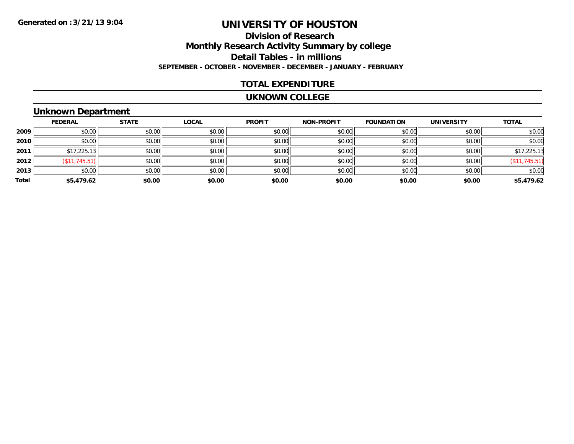## **Division of ResearchMonthly Research Activity Summary by college Detail Tables - in millions SEPTEMBER - OCTOBER - NOVEMBER - DECEMBER - JANUARY - FEBRUARY**

### **TOTAL EXPENDITURE**

#### **UKNOWN COLLEGE**

## **Unknown Department**

|       | <b>FEDERAL</b> | <b>STATE</b> | <b>LOCAL</b> | <b>PROFIT</b> | <b>NON-PROFIT</b> | <b>FOUNDATION</b> | <b>UNIVERSITY</b> | <b>TOTAL</b>  |
|-------|----------------|--------------|--------------|---------------|-------------------|-------------------|-------------------|---------------|
| 2009  | \$0.00         | \$0.00       | \$0.00       | \$0.00        | \$0.00            | \$0.00            | \$0.00            | \$0.00        |
| 2010  | \$0.00         | \$0.00       | \$0.00       | \$0.00        | \$0.00            | \$0.00            | \$0.00            | \$0.00        |
| 2011  | \$17,225.13    | \$0.00       | \$0.00       | \$0.00        | \$0.00            | \$0.00            | \$0.00            | \$17,225.13   |
| 2012  | (\$11,745.51)  | \$0.00       | \$0.00       | \$0.00        | \$0.00            | \$0.00            | \$0.00            | (\$11,745.51) |
| 2013  | \$0.00         | \$0.00       | \$0.00       | \$0.00        | \$0.00            | \$0.00            | \$0.00            | \$0.00        |
| Total | \$5,479.62     | \$0.00       | \$0.00       | \$0.00        | \$0.00            | \$0.00            | \$0.00            | \$5,479.62    |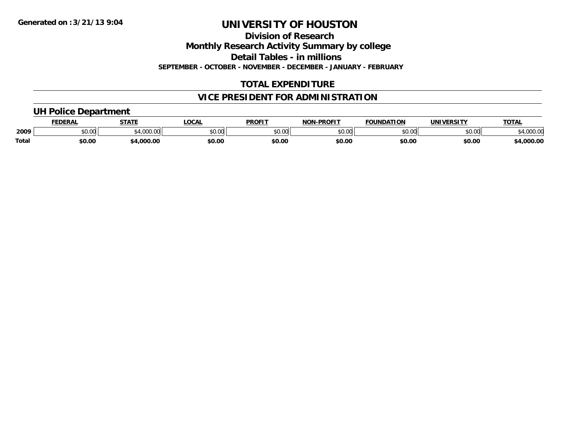**Division of Research**

**Monthly Research Activity Summary by college**

**Detail Tables - in millions**

**SEPTEMBER - OCTOBER - NOVEMBER - DECEMBER - JANUARY - FEBRUARY**

## **TOTAL EXPENDITURE**

## **VICE PRESIDENT FOR ADMINISTRATION**

### **UH Police Department**

|              |        | <b>STATE</b> | <b>LOCAL</b>            | DDOE'T        | <b>DDOCLT</b><br><b>MOR</b> | ΓΙΟΝ<br>'ΩΔ. | ININ<br>urneitv | TOTA.           |
|--------------|--------|--------------|-------------------------|---------------|-----------------------------|--------------|-----------------|-----------------|
| 2009         | JU.UU  | .000         | 0 <sub>n</sub><br>JU.UU | 0000<br>DU.UU | 0000<br>ט.טע                | 60.00        | 0000<br>⊸∪∪∪ ⊸  | 00000<br>.uu.u. |
| <b>Total</b> | \$0.00 | nnn          | \$0.00                  | \$0.00        | \$0.00                      | \$0.00       | \$0.00          | .000.00         |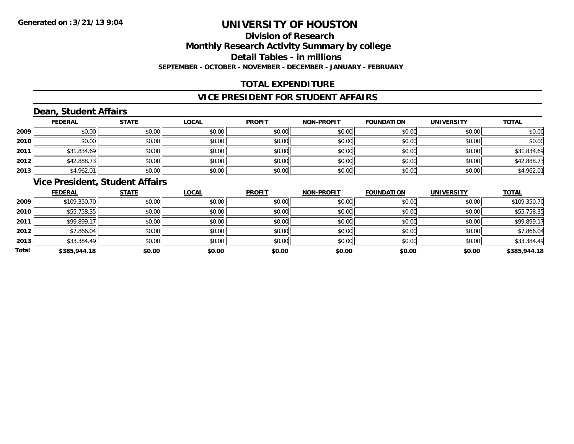## **Division of ResearchMonthly Research Activity Summary by college Detail Tables - in millions SEPTEMBER - OCTOBER - NOVEMBER - DECEMBER - JANUARY - FEBRUARY**

## **TOTAL EXPENDITURE**

### **VICE PRESIDENT FOR STUDENT AFFAIRS**

## **Dean, Student Affairs**

|      | <b>FEDERAL</b> | <b>STATE</b> | <b>LOCAL</b> | <b>PROFIT</b> | <b>NON-PROFIT</b> | <b>FOUNDATION</b> | <b>UNIVERSITY</b> | <b>TOTAL</b> |
|------|----------------|--------------|--------------|---------------|-------------------|-------------------|-------------------|--------------|
| 2009 | \$0.00         | \$0.00       | \$0.00       | \$0.00        | \$0.00            | \$0.00            | \$0.00            | \$0.00       |
| 2010 | \$0.00         | \$0.00       | \$0.00       | \$0.00        | \$0.00            | \$0.00            | \$0.00            | \$0.00       |
| 2011 | \$31,834.69    | \$0.00       | \$0.00       | \$0.00        | \$0.00            | \$0.00            | \$0.00            | \$31,834.69  |
| 2012 | \$42,888.73    | \$0.00       | \$0.00       | \$0.00        | \$0.00            | \$0.00            | \$0.00            | \$42,888.73  |
| 2013 | \$4,962.01     | \$0.00       | \$0.00       | \$0.00        | \$0.00            | \$0.00            | \$0.00            | \$4,962.01   |

### **Vice President, Student Affairs**

|       | <b>FEDERAL</b> | <b>STATE</b> | <b>LOCAL</b> | <b>PROFIT</b> | <b>NON-PROFIT</b> | <b>FOUNDATION</b> | <b>UNIVERSITY</b> | <b>TOTAL</b> |
|-------|----------------|--------------|--------------|---------------|-------------------|-------------------|-------------------|--------------|
| 2009  | \$109,350.70   | \$0.00       | \$0.00       | \$0.00        | \$0.00            | \$0.00            | \$0.00            | \$109,350.70 |
| 2010  | \$55,758.35    | \$0.00       | \$0.00       | \$0.00        | \$0.00            | \$0.00            | \$0.00            | \$55,758.35  |
| 2011  | \$99,899.17    | \$0.00       | \$0.00       | \$0.00        | \$0.00            | \$0.00            | \$0.00            | \$99,899.17  |
| 2012  | \$7,866.04     | \$0.00       | \$0.00       | \$0.00        | \$0.00            | \$0.00            | \$0.00            | \$7,866.04   |
| 2013  | \$33,384.49    | \$0.00       | \$0.00       | \$0.00        | \$0.00            | \$0.00            | \$0.00            | \$33,384.49  |
| Total | \$385,944.18   | \$0.00       | \$0.00       | \$0.00        | \$0.00            | \$0.00            | \$0.00            | \$385,944.18 |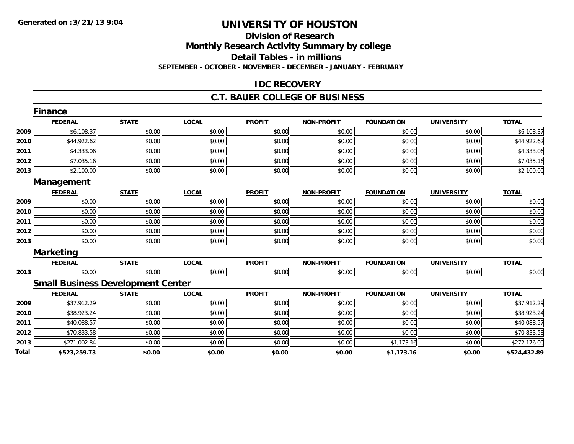### **Division of Research Monthly Research Activity Summary by college Detail Tables - in millions SEPTEMBER - OCTOBER - NOVEMBER - DECEMBER - JANUARY - FEBRUARY**

### **IDC RECOVERY**

### **C.T. BAUER COLLEGE OF BUSINESS**

|       | <b>Finance</b>   |                                          |              |               |                   |                   |                   |              |
|-------|------------------|------------------------------------------|--------------|---------------|-------------------|-------------------|-------------------|--------------|
|       | <b>FEDERAL</b>   | <b>STATE</b>                             | <b>LOCAL</b> | <b>PROFIT</b> | <b>NON-PROFIT</b> | <b>FOUNDATION</b> | <b>UNIVERSITY</b> | <b>TOTAL</b> |
| 2009  | \$6,108.37       | \$0.00                                   | \$0.00       | \$0.00        | \$0.00            | \$0.00            | \$0.00            | \$6,108.37   |
| 2010  | \$44,922.62      | \$0.00                                   | \$0.00       | \$0.00        | \$0.00            | \$0.00            | \$0.00            | \$44,922.62  |
| 2011  | \$4,333.06       | \$0.00                                   | \$0.00       | \$0.00        | \$0.00            | \$0.00            | \$0.00            | \$4,333.06   |
| 2012  | \$7,035.16       | \$0.00                                   | \$0.00       | \$0.00        | \$0.00            | \$0.00            | \$0.00            | \$7,035.16   |
| 2013  | \$2,100.00       | \$0.00                                   | \$0.00       | \$0.00        | \$0.00            | \$0.00            | \$0.00            | \$2,100.00   |
|       | Management       |                                          |              |               |                   |                   |                   |              |
|       | <b>FEDERAL</b>   | <b>STATE</b>                             | <b>LOCAL</b> | <b>PROFIT</b> | <b>NON-PROFIT</b> | <b>FOUNDATION</b> | <b>UNIVERSITY</b> | <b>TOTAL</b> |
| 2009  | \$0.00           | \$0.00                                   | \$0.00       | \$0.00        | \$0.00            | \$0.00            | \$0.00            | \$0.00       |
| 2010  | \$0.00           | \$0.00                                   | \$0.00       | \$0.00        | \$0.00            | \$0.00            | \$0.00            | \$0.00       |
| 2011  | \$0.00           | \$0.00                                   | \$0.00       | \$0.00        | \$0.00            | \$0.00            | \$0.00            | \$0.00       |
| 2012  | \$0.00           | \$0.00                                   | \$0.00       | \$0.00        | \$0.00            | \$0.00            | \$0.00            | \$0.00       |
| 2013  | \$0.00           | \$0.00                                   | \$0.00       | \$0.00        | \$0.00            | \$0.00            | \$0.00            | \$0.00       |
|       | <b>Marketing</b> |                                          |              |               |                   |                   |                   |              |
|       | <b>FEDERAL</b>   | <b>STATE</b>                             | <b>LOCAL</b> | <b>PROFIT</b> | <b>NON-PROFIT</b> | <b>FOUNDATION</b> | <b>UNIVERSITY</b> | <b>TOTAL</b> |
| 2013  | \$0.00           | \$0.00                                   | \$0.00       | \$0.00        | \$0.00            | \$0.00            | \$0.00            | \$0.00       |
|       |                  | <b>Small Business Development Center</b> |              |               |                   |                   |                   |              |
|       | <b>FEDERAL</b>   | <b>STATE</b>                             | <b>LOCAL</b> | <b>PROFIT</b> | <b>NON-PROFIT</b> | <b>FOUNDATION</b> | <b>UNIVERSITY</b> | <b>TOTAL</b> |
| 2009  | \$37,912.29      | \$0.00                                   | \$0.00       | \$0.00        | \$0.00            | \$0.00            | \$0.00            | \$37,912.29  |
| 2010  | \$38,923.24      | \$0.00                                   | \$0.00       | \$0.00        | \$0.00            | \$0.00            | \$0.00            | \$38,923.24  |
| 2011  | \$40,088.57      | \$0.00                                   | \$0.00       | \$0.00        | \$0.00            | \$0.00            | \$0.00            | \$40,088.57  |
| 2012  | \$70,833.58      | \$0.00                                   | \$0.00       | \$0.00        | \$0.00            | \$0.00            | \$0.00            | \$70,833.58  |
| 2013  | \$271,002.84     | \$0.00                                   | \$0.00       | \$0.00        | \$0.00            | \$1,173.16        | \$0.00            | \$272,176.00 |
| Total | \$523,259.73     | \$0.00                                   | \$0.00       | \$0.00        | \$0.00            | \$1,173.16        | \$0.00            | \$524,432.89 |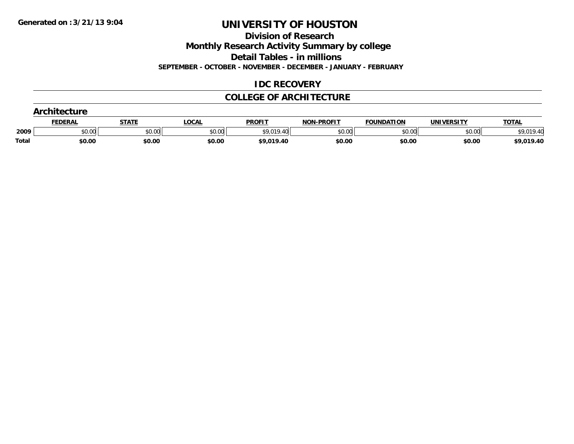**Division of Research**

**Monthly Research Activity Summary by college**

**Detail Tables - in millions**

**SEPTEMBER - OCTOBER - NOVEMBER - DECEMBER - JANUARY - FEBRUARY**

### **IDC RECOVERY**

### **COLLEGE OF ARCHITECTURE**

|       | <b>Architecture</b> |              |              |                   |                   |                   |                   |              |  |  |
|-------|---------------------|--------------|--------------|-------------------|-------------------|-------------------|-------------------|--------------|--|--|
|       | <b>FEDERAL</b>      | <b>STATE</b> | <u>LOCAL</u> | <b>PROFIT</b>     | <b>NON-PROFIT</b> | <b>FOUNDATION</b> | <b>UNIVERSITY</b> | <b>TOTAL</b> |  |  |
| 2009  | \$0.00              | \$0.00       | \$0.00       | <b>\$9.019.40</b> | \$0.00            | \$0.00            | \$0.00            |              |  |  |
| Total | \$0.00              | \$0.00       | \$0.00       | \$9,019.40        | \$0.00            | \$0.00            | \$0.00            | \$9,019.40   |  |  |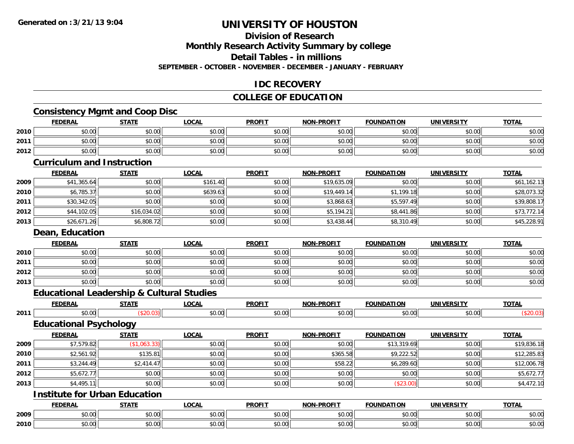# **Division of Research**

**Monthly Research Activity Summary by college**

**Detail Tables - in millions**

**SEPTEMBER - OCTOBER - NOVEMBER - DECEMBER - JANUARY - FEBRUARY**

### **IDC RECOVERY**

## **COLLEGE OF EDUCATION**

## **Consistency Mgmt and Coop Disc**

|      | <b>FEDERAL</b>                                       | <b>STATE</b> | <b>LOCAL</b> | <b>PROFIT</b> | NON-PROFIT        | <b>FOUNDATION</b> | <b>UNIVERSITY</b> | <b>TOTAL</b> |
|------|------------------------------------------------------|--------------|--------------|---------------|-------------------|-------------------|-------------------|--------------|
| 2010 | \$0.00                                               | \$0.00       | \$0.00       | \$0.00        | \$0.00            | \$0.00            | \$0.00            | \$0.00       |
| 2011 | \$0.00                                               | \$0.00       | \$0.00       | \$0.00        | \$0.00            | \$0.00            | \$0.00            | \$0.00       |
| 2012 | \$0.00                                               | \$0.00       | \$0.00       | \$0.00        | \$0.00            | \$0.00            | \$0.00            | \$0.00       |
|      | <b>Curriculum and Instruction</b>                    |              |              |               |                   |                   |                   |              |
|      | <b>FEDERAL</b>                                       | <b>STATE</b> | <b>LOCAL</b> | <b>PROFIT</b> | <b>NON-PROFIT</b> | <b>FOUNDATION</b> | <b>UNIVERSITY</b> | <b>TOTAL</b> |
| 2009 | \$41,365.64                                          | \$0.00       | \$161.40     | \$0.00        | \$19,635.09       | \$0.00            | \$0.00            | \$61,162.13  |
| 2010 | \$6,785.37                                           | \$0.00       | \$639.63     | \$0.00        | \$19,449.14       | \$1,199.18        | \$0.00            | \$28,073.32  |
| 2011 | \$30,342.05                                          | \$0.00       | \$0.00       | \$0.00        | \$3,868.63        | \$5,597.49        | \$0.00            | \$39,808.17  |
| 2012 | \$44,102.05                                          | \$16,034.02  | \$0.00       | \$0.00        | \$5,194.21        | \$8,441.86        | \$0.00            | \$73,772.14  |
| 2013 | \$26,671.26                                          | \$6,808.72   | \$0.00       | \$0.00        | \$3,438.44        | \$8,310.49        | \$0.00            | \$45,228.91  |
|      | Dean, Education                                      |              |              |               |                   |                   |                   |              |
|      | <b>FEDERAL</b>                                       | <b>STATE</b> | <b>LOCAL</b> | <b>PROFIT</b> | <b>NON-PROFIT</b> | <b>FOUNDATION</b> | <b>UNIVERSITY</b> | <b>TOTAL</b> |
| 2010 | \$0.00                                               | \$0.00       | \$0.00       | \$0.00        | \$0.00            | \$0.00            | \$0.00            | \$0.00       |
| 2011 | \$0.00                                               | \$0.00       | \$0.00       | \$0.00        | \$0.00            | \$0.00            | \$0.00            | \$0.00       |
| 2012 | \$0.00                                               | \$0.00       | \$0.00       | \$0.00        | \$0.00            | \$0.00            | \$0.00            | \$0.00       |
| 2013 | \$0.00                                               | \$0.00       | \$0.00       | \$0.00        | \$0.00            | \$0.00            | \$0.00            | \$0.00       |
|      | <b>Educational Leadership &amp; Cultural Studies</b> |              |              |               |                   |                   |                   |              |
|      | <b>FEDERAL</b>                                       | <b>STATE</b> | <b>LOCAL</b> | <b>PROFIT</b> | <b>NON-PROFIT</b> | <b>FOUNDATION</b> | <b>UNIVERSITY</b> | <b>TOTAL</b> |
| 2011 | \$0.00                                               | (\$20.03)    | \$0.00       | \$0.00        | \$0.00            | \$0.00            | \$0.00            | (\$20.03)    |
|      | <b>Educational Psychology</b>                        |              |              |               |                   |                   |                   |              |
|      | <b>FEDERAL</b>                                       | <b>STATE</b> | <b>LOCAL</b> | <b>PROFIT</b> | <b>NON-PROFIT</b> | <b>FOUNDATION</b> | <b>UNIVERSITY</b> | <b>TOTAL</b> |
| 2009 | \$7,579.82                                           | (\$1,063.33) | \$0.00       | \$0.00        | \$0.00            | \$13,319.69       | \$0.00            | \$19,836.18  |
| 2010 | \$2,561.92                                           | \$135.81     | \$0.00       | \$0.00        | \$365.58          | \$9,222.52        | \$0.00            | \$12,285.83  |
| 2011 | \$3,244.49                                           | \$2,414.47   | \$0.00       | \$0.00        | \$58.22           | \$6,289.60        | \$0.00            | \$12,006.78  |
| 2012 | \$5,672.77                                           | \$0.00       | \$0.00       | \$0.00        | \$0.00            | \$0.00            | \$0.00            | \$5,672.77   |
| 2013 | \$4,495.11                                           | \$0.00       | \$0.00       | \$0.00        | \$0.00            | (\$23.00)         | \$0.00            | \$4,472.10   |
|      | <b>Institute for Urban Education</b>                 |              |              |               |                   |                   |                   |              |
|      | <b>FEDERAL</b>                                       | <b>STATE</b> | <b>LOCAL</b> | <b>PROFIT</b> | <b>NON-PROFIT</b> | <b>FOUNDATION</b> | <b>UNIVERSITY</b> | <b>TOTAL</b> |
| 2009 | \$0.00                                               | \$0.00       | \$0.00       | \$0.00        | \$0.00            | \$0.00            | \$0.00            | \$0.00       |
| 2010 | \$0.00                                               | \$0.00       | \$0.00       | \$0.00        | \$0.00            | \$0.00            | \$0.00            | \$0.00       |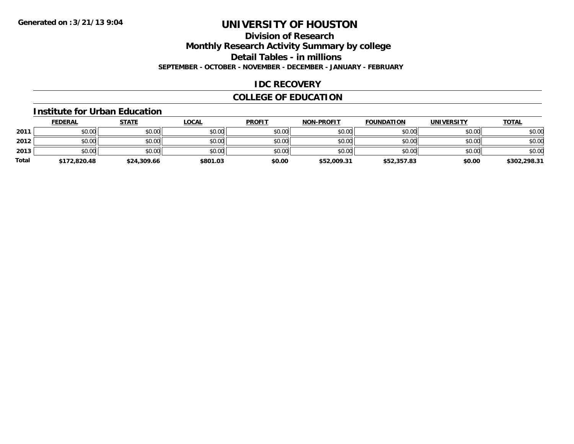# **Division of Research**

**Monthly Research Activity Summary by college**

**Detail Tables - in millions**

**SEPTEMBER - OCTOBER - NOVEMBER - DECEMBER - JANUARY - FEBRUARY**

### **IDC RECOVERY**

## **COLLEGE OF EDUCATION**

#### **Institute for Urban Education**

|              | <b>FEDERAL</b> | <u>STATE</u> | <u>LOCAL</u> | <b>PROFIT</b> | <b>NON-PROFIT</b> | <b>FOUNDATION</b> | <b>UNIVERSITY</b> | <b>TOTAL</b> |
|--------------|----------------|--------------|--------------|---------------|-------------------|-------------------|-------------------|--------------|
| 2011         | \$0.00         | \$0.00       | \$0.00       | \$0.00        | \$0.00            | \$0.00            | \$0.00            | \$0.00       |
| 2012         | \$0.00         | \$0.00       | \$0.00       | \$0.00        | \$0.00            | \$0.00            | \$0.00            | \$0.00       |
| 2013         | \$0.00         | \$0.00       | \$0.00       | \$0.00        | \$0.00            | \$0.00            | \$0.00            | \$0.00       |
| <b>Total</b> | \$172,820.48   | \$24,309.66  | \$801.03     | \$0.00        | \$52,009.31       | \$52,357.83       | \$0.00            | \$302,298.31 |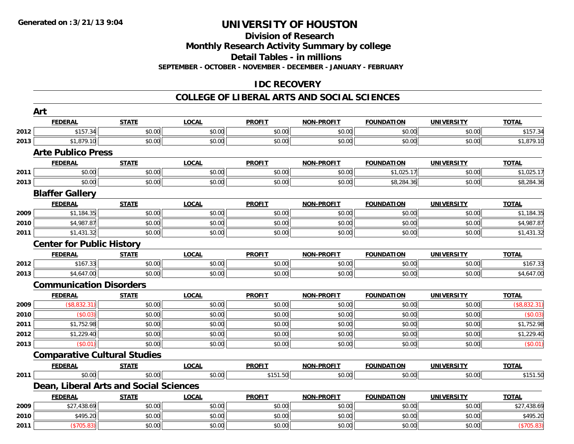#### **Division of Research**

**Monthly Research Activity Summary by college**

**Detail Tables - in millions**

**SEPTEMBER - OCTOBER - NOVEMBER - DECEMBER - JANUARY - FEBRUARY**

## **IDC RECOVERY**

### **COLLEGE OF LIBERAL ARTS AND SOCIAL SCIENCES**

|      | Art                                    |              |              |               |                   |                   |                   |              |
|------|----------------------------------------|--------------|--------------|---------------|-------------------|-------------------|-------------------|--------------|
|      | <b>FEDERAL</b>                         | <b>STATE</b> | <b>LOCAL</b> | <b>PROFIT</b> | <b>NON-PROFIT</b> | <b>FOUNDATION</b> | <b>UNIVERSITY</b> | <b>TOTAL</b> |
| 2012 | \$157.34                               | \$0.00       | \$0.00       | \$0.00        | \$0.00            | \$0.00            | \$0.00            | \$157.34     |
| 2013 | \$1,879.10                             | \$0.00       | \$0.00       | \$0.00        | \$0.00            | \$0.00            | \$0.00            | \$1,879.10   |
|      | <b>Arte Publico Press</b>              |              |              |               |                   |                   |                   |              |
|      | <b>FEDERAL</b>                         | <b>STATE</b> | <b>LOCAL</b> | <b>PROFIT</b> | <b>NON-PROFIT</b> | <b>FOUNDATION</b> | <b>UNIVERSITY</b> | <b>TOTAL</b> |
| 2011 | \$0.00                                 | \$0.00       | \$0.00       | \$0.00        | \$0.00            | \$1,025.17        | \$0.00            | \$1,025.17   |
| 2013 | \$0.00                                 | \$0.00       | \$0.00       | \$0.00        | \$0.00            | \$8,284.36        | \$0.00            | \$8,284.36   |
|      | <b>Blaffer Gallery</b>                 |              |              |               |                   |                   |                   |              |
|      | <b>FEDERAL</b>                         | <b>STATE</b> | <b>LOCAL</b> | <b>PROFIT</b> | <b>NON-PROFIT</b> | <b>FOUNDATION</b> | <b>UNIVERSITY</b> | <b>TOTAL</b> |
| 2009 | \$1,184.35                             | \$0.00       | \$0.00       | \$0.00        | \$0.00            | \$0.00            | \$0.00            | \$1,184.35   |
| 2010 | \$4,987.87                             | \$0.00       | \$0.00       | \$0.00        | \$0.00            | \$0.00            | \$0.00            | \$4,987.87   |
| 2011 | \$1,431.32                             | \$0.00       | \$0.00       | \$0.00        | \$0.00            | \$0.00            | \$0.00            | \$1,431.32   |
|      | <b>Center for Public History</b>       |              |              |               |                   |                   |                   |              |
|      | <b>FEDERAL</b>                         | <b>STATE</b> | <b>LOCAL</b> | <b>PROFIT</b> | <b>NON-PROFIT</b> | <b>FOUNDATION</b> | <b>UNIVERSITY</b> | <b>TOTAL</b> |
| 2012 | \$167.33                               | \$0.00       | \$0.00       | \$0.00        | \$0.00            | \$0.00            | \$0.00            | \$167.33     |
| 2013 | \$4,647.00                             | \$0.00       | \$0.00       | \$0.00        | \$0.00            | \$0.00            | \$0.00            | \$4,647.00   |
|      | <b>Communication Disorders</b>         |              |              |               |                   |                   |                   |              |
|      | <b>FEDERAL</b>                         | <b>STATE</b> | <b>LOCAL</b> | <b>PROFIT</b> | <b>NON-PROFIT</b> | <b>FOUNDATION</b> | <b>UNIVERSITY</b> | <b>TOTAL</b> |
| 2009 | (\$8,832.31)                           | \$0.00       | \$0.00       | \$0.00        | \$0.00            | \$0.00            | \$0.00            | (\$8,832.31) |
| 2010 | (\$0.03)                               | \$0.00       | \$0.00       | \$0.00        | \$0.00            | \$0.00            | \$0.00            | (\$0.03)     |
| 2011 | \$1,752.98                             | \$0.00       | \$0.00       | \$0.00        | \$0.00            | \$0.00            | \$0.00            | \$1,752.98   |
| 2012 | \$1,229.40                             | \$0.00       | \$0.00       | \$0.00        | \$0.00            | \$0.00            | \$0.00            | \$1,229.40   |
| 2013 | (\$0.01)                               | \$0.00       | \$0.00       | \$0.00        | \$0.00            | \$0.00            | \$0.00            | (\$0.01)     |
|      | <b>Comparative Cultural Studies</b>    |              |              |               |                   |                   |                   |              |
|      | <b>FEDERAL</b>                         | <b>STATE</b> | <b>LOCAL</b> | <b>PROFIT</b> | <b>NON-PROFIT</b> | <b>FOUNDATION</b> | <b>UNIVERSITY</b> | <b>TOTAL</b> |
| 2011 | \$0.00                                 | \$0.00       | \$0.00       | \$151.50      | \$0.00            | \$0.00            | \$0.00            | \$151.50     |
|      | Dean, Liberal Arts and Social Sciences |              |              |               |                   |                   |                   |              |
|      | <b>FEDERAL</b>                         | <b>STATE</b> | <b>LOCAL</b> | <b>PROFIT</b> | <b>NON-PROFIT</b> | <b>FOUNDATION</b> | <b>UNIVERSITY</b> | <b>TOTAL</b> |
| 2009 | \$27,438.69                            | \$0.00       | \$0.00       | \$0.00        | \$0.00            | \$0.00            | \$0.00            | \$27,438.69  |
| 2010 | \$495.20                               | \$0.00       | \$0.00       | \$0.00        | \$0.00            | \$0.00            | \$0.00            | \$495.20     |
| 2011 | (\$705.83)                             | \$0.00       | \$0.00       | \$0.00        | \$0.00            | \$0.00            | \$0.00            | (\$705.83)   |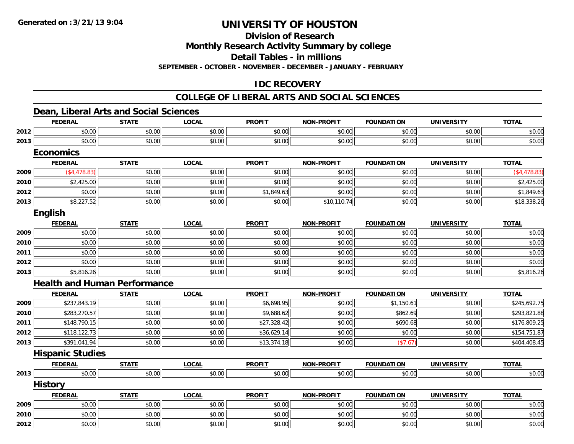**Division of Research**

**Monthly Research Activity Summary by college**

**Detail Tables - in millions**

**SEPTEMBER - OCTOBER - NOVEMBER - DECEMBER - JANUARY - FEBRUARY**

## **IDC RECOVERY**

### **COLLEGE OF LIBERAL ARTS AND SOCIAL SCIENCES**

## **Dean, Liberal Arts and Social Sciences**

|      | <b>FEDERAL</b>                      | <b>STATE</b> | <b>LOCAL</b> | <b>PROFIT</b> | <b>NON-PROFIT</b> | <b>FOUNDATION</b> | <b>UNIVERSITY</b> | <b>TOTAL</b>  |
|------|-------------------------------------|--------------|--------------|---------------|-------------------|-------------------|-------------------|---------------|
| 2012 | \$0.00                              | \$0.00       | \$0.00       | \$0.00        | \$0.00            | \$0.00            | \$0.00            | \$0.00        |
| 2013 | \$0.00                              | \$0.00       | \$0.00       | \$0.00        | \$0.00            | \$0.00            | \$0.00            | \$0.00        |
|      | <b>Economics</b>                    |              |              |               |                   |                   |                   |               |
|      | <b>FEDERAL</b>                      | <b>STATE</b> | <b>LOCAL</b> | <b>PROFIT</b> | <b>NON-PROFIT</b> | <b>FOUNDATION</b> | <b>UNIVERSITY</b> | <b>TOTAL</b>  |
| 2009 | (\$4,478.83)                        | \$0.00       | \$0.00       | \$0.00        | \$0.00            | \$0.00            | \$0.00            | ( \$4,478.83) |
| 2010 | \$2,425.00                          | \$0.00       | \$0.00       | \$0.00        | \$0.00            | \$0.00            | \$0.00            | \$2,425.00    |
| 2012 | \$0.00                              | \$0.00       | \$0.00       | \$1,849.63    | \$0.00            | \$0.00            | \$0.00            | \$1,849.63    |
| 2013 | \$8,227.52                          | \$0.00       | \$0.00       | \$0.00        | \$10,110.74       | \$0.00            | \$0.00            | \$18,338.26   |
|      | English                             |              |              |               |                   |                   |                   |               |
|      | <b>FEDERAL</b>                      | <b>STATE</b> | <b>LOCAL</b> | <b>PROFIT</b> | <b>NON-PROFIT</b> | <b>FOUNDATION</b> | <b>UNIVERSITY</b> | <b>TOTAL</b>  |
| 2009 | \$0.00                              | \$0.00       | \$0.00       | \$0.00        | \$0.00            | \$0.00            | \$0.00            | \$0.00        |
| 2010 | \$0.00                              | \$0.00       | \$0.00       | \$0.00        | \$0.00            | \$0.00            | \$0.00            | \$0.00        |
| 2011 | \$0.00                              | \$0.00       | \$0.00       | \$0.00        | \$0.00            | \$0.00            | \$0.00            | \$0.00        |
| 2012 | \$0.00                              | \$0.00       | \$0.00       | \$0.00        | \$0.00            | \$0.00            | \$0.00            | \$0.00        |
| 2013 | \$5,816.26                          | \$0.00       | \$0.00       | \$0.00        | \$0.00            | \$0.00            | \$0.00            | \$5,816.26    |
|      | <b>Health and Human Performance</b> |              |              |               |                   |                   |                   |               |
|      | <b>FEDERAL</b>                      | <b>STATE</b> | <b>LOCAL</b> | <b>PROFIT</b> | <b>NON-PROFIT</b> | <b>FOUNDATION</b> | <b>UNIVERSITY</b> | <b>TOTAL</b>  |
| 2009 | \$237,843.19                        | \$0.00       | \$0.00       | \$6,698.95    | \$0.00            | \$1,150.61        | \$0.00            | \$245,692.75  |
| 2010 | \$283,270.57                        | \$0.00       | \$0.00       | \$9,688.62    | \$0.00            | \$862.69          | \$0.00            | \$293,821.88  |
| 2011 | \$148,790.15                        | \$0.00       | \$0.00       | \$27,328.42   | \$0.00            | \$690.68          | \$0.00            | \$176,809.25  |
| 2012 | \$118,122.73                        | \$0.00       | \$0.00       | \$36,629.14   | \$0.00            | \$0.00            | \$0.00            | \$154,751.87  |
| 2013 | \$391,041.94                        | \$0.00       | \$0.00       | \$13,374.18   | \$0.00            | (\$7.67)          | \$0.00            | \$404,408.45  |
|      | <b>Hispanic Studies</b>             |              |              |               |                   |                   |                   |               |
|      | <b>FEDERAL</b>                      | <b>STATE</b> | <b>LOCAL</b> | <b>PROFIT</b> | <b>NON-PROFIT</b> | <b>FOUNDATION</b> | <b>UNIVERSITY</b> | <b>TOTAL</b>  |
| 2013 | \$0.00                              | \$0.00       | \$0.00       | \$0.00        | \$0.00            | \$0.00            | \$0.00            | \$0.00        |
|      | <b>History</b>                      |              |              |               |                   |                   |                   |               |
|      | <b>FEDERAL</b>                      | <b>STATE</b> | <b>LOCAL</b> | <b>PROFIT</b> | <b>NON-PROFIT</b> | <b>FOUNDATION</b> | <b>UNIVERSITY</b> | <b>TOTAL</b>  |
| 2009 | \$0.00                              | \$0.00       | \$0.00       | \$0.00        | \$0.00            | \$0.00            | \$0.00            | \$0.00        |
| 2010 | \$0.00                              | \$0.00       | \$0.00       | \$0.00        | \$0.00            | \$0.00            | \$0.00            | \$0.00        |
| 2012 | \$0.00                              | \$0.00       | \$0.00       | \$0.00        | \$0.00            | \$0.00            | \$0.00            | \$0.00        |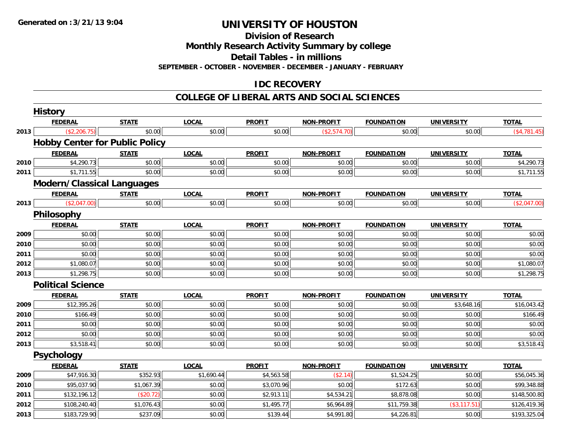**Division of Research**

**Monthly Research Activity Summary by college**

**Detail Tables - in millions**

**SEPTEMBER - OCTOBER - NOVEMBER - DECEMBER - JANUARY - FEBRUARY**

## **IDC RECOVERY**

### **COLLEGE OF LIBERAL ARTS AND SOCIAL SCIENCES**

|      | <b>History</b>                        |              |              |               |                   |                   |                   |              |
|------|---------------------------------------|--------------|--------------|---------------|-------------------|-------------------|-------------------|--------------|
|      | <b>FEDERAL</b>                        | <b>STATE</b> | <b>LOCAL</b> | <b>PROFIT</b> | <b>NON-PROFIT</b> | <b>FOUNDATION</b> | <b>UNIVERSITY</b> | <b>TOTAL</b> |
| 2013 | (\$2,206.75)                          | \$0.00       | \$0.00       | \$0.00        | (\$2,574.70)      | \$0.00            | \$0.00            | (\$4,781.45) |
|      | <b>Hobby Center for Public Policy</b> |              |              |               |                   |                   |                   |              |
|      | <b>FEDERAL</b>                        | <b>STATE</b> | <b>LOCAL</b> | <b>PROFIT</b> | <b>NON-PROFIT</b> | <b>FOUNDATION</b> | <b>UNIVERSITY</b> | <b>TOTAL</b> |
| 2010 | \$4,290.73                            | \$0.00       | \$0.00       | \$0.00        | \$0.00            | \$0.00            | \$0.00            | \$4,290.73   |
| 2011 | \$1,711.55                            | \$0.00       | \$0.00       | \$0.00        | \$0.00            | \$0.00            | \$0.00            | \$1,711.55   |
|      | <b>Modern/Classical Languages</b>     |              |              |               |                   |                   |                   |              |
|      | <b>FEDERAL</b>                        | <b>STATE</b> | <b>LOCAL</b> | <b>PROFIT</b> | <b>NON-PROFIT</b> | <b>FOUNDATION</b> | <b>UNIVERSITY</b> | <b>TOTAL</b> |
| 2013 | (\$2,047.00)                          | \$0.00       | \$0.00       | \$0.00        | \$0.00            | \$0.00            | \$0.00            | (\$2,047.00) |
|      | Philosophy                            |              |              |               |                   |                   |                   |              |
|      | <b>FEDERAL</b>                        | <b>STATE</b> | <b>LOCAL</b> | <b>PROFIT</b> | <b>NON-PROFIT</b> | <b>FOUNDATION</b> | <b>UNIVERSITY</b> | <b>TOTAL</b> |
| 2009 | \$0.00                                | \$0.00       | \$0.00       | \$0.00        | \$0.00            | \$0.00            | \$0.00            | \$0.00       |
| 2010 | \$0.00                                | \$0.00       | \$0.00       | \$0.00        | \$0.00            | \$0.00            | \$0.00            | \$0.00       |
| 2011 | \$0.00                                | \$0.00       | \$0.00       | \$0.00        | \$0.00            | \$0.00            | \$0.00            | \$0.00       |
| 2012 | \$1,080.07                            | \$0.00       | \$0.00       | \$0.00        | \$0.00            | \$0.00            | \$0.00            | \$1,080.07   |
| 2013 | \$1,298.75                            | \$0.00       | \$0.00       | \$0.00        | \$0.00            | \$0.00            | \$0.00            | \$1,298.75   |
|      | <b>Political Science</b>              |              |              |               |                   |                   |                   |              |
|      | <b>FEDERAL</b>                        | <b>STATE</b> | <b>LOCAL</b> | <b>PROFIT</b> | <b>NON-PROFIT</b> | <b>FOUNDATION</b> | <b>UNIVERSITY</b> | <b>TOTAL</b> |
| 2009 | \$12,395.26                           | \$0.00       | \$0.00       | \$0.00        | \$0.00            | \$0.00            | \$3,648.16        | \$16,043.42  |
| 2010 | \$166.49                              | \$0.00       | \$0.00       | \$0.00        | \$0.00            | \$0.00            | \$0.00            | \$166.49     |
| 2011 | \$0.00                                | \$0.00       | \$0.00       | \$0.00        | \$0.00            | \$0.00            | \$0.00            | \$0.00       |
| 2012 | \$0.00                                | \$0.00       | \$0.00       | \$0.00        | \$0.00            | \$0.00            | \$0.00            | \$0.00       |
| 2013 | \$3,518.41                            | \$0.00       | \$0.00       | \$0.00        | \$0.00            | \$0.00            | \$0.00            | \$3,518.41   |
|      | <b>Psychology</b>                     |              |              |               |                   |                   |                   |              |
|      | <b>FEDERAL</b>                        | <b>STATE</b> | <b>LOCAL</b> | <b>PROFIT</b> | <b>NON-PROFIT</b> | <b>FOUNDATION</b> | <b>UNIVERSITY</b> | <b>TOTAL</b> |
| 2009 | \$47,916.30                           | \$352.93     | \$1,690.44   | \$4,563.58    | (\$2.14)          | \$1,524.25        | \$0.00            | \$56,045.36  |
| 2010 | \$95,037.90                           | \$1,067.39   | \$0.00       | \$3,070.96    | \$0.00            | \$172.63          | \$0.00            | \$99,348.88  |
| 2011 | \$132,196.12                          | (\$20.72)    | \$0.00       | \$2,913.11    | \$4,534.21        | \$8,878.08        | \$0.00            | \$148,500.80 |
| 2012 | \$108,240.40                          | \$1,076.43   | \$0.00       | \$1,495.77    | \$6,964.89        | \$11,759.38       | (\$3, 117.51)     | \$126,419.36 |
| 2013 | \$183,729.90                          | \$237.09     | \$0.00       | \$139.44      | \$4,991.80        | \$4,226.81        | \$0.00            | \$193,325.04 |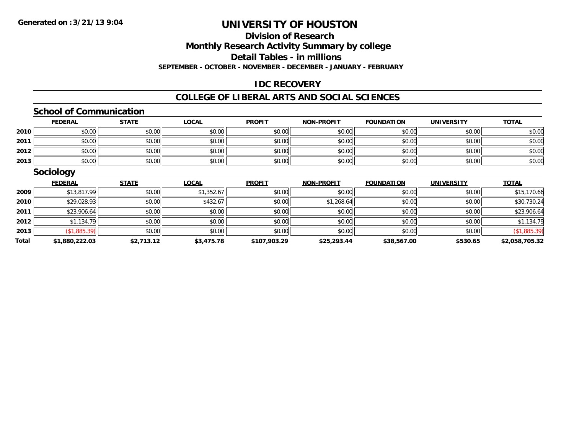# **Division of Research**

**Monthly Research Activity Summary by college**

**Detail Tables - in millions**

**SEPTEMBER - OCTOBER - NOVEMBER - DECEMBER - JANUARY - FEBRUARY**

### **IDC RECOVERY**

### **COLLEGE OF LIBERAL ARTS AND SOCIAL SCIENCES**

### **School of Communication**

|      | <b>FEDERAL</b> | <b>STATE</b> | <u>LOCAL</u> | <b>PROFIT</b> | <b>NON-PROFIT</b> | <b>FOUNDATION</b> | <b>UNIVERSITY</b> | <b>TOTAL</b> |
|------|----------------|--------------|--------------|---------------|-------------------|-------------------|-------------------|--------------|
| 2010 | \$0.00         | \$0.00       | \$0.00       | \$0.00        | \$0.00            | \$0.00            | \$0.00            | \$0.00       |
| 2011 | \$0.00         | \$0.00       | \$0.00       | \$0.00        | \$0.00            | \$0.00            | \$0.00            | \$0.00       |
| 2012 | \$0.00         | \$0.00       | \$0.00       | \$0.00        | \$0.00            | \$0.00            | \$0.00            | \$0.00       |
| 2013 | \$0.00         | \$0.00       | \$0.00       | \$0.00        | \$0.00            | \$0.00            | \$0.00            | \$0.00       |

### **Sociology**

|       | <b>FEDERAL</b> | <b>STATE</b> | <u>LOCAL</u> | <b>PROFIT</b> | <b>NON-PROFIT</b> | <b>FOUNDATION</b> | <b>UNIVERSITY</b> | <b>TOTAL</b>   |
|-------|----------------|--------------|--------------|---------------|-------------------|-------------------|-------------------|----------------|
| 2009  | \$13,817.99    | \$0.00       | \$1,352.67   | \$0.00        | \$0.00            | \$0.00            | \$0.00            | \$15,170.66    |
| 2010  | \$29,028.93    | \$0.00       | \$432.67     | \$0.00        | \$1,268.64        | \$0.00            | \$0.00            | \$30,730.24    |
| 2011  | \$23,906.64    | \$0.00       | \$0.00       | \$0.00        | \$0.00            | \$0.00            | \$0.00            | \$23,906.64    |
| 2012  | \$1,134.79     | \$0.00       | \$0.00       | \$0.00        | \$0.00            | \$0.00            | \$0.00            | \$1,134.79     |
| 2013  | (\$1,885.39)   | \$0.00       | \$0.00       | \$0.00        | \$0.00            | \$0.00            | \$0.00            | (\$1,885.39)   |
| Total | \$1,880,222.03 | \$2,713.12   | \$3,475.78   | \$107,903.29  | \$25,293.44       | \$38,567.00       | \$530.65          | \$2,058,705.32 |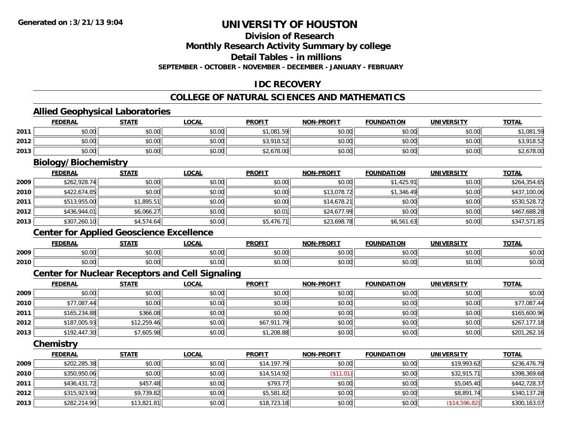**2013**

# **UNIVERSITY OF HOUSTON**

### **Division of Research**

**Monthly Research Activity Summary by college**

**Detail Tables - in millions**

**SEPTEMBER - OCTOBER - NOVEMBER - DECEMBER - JANUARY - FEBRUARY**

### **IDC RECOVERY**

## **COLLEGE OF NATURAL SCIENCES AND MATHEMATICS**

### **Allied Geophysical Laboratories**

| \$0.00<br>\$0.00<br>\$0.00<br>\$1,081.59<br>\$0.00<br>\$0.00<br>\$0.00<br>2011<br>\$3,918.52<br>\$0.00<br>2012<br>\$0.00<br>\$0.00<br>\$0.00<br>\$0.00<br>\$0.00<br>\$0.00<br>2013<br>\$0.00<br>\$0.00<br>\$2,678.00<br>\$0.00<br>\$0.00<br>\$0.00<br><b>Biology/Biochemistry</b><br><b>LOCAL</b><br><b>PROFIT</b><br><b>TOTAL</b><br><b>FEDERAL</b><br><b>STATE</b><br><b>NON-PROFIT</b><br><b>FOUNDATION</b><br><b>UNIVERSITY</b><br>\$262,928.74<br>\$0.00<br>\$0.00<br>\$0.00<br>2009<br>\$0.00<br>\$1,425.91<br>\$0.00<br>\$0.00<br>2010<br>\$422,674.85<br>\$0.00<br>\$13,078.72<br>\$0.00<br>\$1,346.49<br>\$0.00<br>\$513,955.00<br>\$1,895.51<br>\$14,678.21<br>2011<br>\$0.00<br>\$0.00<br>\$0.00<br>\$0.00<br>2012<br>\$436,944.01<br>\$6,066.27<br>\$0.01<br>\$0.00<br>\$0.00<br>\$24,677.99<br>\$0.00<br>\$5,476.71<br>\$307,260.10<br>\$4,574.64<br>\$6,561.63<br>\$0.00<br>2013<br>\$0.00<br>\$23,698.78<br><b>Center for Applied Geoscience Excellence</b><br><b>FEDERAL</b><br><b>STATE</b><br><b>LOCAL</b><br><b>PROFIT</b><br><b>NON-PROFIT</b><br><b>FOUNDATION</b><br><b>UNIVERSITY</b><br><b>TOTAL</b><br>\$0.00<br>\$0.00<br>\$0.00<br>\$0.00<br>2009<br>\$0.00<br>\$0.00<br>\$0.00<br>\$0.00<br>\$0.00<br>\$0.00<br>\$0.00<br>2010<br>\$0.00<br>\$0.00<br>\$0.00<br><b>Center for Nuclear Receptors and Cell Signaling</b><br><b>FOUNDATION</b><br><b>UNIVERSITY</b><br><b>FEDERAL</b><br><b>STATE</b><br><b>LOCAL</b><br><b>PROFIT</b><br><b>NON-PROFIT</b><br><b>TOTAL</b><br>\$0.00<br>\$0.00<br>\$0.00<br>2009<br>\$0.00<br>\$0.00<br>\$0.00<br>\$0.00<br>\$77,087.44<br>\$0.00<br>\$0.00<br>2010<br>\$0.00<br>\$0.00<br>\$0.00<br>\$0.00<br>\$165,234.88<br>\$366.08<br>2011<br>\$0.00<br>\$0.00<br>\$0.00<br>\$0.00<br>\$0.00<br>\$187,005.93<br>\$67,911.79<br>\$12,259.46<br>\$0.00<br>\$0.00<br>\$0.00<br>2012<br>\$0.00<br>2013<br>\$192,447.30<br>\$7,605.98<br>\$0.00<br>\$1,208.88<br>\$0.00<br>\$0.00<br>\$0.00<br>Chemistry<br><b>FEDERAL</b><br><b>STATE</b><br><b>LOCAL</b><br><b>PROFIT</b><br><b>NON-PROFIT</b><br><b>UNIVERSITY</b><br><b>FOUNDATION</b><br><b>TOTAL</b><br>\$202,285.38<br>\$0.00<br>\$14,197.79<br>\$0.00<br>\$0.00<br>\$19,993.62<br>2009<br>\$0.00<br>\$350,950.06<br>\$0.00<br>\$14,514.92<br>2010<br>\$0.00<br>(\$11.01)<br>\$0.00<br>\$32,915.71<br>\$436,431.72<br>\$0.00<br>\$793.77<br>2011<br>\$457.48<br>\$0.00<br>\$0.00<br>\$5,045.40<br>2012<br>\$315,923.90<br>\$9,739.82<br>\$0.00<br>\$5,581.82<br>\$0.00<br>\$0.00<br>\$8,891.74 | <b>FEDERAL</b> | <b>STATE</b> | <b>LOCAL</b> | <b>PROFIT</b> | <b>NON-PROFIT</b> | <b>FOUNDATION</b> | <b>UNIVERSITY</b> | <b>TOTAL</b> |
|-----------------------------------------------------------------------------------------------------------------------------------------------------------------------------------------------------------------------------------------------------------------------------------------------------------------------------------------------------------------------------------------------------------------------------------------------------------------------------------------------------------------------------------------------------------------------------------------------------------------------------------------------------------------------------------------------------------------------------------------------------------------------------------------------------------------------------------------------------------------------------------------------------------------------------------------------------------------------------------------------------------------------------------------------------------------------------------------------------------------------------------------------------------------------------------------------------------------------------------------------------------------------------------------------------------------------------------------------------------------------------------------------------------------------------------------------------------------------------------------------------------------------------------------------------------------------------------------------------------------------------------------------------------------------------------------------------------------------------------------------------------------------------------------------------------------------------------------------------------------------------------------------------------------------------------------------------------------------------------------------------------------------------------------------------------------------------------------------------------------------------------------------------------------------------------------------------------------------------------------------------------------------------------------------------------------------------------------------------------------------------------------------------------------------------------------------------------------------------------------------------------------|----------------|--------------|--------------|---------------|-------------------|-------------------|-------------------|--------------|
|                                                                                                                                                                                                                                                                                                                                                                                                                                                                                                                                                                                                                                                                                                                                                                                                                                                                                                                                                                                                                                                                                                                                                                                                                                                                                                                                                                                                                                                                                                                                                                                                                                                                                                                                                                                                                                                                                                                                                                                                                                                                                                                                                                                                                                                                                                                                                                                                                                                                                                                 |                |              |              |               |                   |                   |                   | \$1,081.59   |
|                                                                                                                                                                                                                                                                                                                                                                                                                                                                                                                                                                                                                                                                                                                                                                                                                                                                                                                                                                                                                                                                                                                                                                                                                                                                                                                                                                                                                                                                                                                                                                                                                                                                                                                                                                                                                                                                                                                                                                                                                                                                                                                                                                                                                                                                                                                                                                                                                                                                                                                 |                |              |              |               |                   |                   |                   | \$3,918.52   |
|                                                                                                                                                                                                                                                                                                                                                                                                                                                                                                                                                                                                                                                                                                                                                                                                                                                                                                                                                                                                                                                                                                                                                                                                                                                                                                                                                                                                                                                                                                                                                                                                                                                                                                                                                                                                                                                                                                                                                                                                                                                                                                                                                                                                                                                                                                                                                                                                                                                                                                                 |                |              |              |               |                   |                   |                   | \$2,678.00   |
|                                                                                                                                                                                                                                                                                                                                                                                                                                                                                                                                                                                                                                                                                                                                                                                                                                                                                                                                                                                                                                                                                                                                                                                                                                                                                                                                                                                                                                                                                                                                                                                                                                                                                                                                                                                                                                                                                                                                                                                                                                                                                                                                                                                                                                                                                                                                                                                                                                                                                                                 |                |              |              |               |                   |                   |                   |              |
|                                                                                                                                                                                                                                                                                                                                                                                                                                                                                                                                                                                                                                                                                                                                                                                                                                                                                                                                                                                                                                                                                                                                                                                                                                                                                                                                                                                                                                                                                                                                                                                                                                                                                                                                                                                                                                                                                                                                                                                                                                                                                                                                                                                                                                                                                                                                                                                                                                                                                                                 |                |              |              |               |                   |                   |                   |              |
|                                                                                                                                                                                                                                                                                                                                                                                                                                                                                                                                                                                                                                                                                                                                                                                                                                                                                                                                                                                                                                                                                                                                                                                                                                                                                                                                                                                                                                                                                                                                                                                                                                                                                                                                                                                                                                                                                                                                                                                                                                                                                                                                                                                                                                                                                                                                                                                                                                                                                                                 |                |              |              |               |                   |                   |                   | \$264,354.65 |
|                                                                                                                                                                                                                                                                                                                                                                                                                                                                                                                                                                                                                                                                                                                                                                                                                                                                                                                                                                                                                                                                                                                                                                                                                                                                                                                                                                                                                                                                                                                                                                                                                                                                                                                                                                                                                                                                                                                                                                                                                                                                                                                                                                                                                                                                                                                                                                                                                                                                                                                 |                |              |              |               |                   |                   |                   | \$437,100.06 |
|                                                                                                                                                                                                                                                                                                                                                                                                                                                                                                                                                                                                                                                                                                                                                                                                                                                                                                                                                                                                                                                                                                                                                                                                                                                                                                                                                                                                                                                                                                                                                                                                                                                                                                                                                                                                                                                                                                                                                                                                                                                                                                                                                                                                                                                                                                                                                                                                                                                                                                                 |                |              |              |               |                   |                   |                   | \$530,528.72 |
|                                                                                                                                                                                                                                                                                                                                                                                                                                                                                                                                                                                                                                                                                                                                                                                                                                                                                                                                                                                                                                                                                                                                                                                                                                                                                                                                                                                                                                                                                                                                                                                                                                                                                                                                                                                                                                                                                                                                                                                                                                                                                                                                                                                                                                                                                                                                                                                                                                                                                                                 |                |              |              |               |                   |                   |                   | \$467,688.28 |
|                                                                                                                                                                                                                                                                                                                                                                                                                                                                                                                                                                                                                                                                                                                                                                                                                                                                                                                                                                                                                                                                                                                                                                                                                                                                                                                                                                                                                                                                                                                                                                                                                                                                                                                                                                                                                                                                                                                                                                                                                                                                                                                                                                                                                                                                                                                                                                                                                                                                                                                 |                |              |              |               |                   |                   |                   | \$347,571.85 |
|                                                                                                                                                                                                                                                                                                                                                                                                                                                                                                                                                                                                                                                                                                                                                                                                                                                                                                                                                                                                                                                                                                                                                                                                                                                                                                                                                                                                                                                                                                                                                                                                                                                                                                                                                                                                                                                                                                                                                                                                                                                                                                                                                                                                                                                                                                                                                                                                                                                                                                                 |                |              |              |               |                   |                   |                   |              |
|                                                                                                                                                                                                                                                                                                                                                                                                                                                                                                                                                                                                                                                                                                                                                                                                                                                                                                                                                                                                                                                                                                                                                                                                                                                                                                                                                                                                                                                                                                                                                                                                                                                                                                                                                                                                                                                                                                                                                                                                                                                                                                                                                                                                                                                                                                                                                                                                                                                                                                                 |                |              |              |               |                   |                   |                   |              |
|                                                                                                                                                                                                                                                                                                                                                                                                                                                                                                                                                                                                                                                                                                                                                                                                                                                                                                                                                                                                                                                                                                                                                                                                                                                                                                                                                                                                                                                                                                                                                                                                                                                                                                                                                                                                                                                                                                                                                                                                                                                                                                                                                                                                                                                                                                                                                                                                                                                                                                                 |                |              |              |               |                   |                   |                   | \$0.00       |
|                                                                                                                                                                                                                                                                                                                                                                                                                                                                                                                                                                                                                                                                                                                                                                                                                                                                                                                                                                                                                                                                                                                                                                                                                                                                                                                                                                                                                                                                                                                                                                                                                                                                                                                                                                                                                                                                                                                                                                                                                                                                                                                                                                                                                                                                                                                                                                                                                                                                                                                 |                |              |              |               |                   |                   |                   | \$0.00       |
|                                                                                                                                                                                                                                                                                                                                                                                                                                                                                                                                                                                                                                                                                                                                                                                                                                                                                                                                                                                                                                                                                                                                                                                                                                                                                                                                                                                                                                                                                                                                                                                                                                                                                                                                                                                                                                                                                                                                                                                                                                                                                                                                                                                                                                                                                                                                                                                                                                                                                                                 |                |              |              |               |                   |                   |                   |              |
|                                                                                                                                                                                                                                                                                                                                                                                                                                                                                                                                                                                                                                                                                                                                                                                                                                                                                                                                                                                                                                                                                                                                                                                                                                                                                                                                                                                                                                                                                                                                                                                                                                                                                                                                                                                                                                                                                                                                                                                                                                                                                                                                                                                                                                                                                                                                                                                                                                                                                                                 |                |              |              |               |                   |                   |                   |              |
|                                                                                                                                                                                                                                                                                                                                                                                                                                                                                                                                                                                                                                                                                                                                                                                                                                                                                                                                                                                                                                                                                                                                                                                                                                                                                                                                                                                                                                                                                                                                                                                                                                                                                                                                                                                                                                                                                                                                                                                                                                                                                                                                                                                                                                                                                                                                                                                                                                                                                                                 |                |              |              |               |                   |                   |                   | \$0.00       |
|                                                                                                                                                                                                                                                                                                                                                                                                                                                                                                                                                                                                                                                                                                                                                                                                                                                                                                                                                                                                                                                                                                                                                                                                                                                                                                                                                                                                                                                                                                                                                                                                                                                                                                                                                                                                                                                                                                                                                                                                                                                                                                                                                                                                                                                                                                                                                                                                                                                                                                                 |                |              |              |               |                   |                   |                   | \$77,087.44  |
|                                                                                                                                                                                                                                                                                                                                                                                                                                                                                                                                                                                                                                                                                                                                                                                                                                                                                                                                                                                                                                                                                                                                                                                                                                                                                                                                                                                                                                                                                                                                                                                                                                                                                                                                                                                                                                                                                                                                                                                                                                                                                                                                                                                                                                                                                                                                                                                                                                                                                                                 |                |              |              |               |                   |                   |                   | \$165,600.96 |
|                                                                                                                                                                                                                                                                                                                                                                                                                                                                                                                                                                                                                                                                                                                                                                                                                                                                                                                                                                                                                                                                                                                                                                                                                                                                                                                                                                                                                                                                                                                                                                                                                                                                                                                                                                                                                                                                                                                                                                                                                                                                                                                                                                                                                                                                                                                                                                                                                                                                                                                 |                |              |              |               |                   |                   |                   | \$267,177.18 |
|                                                                                                                                                                                                                                                                                                                                                                                                                                                                                                                                                                                                                                                                                                                                                                                                                                                                                                                                                                                                                                                                                                                                                                                                                                                                                                                                                                                                                                                                                                                                                                                                                                                                                                                                                                                                                                                                                                                                                                                                                                                                                                                                                                                                                                                                                                                                                                                                                                                                                                                 |                |              |              |               |                   |                   |                   | \$201,262.16 |
|                                                                                                                                                                                                                                                                                                                                                                                                                                                                                                                                                                                                                                                                                                                                                                                                                                                                                                                                                                                                                                                                                                                                                                                                                                                                                                                                                                                                                                                                                                                                                                                                                                                                                                                                                                                                                                                                                                                                                                                                                                                                                                                                                                                                                                                                                                                                                                                                                                                                                                                 |                |              |              |               |                   |                   |                   |              |
|                                                                                                                                                                                                                                                                                                                                                                                                                                                                                                                                                                                                                                                                                                                                                                                                                                                                                                                                                                                                                                                                                                                                                                                                                                                                                                                                                                                                                                                                                                                                                                                                                                                                                                                                                                                                                                                                                                                                                                                                                                                                                                                                                                                                                                                                                                                                                                                                                                                                                                                 |                |              |              |               |                   |                   |                   |              |
|                                                                                                                                                                                                                                                                                                                                                                                                                                                                                                                                                                                                                                                                                                                                                                                                                                                                                                                                                                                                                                                                                                                                                                                                                                                                                                                                                                                                                                                                                                                                                                                                                                                                                                                                                                                                                                                                                                                                                                                                                                                                                                                                                                                                                                                                                                                                                                                                                                                                                                                 |                |              |              |               |                   |                   |                   | \$236,476.79 |
|                                                                                                                                                                                                                                                                                                                                                                                                                                                                                                                                                                                                                                                                                                                                                                                                                                                                                                                                                                                                                                                                                                                                                                                                                                                                                                                                                                                                                                                                                                                                                                                                                                                                                                                                                                                                                                                                                                                                                                                                                                                                                                                                                                                                                                                                                                                                                                                                                                                                                                                 |                |              |              |               |                   |                   |                   | \$398,369.68 |
|                                                                                                                                                                                                                                                                                                                                                                                                                                                                                                                                                                                                                                                                                                                                                                                                                                                                                                                                                                                                                                                                                                                                                                                                                                                                                                                                                                                                                                                                                                                                                                                                                                                                                                                                                                                                                                                                                                                                                                                                                                                                                                                                                                                                                                                                                                                                                                                                                                                                                                                 |                |              |              |               |                   |                   |                   | \$442,728.37 |
|                                                                                                                                                                                                                                                                                                                                                                                                                                                                                                                                                                                                                                                                                                                                                                                                                                                                                                                                                                                                                                                                                                                                                                                                                                                                                                                                                                                                                                                                                                                                                                                                                                                                                                                                                                                                                                                                                                                                                                                                                                                                                                                                                                                                                                                                                                                                                                                                                                                                                                                 |                |              |              |               |                   |                   |                   | \$340,137.28 |

 $\bf{3} \vert \hspace{1.5cm}$  \$282,214.90 $\vert$  \$13,821.81 $\vert$  \$10.00 $\vert$  \$10,723.18 $\vert$  \$0.00 $\vert$  \$0.00 $\vert$  \$300,163.07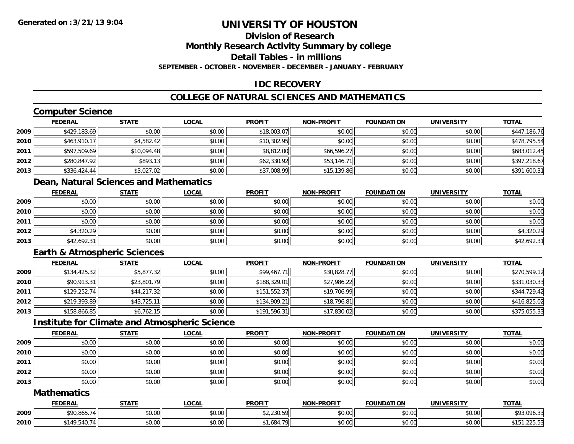# **Division of Research**

**Monthly Research Activity Summary by college**

**Detail Tables - in millions**

**SEPTEMBER - OCTOBER - NOVEMBER - DECEMBER - JANUARY - FEBRUARY**

## **IDC RECOVERY**

## **COLLEGE OF NATURAL SCIENCES AND MATHEMATICS**

# **Computer Science**

|      | <b>FEDERAL</b> | <b>STATE</b> | <b>LOCAL</b> | <b>PROFIT</b> | <b>NON-PROFIT</b> | <b>FOUNDATION</b> | <b>UNIVERSITY</b> | <b>TOTAL</b> |
|------|----------------|--------------|--------------|---------------|-------------------|-------------------|-------------------|--------------|
| 2009 | \$429,183.69   | \$0.00       | \$0.00       | \$18,003.07   | \$0.00            | \$0.00            | \$0.00            | \$447,186.76 |
| 2010 | \$463,910.17   | \$4,582.42   | \$0.00       | \$10,302.95   | \$0.00            | \$0.00            | \$0.00            | \$478,795.54 |
| 2011 | \$597,509.69   | \$10,094.48  | \$0.00       | \$8,812.00    | \$66,596.27       | \$0.00            | \$0.00            | \$683,012.45 |
| 2012 | \$280,847.92   | \$893.13     | \$0.00       | \$62,330.92   | \$53,146.71       | \$0.00            | \$0.00            | \$397,218.67 |
| 2013 | \$336,424.44   | \$3,027.02   | \$0.00       | \$37,008.99   | \$15,139.86       | \$0.00            | \$0.00            | \$391,600.31 |

## **Dean, Natural Sciences and Mathematics**

|      | <u>FEDERAL</u> | <b>STATE</b> | <b>LOCAL</b> | <b>PROFIT</b> | <b>NON-PROFIT</b> | <b>FOUNDATION</b> | <b>UNIVERSITY</b> | <b>TOTAL</b> |
|------|----------------|--------------|--------------|---------------|-------------------|-------------------|-------------------|--------------|
| 2009 | \$0.00         | \$0.00       | \$0.00       | \$0.00        | \$0.00            | \$0.00            | \$0.00            | \$0.00       |
| 2010 | \$0.00         | \$0.00       | \$0.00       | \$0.00        | \$0.00            | \$0.00            | \$0.00            | \$0.00       |
| 2011 | \$0.00         | \$0.00       | \$0.00       | \$0.00        | \$0.00            | \$0.00            | \$0.00            | \$0.00       |
| 2012 | \$4,320.29     | \$0.00       | \$0.00       | \$0.00        | \$0.00            | \$0.00            | \$0.00            | \$4,320.29   |
| 2013 | \$42,692.31    | \$0.00       | \$0.00       | \$0.00        | \$0.00            | \$0.00            | \$0.00            | \$42,692.31  |

## **Earth & Atmospheric Sciences**

|      | <b>FEDERAL</b> | <u>STATE</u> | <b>LOCAL</b> | <b>PROFIT</b> | <b>NON-PROFIT</b> | <b>FOUNDATION</b> | <b>UNIVERSITY</b> | <b>TOTAL</b> |
|------|----------------|--------------|--------------|---------------|-------------------|-------------------|-------------------|--------------|
| 2009 | \$134,425.32   | \$5,877.32   | \$0.00       | \$99,467.71   | \$30,828.77       | \$0.00            | \$0.00            | \$270,599.12 |
| 2010 | \$90,913.31    | \$23,801.79  | \$0.00       | \$188,329.01  | \$27,986.22       | \$0.00            | \$0.00            | \$331,030.33 |
| 2011 | \$129,252.74   | \$44,217.32  | \$0.00       | \$151,552.37  | \$19,706.99       | \$0.00            | \$0.00            | \$344,729.42 |
| 2012 | \$219,393.89   | \$43,725.11  | \$0.00       | \$134,909.21  | \$18,796.81       | \$0.00            | \$0.00            | \$416,825.02 |
| 2013 | \$158,866.85   | \$6,762.15   | \$0.00       | \$191,596.31  | \$17,830.02       | \$0.00            | \$0.00            | \$375,055.33 |

## **Institute for Climate and Atmospheric Science**

|      | <b>FEDERAL</b> | <b>STATE</b> | <u>LOCAL</u> | <b>PROFIT</b> | <b>NON-PROFIT</b> | <b>FOUNDATION</b> | <b>UNIVERSITY</b> | <b>TOTAL</b> |
|------|----------------|--------------|--------------|---------------|-------------------|-------------------|-------------------|--------------|
| 2009 | \$0.00         | \$0.00       | \$0.00       | \$0.00        | \$0.00            | \$0.00            | \$0.00            | \$0.00       |
| 2010 | \$0.00         | \$0.00       | \$0.00       | \$0.00        | \$0.00            | \$0.00            | \$0.00            | \$0.00       |
| 2011 | \$0.00         | \$0.00       | \$0.00       | \$0.00        | \$0.00            | \$0.00            | \$0.00            | \$0.00       |
| 2012 | \$0.00         | \$0.00       | \$0.00       | \$0.00        | \$0.00            | \$0.00            | \$0.00            | \$0.00       |
| 2013 | \$0.00         | \$0.00       | \$0.00       | \$0.00        | \$0.00            | \$0.00            | \$0.00            | \$0.00       |

### **Mathematics**

|      | <b>FEDERAL</b> | <b>STATE</b>  | LOCAI          | <b>PROFIT</b>              | <b>NON-PROFIT</b> | <b>FOUNDATION</b> | <b>UNIVERSITY</b> | <b>TOTAL</b>                  |
|------|----------------|---------------|----------------|----------------------------|-------------------|-------------------|-------------------|-------------------------------|
| 2009 | \$90,865.74    | ሖጣ<br>DU.UU   | ሶስ ሰሰ<br>DU.UG | 40 J3U EOL<br>92. ZJ U.J / | \$0.00            | 0000<br>DU.UU     | \$0.00            | 93,096.33;                    |
| 2010 | 149ء           | 0000<br>PU.UU | ሶስ ሰሰ<br>DU.UG | - 70 l<br>1684 ،           | \$0.00            | 40.00<br>vv.vv    | \$0.00            | $2.005 - 7$<br>AA<br>$\cdots$ |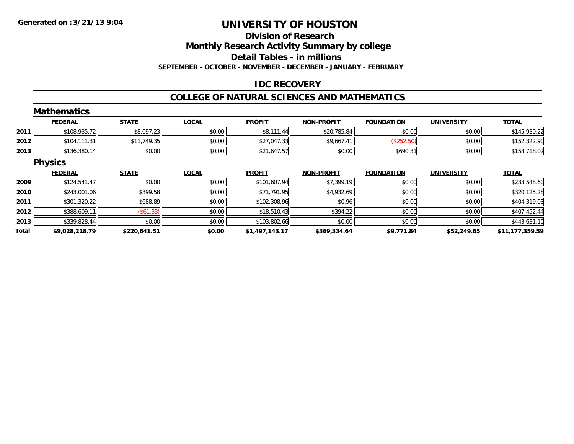### **Division of Research**

**Monthly Research Activity Summary by college**

**Detail Tables - in millions**

**SEPTEMBER - OCTOBER - NOVEMBER - DECEMBER - JANUARY - FEBRUARY**

#### **IDC RECOVERY**

#### **COLLEGE OF NATURAL SCIENCES AND MATHEMATICS**

|       | <b>Mathematics</b> |              |              |                |                   |                   |                   |                 |
|-------|--------------------|--------------|--------------|----------------|-------------------|-------------------|-------------------|-----------------|
|       | <b>FEDERAL</b>     | <b>STATE</b> | <b>LOCAL</b> | <b>PROFIT</b>  | <b>NON-PROFIT</b> | <b>FOUNDATION</b> | <b>UNIVERSITY</b> | <b>TOTAL</b>    |
| 2011  | \$108,935.72       | \$8,097.23   | \$0.00       | \$8,111.44     | \$20,785.84       | \$0.00            | \$0.00            | \$145,930.22    |
| 2012  | \$104, 111.31      | \$11,749.35  | \$0.00       | \$27,047.33    | \$9,667.41        | (\$252.50)        | \$0.00            | \$152,322.90    |
| 2013  | \$136,380.14       | \$0.00       | \$0.00       | \$21,647.57    | \$0.00            | \$690.31          | \$0.00            | \$158,718.02    |
|       | <b>Physics</b>     |              |              |                |                   |                   |                   |                 |
|       | <b>FEDERAL</b>     | <b>STATE</b> | <b>LOCAL</b> | <b>PROFIT</b>  | <b>NON-PROFIT</b> | <b>FOUNDATION</b> | <b>UNIVERSITY</b> | <b>TOTAL</b>    |
| 2009  | \$124,541.47       | \$0.00       | \$0.00       | \$101,607.94   | \$7,399.19        | \$0.00            | \$0.00            | \$233,548.60    |
| 2010  | \$243,001.06       | \$399.58     | \$0.00       | \$71,791.95    | \$4,932.69        | \$0.00            | \$0.00            | \$320,125.28    |
| 2011  | \$301,320.22       | \$688.89     | \$0.00       | \$102,308.96   | \$0.96            | \$0.00            | \$0.00            | \$404,319.03    |
| 2012  | \$388,609.11       | $($ \$61.33) | \$0.00       | \$18,510.43    | \$394.22          | \$0.00            | \$0.00            | \$407,452.44    |
| 2013  | \$339,828.44       | \$0.00       | \$0.00       | \$103,802.66   | \$0.00            | \$0.00            | \$0.00            | \$443,631.10    |
| Total | \$9,028,218.79     | \$220,641.51 | \$0.00       | \$1,497,143.17 | \$369,334.64      | \$9,771.84        | \$52,249.65       | \$11,177,359.59 |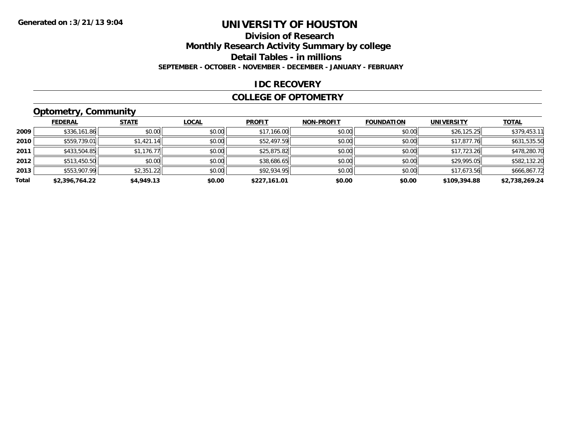### **Division of Research**

**Monthly Research Activity Summary by college**

**Detail Tables - in millions**

**SEPTEMBER - OCTOBER - NOVEMBER - DECEMBER - JANUARY - FEBRUARY**

#### **IDC RECOVERY**

#### **COLLEGE OF OPTOMETRY**

### **Optometry, Community**

|       | .              |              |              |               |                   |                   |                   |                |
|-------|----------------|--------------|--------------|---------------|-------------------|-------------------|-------------------|----------------|
|       | <b>FEDERAL</b> | <b>STATE</b> | <b>LOCAL</b> | <b>PROFIT</b> | <b>NON-PROFIT</b> | <b>FOUNDATION</b> | <b>UNIVERSITY</b> | <b>TOTAL</b>   |
| 2009  | \$336,161.86   | \$0.00       | \$0.00       | \$17,166.00   | \$0.00            | \$0.00            | \$26,125.25       | \$379,453.11   |
| 2010  | \$559,739.01   | \$1,421.14   | \$0.00       | \$52,497.59   | \$0.00            | \$0.00            | \$17,877.76       | \$631,535.50   |
| 2011  | \$433,504.85   | \$1,176.77   | \$0.00       | \$25,875.82   | \$0.00            | \$0.00            | \$17,723.26       | \$478,280.70   |
| 2012  | \$513,450.50   | \$0.00       | \$0.00       | \$38,686.65   | \$0.00            | \$0.00            | \$29,995.05       | \$582,132.20   |
| 2013  | \$553,907.99   | \$2,351.22   | \$0.00       | \$92,934.95   | \$0.00            | \$0.00            | \$17,673.56       | \$666,867.72   |
| Total | \$2,396,764.22 | \$4,949.13   | \$0.00       | \$227.161.01  | \$0.00            | \$0.00            | \$109,394.88      | \$2.738.269.24 |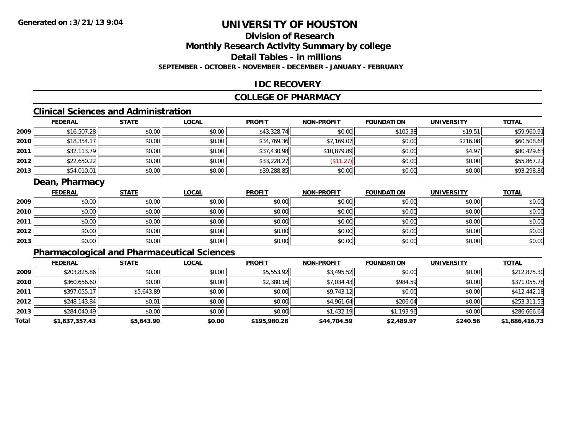#### **Division of ResearchMonthly Research Activity Summary by college Detail Tables - in millions**

**SEPTEMBER - OCTOBER - NOVEMBER - DECEMBER - JANUARY - FEBRUARY**

#### **IDC RECOVERY**

#### **COLLEGE OF PHARMACY**

### **Clinical Sciences and Administration**

|      | <b>FEDERAL</b> | <b>STATE</b> | <b>LOCAL</b> | <b>PROFIT</b> | <b>NON-PROFIT</b> | <b>FOUNDATION</b> | <b>UNIVERSITY</b> | <b>TOTAL</b> |
|------|----------------|--------------|--------------|---------------|-------------------|-------------------|-------------------|--------------|
| 2009 | \$16,507.28    | \$0.00       | \$0.00       | \$43,328.74   | \$0.00            | \$105.38          | \$19.51           | \$59,960.91  |
| 2010 | \$18,354.1     | \$0.00       | \$0.00       | \$34,769.36   | \$7,169.07        | \$0.00            | \$216.08          | \$60,508.68  |
| 2011 | \$32,113.79    | \$0.00       | \$0.00       | \$37,430.98   | \$10,879.89       | \$0.00            | \$4.97            | \$80,429.63  |
| 2012 | \$22,650.22    | \$0.00       | \$0.00       | \$33,228.27   | $A - A$<br>ن کے ا | \$0.00            | \$0.00            | \$55,867.22  |
| 2013 | \$54,010.01    | \$0.00       | \$0.00       | \$39,288.85   | \$0.00            | \$0.00            | \$0.00            | \$93,298.86  |

#### **Dean, Pharmacy**

|      | <b>FEDERAL</b> | <b>STATE</b> | <u>LOCAL</u> | <b>PROFIT</b> | <b>NON-PROFIT</b> | <b>FOUNDATION</b> | <b>UNIVERSITY</b> | <b>TOTAL</b> |
|------|----------------|--------------|--------------|---------------|-------------------|-------------------|-------------------|--------------|
| 2009 | \$0.00         | \$0.00       | \$0.00       | \$0.00        | \$0.00            | \$0.00            | \$0.00            | \$0.00       |
| 2010 | \$0.00         | \$0.00       | \$0.00       | \$0.00        | \$0.00            | \$0.00            | \$0.00            | \$0.00       |
| 2011 | \$0.00         | \$0.00       | \$0.00       | \$0.00        | \$0.00            | \$0.00            | \$0.00            | \$0.00       |
| 2012 | \$0.00         | \$0.00       | \$0.00       | \$0.00        | \$0.00            | \$0.00            | \$0.00            | \$0.00       |
| 2013 | \$0.00         | \$0.00       | \$0.00       | \$0.00        | \$0.00            | \$0.00            | \$0.00            | \$0.00       |

### **Pharmacological and Pharmaceutical Sciences**

|       | <b>FEDERAL</b> | <b>STATE</b> | <b>LOCAL</b> | <b>PROFIT</b> | <b>NON-PROFIT</b> | <b>FOUNDATION</b> | <b>UNIVERSITY</b> | <b>TOTAL</b>   |
|-------|----------------|--------------|--------------|---------------|-------------------|-------------------|-------------------|----------------|
| 2009  | \$203,825.86   | \$0.00       | \$0.00       | \$5,553.92    | \$3,495.52        | \$0.00            | \$0.00            | \$212,875.30   |
| 2010  | \$360,656.60   | \$0.00       | \$0.00       | \$2,380.16    | \$7,034.43        | \$984.59          | \$0.00            | \$371,055.78   |
| 2011  | \$397,055.17   | \$5,643.89   | \$0.00       | \$0.00        | \$9,743.12        | \$0.00            | \$0.00            | \$412,442.18   |
| 2012  | \$248,143.84   | \$0.01       | \$0.00       | \$0.00        | \$4,961.64        | \$206.04          | \$0.00            | \$253,311.53   |
| 2013  | \$284,040.49   | \$0.00       | \$0.00       | \$0.00        | \$1,432.19        | \$1,193.96        | \$0.00            | \$286,666.64   |
| Total | \$1,637,357.43 | \$5,643.90   | \$0.00       | \$195,980.28  | \$44,704.59       | \$2,489.97        | \$240.56          | \$1,886,416.73 |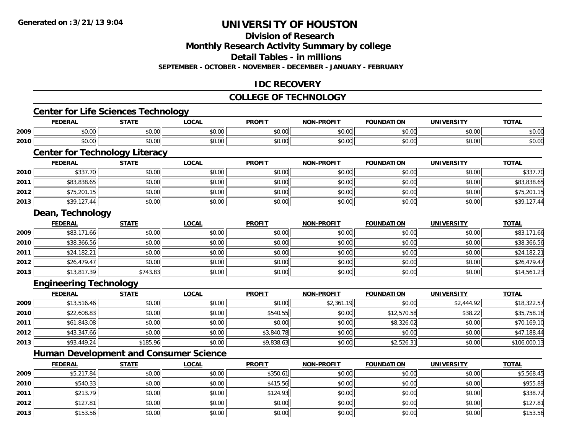**2013**

## **UNIVERSITY OF HOUSTON**

### **Division of Research**

**Monthly Research Activity Summary by college**

**Detail Tables - in millions**

**SEPTEMBER - OCTOBER - NOVEMBER - DECEMBER - JANUARY - FEBRUARY**

#### **IDC RECOVERY**

#### **COLLEGE OF TECHNOLOGY**

|      | <b>Center for Life Sciences Technology</b>    |              |              |               |                   |                   |                   |              |
|------|-----------------------------------------------|--------------|--------------|---------------|-------------------|-------------------|-------------------|--------------|
|      | <b>FEDERAL</b>                                | <b>STATE</b> | <b>LOCAL</b> | <b>PROFIT</b> | <b>NON-PROFIT</b> | <b>FOUNDATION</b> | <b>UNIVERSITY</b> | <b>TOTAL</b> |
| 2009 | \$0.00                                        | \$0.00       | \$0.00       | \$0.00        | \$0.00            | \$0.00            | \$0.00            | \$0.00       |
| 2010 | \$0.00                                        | \$0.00       | \$0.00       | \$0.00        | \$0.00            | \$0.00            | \$0.00            | \$0.00       |
|      | <b>Center for Technology Literacy</b>         |              |              |               |                   |                   |                   |              |
|      | <b>FEDERAL</b>                                | <b>STATE</b> | <b>LOCAL</b> | <b>PROFIT</b> | <b>NON-PROFIT</b> | <b>FOUNDATION</b> | <b>UNIVERSITY</b> | <b>TOTAL</b> |
| 2010 | \$337.70                                      | \$0.00       | \$0.00       | \$0.00        | \$0.00            | \$0.00            | \$0.00            | \$337.70     |
| 2011 | \$83,838.65                                   | \$0.00       | \$0.00       | \$0.00        | \$0.00            | \$0.00            | \$0.00            | \$83,838.65  |
| 2012 | \$75,201.15                                   | \$0.00       | \$0.00       | \$0.00        | \$0.00            | \$0.00            | \$0.00            | \$75,201.15  |
| 2013 | \$39,127.44                                   | \$0.00       | \$0.00       | \$0.00        | \$0.00            | \$0.00            | \$0.00            | \$39,127.44  |
|      | Dean, Technology                              |              |              |               |                   |                   |                   |              |
|      | <b>FEDERAL</b>                                | <b>STATE</b> | <b>LOCAL</b> | <b>PROFIT</b> | <b>NON-PROFIT</b> | <b>FOUNDATION</b> | <b>UNIVERSITY</b> | <b>TOTAL</b> |
| 2009 | \$83,171.66                                   | \$0.00       | \$0.00       | \$0.00        | \$0.00            | \$0.00            | \$0.00            | \$83,171.66  |
| 2010 | \$38,366.56                                   | \$0.00       | \$0.00       | \$0.00        | \$0.00            | \$0.00            | \$0.00            | \$38,366.56  |
| 2011 | \$24,182.21                                   | \$0.00       | \$0.00       | \$0.00        | \$0.00            | \$0.00            | \$0.00            | \$24,182.21  |
| 2012 | \$26,479.47                                   | \$0.00       | \$0.00       | \$0.00        | \$0.00            | \$0.00            | \$0.00            | \$26,479.47  |
| 2013 | \$13,817.39                                   | \$743.83     | \$0.00       | \$0.00        | \$0.00            | \$0.00            | \$0.00            | \$14,561.23  |
|      | <b>Engineering Technology</b>                 |              |              |               |                   |                   |                   |              |
|      | <b>FEDERAL</b>                                | <b>STATE</b> | <b>LOCAL</b> | <b>PROFIT</b> | <b>NON-PROFIT</b> | <b>FOUNDATION</b> | <b>UNIVERSITY</b> | <b>TOTAL</b> |
| 2009 | \$13,516.46                                   | \$0.00       | \$0.00       | \$0.00        | \$2,361.19        | \$0.00            | \$2,444.92        | \$18,322.57  |
| 2010 | \$22,608.83                                   | \$0.00       | \$0.00       | \$540.55      | \$0.00            | \$12,570.58       | \$38.22           | \$35,758.18  |
| 2011 | \$61,843.08                                   | \$0.00       | \$0.00       | \$0.00        | \$0.00            | \$8,326.02        | \$0.00            | \$70,169.10  |
| 2012 | \$43,347.66                                   | \$0.00       | \$0.00       | \$3,840.78    | \$0.00            | \$0.00            | \$0.00            | \$47,188.44  |
| 2013 | \$93,449.24                                   | \$185.96     | \$0.00       | \$9,838.63    | \$0.00            | \$2,526.31        | \$0.00            | \$106,000.13 |
|      | <b>Human Development and Consumer Science</b> |              |              |               |                   |                   |                   |              |
|      | <b>FEDERAL</b>                                | <b>STATE</b> | <b>LOCAL</b> | <b>PROFIT</b> | <b>NON-PROFIT</b> | <b>FOUNDATION</b> | <b>UNIVERSITY</b> | <b>TOTAL</b> |
| 2009 | \$5,217.84                                    | \$0.00       | \$0.00       | \$350.61      | \$0.00            | \$0.00            | \$0.00            | \$5,568.45   |
| 2010 | \$540.33                                      | \$0.00       | \$0.00       | \$415.56      | \$0.00            | \$0.00            | \$0.00            | \$955.89     |
| 2011 | \$213.79                                      | \$0.00       | \$0.00       | \$124.93      | \$0.00            | \$0.00            | \$0.00            | \$338.72     |
| 2012 | \$127.81                                      | \$0.00       | \$0.00       | \$0.00        | \$0.00            | \$0.00            | \$0.00            | \$127.81     |

 $\textbf{3} \hspace{14mm} \text{$0.00]} \hspace{14mm} \text{$0.00]} \hspace{14mm} \text{$0.03.56}$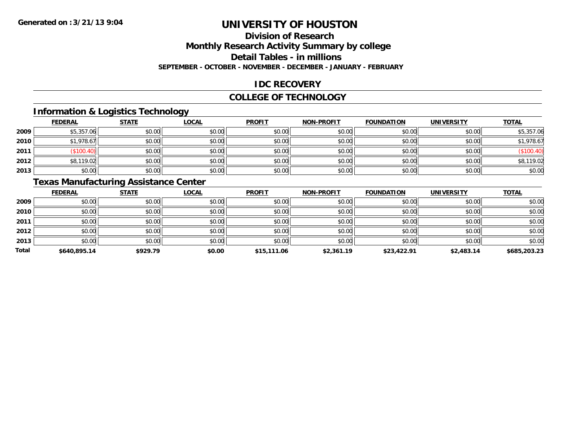### **Division of Research**

**Monthly Research Activity Summary by college**

**Detail Tables - in millions**

**SEPTEMBER - OCTOBER - NOVEMBER - DECEMBER - JANUARY - FEBRUARY**

#### **IDC RECOVERY**

#### **COLLEGE OF TECHNOLOGY**

#### **Information & Logistics Technology**

|      | <b>FEDERAL</b> | <b>STATE</b> | <u>LOCAL</u> | <b>PROFIT</b> | <b>NON-PROFIT</b> | <b>FOUNDATION</b> | <b>UNIVERSITY</b> | <b>TOTAL</b> |
|------|----------------|--------------|--------------|---------------|-------------------|-------------------|-------------------|--------------|
| 2009 | \$5,357.06     | \$0.00       | \$0.00       | \$0.00        | \$0.00            | \$0.00            | \$0.00            | \$5,357.06   |
| 2010 | \$1,978.67     | \$0.00       | \$0.00       | \$0.00        | \$0.00            | \$0.00            | \$0.00            | \$1,978.67   |
| 2011 | \$100.40       | \$0.00       | \$0.00       | \$0.00        | \$0.00            | \$0.00            | \$0.00            | (\$100.40)   |
| 2012 | \$8,119.02     | \$0.00       | \$0.00       | \$0.00        | \$0.00            | \$0.00            | \$0.00            | \$8,119.02   |
| 2013 | \$0.00         | \$0.00       | \$0.00       | \$0.00        | \$0.00            | \$0.00            | \$0.00            | \$0.00       |

### **Texas Manufacturing Assistance Center**

|       | <b>FEDERAL</b> | <b>STATE</b> | <b>LOCAL</b> | <b>PROFIT</b> | <b>NON-PROFIT</b> | <b>FOUNDATION</b> | <b>UNIVERSITY</b> | <b>TOTAL</b> |
|-------|----------------|--------------|--------------|---------------|-------------------|-------------------|-------------------|--------------|
| 2009  | \$0.00         | \$0.00       | \$0.00       | \$0.00        | \$0.00            | \$0.00            | \$0.00            | \$0.00       |
| 2010  | \$0.00         | \$0.00       | \$0.00       | \$0.00        | \$0.00            | \$0.00            | \$0.00            | \$0.00       |
| 2011  | \$0.00         | \$0.00       | \$0.00       | \$0.00        | \$0.00            | \$0.00            | \$0.00            | \$0.00       |
| 2012  | \$0.00         | \$0.00       | \$0.00       | \$0.00        | \$0.00            | \$0.00            | \$0.00            | \$0.00       |
| 2013  | \$0.00         | \$0.00       | \$0.00       | \$0.00        | \$0.00            | \$0.00            | \$0.00            | \$0.00       |
| Total | \$640,895.14   | \$929.79     | \$0.00       | \$15,111.06   | \$2,361.19        | \$23,422.91       | \$2,483.14        | \$685,203.23 |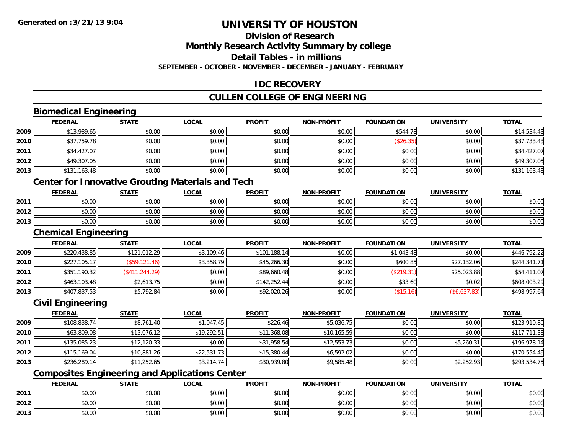## **Division of Research**

**Monthly Research Activity Summary by college**

**Detail Tables - in millions**

**SEPTEMBER - OCTOBER - NOVEMBER - DECEMBER - JANUARY - FEBRUARY**

#### **IDC RECOVERY**

#### **CULLEN COLLEGE OF ENGINEERING**

### **Biomedical Engineering**

|      | <b>FEDERAL</b>              | <b>STATE</b>    | <b>LOCAL</b>                                             | <b>PROFIT</b> | <b>NON-PROFIT</b> | <b>FOUNDATION</b> | <b>UNIVERSITY</b> | <b>TOTAL</b> |
|------|-----------------------------|-----------------|----------------------------------------------------------|---------------|-------------------|-------------------|-------------------|--------------|
| 2009 | \$13,989.65                 | \$0.00          | \$0.00                                                   | \$0.00        | \$0.00            | \$544.78          | \$0.00            | \$14,534.43  |
| 2010 | \$37,759.78                 | \$0.00          | \$0.00                                                   | \$0.00        | \$0.00            | (\$26.35)         | \$0.00            | \$37,733.43  |
| 2011 | \$34,427.07                 | \$0.00          | \$0.00                                                   | \$0.00        | \$0.00            | \$0.00            | \$0.00            | \$34,427.07  |
| 2012 | \$49,307.05                 | \$0.00          | \$0.00                                                   | \$0.00        | \$0.00            | \$0.00            | \$0.00            | \$49,307.05  |
| 2013 | \$131,163.48                | \$0.00          | \$0.00                                                   | \$0.00        | \$0.00            | \$0.00            | \$0.00            | \$131,163.48 |
|      |                             |                 | <b>Center for Innovative Grouting Materials and Tech</b> |               |                   |                   |                   |              |
|      | <b>FEDERAL</b>              | <b>STATE</b>    | <b>LOCAL</b>                                             | <b>PROFIT</b> | <b>NON-PROFIT</b> | <b>FOUNDATION</b> | <b>UNIVERSITY</b> | <b>TOTAL</b> |
| 2011 | \$0.00                      | \$0.00          | \$0.00                                                   | \$0.00        | \$0.00            | \$0.00            | \$0.00            | \$0.00       |
| 2012 | \$0.00                      | \$0.00          | \$0.00                                                   | \$0.00        | \$0.00            | \$0.00            | \$0.00            | \$0.00       |
| 2013 | \$0.00                      | \$0.00          | \$0.00                                                   | \$0.00        | \$0.00            | \$0.00            | \$0.00            | \$0.00       |
|      | <b>Chemical Engineering</b> |                 |                                                          |               |                   |                   |                   |              |
|      | <b>FEDERAL</b>              | <b>STATE</b>    | LOCAL                                                    | <b>PROFIT</b> | <b>NON-PROFIT</b> | <b>FOUNDATION</b> | <b>UNIVERSITY</b> | <b>TOTAL</b> |
| 2009 | \$220,438.85                | \$121,012.29    | \$3,109.46                                               | \$101,188.14  | \$0.00            | \$1,043.48        | \$0.00            | \$446,792.22 |
| 2010 | \$227,105.17                | (\$59, 121.46)  | \$3,358.79                                               | \$45,266.30   | \$0.00            | \$600.85          | \$27,132.06       | \$244,341.71 |
| 2011 | \$351,190.32                | (\$411, 244.29) | \$0.00                                                   | \$89,660.48   | \$0.00            | (\$219.31)        | \$25,023.88       | \$54,411.07  |
| 2012 | \$463,103.48                | \$2,613.75      | \$0.00                                                   | \$142,252.44  | \$0.00            | \$33.60           | \$0.02            | \$608,003.29 |

#### **Civil Engineering**

**2013**

|      | <b>FEDERAL</b> | <u>STATE</u> | <b>LOCAL</b> | <b>PROFIT</b> | <b>NON-PROFIT</b> | <b>FOUNDATION</b> | <b>UNIVERSITY</b> | <b>TOTAL</b> |
|------|----------------|--------------|--------------|---------------|-------------------|-------------------|-------------------|--------------|
| 2009 | \$108,838.74   | \$8,761.40   | \$1,047.45   | \$226.46      | \$5,036.75        | \$0.00            | \$0.00            | \$123,910.80 |
| 2010 | \$63,809.08    | \$13,076.12  | \$19,292.51  | \$11,368.08   | \$10,165.59       | \$0.00            | \$0.00            | \$117,711.38 |
| 2011 | \$135,085.23   | \$12,120.33  | \$0.00       | \$31,958.54   | \$12,553.73       | \$0.00            | \$5,260.31        | \$196,978.14 |
| 2012 | \$115,169.04   | \$10,881.26  | \$22,531.73  | \$15,380.44   | \$6,592.02        | \$0.00            | \$0.00            | \$170,554.49 |
| 2013 | \$236,289.14   | \$11,252.65  | \$3,214.74   | \$30,939.80   | \$9,585.48        | \$0.00            | \$2,252.93        | \$293,534.75 |

\$407,837.53 \$5,792.84 \$0.00 \$92,020.26 \$0.00 (\$15.16) (\$6,637.83) \$498,997.64

### **Composites Engineering and Applications Center**

|      | <b>FEDERAL</b>               | <b>STATE</b>   | <b>_OCAL</b>            | <b>PROFIT</b> | NON-PROFIT                                   | <b>FOUNDATION</b> | UNIVERSITY | <b>TOTAL</b> |
|------|------------------------------|----------------|-------------------------|---------------|----------------------------------------------|-------------------|------------|--------------|
| 2011 | <b>↑^</b><br>JU.UU           | ልስ ሰሰ<br>JU.UU | ሶስ ሰስ<br>JU.UU          | \$0.00        | 0000<br>JU.UU                                | \$0.00            | \$0.00     | \$0.00       |
| 2012 | $\sim$ 00<br>JU.UU           | \$0.00         | 0 <sub>n</sub><br>JU.UU | \$0.00        | $\triangle$ $\triangle$ $\triangle$<br>PO.OO | \$0.00            | \$0.00     | \$0.00       |
| 2013 | <b>00</b><br>$\sim$<br>JU.UU | \$0.00         | 0 <sub>n</sub><br>JU.UU | \$0.00        | 0.00<br>JU.UU                                | \$0.00            | \$0.00     | \$0.00       |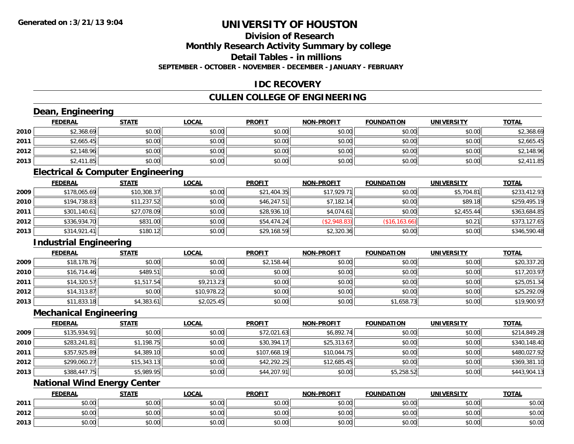**2013**

## **UNIVERSITY OF HOUSTON**

# **Division of Research**

**Monthly Research Activity Summary by college**

**Detail Tables - in millions**

**SEPTEMBER - OCTOBER - NOVEMBER - DECEMBER - JANUARY - FEBRUARY**

#### **IDC RECOVERY**

#### **CULLEN COLLEGE OF ENGINEERING**

|      | Dean, Engineering                  |                                              |              |               |                   |                   |                   |              |
|------|------------------------------------|----------------------------------------------|--------------|---------------|-------------------|-------------------|-------------------|--------------|
|      | <b>FEDERAL</b>                     | <b>STATE</b>                                 | <b>LOCAL</b> | <b>PROFIT</b> | <b>NON-PROFIT</b> | <b>FOUNDATION</b> | <b>UNIVERSITY</b> | <b>TOTAL</b> |
| 2010 | \$2,368.69                         | \$0.00                                       | \$0.00       | \$0.00        | \$0.00            | \$0.00            | \$0.00            | \$2,368.69   |
| 2011 | \$2,665.45                         | \$0.00                                       | \$0.00       | \$0.00        | \$0.00            | \$0.00            | \$0.00            | \$2,665.45   |
| 2012 | \$2,148.96                         | \$0.00                                       | \$0.00       | \$0.00        | \$0.00            | \$0.00            | \$0.00            | \$2,148.96   |
| 2013 | \$2,411.85                         | \$0.00                                       | \$0.00       | \$0.00        | \$0.00            | \$0.00            | \$0.00            | \$2,411.85   |
|      |                                    | <b>Electrical &amp; Computer Engineering</b> |              |               |                   |                   |                   |              |
|      | <b>FEDERAL</b>                     | <b>STATE</b>                                 | <b>LOCAL</b> | <b>PROFIT</b> | <b>NON-PROFIT</b> | <b>FOUNDATION</b> | <b>UNIVERSITY</b> | <b>TOTAL</b> |
| 2009 | \$178,065.69                       | \$10,308.37                                  | \$0.00       | \$21,404.35   | \$17,929.71       | \$0.00            | \$5,704.81        | \$233,412.93 |
| 2010 | \$194,738.83                       | \$11,237.52                                  | \$0.00       | \$46,247.51   | \$7,182.14        | \$0.00            | \$89.18           | \$259,495.19 |
| 2011 | \$301,140.61                       | \$27,078.09                                  | \$0.00       | \$28,936.10   | \$4,074.61        | \$0.00            | \$2,455.44        | \$363,684.85 |
| 2012 | \$336,934.70                       | \$831.00                                     | \$0.00       | \$54,474.24   | (\$2,948.83)      | (\$16, 163.66)    | \$0.21            | \$373,127.65 |
| 2013 | \$314,921.41                       | \$180.12                                     | \$0.00       | \$29,168.59   | \$2,320.36        | \$0.00            | \$0.00            | \$346,590.48 |
|      | <b>Industrial Engineering</b>      |                                              |              |               |                   |                   |                   |              |
|      | <b>FEDERAL</b>                     | <b>STATE</b>                                 | <b>LOCAL</b> | <b>PROFIT</b> | <b>NON-PROFIT</b> | <b>FOUNDATION</b> | <b>UNIVERSITY</b> | <b>TOTAL</b> |
| 2009 | \$18,178.76                        | \$0.00                                       | \$0.00       | \$2,158.44    | \$0.00            | \$0.00            | \$0.00            | \$20,337.20  |
| 2010 | \$16,714.46                        | \$489.51                                     | \$0.00       | \$0.00        | \$0.00            | \$0.00            | \$0.00            | \$17,203.97  |
| 2011 | \$14,320.57                        | \$1,517.54                                   | \$9,213.23   | \$0.00        | \$0.00            | \$0.00            | \$0.00            | \$25,051.34  |
| 2012 | \$14,313.87                        | \$0.00                                       | \$10,978.22  | \$0.00        | \$0.00            | \$0.00            | \$0.00            | \$25,292.09  |
| 2013 | \$11,833.18                        | \$4,383.61                                   | \$2,025.45   | \$0.00        | \$0.00            | \$1,658.73        | \$0.00            | \$19,900.97  |
|      | <b>Mechanical Engineering</b>      |                                              |              |               |                   |                   |                   |              |
|      | <b>FEDERAL</b>                     | <b>STATE</b>                                 | <b>LOCAL</b> | <b>PROFIT</b> | <b>NON-PROFIT</b> | <b>FOUNDATION</b> | <b>UNIVERSITY</b> | <b>TOTAL</b> |
| 2009 | \$135,934.91                       | \$0.00                                       | \$0.00       | \$72,021.63   | \$6,892.74        | \$0.00            | \$0.00            | \$214,849.28 |
| 2010 | \$283,241.81                       | \$1,198.75                                   | \$0.00       | \$30,394.17   | \$25,313.67       | \$0.00            | \$0.00            | \$340,148.40 |
| 2011 | \$357,925.89                       | \$4,389.10                                   | \$0.00       | \$107,668.19  | \$10,044.75       | \$0.00            | \$0.00            | \$480,027.92 |
| 2012 | \$299,060.27                       | \$15,343.13                                  | \$0.00       | \$42,292.25   | \$12,685.45       | \$0.00            | \$0.00            | \$369,381.10 |
| 2013 | \$388,447.75                       | \$5,989.95                                   | \$0.00       | \$44,207.91   | \$0.00            | \$5,258.52        | \$0.00            | \$443,904.13 |
|      | <b>National Wind Energy Center</b> |                                              |              |               |                   |                   |                   |              |
|      | <b>FEDERAL</b>                     | <b>STATE</b>                                 | <b>LOCAL</b> | <b>PROFIT</b> | <b>NON-PROFIT</b> | <b>FOUNDATION</b> | <b>UNIVERSITY</b> | <b>TOTAL</b> |
| 2011 | \$0.00                             | \$0.00                                       | \$0.00       | \$0.00        | \$0.00            | \$0.00            | \$0.00            | \$0.00       |
| 2012 | \$0.00                             | \$0.00                                       | \$0.00       | \$0.00        | \$0.00            | \$0.00            | \$0.00            | \$0.00       |
|      |                                    |                                              |              |               |                   |                   |                   |              |

 $\textbf{3} \quad \textbf{\textcolor{blue}{\textbf{50.00}}} \quad \textbf{\textcolor{blue}{\textbf{50.00}}} \quad \textbf{\textcolor{blue}{\textbf{50.00}}} \quad \textbf{\textcolor{blue}{\textbf{50.00}}} \quad \textbf{\textcolor{blue}{\textbf{50.00}}} \quad \textbf{\textcolor{blue}{\textbf{50.00}}} \quad \textbf{\textcolor{blue}{\textbf{50.00}}} \quad \textbf{\textcolor{blue}{\textbf{50.00}}} \quad \textbf{\textcolor{blue}{\textbf{50.00}}} \quad \textbf{\textcolor{blue}{\textbf{50.00}}} \quad \text$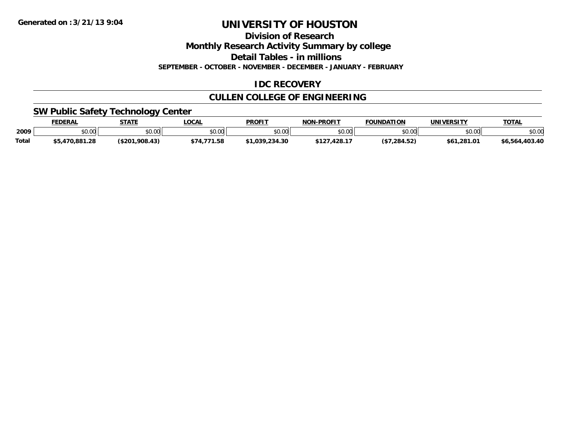**Division of Research**

**Monthly Research Activity Summary by college**

**Detail Tables - in millions**

**SEPTEMBER - OCTOBER - NOVEMBER - DECEMBER - JANUARY - FEBRUARY**

#### **IDC RECOVERY**

### **CULLEN COLLEGE OF ENGINEERING**

#### **SW Public Safety Technology Center**

|       | <b>FEDERAL</b> | <b>STATE</b>   | LOCAL                 | <b>PROFIT</b>  | <b>NON-PROFIT</b> | <b>FOUNDATION</b> | <b>UNIVERSITY</b> | <b>TOTAL</b>   |
|-------|----------------|----------------|-----------------------|----------------|-------------------|-------------------|-------------------|----------------|
| 2009  | ⊄∩ ∩∩<br>DU.UU | \$0.00         | \$0.00                | nn no<br>DU.UU | \$0.00            | \$0.00            | \$0.00            | \$0.00         |
| Total | 55.470.881.28  | (\$201,908.43) | . 771<br>1.58<br>\$74 | \$1,039,234.30 | \$127,428.17      | (\$7,284.52)      | \$61,281.01       | \$6,564,403.40 |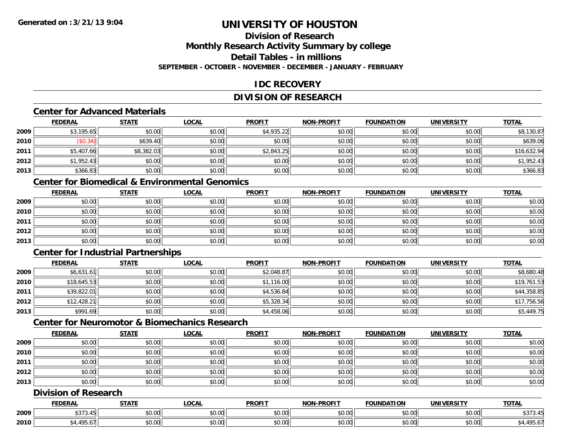# **Division of Research**

**Monthly Research Activity Summary by college**

**Detail Tables - in millions**

**SEPTEMBER - OCTOBER - NOVEMBER - DECEMBER - JANUARY - FEBRUARY**

### **IDC RECOVERY**

#### **DIVISION OF RESEARCH**

### **Center for Advanced Materials**

|      | <b>FEDERAL</b> | <b>STATE</b> | <u>LOCAL</u> | <b>PROFIT</b> | <b>NON-PROFIT</b> | <b>FOUNDATION</b> | <b>UNIVERSITY</b> | <b>TOTAL</b> |
|------|----------------|--------------|--------------|---------------|-------------------|-------------------|-------------------|--------------|
| 2009 | \$3,195.65     | \$0.00       | \$0.00       | \$4,935.22    | \$0.00            | \$0.00            | \$0.00            | \$8,130.87   |
| 2010 | \$0.34)        | \$639.40     | \$0.00       | \$0.00        | \$0.00            | \$0.00            | \$0.00            | \$639.06     |
| 2011 | \$5,407.66     | \$8,382.03   | \$0.00       | \$2,843.25    | \$0.00            | \$0.00            | \$0.00            | \$16,632.94  |
| 2012 | \$1,952.43     | \$0.00       | \$0.00       | \$0.00        | \$0.00            | \$0.00            | \$0.00            | \$1,952.43   |
| 2013 | \$366.83       | \$0.00       | \$0.00       | \$0.00        | \$0.00            | \$0.00            | \$0.00            | \$366.83     |

### **Center for Biomedical & Environmental Genomics**

|      | <b>FEDERAL</b> | <b>STATE</b> | <b>LOCAL</b> | <b>PROFIT</b> | <b>NON-PROFIT</b> | <b>FOUNDATION</b> | <b>UNIVERSITY</b> | <b>TOTAL</b> |
|------|----------------|--------------|--------------|---------------|-------------------|-------------------|-------------------|--------------|
| 2009 | \$0.00         | \$0.00       | \$0.00       | \$0.00        | \$0.00            | \$0.00            | \$0.00            | \$0.00       |
| 2010 | \$0.00         | \$0.00       | \$0.00       | \$0.00        | \$0.00            | \$0.00            | \$0.00            | \$0.00       |
| 2011 | \$0.00         | \$0.00       | \$0.00       | \$0.00        | \$0.00            | \$0.00            | \$0.00            | \$0.00       |
| 2012 | \$0.00         | \$0.00       | \$0.00       | \$0.00        | \$0.00            | \$0.00            | \$0.00            | \$0.00       |
| 2013 | \$0.00         | \$0.00       | \$0.00       | \$0.00        | \$0.00            | \$0.00            | \$0.00            | \$0.00       |

#### **Center for Industrial Partnerships**

|      | <b>FEDERAL</b> | <b>STATE</b> | <b>LOCAL</b> | <b>PROFIT</b> | <b>NON-PROFIT</b> | <b>FOUNDATION</b> | <b>UNIVERSITY</b> | <b>TOTAL</b> |
|------|----------------|--------------|--------------|---------------|-------------------|-------------------|-------------------|--------------|
| 2009 | \$6,631.61     | \$0.00       | \$0.00       | \$2,048.87    | \$0.00            | \$0.00            | \$0.00            | \$8,680.48   |
| 2010 | \$18,645.53    | \$0.00       | \$0.00       | \$1,116.00    | \$0.00            | \$0.00            | \$0.00            | \$19,761.53  |
| 2011 | \$39,822.01    | \$0.00       | \$0.00       | \$4,536.84    | \$0.00            | \$0.00            | \$0.00            | \$44,358.85  |
| 2012 | \$12,428.21    | \$0.00       | \$0.00       | \$5,328.34    | \$0.00            | \$0.00            | \$0.00            | \$17,756.56  |
| 2013 | \$991.69       | \$0.00       | \$0.00       | \$4,458.06    | \$0.00            | \$0.00            | \$0.00            | \$5,449.75   |

### **Center for Neuromotor & Biomechanics Research**

|      | <u>FEDERAL</u> | <b>STATE</b> | <b>LOCAL</b> | <b>PROFIT</b> | <b>NON-PROFIT</b> | <b>FOUNDATION</b> | <b>UNIVERSITY</b> | <b>TOTAL</b> |
|------|----------------|--------------|--------------|---------------|-------------------|-------------------|-------------------|--------------|
| 2009 | \$0.00         | \$0.00       | \$0.00       | \$0.00        | \$0.00            | \$0.00            | \$0.00            | \$0.00       |
| 2010 | \$0.00         | \$0.00       | \$0.00       | \$0.00        | \$0.00            | \$0.00            | \$0.00            | \$0.00       |
| 2011 | \$0.00         | \$0.00       | \$0.00       | \$0.00        | \$0.00            | \$0.00            | \$0.00            | \$0.00       |
| 2012 | \$0.00         | \$0.00       | \$0.00       | \$0.00        | \$0.00            | \$0.00            | \$0.00            | \$0.00       |
| 2013 | \$0.00         | \$0.00       | \$0.00       | \$0.00        | \$0.00            | \$0.00            | \$0.00            | \$0.00       |

#### **Division of Research**

|      | <b>DERAL</b>  | <b>STATI</b>       | <b>_OCAI</b>       | <b>PROFIT</b>                                        | <b>J-PROFIT</b><br><b>NON</b> | .<br>$\sim$ וואוויר $\sim$                                                                                                                                                                                                                                                                                                                                                                                                                                           | TIMTVE<br>ne:   | TOTAL                           |
|------|---------------|--------------------|--------------------|------------------------------------------------------|-------------------------------|----------------------------------------------------------------------------------------------------------------------------------------------------------------------------------------------------------------------------------------------------------------------------------------------------------------------------------------------------------------------------------------------------------------------------------------------------------------------|-----------------|---------------------------------|
| 2009 | $\sim$ $\sim$ | $\sim$<br>₽U.UU    | $\sim$ 00<br>DU.UU | 0000<br>DU.UU                                        | \$0.00                        | $\mathsf{A}\cap\mathsf{A}\cap\mathsf{A}\cap\mathsf{A}\cap\mathsf{A}\cap\mathsf{A}\cap\mathsf{A}\cap\mathsf{A}\cap\mathsf{A}\cap\mathsf{A}\cap\mathsf{A}\cap\mathsf{A}\cap\mathsf{A}\cap\mathsf{A}\cap\mathsf{A}\cap\mathsf{A}\cap\mathsf{A}\cap\mathsf{A}\cap\mathsf{A}\cap\mathsf{A}\cap\mathsf{A}\cap\mathsf{A}\cap\mathsf{A}\cap\mathsf{A}\cap\mathsf{A}\cap\mathsf{A}\cap\mathsf{A}\cap\mathsf{A}\cap\mathsf{A}\cap\mathsf{A}\cap\mathsf{A}\cap\mathsf$<br>vv.vv | 40.00           | $\sim$ $\sim$ $\sim$<br>4010.40 |
| 2010 | <b>AQF</b>    | $\triangle$<br>ט.ט | ሶስ ሰሰ<br>DU.UG     | $\uparrow$ $\uparrow$ $\uparrow$ $\uparrow$<br>DU.UU | \$0.00                        | 0000<br>vv.vv                                                                                                                                                                                                                                                                                                                                                                                                                                                        | امہ مہ<br>vu.vu | <b>AOF</b>                      |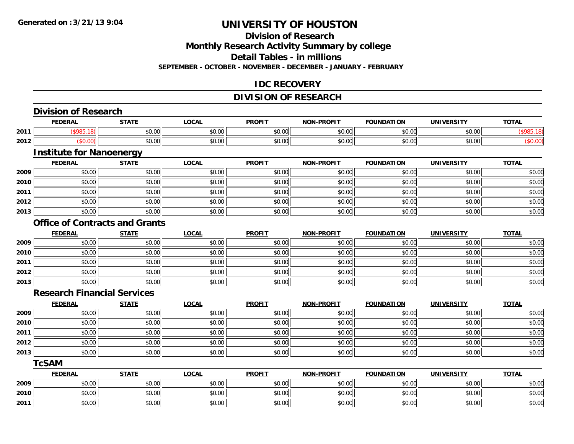### **Division of Research**

**Monthly Research Activity Summary by college**

**Detail Tables - in millions**

**SEPTEMBER - OCTOBER - NOVEMBER - DECEMBER - JANUARY - FEBRUARY**

#### **IDC RECOVERY**

#### **DIVISION OF RESEARCH**

|      | <b>Division of Research</b>           |              |              |               |                   |                   |                   |              |
|------|---------------------------------------|--------------|--------------|---------------|-------------------|-------------------|-------------------|--------------|
|      | <b>FEDERAL</b>                        | <b>STATE</b> | <b>LOCAL</b> | <b>PROFIT</b> | <b>NON-PROFIT</b> | <b>FOUNDATION</b> | <b>UNIVERSITY</b> | <b>TOTAL</b> |
| 2011 | (\$985.18)                            | \$0.00       | \$0.00       | \$0.00        | \$0.00            | \$0.00            | \$0.00            | (\$985.18)   |
| 2012 | (\$0.00)                              | \$0.00       | \$0.00       | \$0.00        | \$0.00            | \$0.00            | \$0.00            | (\$0.00)     |
|      | <b>Institute for Nanoenergy</b>       |              |              |               |                   |                   |                   |              |
|      | <b>FEDERAL</b>                        | <b>STATE</b> | <b>LOCAL</b> | <b>PROFIT</b> | <b>NON-PROFIT</b> | <b>FOUNDATION</b> | <b>UNIVERSITY</b> | <b>TOTAL</b> |
| 2009 | \$0.00                                | \$0.00       | \$0.00       | \$0.00        | \$0.00            | \$0.00            | \$0.00            | \$0.00       |
| 2010 | \$0.00                                | \$0.00       | \$0.00       | \$0.00        | \$0.00            | \$0.00            | \$0.00            | \$0.00       |
| 2011 | \$0.00                                | \$0.00       | \$0.00       | \$0.00        | \$0.00            | \$0.00            | \$0.00            | \$0.00       |
| 2012 | \$0.00                                | \$0.00       | \$0.00       | \$0.00        | \$0.00            | \$0.00            | \$0.00            | \$0.00       |
| 2013 | \$0.00                                | \$0.00       | \$0.00       | \$0.00        | \$0.00            | \$0.00            | \$0.00            | \$0.00       |
|      | <b>Office of Contracts and Grants</b> |              |              |               |                   |                   |                   |              |
|      | <b>FEDERAL</b>                        | <b>STATE</b> | <b>LOCAL</b> | <b>PROFIT</b> | <b>NON-PROFIT</b> | <b>FOUNDATION</b> | <b>UNIVERSITY</b> | <b>TOTAL</b> |
| 2009 | \$0.00                                | \$0.00       | \$0.00       | \$0.00        | \$0.00            | \$0.00            | \$0.00            | \$0.00       |
| 2010 | \$0.00                                | \$0.00       | \$0.00       | \$0.00        | \$0.00            | \$0.00            | \$0.00            | \$0.00       |
| 2011 | \$0.00                                | \$0.00       | \$0.00       | \$0.00        | \$0.00            | \$0.00            | \$0.00            | \$0.00       |
| 2012 | \$0.00                                | \$0.00       | \$0.00       | \$0.00        | \$0.00            | \$0.00            | \$0.00            | \$0.00       |
| 2013 | \$0.00                                | \$0.00       | \$0.00       | \$0.00        | \$0.00            | \$0.00            | \$0.00            | \$0.00       |
|      | <b>Research Financial Services</b>    |              |              |               |                   |                   |                   |              |
|      | <b>FEDERAL</b>                        | <b>STATE</b> | <b>LOCAL</b> | <b>PROFIT</b> | <b>NON-PROFIT</b> | <b>FOUNDATION</b> | <b>UNIVERSITY</b> | <b>TOTAL</b> |
| 2009 | \$0.00                                | \$0.00       | \$0.00       | \$0.00        | \$0.00            | \$0.00            | \$0.00            | \$0.00       |
| 2010 | \$0.00                                | \$0.00       | \$0.00       | \$0.00        | \$0.00            | \$0.00            | \$0.00            | \$0.00       |
| 2011 | \$0.00                                | \$0.00       | \$0.00       | \$0.00        | \$0.00            | \$0.00            | \$0.00            | \$0.00       |
| 2012 | \$0.00                                | \$0.00       | \$0.00       | \$0.00        | \$0.00            | \$0.00            | \$0.00            | \$0.00       |
| 2013 | \$0.00                                | \$0.00       | \$0.00       | \$0.00        | \$0.00            | \$0.00            | \$0.00            | \$0.00       |
|      | <b>TcSAM</b>                          |              |              |               |                   |                   |                   |              |
|      | <b>FEDERAL</b>                        | <b>STATE</b> | <b>LOCAL</b> | <b>PROFIT</b> | <b>NON-PROFIT</b> | <b>FOUNDATION</b> | <b>UNIVERSITY</b> | <b>TOTAL</b> |
| 2009 | \$0.00                                | \$0.00       | \$0.00       | \$0.00        | \$0.00            | \$0.00            | \$0.00            | \$0.00       |
| 2010 | \$0.00                                | \$0.00       | \$0.00       | \$0.00        | \$0.00            | \$0.00            | \$0.00            | \$0.00       |
| 2011 | \$0.00                                | \$0.00       | \$0.00       | \$0.00        | \$0.00            | \$0.00            | \$0.00            | \$0.00       |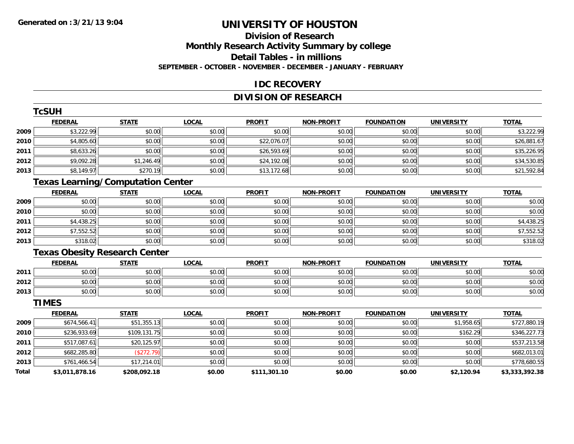**TCSUM** 

### **UNIVERSITY OF HOUSTON**

#### **Division of ResearchMonthly Research Activity Summary by college Detail Tables - in millions SEPTEMBER - OCTOBER - NOVEMBER - DECEMBER - JANUARY - FEBRUARY**

#### **IDC RECOVERY**

#### **DIVISION OF RESEARCH**

|              | <b>ICSUH</b>                             |              |              |               |                   |                   |                   |                |
|--------------|------------------------------------------|--------------|--------------|---------------|-------------------|-------------------|-------------------|----------------|
|              | <b>FEDERAL</b>                           | <b>STATE</b> | <b>LOCAL</b> | <b>PROFIT</b> | <b>NON-PROFIT</b> | <b>FOUNDATION</b> | <b>UNIVERSITY</b> | <b>TOTAL</b>   |
| 2009         | \$3,222.99                               | \$0.00       | \$0.00       | \$0.00        | \$0.00            | \$0.00            | \$0.00            | \$3,222.99     |
| 2010         | \$4,805.60                               | \$0.00       | \$0.00       | \$22,076.07   | \$0.00            | \$0.00            | \$0.00            | \$26,881.67    |
| 2011         | \$8,633.26                               | \$0.00       | \$0.00       | \$26,593.69   | \$0.00            | \$0.00            | \$0.00            | \$35,226.95    |
| 2012         | \$9,092.28                               | \$1,246.49   | \$0.00       | \$24,192.08   | \$0.00            | \$0.00            | \$0.00            | \$34,530.85    |
| 2013         | \$8,149.97                               | \$270.19     | \$0.00       | \$13,172.68   | \$0.00            | \$0.00            | \$0.00            | \$21,592.84    |
|              | <b>Texas Learning/Computation Center</b> |              |              |               |                   |                   |                   |                |
|              | <b>FEDERAL</b>                           | <b>STATE</b> | <b>LOCAL</b> | <b>PROFIT</b> | <b>NON-PROFIT</b> | <b>FOUNDATION</b> | <b>UNIVERSITY</b> | <b>TOTAL</b>   |
| 2009         | \$0.00                                   | \$0.00       | \$0.00       | \$0.00        | \$0.00            | \$0.00            | \$0.00            | \$0.00         |
| 2010         | \$0.00                                   | \$0.00       | \$0.00       | \$0.00        | \$0.00            | \$0.00            | \$0.00            | \$0.00         |
| 2011         | \$4,438.25                               | \$0.00       | \$0.00       | \$0.00        | \$0.00            | \$0.00            | \$0.00            | \$4,438.25     |
| 2012         | \$7,552.52                               | \$0.00       | \$0.00       | \$0.00        | \$0.00            | \$0.00            | \$0.00            | \$7,552.52     |
| 2013         | \$318.02                                 | \$0.00       | \$0.00       | \$0.00        | \$0.00            | \$0.00            | \$0.00            | \$318.02       |
|              | <b>Texas Obesity Research Center</b>     |              |              |               |                   |                   |                   |                |
|              | <b>FEDERAL</b>                           | <b>STATE</b> | <b>LOCAL</b> | <b>PROFIT</b> | <b>NON-PROFIT</b> | <b>FOUNDATION</b> | <b>UNIVERSITY</b> | <b>TOTAL</b>   |
| 2011         | \$0.00                                   | \$0.00       | \$0.00       | \$0.00        | \$0.00            | \$0.00            | \$0.00            | \$0.00         |
| 2012         | \$0.00                                   | \$0.00       | \$0.00       | \$0.00        | \$0.00            | \$0.00            | \$0.00            | \$0.00         |
| 2013         | \$0.00                                   | \$0.00       | \$0.00       | \$0.00        | \$0.00            | \$0.00            | \$0.00            | \$0.00         |
|              | <b>TIMES</b>                             |              |              |               |                   |                   |                   |                |
|              | <b>FEDERAL</b>                           | <b>STATE</b> | <b>LOCAL</b> | <b>PROFIT</b> | <b>NON-PROFIT</b> | <b>FOUNDATION</b> | <b>UNIVERSITY</b> | <b>TOTAL</b>   |
| 2009         | \$674,566.41                             | \$51,355.13  | \$0.00       | \$0.00        | \$0.00            | \$0.00            | \$1,958.65        | \$727,880.19   |
| 2010         | \$236,933.69                             | \$109,131.75 | \$0.00       | \$0.00        | \$0.00            | \$0.00            | \$162.29          | \$346,227.73   |
| 2011         | \$517,087.61                             | \$20,125.97  | \$0.00       | \$0.00        | \$0.00            | \$0.00            | \$0.00            | \$537,213.58   |
| 2012         | \$682,285.80                             | (\$272.79)   | \$0.00       | \$0.00        | \$0.00            | \$0.00            | \$0.00            | \$682,013.01   |
| 2013         | \$761,466.54                             | \$17,214.01  | \$0.00       | \$0.00        | \$0.00            | \$0.00            | \$0.00            | \$778,680.55   |
| <b>Total</b> | \$3,011,878.16                           | \$208,092.18 | \$0.00       | \$111,301.10  | \$0.00            | \$0.00            | \$2,120.94        | \$3,333,392.38 |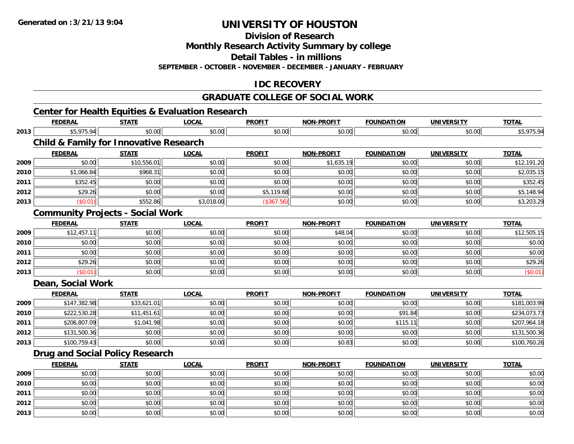**2012**

**2013**

## **UNIVERSITY OF HOUSTON**

**Division of Research**

**Monthly Research Activity Summary by college**

**Detail Tables - in millions**

**SEPTEMBER - OCTOBER - NOVEMBER - DECEMBER - JANUARY - FEBRUARY**

#### **IDC RECOVERY**

#### **GRADUATE COLLEGE OF SOCIAL WORK**

#### **Center for Health Equities & Evaluation Research FEDERAL STATE LOCAL PROFIT NON-PROFIT FOUNDATION UNIVERSITY TOTALTOTAL 2013** \$5,975.94 \$0.00 \$0.00 \$0.00 \$0.00 \$0.00 \$0.00 \$5,975.94 **Child & Family for Innovative Research FEDERAL STATE LOCAL PROFIT NON-PROFIT FOUNDATION UNIVERSITY TOTALTOTAL 2009**9│ \$0.00│ \$10,556.01│ \$0.00│ \$0.00│ \$1,635.19│ \$0.00│ \$0.00│ \$12,191.20 **2010**0 \$1,066.84|| \$968.31|| \$0.00|| \$0.00|| \$0.00|| \$0.00|| \$0.00|| \$0.00|| \$0.00|| \$2,035.15 **2011** \$352.45 \$0.00 \$0.00 \$0.00 \$0.00 \$0.00 \$0.00 \$352.45 **2012**2 | \$29.26|| \$0.00|| \$0.00|| \$0.00|| \$5,119.68|| \$0.00|| \$0.00|| \$0.00|| \$0.00|| \$5,148.94 **2013** $\textbf{3} \hspace{14mm} |\hspace{14mm}|\hspace{14mm}|\hspace{14mm}|\hspace{14mm}|\hspace{14mm}|\hspace{14mm}|\hspace{14mm}|\hspace{14mm}|\hspace{14mm}|\hspace{14mm}|\hspace{14mm}|\hspace{14mm}|\hspace{14mm}|\hspace{14mm}|\hspace{14mm}|\hspace{14mm}|\hspace{14mm}|\hspace{14mm}|\hspace{14mm}|\hspace{14mm}|\hspace{14mm}|\hspace{14mm}|\hspace{14mm}|\hspace{14mm}|\hspace{14mm}|\hspace{14$ **Community Projects - Social Work FEDERAL STATE LOCAL PROFIT NON-PROFIT FOUNDATION UNIVERSITY TOTAL20099** \$12,457.11 \$0.00 \$0.00 \$0.00 \$0.00 \$0.00 \$0.00 \$0.00 \$12,505.15 \$48.04 \$12,505.15 **2010**0 \$0.00 \$0.00 \$0.00 \$0.00 \$0.00 \$0.00 \$0.00 \$0.00 \$0.00 \$0.00 \$0.00 \$0.00 \$0.00 \$0.00 \$0.00 \$0.00 \$0.00 \$0.00 **2011** \$0.00 \$0.00 \$0.00 \$0.00 \$0.00 \$0.00 \$0.00 \$0.00 **2012**\$29.26 \$29.26 \$0.00 \$0.00 \$0.00 \$0.00 \$0.00 \$0.00 \$0.00 \$0.00 \$0.00 \$0.00 \$0.00 \$29.26 \$29.26 **2013** $\textbf{3} \hspace{14mm} \text{$60.01$} \hspace{14mm} \text{$60.00]} \hspace{14mm} \text{$60.00]} \hspace{14mm} \text{$60.00]} \hspace{14mm} \text{$60.00]} \hspace{14mm} \text{$60.01} \hspace{14mm}$ **Dean, Social Work FEDERAL STATE LOCAL PROFIT NON-PROFIT FOUNDATION UNIVERSITY TOTALTOTAL 2009** \$147,382.98 \$33,621.01 \$0.00 \$0.00 \$0.00 \$0.00 \$0.00 \$181,003.99 **2010** \$222,530.28 \$11,451.61 \$0.00 \$0.00 \$0.00 \$91.84 \$0.00 \$234,073.73 **2011**1 \$206,807.09 \$1,041.98 \$1,041.98 \$0.00 \$0.00 \$0.00 \$0.00 \$0.00 \$10.01 \$115.11 \$0.00 \$0.00 \$207,964.18 **2012**2│ \$131,500.36│ \$0.00│ \$0.00│ \$0.00│ \$0.00│ \$0.00│ \$131,500.36 **2013** \$100,759.43 \$0.00 \$0.00 \$0.00 \$0.83 \$0.00 \$0.00 \$100,760.26 **Drug and Social Policy Research FEDERAL STATE LOCAL PROFIT NON-PROFIT FOUNDATION UNIVERSITY TOTALTOTAL 2009** \$0.00 \$0.00 \$0.00 \$0.00 \$0.00 \$0.00 \$0.00 \$0.00 **2010** $\, \mathsf{D} \, | \,$   $\qquad \qquad \mathsf{80.00} | \,$   $\qquad \qquad \mathsf{80.00} | \,$   $\qquad \qquad \mathsf{80.00} | \,$   $\qquad \qquad \mathsf{80.00} | \,$   $\qquad \qquad \mathsf{80.00} | \,$   $\qquad \qquad \mathsf{80.00} | \,$   $\qquad \qquad \mathsf{80.00} |$ **2011**\$0.00 \$0.00 \$0.00 \$0.00 \$0.00 \$0.00 \$0.00 \$0.00

2 | \$0.00 \$0.00 \$0.00 \$0.00 \$0.00 \$0.00 \$0.00 \$0.00 \$0.00 \$0.00 \$0.00 \$0.00 \$0.00 \$0.00 \$0.00 \$0.00 \$0.00 \$0.0

\$0.00 \$0.00 \$0.00 \$0.00 \$0.00 \$0.00 \$0.00 \$0.00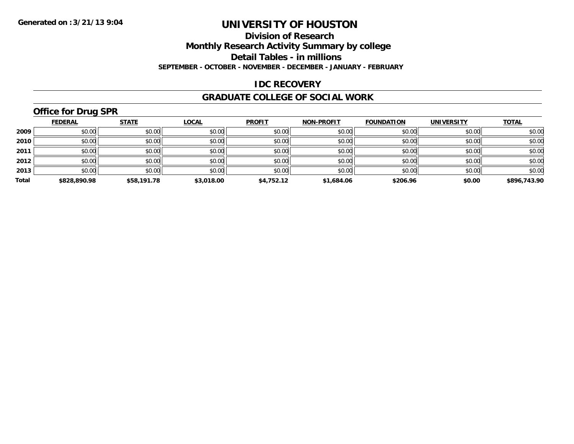#### **Division of Research**

**Monthly Research Activity Summary by college**

**Detail Tables - in millions**

**SEPTEMBER - OCTOBER - NOVEMBER - DECEMBER - JANUARY - FEBRUARY**

#### **IDC RECOVERY**

#### **GRADUATE COLLEGE OF SOCIAL WORK**

### **Office for Drug SPR**

|       | <b>FEDERAL</b> | <b>STATE</b> | <b>LOCAL</b> | <b>PROFIT</b> | <b>NON-PROFIT</b> | <b>FOUNDATION</b> | <b>UNIVERSITY</b> | <b>TOTAL</b> |
|-------|----------------|--------------|--------------|---------------|-------------------|-------------------|-------------------|--------------|
| 2009  | \$0.00         | \$0.00       | \$0.00       | \$0.00        | \$0.00            | \$0.00            | \$0.00            | \$0.00       |
| 2010  | \$0.00         | \$0.00       | \$0.00       | \$0.00        | \$0.00            | \$0.00            | \$0.00            | \$0.00       |
| 2011  | \$0.00         | \$0.00       | \$0.00       | \$0.00        | \$0.00            | \$0.00            | \$0.00            | \$0.00       |
| 2012  | \$0.00         | \$0.00       | \$0.00       | \$0.00        | \$0.00            | \$0.00            | \$0.00            | \$0.00       |
| 2013  | \$0.00         | \$0.00       | \$0.00       | \$0.00        | \$0.00            | \$0.00            | \$0.00            | \$0.00       |
| Total | \$828,890.98   | \$58,191.78  | \$3,018.00   | \$4,752.12    | \$1,684.06        | \$206.96          | \$0.00            | \$896,743.90 |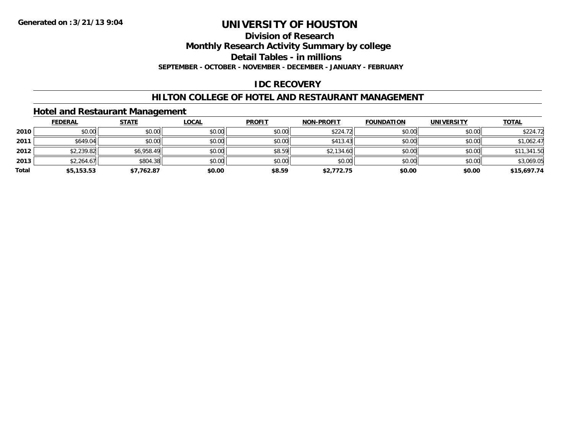#### **Division of Research**

**Monthly Research Activity Summary by college**

**Detail Tables - in millions**

**SEPTEMBER - OCTOBER - NOVEMBER - DECEMBER - JANUARY - FEBRUARY**

#### **IDC RECOVERY**

#### **HILTON COLLEGE OF HOTEL AND RESTAURANT MANAGEMENT**

#### **Hotel and Restaurant Management**

|       | <b>FEDERAL</b> | <b>STATE</b> | <u>LOCAL</u> | <b>PROFIT</b> | <b>NON-PROFIT</b> | <b>FOUNDATION</b> | <b>UNIVERSITY</b> | <b>TOTAL</b> |
|-------|----------------|--------------|--------------|---------------|-------------------|-------------------|-------------------|--------------|
| 2010  | \$0.00         | \$0.00       | \$0.00       | \$0.00        | \$224.72          | \$0.00            | \$0.00            | \$224.72     |
| 2011  | \$649.04       | \$0.00       | \$0.00       | \$0.00        | \$413.43          | \$0.00            | \$0.00            | \$1,062.47   |
| 2012  | \$2,239.82     | \$6,958.49   | \$0.00       | \$8.59        | \$2,134.60        | \$0.00            | \$0.00            | \$11,341.50  |
| 2013  | \$2,264.67     | \$804.38     | \$0.00       | \$0.00        | \$0.00            | \$0.00            | \$0.00            | \$3,069.05   |
| Total | \$5,153.53     | \$7,762.87   | \$0.00       | \$8.59        | \$2,772.75        | \$0.00            | \$0.00            | \$15,697.74  |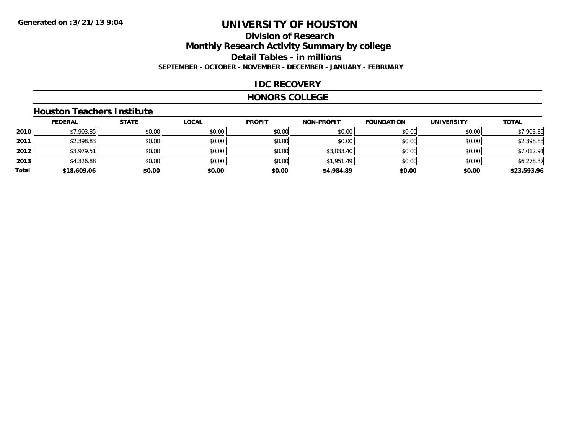### **Division of ResearchMonthly Research Activity Summary by college Detail Tables - in millions SEPTEMBER - OCTOBER - NOVEMBER - DECEMBER - JANUARY - FEBRUARY**

#### **IDC RECOVERY**

#### **HONORS COLLEGE**

#### **Houston Teachers Institute**

|       | <b>FEDERAL</b> | <b>STATE</b> | <b>LOCAL</b> | <b>PROFIT</b> | <b>NON-PROFIT</b> | <b>FOUNDATION</b> | <b>UNIVERSITY</b> | <b>TOTAL</b> |
|-------|----------------|--------------|--------------|---------------|-------------------|-------------------|-------------------|--------------|
| 2010  | \$7,903.85     | \$0.00       | \$0.00       | \$0.00        | \$0.00            | \$0.00            | \$0.00            | \$7,903.85   |
| 2011  | \$2,398.83     | \$0.00       | \$0.00       | \$0.00        | \$0.00            | \$0.00            | \$0.00            | \$2,398.83   |
| 2012  | \$3,979.51     | \$0.00       | \$0.00       | \$0.00        | \$3,033.40        | \$0.00            | \$0.00            | \$7,012.91   |
| 2013  | \$4,326.88     | \$0.00       | \$0.00       | \$0.00        | \$1,951.49        | \$0.00            | \$0.00            | \$6,278.37   |
| Total | \$18,609.06    | \$0.00       | \$0.00       | \$0.00        | \$4,984.89        | \$0.00            | \$0.00            | \$23,593.96  |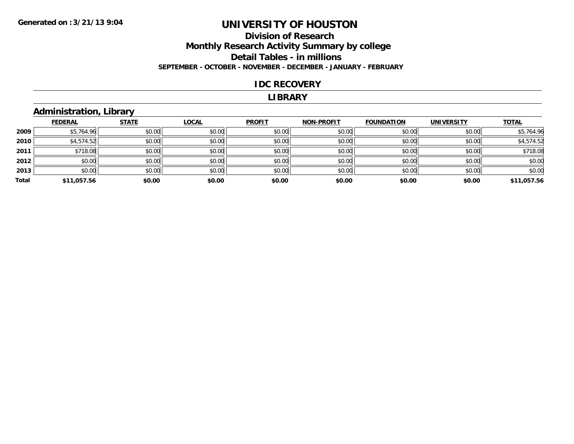#### **Division of Research Monthly Research Activity Summary by college Detail Tables - in millions SEPTEMBER - OCTOBER - NOVEMBER - DECEMBER - JANUARY - FEBRUARY**

#### **IDC RECOVERY**

#### **LIBRARY**

### **Administration, Library**

|       | <b>FEDERAL</b> | <b>STATE</b> | <b>LOCAL</b> | <b>PROFIT</b> | <b>NON-PROFIT</b> | <b>FOUNDATION</b> | <b>UNIVERSITY</b> | <b>TOTAL</b> |
|-------|----------------|--------------|--------------|---------------|-------------------|-------------------|-------------------|--------------|
| 2009  | \$5,764.96     | \$0.00       | \$0.00       | \$0.00        | \$0.00            | \$0.00            | \$0.00            | \$5,764.96   |
| 2010  | \$4,574.52     | \$0.00       | \$0.00       | \$0.00        | \$0.00            | \$0.00            | \$0.00            | \$4,574.52   |
| 2011  | \$718.08       | \$0.00       | \$0.00       | \$0.00        | \$0.00            | \$0.00            | \$0.00            | \$718.08     |
| 2012  | \$0.00         | \$0.00       | \$0.00       | \$0.00        | \$0.00            | \$0.00            | \$0.00            | \$0.00       |
| 2013  | \$0.00         | \$0.00       | \$0.00       | \$0.00        | \$0.00            | \$0.00            | \$0.00            | \$0.00       |
| Total | \$11,057.56    | \$0.00       | \$0.00       | \$0.00        | \$0.00            | \$0.00            | \$0.00            | \$11,057.56  |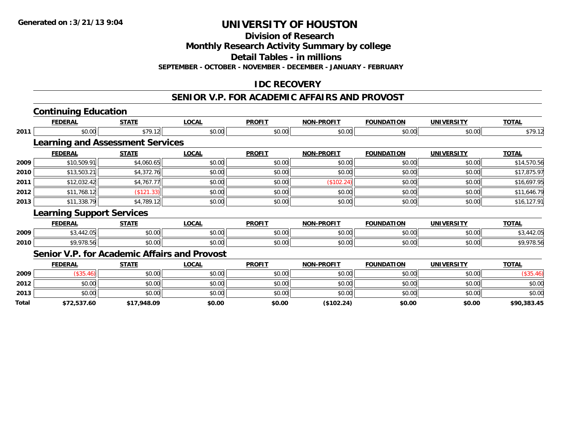**Division of Research**

**Monthly Research Activity Summary by college**

**Detail Tables - in millions**

**SEPTEMBER - OCTOBER - NOVEMBER - DECEMBER - JANUARY - FEBRUARY**

#### **IDC RECOVERY**

#### **SENIOR V.P. FOR ACADEMIC AFFAIRS AND PROVOST**

|       | <b>Continuing Education</b>             |              |                                                     |               |                   |                   |                   |              |
|-------|-----------------------------------------|--------------|-----------------------------------------------------|---------------|-------------------|-------------------|-------------------|--------------|
|       | <b>FEDERAL</b>                          | <b>STATE</b> | <b>LOCAL</b>                                        | <b>PROFIT</b> | <b>NON-PROFIT</b> | <b>FOUNDATION</b> | <b>UNIVERSITY</b> | <b>TOTAL</b> |
| 2011  | \$0.00                                  | \$79.12      | \$0.00                                              | \$0.00        | \$0.00            | \$0.00            | \$0.00            | \$79.12      |
|       | <b>Learning and Assessment Services</b> |              |                                                     |               |                   |                   |                   |              |
|       | <b>FEDERAL</b>                          | <b>STATE</b> | <b>LOCAL</b>                                        | <b>PROFIT</b> | <b>NON-PROFIT</b> | <b>FOUNDATION</b> | <b>UNIVERSITY</b> | <b>TOTAL</b> |
| 2009  | \$10,509.91                             | \$4,060.65   | \$0.00                                              | \$0.00        | \$0.00            | \$0.00            | \$0.00            | \$14,570.56  |
| 2010  | \$13,503.21                             | \$4,372.76   | \$0.00                                              | \$0.00        | \$0.00            | \$0.00            | \$0.00            | \$17,875.97  |
| 2011  | \$12,032.42                             | \$4,767.77   | \$0.00                                              | \$0.00        | (\$102.24)        | \$0.00            | \$0.00            | \$16,697.95  |
| 2012  | \$11,768.12                             | (\$121.33)   | \$0.00                                              | \$0.00        | \$0.00            | \$0.00            | \$0.00            | \$11,646.79  |
| 2013  | \$11,338.79                             | \$4,789.12   | \$0.00                                              | \$0.00        | \$0.00            | \$0.00            | \$0.00            | \$16,127.91  |
|       | <b>Learning Support Services</b>        |              |                                                     |               |                   |                   |                   |              |
|       | <b>FEDERAL</b>                          | <b>STATE</b> | <b>LOCAL</b>                                        | <b>PROFIT</b> | NON-PROFIT        | <b>FOUNDATION</b> | <b>UNIVERSITY</b> | <b>TOTAL</b> |
| 2009  | \$3,442.05                              | \$0.00       | \$0.00                                              | \$0.00        | \$0.00            | \$0.00            | \$0.00            | \$3,442.05   |
| 2010  | \$9,978.56                              | \$0.00       | \$0.00                                              | \$0.00        | \$0.00            | \$0.00            | \$0.00            | \$9,978.56   |
|       |                                         |              | <b>Senior V.P. for Academic Affairs and Provost</b> |               |                   |                   |                   |              |
|       | <b>FEDERAL</b>                          | <b>STATE</b> | <b>LOCAL</b>                                        | <b>PROFIT</b> | <b>NON-PROFIT</b> | <b>FOUNDATION</b> | <b>UNIVERSITY</b> | <b>TOTAL</b> |
| 2009  | (\$35.46)                               | \$0.00       | \$0.00                                              | \$0.00        | \$0.00            | \$0.00            | \$0.00            | (\$35.46)    |
| 2012  | \$0.00                                  | \$0.00       | \$0.00                                              | \$0.00        | \$0.00            | \$0.00            | \$0.00            | \$0.00       |
| 2013  | \$0.00                                  | \$0.00       | \$0.00                                              | \$0.00        | \$0.00            | \$0.00            | \$0.00            | \$0.00       |
| Total | \$72,537.60                             | \$17,948.09  | \$0.00                                              | \$0.00        | (\$102.24)        | \$0.00            | \$0.00            | \$90,383.45  |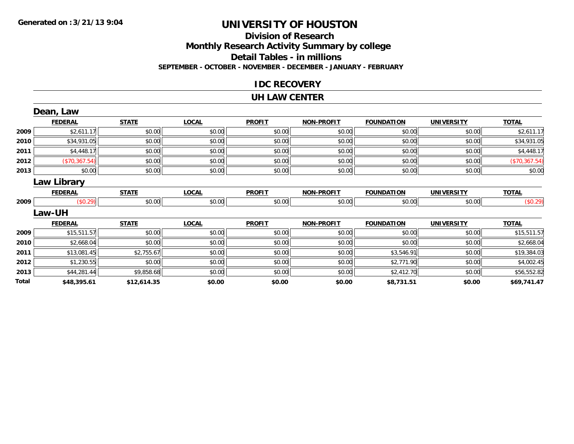#### **Division of ResearchMonthly Research Activity Summary by college Detail Tables - in millions SEPTEMBER - OCTOBER - NOVEMBER - DECEMBER - JANUARY - FEBRUARY**

#### **IDC RECOVERY**

#### **UH LAW CENTER**

|       | Dean, Law      |              |              |               |                   |                   |                   |               |
|-------|----------------|--------------|--------------|---------------|-------------------|-------------------|-------------------|---------------|
|       | <b>FEDERAL</b> | <b>STATE</b> | <b>LOCAL</b> | <b>PROFIT</b> | <b>NON-PROFIT</b> | <b>FOUNDATION</b> | <b>UNIVERSITY</b> | <b>TOTAL</b>  |
| 2009  | \$2,611.17     | \$0.00       | \$0.00       | \$0.00        | \$0.00            | \$0.00            | \$0.00            | \$2,611.17    |
| 2010  | \$34,931.05    | \$0.00       | \$0.00       | \$0.00        | \$0.00            | \$0.00            | \$0.00            | \$34,931.05   |
| 2011  | \$4,448.17     | \$0.00       | \$0.00       | \$0.00        | \$0.00            | \$0.00            | \$0.00            | \$4,448.17    |
| 2012  | (\$70,367.54)  | \$0.00       | \$0.00       | \$0.00        | \$0.00            | \$0.00            | \$0.00            | (\$70,367.54) |
| 2013  | \$0.00         | \$0.00       | \$0.00       | \$0.00        | \$0.00            | \$0.00            | \$0.00            | \$0.00        |
|       | Law Library    |              |              |               |                   |                   |                   |               |
|       | <b>FEDERAL</b> | <b>STATE</b> | <b>LOCAL</b> | <b>PROFIT</b> | <b>NON-PROFIT</b> | <b>FOUNDATION</b> | <b>UNIVERSITY</b> | <b>TOTAL</b>  |
| 2009  | (\$0.29)       | \$0.00       | \$0.00       | \$0.00        | \$0.00            | \$0.00            | \$0.00            | (\$0.29)      |
|       | Law-UH         |              |              |               |                   |                   |                   |               |
|       | <b>FEDERAL</b> | <b>STATE</b> | <b>LOCAL</b> | <b>PROFIT</b> | <b>NON-PROFIT</b> | <b>FOUNDATION</b> | <b>UNIVERSITY</b> | <b>TOTAL</b>  |
| 2009  | \$15,511.57    | \$0.00       | \$0.00       | \$0.00        | \$0.00            | \$0.00            | \$0.00            | \$15,511.57   |
| 2010  | \$2,668.04     | \$0.00       | \$0.00       | \$0.00        | \$0.00            | \$0.00            | \$0.00            | \$2,668.04    |
| 2011  | \$13,081.45    | \$2,755.67   | \$0.00       | \$0.00        | \$0.00            | \$3,546.91        | \$0.00            | \$19,384.03   |
| 2012  | \$1,230.55     | \$0.00       | \$0.00       | \$0.00        | \$0.00            | \$2,771.90        | \$0.00            | \$4,002.45    |
| 2013  | \$44,281.44    | \$9,858.68   | \$0.00       | \$0.00        | \$0.00            | \$2,412.70        | \$0.00            | \$56,552.82   |
| Total | \$48,395.61    | \$12,614.35  | \$0.00       | \$0.00        | \$0.00            | \$8,731.51        | \$0.00            | \$69,741.47   |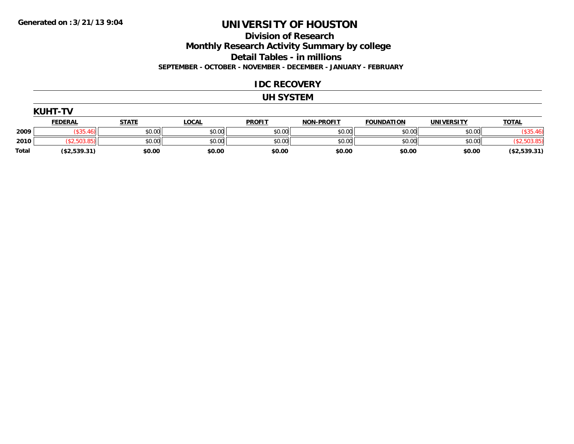**Division of Research**

**Monthly Research Activity Summary by college**

**Detail Tables - in millions**

**SEPTEMBER - OCTOBER - NOVEMBER - DECEMBER - JANUARY - FEBRUARY**

#### **IDC RECOVERY**

#### **UH SYSTEM**

|              | <b>KUHT-TV</b> |              |              |               |                   |                   |            |              |
|--------------|----------------|--------------|--------------|---------------|-------------------|-------------------|------------|--------------|
|              | <u>FEDERAL</u> | <b>STATE</b> | <u>LOCAL</u> | <b>PROFIT</b> | <b>NON-PROFIT</b> | <b>FOUNDATION</b> | UNIVERSITY | <b>TOTAL</b> |
| 2009         | \$35.46        | \$0.00       | \$0.00       | \$0.00        | \$0.00            | \$0.00            | \$0.00     | \$35         |
| 2010         | (\$2,503.85)   | \$0.00       | \$0.00       | \$0.00        | \$0.00            | \$0.00            | \$0.00     |              |
| <b>Total</b> | (\$2,539.31)   | \$0.00       | \$0.00       | \$0.00        | \$0.00            | \$0.00            | \$0.00     | (\$2,539.31) |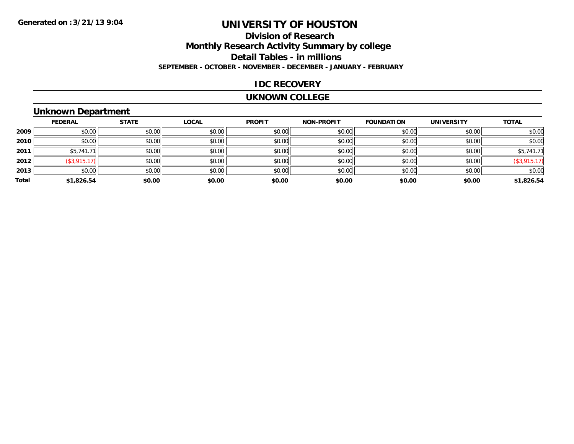### **Division of ResearchMonthly Research Activity Summary by college Detail Tables - in millions SEPTEMBER - OCTOBER - NOVEMBER - DECEMBER - JANUARY - FEBRUARY**

#### **IDC RECOVERY**

#### **UKNOWN COLLEGE**

#### **Unknown Department**

|       | <b>FEDERAL</b>      | <b>STATE</b> | <b>LOCAL</b> | <b>PROFIT</b> | <b>NON-PROFIT</b> | <b>FOUNDATION</b> | <b>UNIVERSITY</b> | <b>TOTAL</b>       |
|-------|---------------------|--------------|--------------|---------------|-------------------|-------------------|-------------------|--------------------|
| 2009  | \$0.00              | \$0.00       | \$0.00       | \$0.00        | \$0.00            | \$0.00            | \$0.00            | \$0.00             |
| 2010  | \$0.00              | \$0.00       | \$0.00       | \$0.00        | \$0.00            | \$0.00            | \$0.00            | \$0.00             |
| 2011  | \$5,741.71          | \$0.00       | \$0.00       | \$0.00        | \$0.00            | \$0.00            | \$0.00            | \$5,741.71         |
| 2012  | $($ \$3,915.17) $ $ | \$0.00       | \$0.00       | \$0.00        | \$0.00            | \$0.00            | \$0.00            | $($ \$3,915.17 $)$ |
| 2013  | \$0.00              | \$0.00       | \$0.00       | \$0.00        | \$0.00            | \$0.00            | \$0.00            | \$0.00             |
| Total | \$1,826.54          | \$0.00       | \$0.00       | \$0.00        | \$0.00            | \$0.00            | \$0.00            | \$1,826.54         |